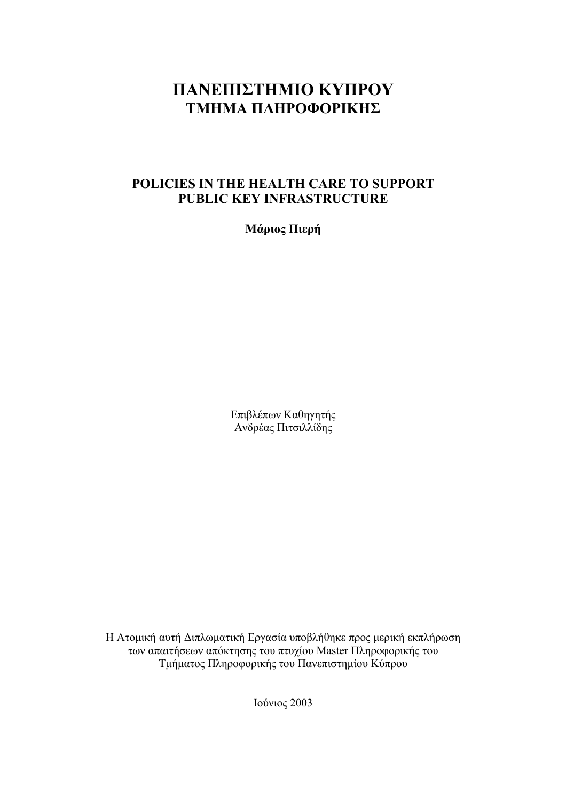# **ΠΑΝΕΠΙΣΤΗΜΙΟ ΚΥΠΡΟΥ ΤΜΗΜΑ ΠΛΗΡΟΦΟΡΙΚΗΣ**

# **POLICIES IN THE HEALTH CARE TO SUPPORT PUBLIC KEY INFRASTRUCTURE**

**Μάριος Πιερή**

Επιβλέπων Καθηγητής Ανδρέας Πιτσιλλίδης

Η Ατοµική αυτή ∆ιπλωµατική Εργασία υποβλήθηκε προς µερική εκπλήρωση των απαιτήσεων απόκτησης του πτυχίου Master Πληροφορικής του Τµήµατος Πληροφορικής του Πανεπιστηµίου Κύπρου

Ιούνιος 2003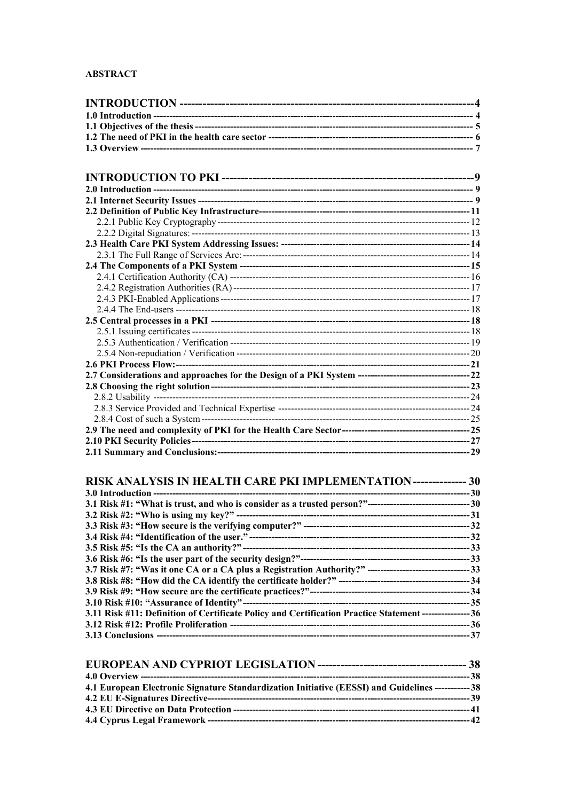## **ABSTRACT**

| 11111101001101110111111 |  |
|-------------------------|--|
|                         |  |
|                         |  |
|                         |  |
|                         |  |
|                         |  |
|                         |  |
|                         |  |
|                         |  |
|                         |  |
|                         |  |
|                         |  |
|                         |  |
|                         |  |
|                         |  |
|                         |  |
|                         |  |
|                         |  |
|                         |  |
|                         |  |
|                         |  |
|                         |  |
|                         |  |
|                         |  |
|                         |  |
|                         |  |

| <b>RISK ANALYSIS IN HEALTH CARE PKI IMPLEMENTATION--------------- 30</b>                                 |  |
|----------------------------------------------------------------------------------------------------------|--|
|                                                                                                          |  |
|                                                                                                          |  |
|                                                                                                          |  |
|                                                                                                          |  |
|                                                                                                          |  |
|                                                                                                          |  |
|                                                                                                          |  |
|                                                                                                          |  |
|                                                                                                          |  |
|                                                                                                          |  |
|                                                                                                          |  |
| 3.11 Risk #11: Definition of Certificate Policy and Certification Practice Statement ---------------- 36 |  |
|                                                                                                          |  |
|                                                                                                          |  |

| 4.1 European Electronic Signature Standardization Initiative (EESSI) and Guidelines ------------38 |  |
|----------------------------------------------------------------------------------------------------|--|
|                                                                                                    |  |
|                                                                                                    |  |
|                                                                                                    |  |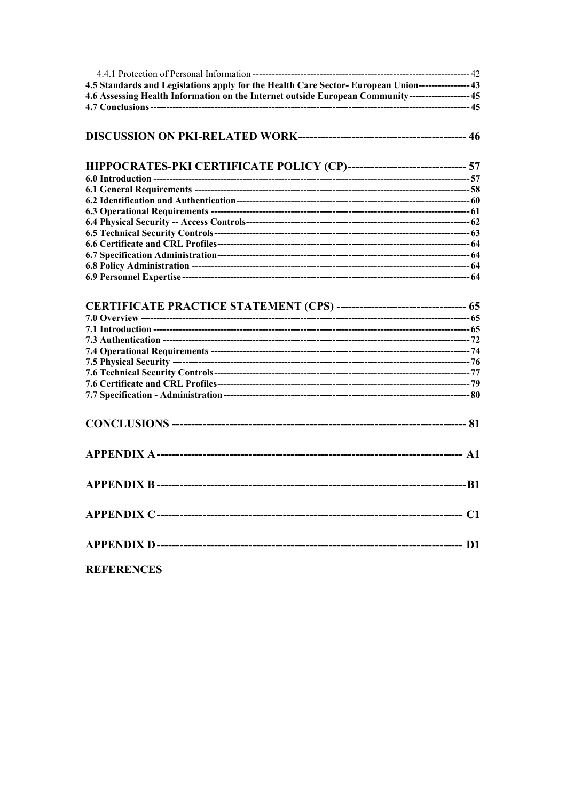| 4.5 Standards and Legislations apply for the Health Care Sector-European Union----------------43   |  |
|----------------------------------------------------------------------------------------------------|--|
| 4.6 Assessing Health Information on the Internet outside European Community-------------------- 45 |  |
|                                                                                                    |  |
|                                                                                                    |  |
| HIPPOCRATES-PKI CERTIFICATE POLICY (CP)------------------------------- 57                          |  |
|                                                                                                    |  |
|                                                                                                    |  |
|                                                                                                    |  |
|                                                                                                    |  |
|                                                                                                    |  |
|                                                                                                    |  |
|                                                                                                    |  |
|                                                                                                    |  |
|                                                                                                    |  |
|                                                                                                    |  |
| <b>CERTIFICATE PRACTICE STATEMENT (CPS) --------------------------------- 65</b>                   |  |
|                                                                                                    |  |
|                                                                                                    |  |
|                                                                                                    |  |
|                                                                                                    |  |
|                                                                                                    |  |
|                                                                                                    |  |
|                                                                                                    |  |
|                                                                                                    |  |
|                                                                                                    |  |
|                                                                                                    |  |
|                                                                                                    |  |
|                                                                                                    |  |
|                                                                                                    |  |
| <b>REFERENCES</b>                                                                                  |  |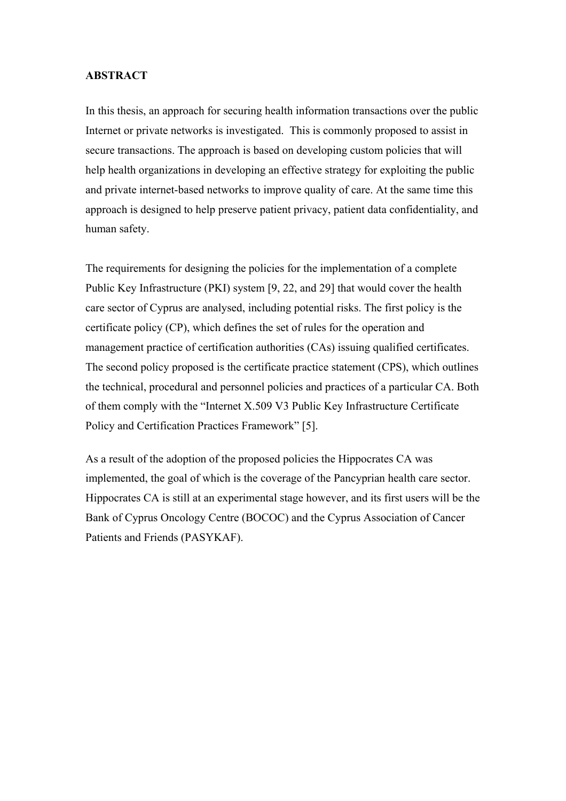## **ABSTRACT**

In this thesis, an approach for securing health information transactions over the public Internet or private networks is investigated. This is commonly proposed to assist in secure transactions. The approach is based on developing custom policies that will help health organizations in developing an effective strategy for exploiting the public and private internet-based networks to improve quality of care. At the same time this approach is designed to help preserve patient privacy, patient data confidentiality, and human safety.

The requirements for designing the policies for the implementation of a complete Public Key Infrastructure (PKI) system [9, 22, and 29] that would cover the health care sector of Cyprus are analysed, including potential risks. The first policy is the certificate policy (CP), which defines the set of rules for the operation and management practice of certification authorities (CAs) issuing qualified certificates. The second policy proposed is the certificate practice statement (CPS), which outlines the technical, procedural and personnel policies and practices of a particular CA. Both of them comply with the "Internet X.509 V3 Public Key Infrastructure Certificate Policy and Certification Practices Framework" [5].

As a result of the adoption of the proposed policies the Hippocrates CA was implemented, the goal of which is the coverage of the Pancyprian health care sector. Hippocrates CA is still at an experimental stage however, and its first users will be the Bank of Cyprus Oncology Centre (BOCOC) and the Cyprus Association of Cancer Patients and Friends (PASYKAF).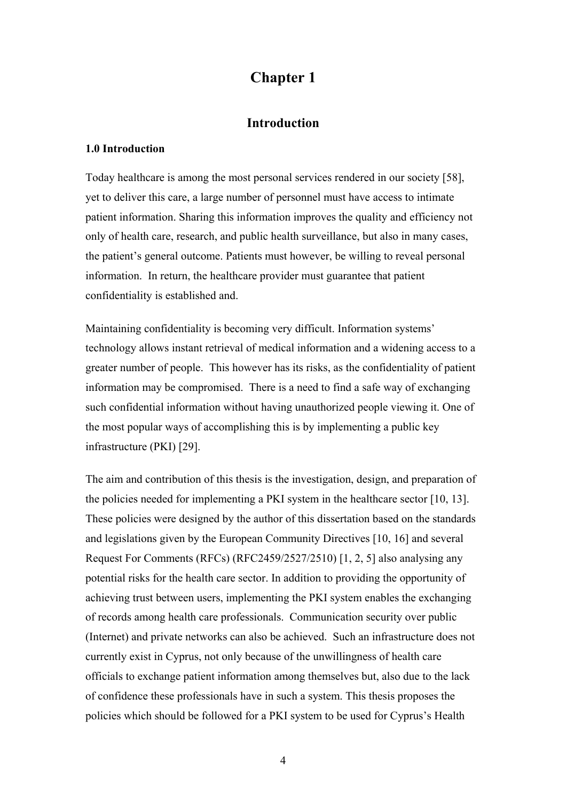# **Chapter 1**

# **Introduction**

#### **1.0 Introduction**

Today healthcare is among the most personal services rendered in our society [58], yet to deliver this care, a large number of personnel must have access to intimate patient information. Sharing this information improves the quality and efficiency not only of health care, research, and public health surveillance, but also in many cases, the patient's general outcome. Patients must however, be willing to reveal personal information. In return, the healthcare provider must guarantee that patient confidentiality is established and.

Maintaining confidentiality is becoming very difficult. Information systems' technology allows instant retrieval of medical information and a widening access to a greater number of people. This however has its risks, as the confidentiality of patient information may be compromised. There is a need to find a safe way of exchanging such confidential information without having unauthorized people viewing it. One of the most popular ways of accomplishing this is by implementing a public key infrastructure (PKI) [29].

The aim and contribution of this thesis is the investigation, design, and preparation of the policies needed for implementing a PKI system in the healthcare sector [10, 13]. These policies were designed by the author of this dissertation based on the standards and legislations given by the European Community Directives [10, 16] and several Request For Comments (RFCs) (RFC2459/2527/2510) [1, 2, 5] also analysing any potential risks for the health care sector. In addition to providing the opportunity of achieving trust between users, implementing the PKI system enables the exchanging of records among health care professionals. Communication security over public (Internet) and private networks can also be achieved. Such an infrastructure does not currently exist in Cyprus, not only because of the unwillingness of health care officials to exchange patient information among themselves but, also due to the lack of confidence these professionals have in such a system. This thesis proposes the policies which should be followed for a PKI system to be used for Cyprus's Health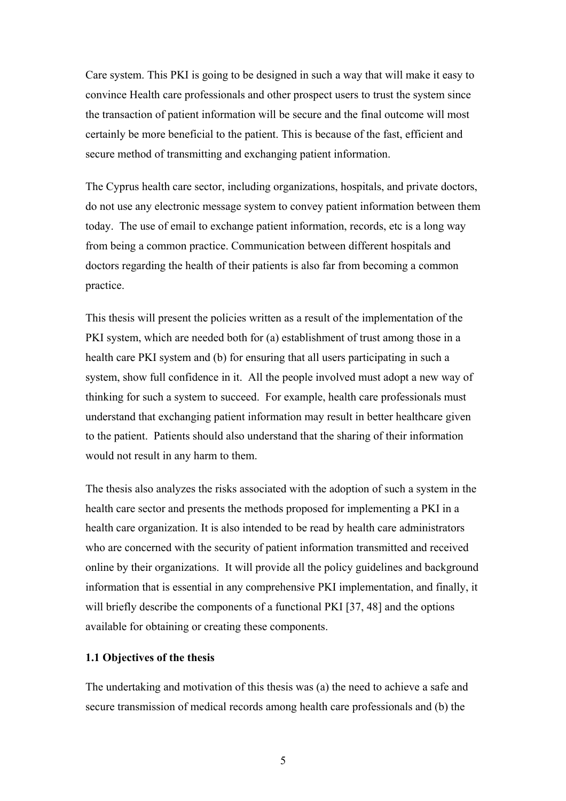Care system. This PKI is going to be designed in such a way that will make it easy to convince Health care professionals and other prospect users to trust the system since the transaction of patient information will be secure and the final outcome will most certainly be more beneficial to the patient. This is because of the fast, efficient and secure method of transmitting and exchanging patient information.

The Cyprus health care sector, including organizations, hospitals, and private doctors, do not use any electronic message system to convey patient information between them today. The use of email to exchange patient information, records, etc is a long way from being a common practice. Communication between different hospitals and doctors regarding the health of their patients is also far from becoming a common practice.

This thesis will present the policies written as a result of the implementation of the PKI system, which are needed both for (a) establishment of trust among those in a health care PKI system and (b) for ensuring that all users participating in such a system, show full confidence in it. All the people involved must adopt a new way of thinking for such a system to succeed. For example, health care professionals must understand that exchanging patient information may result in better healthcare given to the patient. Patients should also understand that the sharing of their information would not result in any harm to them.

The thesis also analyzes the risks associated with the adoption of such a system in the health care sector and presents the methods proposed for implementing a PKI in a health care organization. It is also intended to be read by health care administrators who are concerned with the security of patient information transmitted and received online by their organizations. It will provide all the policy guidelines and background information that is essential in any comprehensive PKI implementation, and finally, it will briefly describe the components of a functional PKI [37, 48] and the options available for obtaining or creating these components.

## **1.1 Objectives of the thesis**

The undertaking and motivation of this thesis was (a) the need to achieve a safe and secure transmission of medical records among health care professionals and (b) the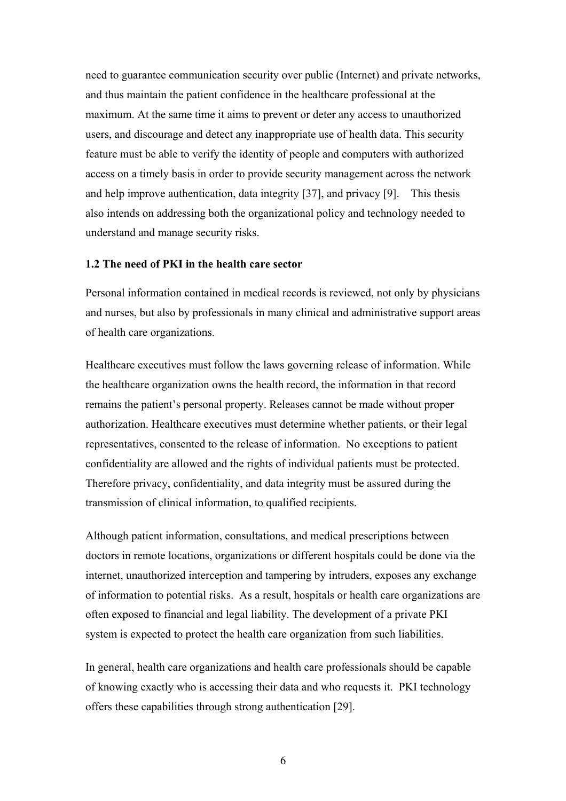need to guarantee communication security over public (Internet) and private networks, and thus maintain the patient confidence in the healthcare professional at the maximum. At the same time it aims to prevent or deter any access to unauthorized users, and discourage and detect any inappropriate use of health data. This security feature must be able to verify the identity of people and computers with authorized access on a timely basis in order to provide security management across the network and help improve authentication, data integrity [37], and privacy [9]. This thesis also intends on addressing both the organizational policy and technology needed to understand and manage security risks.

## **1.2 The need of PKI in the health care sector**

Personal information contained in medical records is reviewed, not only by physicians and nurses, but also by professionals in many clinical and administrative support areas of health care organizations.

Healthcare executives must follow the laws governing release of information. While the healthcare organization owns the health record, the information in that record remains the patient's personal property. Releases cannot be made without proper authorization. Healthcare executives must determine whether patients, or their legal representatives, consented to the release of information. No exceptions to patient confidentiality are allowed and the rights of individual patients must be protected. Therefore privacy, confidentiality, and data integrity must be assured during the transmission of clinical information, to qualified recipients.

Although patient information, consultations, and medical prescriptions between doctors in remote locations, organizations or different hospitals could be done via the internet, unauthorized interception and tampering by intruders, exposes any exchange of information to potential risks. As a result, hospitals or health care organizations are often exposed to financial and legal liability. The development of a private PKI system is expected to protect the health care organization from such liabilities.

In general, health care organizations and health care professionals should be capable of knowing exactly who is accessing their data and who requests it. PKI technology offers these capabilities through strong authentication [29].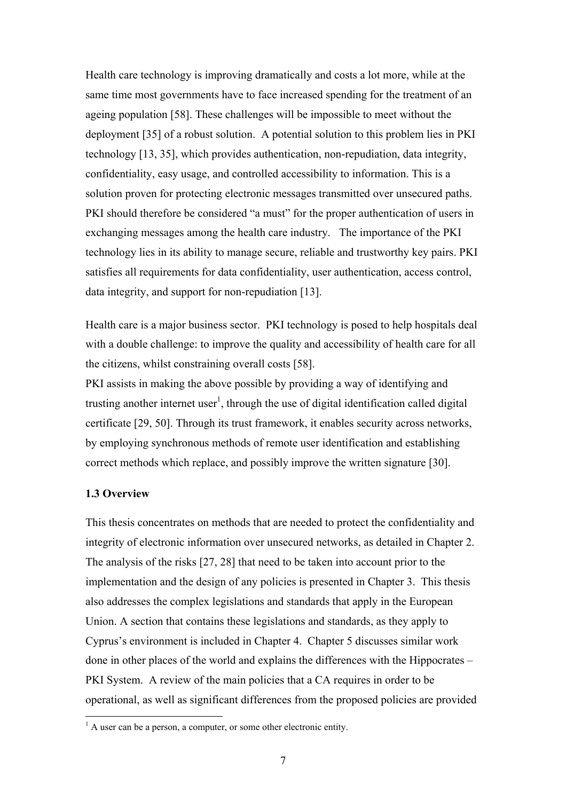Health care technology is improving dramatically and costs a lot more, while at the same time most governments have to face increased spending for the treatment of an ageing population [58]. These challenges will be impossible to meet without the deployment [35] of a robust solution. A potential solution to this problem lies in PKI technology [13, 35], which provides authentication, non-repudiation, data integrity, confidentiality, easy usage, and controlled accessibility to information. This is a solution proven for protecting electronic messages transmitted over unsecured paths. PKI should therefore be considered "a must" for the proper authentication of users in exchanging messages among the health care industry. The importance of the PKI technology lies in its ability to manage secure, reliable and trustworthy key pairs. PKI satisfies all requirements for data confidentiality, user authentication, access control, data integrity, and support for non-repudiation [13].

Health care is a major business sector. PKI technology is posed to help hospitals deal with a double challenge: to improve the quality and accessibility of health care for all the citizens, whilst constraining overall costs [58].

PKI assists in making the above possible by providing a way of identifying and trusting another internet user<sup>1</sup>, through the use of digital identification called digital certificate [29, 50]. Through its trust framework, it enables security across networks, by employing synchronous methods of remote user identification and establishing correct methods which replace, and possibly improve the written signature [30].

### **1.3 Overview**

This thesis concentrates on methods that are needed to protect the confidentiality and integrity of electronic information over unsecured networks, as detailed in Chapter 2. The analysis of the risks [27, 28] that need to be taken into account prior to the implementation and the design of any policies is presented in Chapter 3. This thesis also addresses the complex legislations and standards that apply in the European Union. A section that contains these legislations and standards, as they apply to Cyprus's environment is included in Chapter 4. Chapter 5 discusses similar work done in other places of the world and explains the differences with the Hippocrates – PKI System. A review of the main policies that a CA requires in order to be operational, as well as significant differences from the proposed policies are provided

<sup>&</sup>lt;sup>1</sup> A user can be a person, a computer, or some other electronic entity.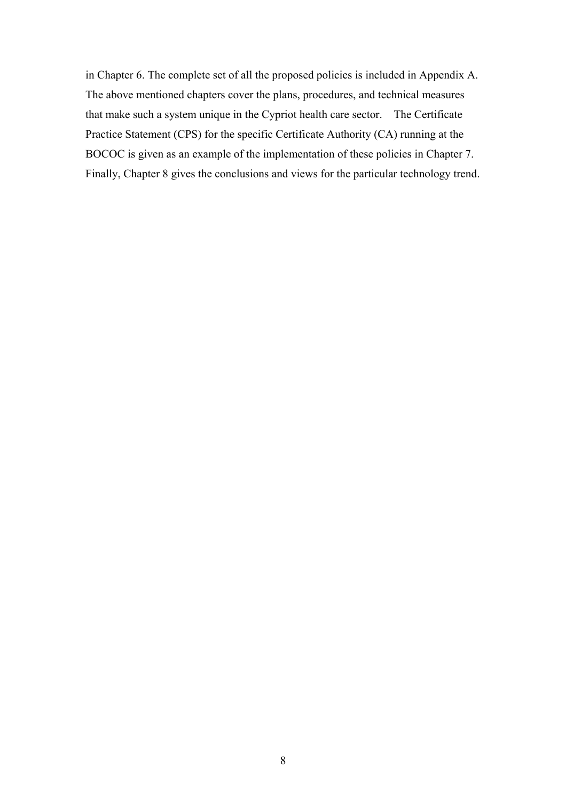in Chapter 6. The complete set of all the proposed policies is included in Appendix A. The above mentioned chapters cover the plans, procedures, and technical measures that make such a system unique in the Cypriot health care sector. The Certificate Practice Statement (CPS) for the specific Certificate Authority (CA) running at the BOCOC is given as an example of the implementation of these policies in Chapter 7. Finally, Chapter 8 gives the conclusions and views for the particular technology trend.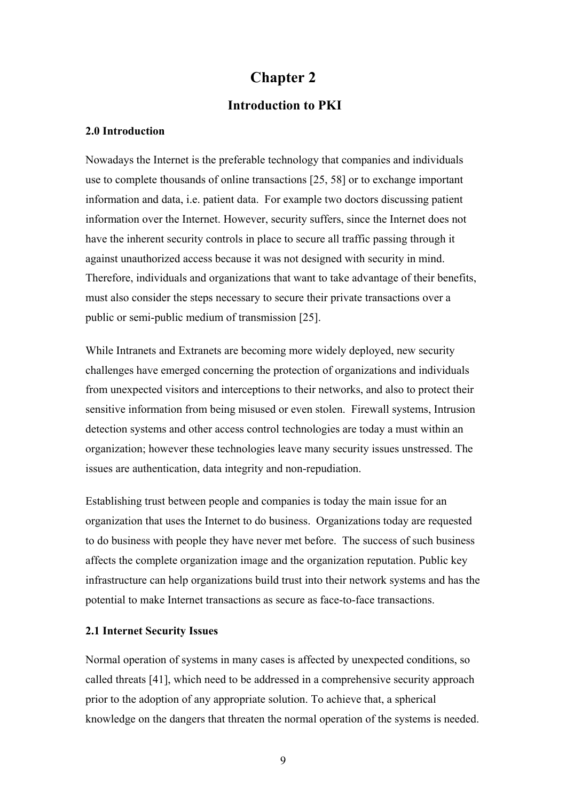# **Chapter 2**

# **Introduction to PKI**

## **2.0 Introduction**

Nowadays the Internet is the preferable technology that companies and individuals use to complete thousands of online transactions [25, 58] or to exchange important information and data, i.e. patient data. For example two doctors discussing patient information over the Internet. However, security suffers, since the Internet does not have the inherent security controls in place to secure all traffic passing through it against unauthorized access because it was not designed with security in mind. Therefore, individuals and organizations that want to take advantage of their benefits, must also consider the steps necessary to secure their private transactions over a public or semi-public medium of transmission [25].

While Intranets and Extranets are becoming more widely deployed, new security challenges have emerged concerning the protection of organizations and individuals from unexpected visitors and interceptions to their networks, and also to protect their sensitive information from being misused or even stolen. Firewall systems, Intrusion detection systems and other access control technologies are today a must within an organization; however these technologies leave many security issues unstressed. The issues are authentication, data integrity and non-repudiation.

Establishing trust between people and companies is today the main issue for an organization that uses the Internet to do business. Organizations today are requested to do business with people they have never met before. The success of such business affects the complete organization image and the organization reputation. Public key infrastructure can help organizations build trust into their network systems and has the potential to make Internet transactions as secure as face-to-face transactions.

### **2.1 Internet Security Issues**

Normal operation of systems in many cases is affected by unexpected conditions, so called threats [41], which need to be addressed in a comprehensive security approach prior to the adoption of any appropriate solution. To achieve that, a spherical knowledge on the dangers that threaten the normal operation of the systems is needed.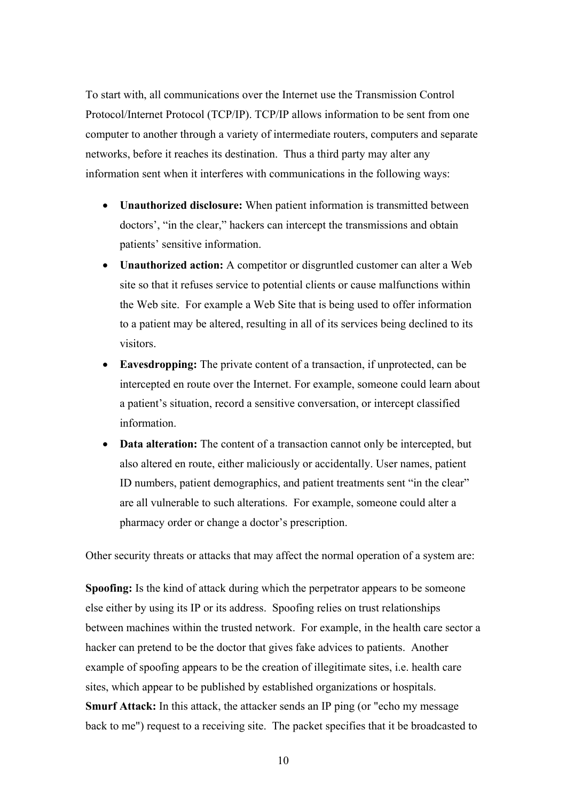To start with, all communications over the Internet use the Transmission Control Protocol/Internet Protocol (TCP/IP). TCP/IP allows information to be sent from one computer to another through a variety of intermediate routers, computers and separate networks, before it reaches its destination. Thus a third party may alter any information sent when it interferes with communications in the following ways:

- **Unauthorized disclosure:** When patient information is transmitted between doctors', "in the clear," hackers can intercept the transmissions and obtain patients' sensitive information.
- **Unauthorized action:** A competitor or disgruntled customer can alter a Web site so that it refuses service to potential clients or cause malfunctions within the Web site. For example a Web Site that is being used to offer information to a patient may be altered, resulting in all of its services being declined to its visitors.
- **Eavesdropping:** The private content of a transaction, if unprotected, can be intercepted en route over the Internet. For example, someone could learn about a patient's situation, record a sensitive conversation, or intercept classified information.
- **Data alteration:** The content of a transaction cannot only be intercepted, but also altered en route, either maliciously or accidentally. User names, patient ID numbers, patient demographics, and patient treatments sent "in the clear" are all vulnerable to such alterations. For example, someone could alter a pharmacy order or change a doctor's prescription.

Other security threats or attacks that may affect the normal operation of a system are:

**Spoofing:** Is the kind of attack during which the perpetrator appears to be someone else either by using its IP or its address. Spoofing relies on trust relationships between machines within the trusted network. For example, in the health care sector a hacker can pretend to be the doctor that gives fake advices to patients. Another example of spoofing appears to be the creation of illegitimate sites, i.e. health care sites, which appear to be published by established organizations or hospitals. **Smurf Attack:** In this attack, the attacker sends an IP ping (or "echo my message back to me") request to a receiving site. The packet specifies that it be broadcasted to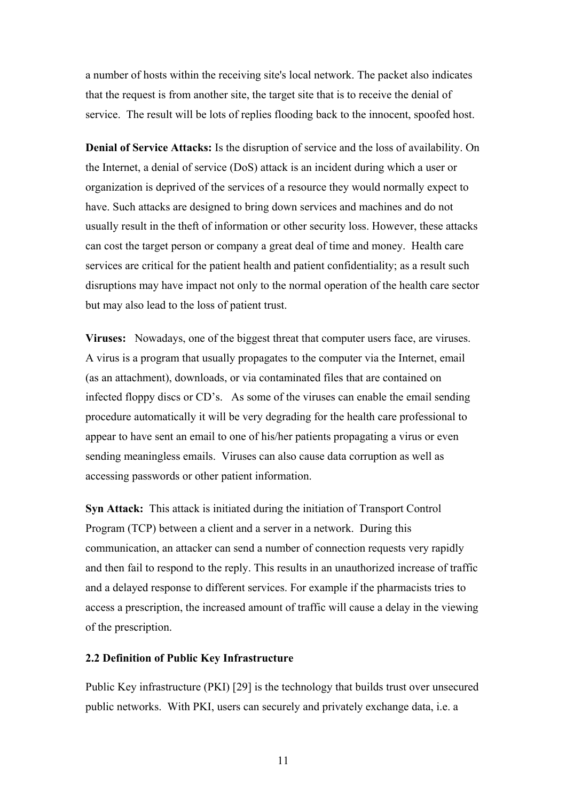a number of hosts within the receiving site's local network. The packet also indicates that the request is from another site, the target site that is to receive the denial of service. The result will be lots of replies flooding back to the innocent, spoofed host.

**Denial of Service Attacks:** Is the disruption of service and the loss of availability. On the Internet, a denial of service (DoS) attack is an incident during which a user or organization is deprived of the services of a resource they would normally expect to have. Such attacks are designed to bring down services and machines and do not usually result in the theft of information or other security loss. However, these attacks can cost the target person or company a great deal of time and money. Health care services are critical for the patient health and patient confidentiality; as a result such disruptions may have impact not only to the normal operation of the health care sector but may also lead to the loss of patient trust.

**Viruses:** Nowadays, one of the biggest threat that computer users face, are viruses. A virus is a program that usually propagates to the computer via the Internet, email (as an attachment), downloads, or via contaminated files that are contained on infected floppy discs or CD's. As some of the viruses can enable the email sending procedure automatically it will be very degrading for the health care professional to appear to have sent an email to one of his/her patients propagating a virus or even sending meaningless emails. Viruses can also cause data corruption as well as accessing passwords or other patient information.

**Syn Attack:** This attack is initiated during the initiation of Transport Control Program (TCP) between a client and a server in a network. During this communication, an attacker can send a number of connection requests very rapidly and then fail to respond to the reply. This results in an unauthorized increase of traffic and a delayed response to different services. For example if the pharmacists tries to access a prescription, the increased amount of traffic will cause a delay in the viewing of the prescription.

## **2.2 Definition of Public Key Infrastructure**

Public Key infrastructure (PKI) [29] is the technology that builds trust over unsecured public networks. With PKI, users can securely and privately exchange data, i.e. a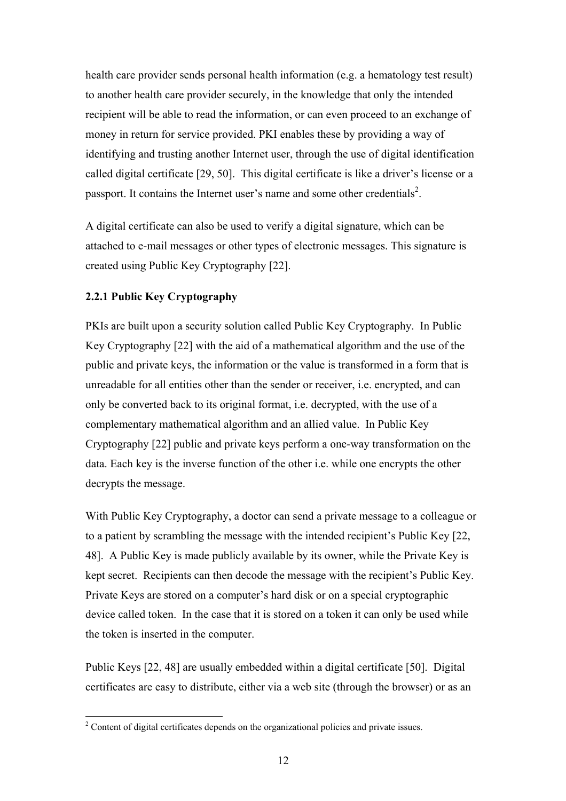health care provider sends personal health information (e.g. a hematology test result) to another health care provider securely, in the knowledge that only the intended recipient will be able to read the information, or can even proceed to an exchange of money in return for service provided. PKI enables these by providing a way of identifying and trusting another Internet user, through the use of digital identification called digital certificate [29, 50]. This digital certificate is like a driver's license or a passport. It contains the Internet user's name and some other credentials<sup>2</sup>.

A digital certificate can also be used to verify a digital signature, which can be attached to e-mail messages or other types of electronic messages. This signature is created using Public Key Cryptography [22].

# **2.2.1 Public Key Cryptography**

PKIs are built upon a security solution called Public Key Cryptography. In Public Key Cryptography [22] with the aid of a mathematical algorithm and the use of the public and private keys, the information or the value is transformed in a form that is unreadable for all entities other than the sender or receiver, i.e. encrypted, and can only be converted back to its original format, i.e. decrypted, with the use of a complementary mathematical algorithm and an allied value. In Public Key Cryptography [22] public and private keys perform a one-way transformation on the data. Each key is the inverse function of the other i.e. while one encrypts the other decrypts the message.

With Public Key Cryptography, a doctor can send a private message to a colleague or to a patient by scrambling the message with the intended recipient's Public Key [22, 48]. A Public Key is made publicly available by its owner, while the Private Key is kept secret. Recipients can then decode the message with the recipient's Public Key. Private Keys are stored on a computer's hard disk or on a special cryptographic device called token. In the case that it is stored on a token it can only be used while the token is inserted in the computer.

Public Keys [22, 48] are usually embedded within a digital certificate [50]. Digital certificates are easy to distribute, either via a web site (through the browser) or as an

<sup>&</sup>lt;sup>2</sup> Content of digital certificates depends on the organizational policies and private issues.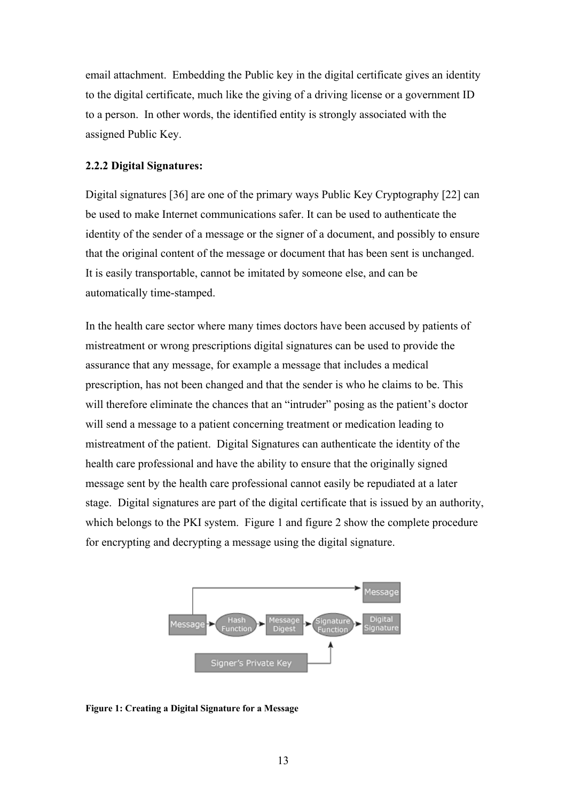email attachment. Embedding the Public key in the digital certificate gives an identity to the digital certificate, much like the giving of a driving license or a government ID to a person. In other words, the identified entity is strongly associated with the assigned Public Key.

#### **2.2.2 Digital Signatures:**

Digital signatures [36] are one of the primary ways Public Key Cryptography [22] can be used to make Internet communications safer. It can be used to authenticate the identity of the sender of a message or the signer of a document, and possibly to ensure that the original content of the message or document that has been sent is unchanged. It is easily transportable, cannot be imitated by someone else, and can be automatically time-stamped.

In the health care sector where many times doctors have been accused by patients of mistreatment or wrong prescriptions digital signatures can be used to provide the assurance that any message, for example a message that includes a medical prescription, has not been changed and that the sender is who he claims to be. This will therefore eliminate the chances that an "intruder" posing as the patient's doctor will send a message to a patient concerning treatment or medication leading to mistreatment of the patient. Digital Signatures can authenticate the identity of the health care professional and have the ability to ensure that the originally signed message sent by the health care professional cannot easily be repudiated at a later stage. Digital signatures are part of the digital certificate that is issued by an authority, which belongs to the PKI system. Figure 1 and figure 2 show the complete procedure for encrypting and decrypting a message using the digital signature.



**Figure 1: Creating a Digital Signature for a Message**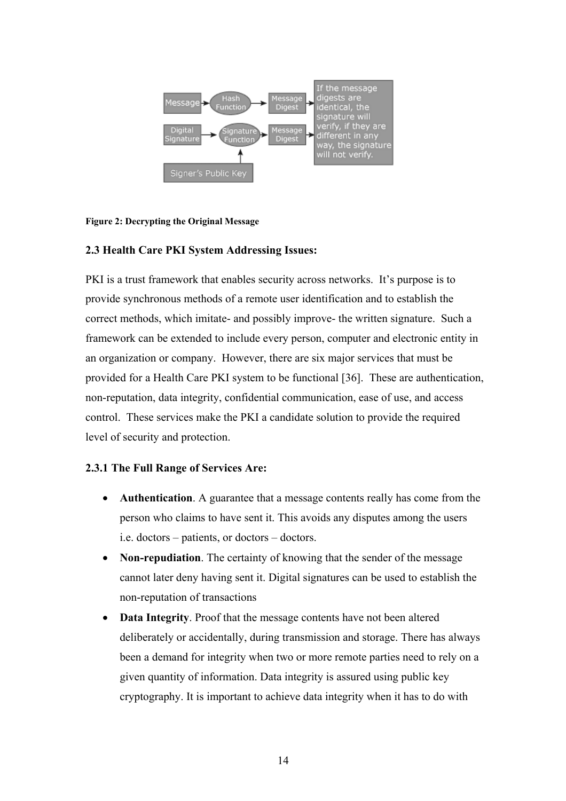

#### **Figure 2: Decrypting the Original Message**

## **2.3 Health Care PKI System Addressing Issues:**

PKI is a trust framework that enables security across networks. It's purpose is to provide synchronous methods of a remote user identification and to establish the correct methods, which imitate- and possibly improve- the written signature. Such a framework can be extended to include every person, computer and electronic entity in an organization or company. However, there are six major services that must be provided for a Health Care PKI system to be functional [36]. These are authentication, non-reputation, data integrity, confidential communication, ease of use, and access control. These services make the PKI a candidate solution to provide the required level of security and protection.

#### **2.3.1 The Full Range of Services Are:**

- **Authentication**. A guarantee that a message contents really has come from the person who claims to have sent it. This avoids any disputes among the users i.e. doctors – patients, or doctors – doctors.
- **Non-repudiation**. The certainty of knowing that the sender of the message cannot later deny having sent it. Digital signatures can be used to establish the non-reputation of transactions
- **Data Integrity**. Proof that the message contents have not been altered deliberately or accidentally, during transmission and storage. There has always been a demand for integrity when two or more remote parties need to rely on a given quantity of information. Data integrity is assured using public key cryptography. It is important to achieve data integrity when it has to do with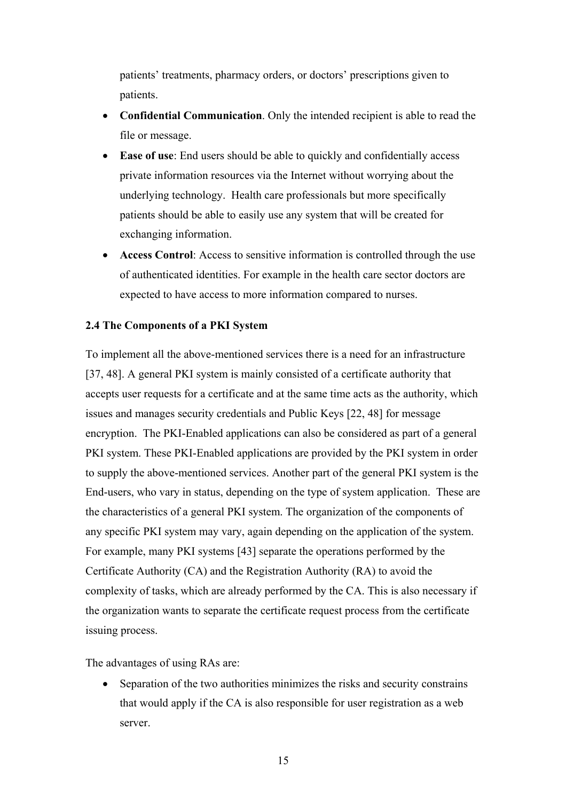patients' treatments, pharmacy orders, or doctors' prescriptions given to patients.

- **Confidential Communication**. Only the intended recipient is able to read the file or message.
- **Ease of use**: End users should be able to quickly and confidentially access private information resources via the Internet without worrying about the underlying technology. Health care professionals but more specifically patients should be able to easily use any system that will be created for exchanging information.
- **Access Control**: Access to sensitive information is controlled through the use of authenticated identities. For example in the health care sector doctors are expected to have access to more information compared to nurses.

# **2.4 The Components of a PKI System**

To implement all the above-mentioned services there is a need for an infrastructure [37, 48]. A general PKI system is mainly consisted of a certificate authority that accepts user requests for a certificate and at the same time acts as the authority, which issues and manages security credentials and Public Keys [22, 48] for message encryption. The PKI-Enabled applications can also be considered as part of a general PKI system. These PKI-Enabled applications are provided by the PKI system in order to supply the above-mentioned services. Another part of the general PKI system is the End-users, who vary in status, depending on the type of system application. These are the characteristics of a general PKI system. The organization of the components of any specific PKI system may vary, again depending on the application of the system. For example, many PKI systems [43] separate the operations performed by the Certificate Authority (CA) and the Registration Authority (RA) to avoid the complexity of tasks, which are already performed by the CA. This is also necessary if the organization wants to separate the certificate request process from the certificate issuing process.

The advantages of using RAs are:

• Separation of the two authorities minimizes the risks and security constrains that would apply if the CA is also responsible for user registration as a web server.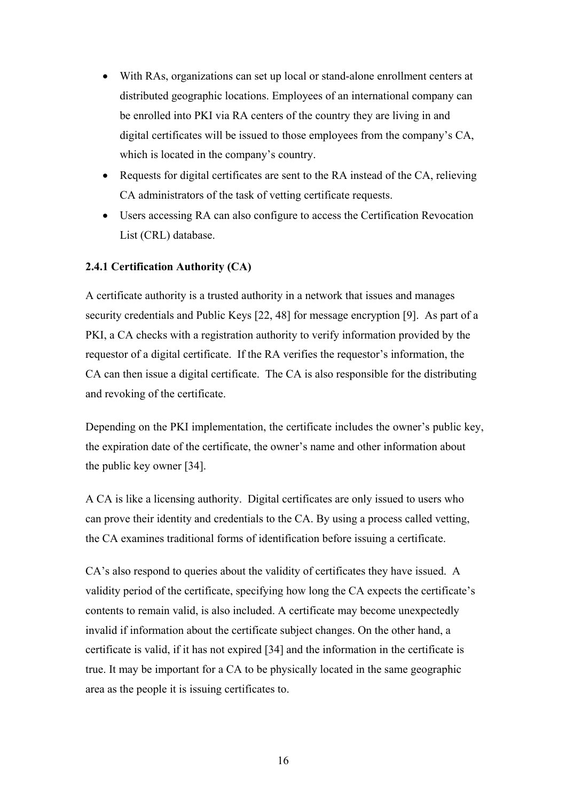- With RAs, organizations can set up local or stand-alone enrollment centers at distributed geographic locations. Employees of an international company can be enrolled into PKI via RA centers of the country they are living in and digital certificates will be issued to those employees from the company's CA, which is located in the company's country.
- Requests for digital certificates are sent to the RA instead of the CA, relieving CA administrators of the task of vetting certificate requests.
- Users accessing RA can also configure to access the Certification Revocation List (CRL) database.

# **2.4.1 Certification Authority (CA)**

A certificate authority is a trusted authority in a network that issues and manages security credentials and Public Keys [22, 48] for message encryption [9]. As part of a PKI, a CA checks with a registration authority to verify information provided by the requestor of a digital certificate. If the RA verifies the requestor's information, the CA can then issue a digital certificate. The CA is also responsible for the distributing and revoking of the certificate.

Depending on the PKI implementation, the certificate includes the owner's public key, the expiration date of the certificate, the owner's name and other information about the public key owner [34].

A CA is like a licensing authority. Digital certificates are only issued to users who can prove their identity and credentials to the CA. By using a process called vetting, the CA examines traditional forms of identification before issuing a certificate.

CA's also respond to queries about the validity of certificates they have issued. A validity period of the certificate, specifying how long the CA expects the certificate's contents to remain valid, is also included. A certificate may become unexpectedly invalid if information about the certificate subject changes. On the other hand, a certificate is valid, if it has not expired [34] and the information in the certificate is true. It may be important for a CA to be physically located in the same geographic area as the people it is issuing certificates to.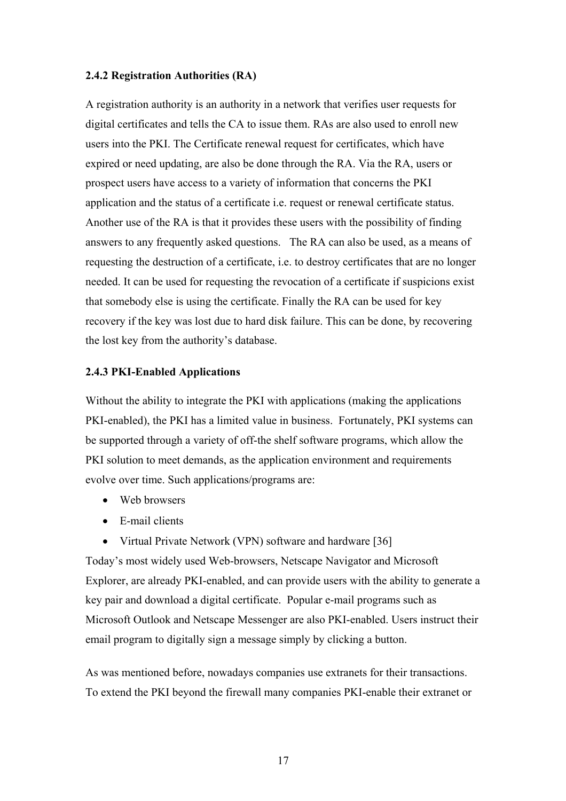## **2.4.2 Registration Authorities (RA)**

A registration authority is an authority in a network that verifies user requests for digital certificates and tells the CA to issue them. RAs are also used to enroll new users into the PKI. The Certificate renewal request for certificates, which have expired or need updating, are also be done through the RA. Via the RA, users or prospect users have access to a variety of information that concerns the PKI application and the status of a certificate i.e. request or renewal certificate status. Another use of the RA is that it provides these users with the possibility of finding answers to any frequently asked questions. The RA can also be used, as a means of requesting the destruction of a certificate, i.e. to destroy certificates that are no longer needed. It can be used for requesting the revocation of a certificate if suspicions exist that somebody else is using the certificate. Finally the RA can be used for key recovery if the key was lost due to hard disk failure. This can be done, by recovering the lost key from the authority's database.

#### **2.4.3 PKI-Enabled Applications**

Without the ability to integrate the PKI with applications (making the applications PKI-enabled), the PKI has a limited value in business. Fortunately, PKI systems can be supported through a variety of off-the shelf software programs, which allow the PKI solution to meet demands, as the application environment and requirements evolve over time. Such applications/programs are:

- Web browsers
- E-mail clients
- Virtual Private Network (VPN) software and hardware [36]

Today's most widely used Web-browsers, Netscape Navigator and Microsoft Explorer, are already PKI-enabled, and can provide users with the ability to generate a key pair and download a digital certificate. Popular e-mail programs such as Microsoft Outlook and Netscape Messenger are also PKI-enabled. Users instruct their email program to digitally sign a message simply by clicking a button.

As was mentioned before, nowadays companies use extranets for their transactions. To extend the PKI beyond the firewall many companies PKI-enable their extranet or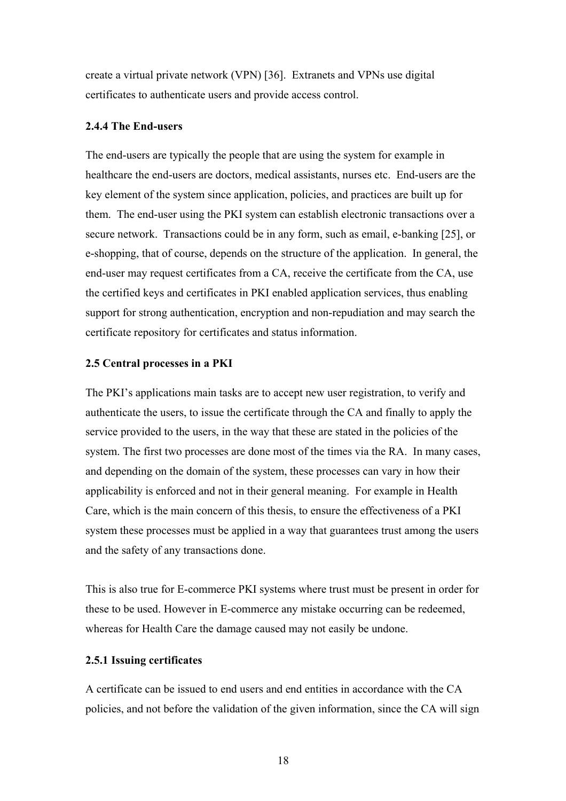create a virtual private network (VPN) [36]. Extranets and VPNs use digital certificates to authenticate users and provide access control.

#### **2.4.4 The End-users**

The end-users are typically the people that are using the system for example in healthcare the end-users are doctors, medical assistants, nurses etc. End-users are the key element of the system since application, policies, and practices are built up for them. The end-user using the PKI system can establish electronic transactions over a secure network. Transactions could be in any form, such as email, e-banking [25], or e-shopping, that of course, depends on the structure of the application. In general, the end-user may request certificates from a CA, receive the certificate from the CA, use the certified keys and certificates in PKI enabled application services, thus enabling support for strong authentication, encryption and non-repudiation and may search the certificate repository for certificates and status information.

#### **2.5 Central processes in a PKI**

The PKI's applications main tasks are to accept new user registration, to verify and authenticate the users, to issue the certificate through the CA and finally to apply the service provided to the users, in the way that these are stated in the policies of the system. The first two processes are done most of the times via the RA. In many cases, and depending on the domain of the system, these processes can vary in how their applicability is enforced and not in their general meaning. For example in Health Care, which is the main concern of this thesis, to ensure the effectiveness of a PKI system these processes must be applied in a way that guarantees trust among the users and the safety of any transactions done.

This is also true for E-commerce PKI systems where trust must be present in order for these to be used. However in E-commerce any mistake occurring can be redeemed, whereas for Health Care the damage caused may not easily be undone.

## **2.5.1 Issuing certificates**

A certificate can be issued to end users and end entities in accordance with the CA policies, and not before the validation of the given information, since the CA will sign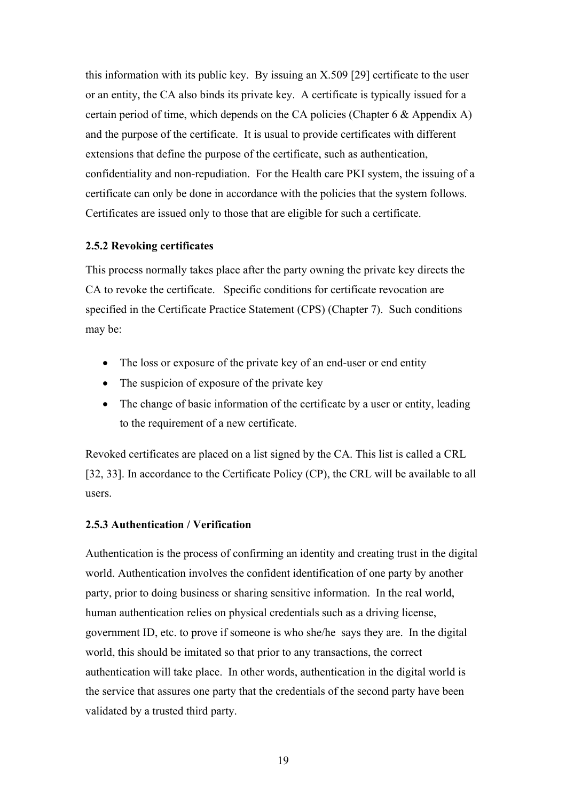this information with its public key. By issuing an X.509 [29] certificate to the user or an entity, the CA also binds its private key. A certificate is typically issued for a certain period of time, which depends on the CA policies (Chapter 6 & Appendix A) and the purpose of the certificate. It is usual to provide certificates with different extensions that define the purpose of the certificate, such as authentication, confidentiality and non-repudiation. For the Health care PKI system, the issuing of a certificate can only be done in accordance with the policies that the system follows. Certificates are issued only to those that are eligible for such a certificate.

## **2.5.2 Revoking certificates**

This process normally takes place after the party owning the private key directs the CA to revoke the certificate. Specific conditions for certificate revocation are specified in the Certificate Practice Statement (CPS) (Chapter 7). Such conditions may be:

- The loss or exposure of the private key of an end-user or end entity
- The suspicion of exposure of the private key
- The change of basic information of the certificate by a user or entity, leading to the requirement of a new certificate.

Revoked certificates are placed on a list signed by the CA. This list is called a CRL [32, 33]. In accordance to the Certificate Policy (CP), the CRL will be available to all users.

# **2.5.3 Authentication / Verification**

Authentication is the process of confirming an identity and creating trust in the digital world. Authentication involves the confident identification of one party by another party, prior to doing business or sharing sensitive information. In the real world, human authentication relies on physical credentials such as a driving license, government ID, etc. to prove if someone is who she/he says they are. In the digital world, this should be imitated so that prior to any transactions, the correct authentication will take place. In other words, authentication in the digital world is the service that assures one party that the credentials of the second party have been validated by a trusted third party.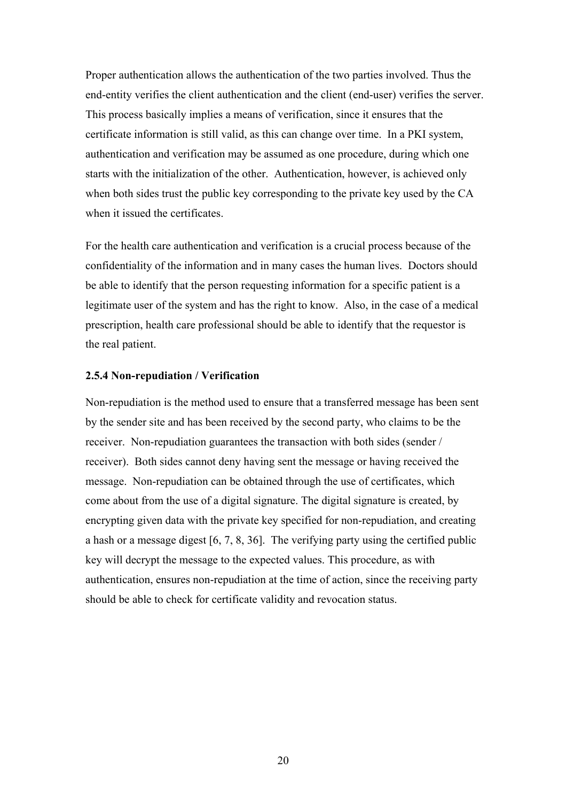Proper authentication allows the authentication of the two parties involved. Thus the end-entity verifies the client authentication and the client (end-user) verifies the server. This process basically implies a means of verification, since it ensures that the certificate information is still valid, as this can change over time. In a PKI system, authentication and verification may be assumed as one procedure, during which one starts with the initialization of the other. Authentication, however, is achieved only when both sides trust the public key corresponding to the private key used by the CA when it issued the certificates.

For the health care authentication and verification is a crucial process because of the confidentiality of the information and in many cases the human lives. Doctors should be able to identify that the person requesting information for a specific patient is a legitimate user of the system and has the right to know. Also, in the case of a medical prescription, health care professional should be able to identify that the requestor is the real patient.

#### **2.5.4 Non-repudiation / Verification**

Non-repudiation is the method used to ensure that a transferred message has been sent by the sender site and has been received by the second party, who claims to be the receiver. Non-repudiation guarantees the transaction with both sides (sender / receiver). Both sides cannot deny having sent the message or having received the message. Non-repudiation can be obtained through the use of certificates, which come about from the use of a digital signature. The digital signature is created, by encrypting given data with the private key specified for non-repudiation, and creating a hash or a message digest [6, 7, 8, 36]. The verifying party using the certified public key will decrypt the message to the expected values. This procedure, as with authentication, ensures non-repudiation at the time of action, since the receiving party should be able to check for certificate validity and revocation status.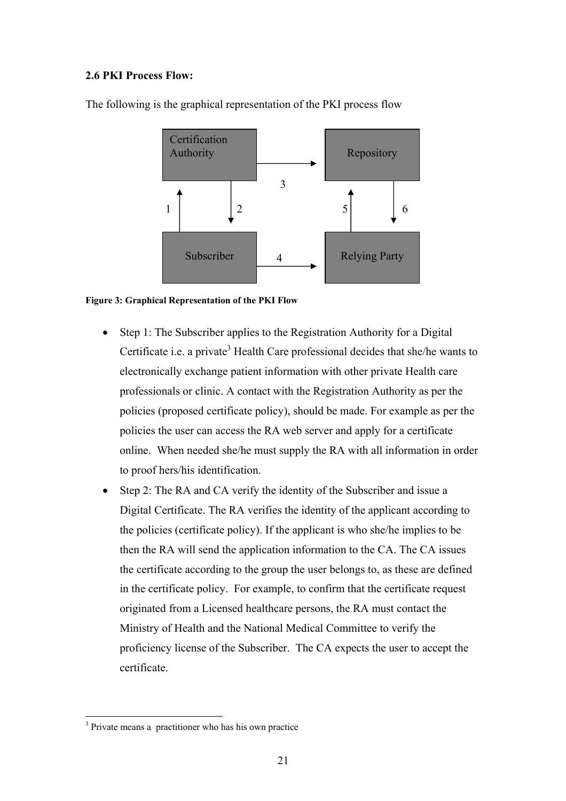# **2.6 PKI Process Flow:**



The following is the graphical representation of the PKI process flow

## **Figure 3: Graphical Representation of the PKI Flow**

- Step 1: The Subscriber applies to the Registration Authority for a Digital Certificate i.e. a private<sup>3</sup> Health Care professional decides that she/he wants to electronically exchange patient information with other private Health care professionals or clinic. A contact with the Registration Authority as per the policies (proposed certificate policy), should be made. For example as per the policies the user can access the RA web server and apply for a certificate online. When needed she/he must supply the RA with all information in order to proof hers/his identification.
- Step 2: The RA and CA verify the identity of the Subscriber and issue a Digital Certificate. The RA verifies the identity of the applicant according to the policies (certificate policy). If the applicant is who she/he implies to be then the RA will send the application information to the CA. The CA issues the certificate according to the group the user belongs to, as these are defined in the certificate policy. For example, to confirm that the certificate request originated from a Licensed healthcare persons, the RA must contact the Ministry of Health and the National Medical Committee to verify the proficiency license of the Subscriber. The CA expects the user to accept the certificate.

 $\overline{a}$ 

<sup>&</sup>lt;sup>3</sup> Private means a practitioner who has his own practice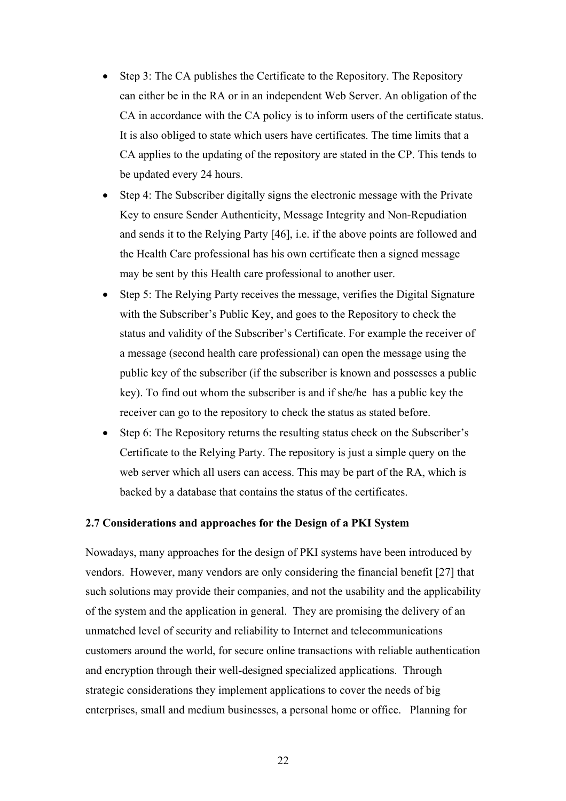- Step 3: The CA publishes the Certificate to the Repository. The Repository can either be in the RA or in an independent Web Server. An obligation of the CA in accordance with the CA policy is to inform users of the certificate status. It is also obliged to state which users have certificates. The time limits that a CA applies to the updating of the repository are stated in the CP. This tends to be updated every 24 hours.
- Step 4: The Subscriber digitally signs the electronic message with the Private Key to ensure Sender Authenticity, Message Integrity and Non-Repudiation and sends it to the Relying Party [46], i.e. if the above points are followed and the Health Care professional has his own certificate then a signed message may be sent by this Health care professional to another user.
- Step 5: The Relying Party receives the message, verifies the Digital Signature with the Subscriber's Public Key, and goes to the Repository to check the status and validity of the Subscriber's Certificate. For example the receiver of a message (second health care professional) can open the message using the public key of the subscriber (if the subscriber is known and possesses a public key). To find out whom the subscriber is and if she/he has a public key the receiver can go to the repository to check the status as stated before.
- Step 6: The Repository returns the resulting status check on the Subscriber's Certificate to the Relying Party. The repository is just a simple query on the web server which all users can access. This may be part of the RA, which is backed by a database that contains the status of the certificates.

## **2.7 Considerations and approaches for the Design of a PKI System**

Nowadays, many approaches for the design of PKI systems have been introduced by vendors. However, many vendors are only considering the financial benefit [27] that such solutions may provide their companies, and not the usability and the applicability of the system and the application in general. They are promising the delivery of an unmatched level of security and reliability to Internet and telecommunications customers around the world, for secure online transactions with reliable authentication and encryption through their well-designed specialized applications. Through strategic considerations they implement applications to cover the needs of big enterprises, small and medium businesses, a personal home or office. Planning for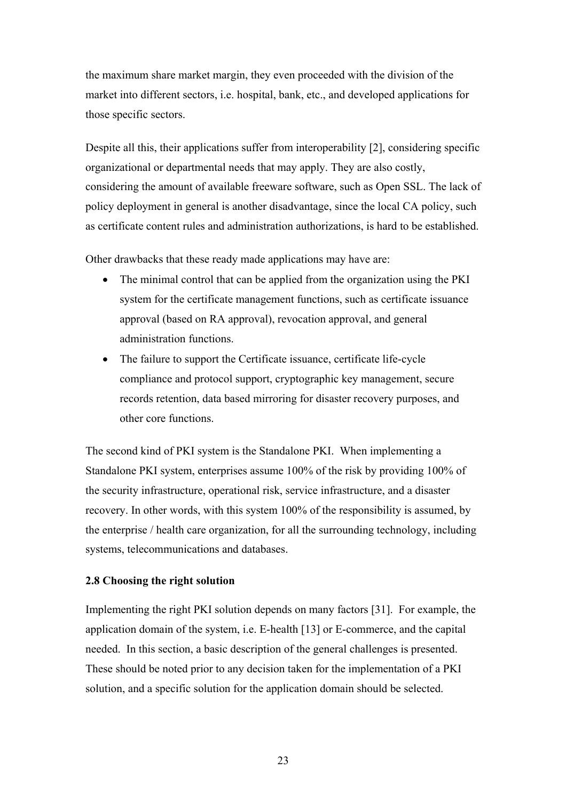the maximum share market margin, they even proceeded with the division of the market into different sectors, i.e. hospital, bank, etc., and developed applications for those specific sectors.

Despite all this, their applications suffer from interoperability [2], considering specific organizational or departmental needs that may apply. They are also costly, considering the amount of available freeware software, such as Open SSL. The lack of policy deployment in general is another disadvantage, since the local CA policy, such as certificate content rules and administration authorizations, is hard to be established.

Other drawbacks that these ready made applications may have are:

- The minimal control that can be applied from the organization using the PKI system for the certificate management functions, such as certificate issuance approval (based on RA approval), revocation approval, and general administration functions.
- The failure to support the Certificate issuance, certificate life-cycle compliance and protocol support, cryptographic key management, secure records retention, data based mirroring for disaster recovery purposes, and other core functions.

The second kind of PKI system is the Standalone PKI. When implementing a Standalone PKI system, enterprises assume 100% of the risk by providing 100% of the security infrastructure, operational risk, service infrastructure, and a disaster recovery. In other words, with this system 100% of the responsibility is assumed, by the enterprise / health care organization, for all the surrounding technology, including systems, telecommunications and databases.

## **2.8 Choosing the right solution**

Implementing the right PKI solution depends on many factors [31]. For example, the application domain of the system, i.e. E-health [13] or E-commerce, and the capital needed. In this section, a basic description of the general challenges is presented. These should be noted prior to any decision taken for the implementation of a PKI solution, and a specific solution for the application domain should be selected.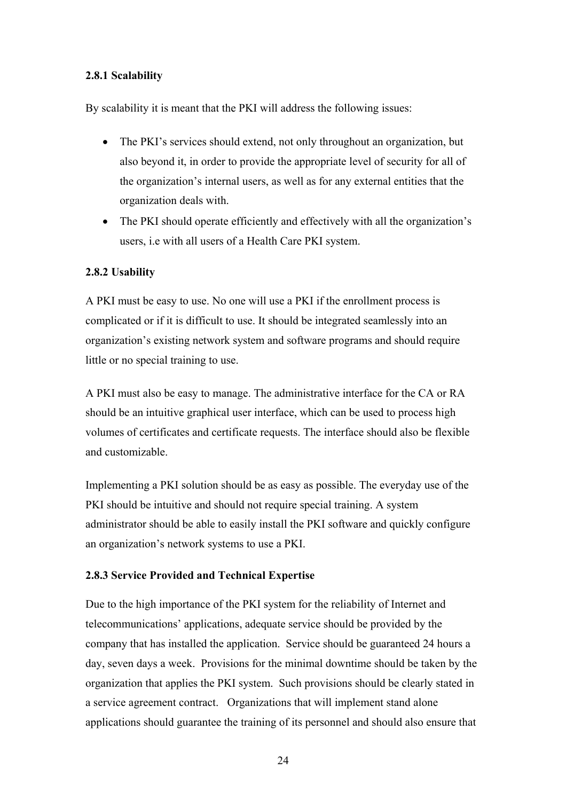# **2.8.1 Scalability**

By scalability it is meant that the PKI will address the following issues:

- The PKI's services should extend, not only throughout an organization, but also beyond it, in order to provide the appropriate level of security for all of the organization's internal users, as well as for any external entities that the organization deals with.
- The PKI should operate efficiently and effectively with all the organization's users, i.e with all users of a Health Care PKI system.

# **2.8.2 Usability**

A PKI must be easy to use. No one will use a PKI if the enrollment process is complicated or if it is difficult to use. It should be integrated seamlessly into an organization's existing network system and software programs and should require little or no special training to use.

A PKI must also be easy to manage. The administrative interface for the CA or RA should be an intuitive graphical user interface, which can be used to process high volumes of certificates and certificate requests. The interface should also be flexible and customizable.

Implementing a PKI solution should be as easy as possible. The everyday use of the PKI should be intuitive and should not require special training. A system administrator should be able to easily install the PKI software and quickly configure an organization's network systems to use a PKI.

# **2.8.3 Service Provided and Technical Expertise**

Due to the high importance of the PKI system for the reliability of Internet and telecommunications' applications, adequate service should be provided by the company that has installed the application. Service should be guaranteed 24 hours a day, seven days a week. Provisions for the minimal downtime should be taken by the organization that applies the PKI system. Such provisions should be clearly stated in a service agreement contract. Organizations that will implement stand alone applications should guarantee the training of its personnel and should also ensure that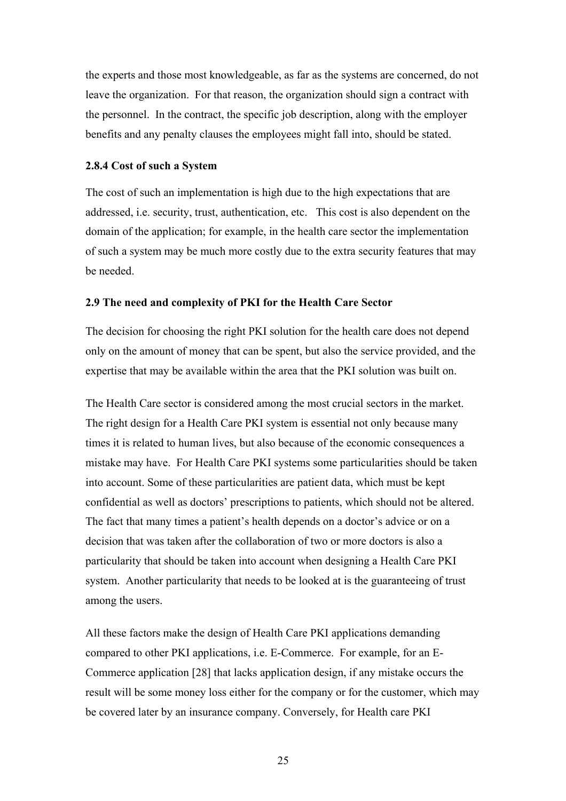the experts and those most knowledgeable, as far as the systems are concerned, do not leave the organization. For that reason, the organization should sign a contract with the personnel. In the contract, the specific job description, along with the employer benefits and any penalty clauses the employees might fall into, should be stated.

#### **2.8.4 Cost of such a System**

The cost of such an implementation is high due to the high expectations that are addressed, i.e. security, trust, authentication, etc. This cost is also dependent on the domain of the application; for example, in the health care sector the implementation of such a system may be much more costly due to the extra security features that may be needed.

#### **2.9 The need and complexity of PKI for the Health Care Sector**

The decision for choosing the right PKI solution for the health care does not depend only on the amount of money that can be spent, but also the service provided, and the expertise that may be available within the area that the PKI solution was built on.

The Health Care sector is considered among the most crucial sectors in the market. The right design for a Health Care PKI system is essential not only because many times it is related to human lives, but also because of the economic consequences a mistake may have. For Health Care PKI systems some particularities should be taken into account. Some of these particularities are patient data, which must be kept confidential as well as doctors' prescriptions to patients, which should not be altered. The fact that many times a patient's health depends on a doctor's advice or on a decision that was taken after the collaboration of two or more doctors is also a particularity that should be taken into account when designing a Health Care PKI system. Another particularity that needs to be looked at is the guaranteeing of trust among the users.

All these factors make the design of Health Care PKI applications demanding compared to other PKI applications, i.e. E-Commerce. For example, for an E-Commerce application [28] that lacks application design, if any mistake occurs the result will be some money loss either for the company or for the customer, which may be covered later by an insurance company. Conversely, for Health care PKI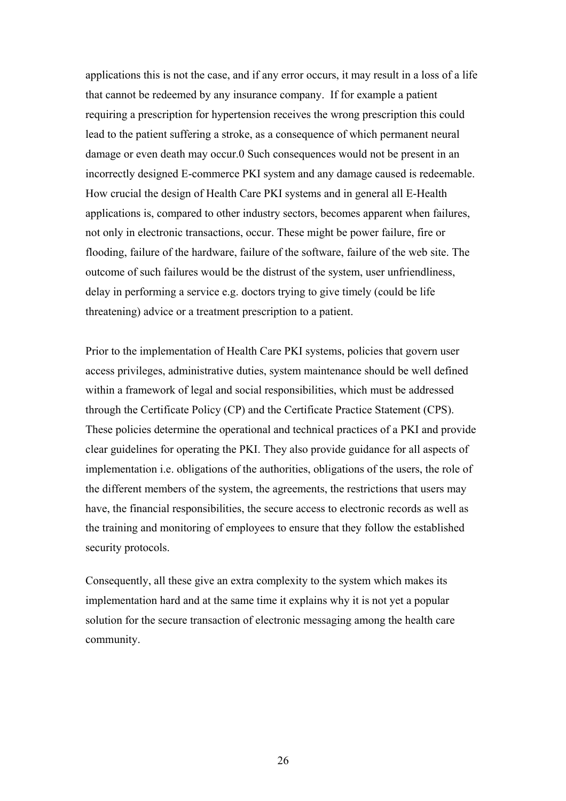applications this is not the case, and if any error occurs, it may result in a loss of a life that cannot be redeemed by any insurance company. If for example a patient requiring a prescription for hypertension receives the wrong prescription this could lead to the patient suffering a stroke, as a consequence of which permanent neural damage or even death may occur.0 Such consequences would not be present in an incorrectly designed E-commerce PKI system and any damage caused is redeemable. How crucial the design of Health Care PKI systems and in general all E-Health applications is, compared to other industry sectors, becomes apparent when failures, not only in electronic transactions, occur. These might be power failure, fire or flooding, failure of the hardware, failure of the software, failure of the web site. The outcome of such failures would be the distrust of the system, user unfriendliness, delay in performing a service e.g. doctors trying to give timely (could be life threatening) advice or a treatment prescription to a patient.

Prior to the implementation of Health Care PKI systems, policies that govern user access privileges, administrative duties, system maintenance should be well defined within a framework of legal and social responsibilities, which must be addressed through the Certificate Policy (CP) and the Certificate Practice Statement (CPS). These policies determine the operational and technical practices of a PKI and provide clear guidelines for operating the PKI. They also provide guidance for all aspects of implementation i.e. obligations of the authorities, obligations of the users, the role of the different members of the system, the agreements, the restrictions that users may have, the financial responsibilities, the secure access to electronic records as well as the training and monitoring of employees to ensure that they follow the established security protocols.

Consequently, all these give an extra complexity to the system which makes its implementation hard and at the same time it explains why it is not yet a popular solution for the secure transaction of electronic messaging among the health care community.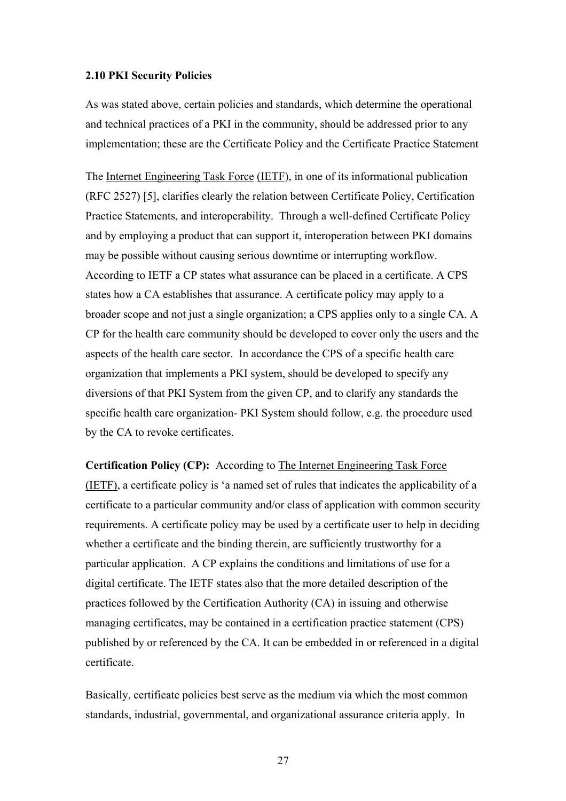### **2.10 PKI Security Policies**

As was stated above, certain policies and standards, which determine the operational and technical practices of a PKI in the community, should be addressed prior to any implementation; these are the Certificate Policy and the Certificate Practice Statement

The Internet Engineering Task Force (IETF), in one of its informational publication (RFC 2527) [5], clarifies clearly the relation between Certificate Policy, Certification Practice Statements, and interoperability. Through a well-defined Certificate Policy and by employing a product that can support it, interoperation between PKI domains may be possible without causing serious downtime or interrupting workflow. According to IETF a CP states what assurance can be placed in a certificate. A CPS states how a CA establishes that assurance. A certificate policy may apply to a broader scope and not just a single organization; a CPS applies only to a single CA. A CP for the health care community should be developed to cover only the users and the aspects of the health care sector. In accordance the CPS of a specific health care organization that implements a PKI system, should be developed to specify any diversions of that PKI System from the given CP, and to clarify any standards the specific health care organization- PKI System should follow, e.g. the procedure used by the CA to revoke certificates.

**Certification Policy (CP):** According to The Internet Engineering Task Force (IETF), a certificate policy is 'a named set of rules that indicates the applicability of a certificate to a particular community and/or class of application with common security requirements. A certificate policy may be used by a certificate user to help in deciding whether a certificate and the binding therein, are sufficiently trustworthy for a particular application. A CP explains the conditions and limitations of use for a digital certificate. The IETF states also that the more detailed description of the practices followed by the Certification Authority (CA) in issuing and otherwise managing certificates, may be contained in a certification practice statement (CPS) published by or referenced by the CA. It can be embedded in or referenced in a digital certificate.

Basically, certificate policies best serve as the medium via which the most common standards, industrial, governmental, and organizational assurance criteria apply. In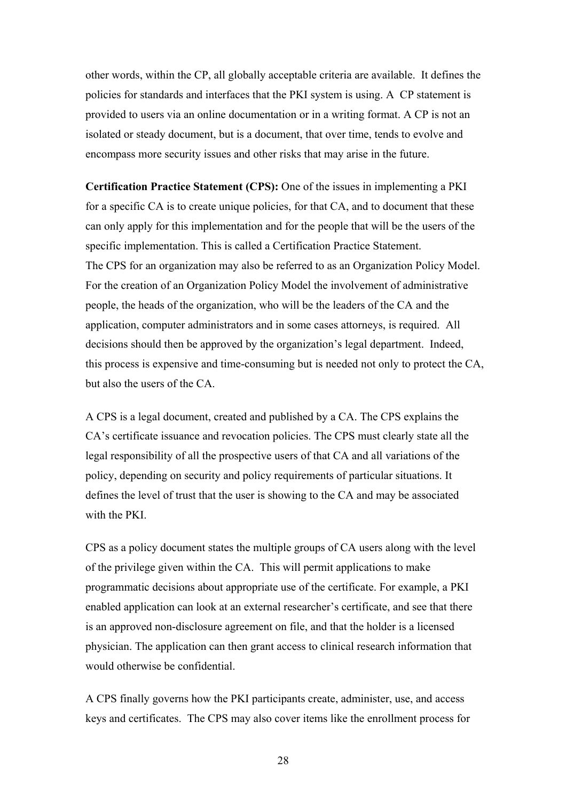other words, within the CP, all globally acceptable criteria are available. It defines the policies for standards and interfaces that the PKI system is using. A CP statement is provided to users via an online documentation or in a writing format. A CP is not an isolated or steady document, but is a document, that over time, tends to evolve and encompass more security issues and other risks that may arise in the future.

**Certification Practice Statement (CPS):** One of the issues in implementing a PKI for a specific CA is to create unique policies, for that CA, and to document that these can only apply for this implementation and for the people that will be the users of the specific implementation. This is called a Certification Practice Statement. The CPS for an organization may also be referred to as an Organization Policy Model. For the creation of an Organization Policy Model the involvement of administrative people, the heads of the organization, who will be the leaders of the CA and the application, computer administrators and in some cases attorneys, is required. All decisions should then be approved by the organization's legal department. Indeed, this process is expensive and time-consuming but is needed not only to protect the CA, but also the users of the CA.

A CPS is a legal document, created and published by a CA. The CPS explains the CA's certificate issuance and revocation policies. The CPS must clearly state all the legal responsibility of all the prospective users of that CA and all variations of the policy, depending on security and policy requirements of particular situations. It defines the level of trust that the user is showing to the CA and may be associated with the PKI.

CPS as a policy document states the multiple groups of CA users along with the level of the privilege given within the CA. This will permit applications to make programmatic decisions about appropriate use of the certificate. For example, a PKI enabled application can look at an external researcher's certificate, and see that there is an approved non-disclosure agreement on file, and that the holder is a licensed physician. The application can then grant access to clinical research information that would otherwise be confidential.

A CPS finally governs how the PKI participants create, administer, use, and access keys and certificates. The CPS may also cover items like the enrollment process for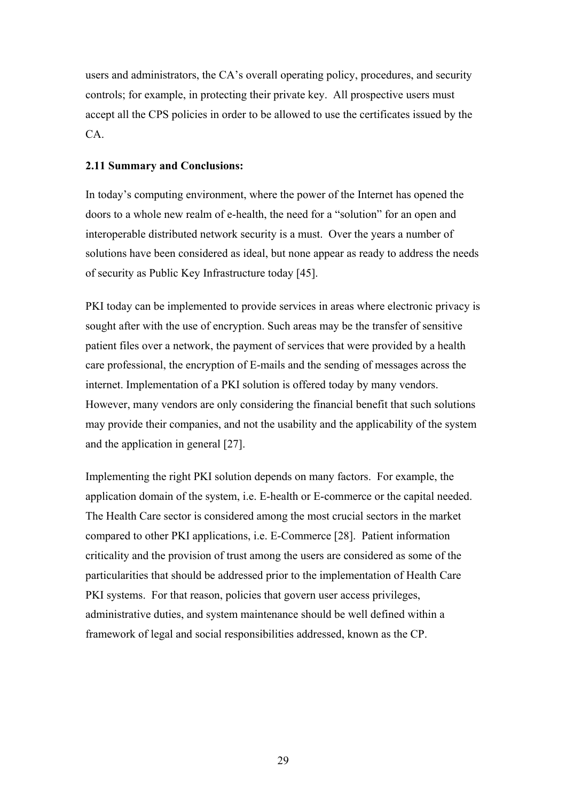users and administrators, the CA's overall operating policy, procedures, and security controls; for example, in protecting their private key. All prospective users must accept all the CPS policies in order to be allowed to use the certificates issued by the CA.

## **2.11 Summary and Conclusions:**

In today's computing environment, where the power of the Internet has opened the doors to a whole new realm of e-health, the need for a "solution" for an open and interoperable distributed network security is a must. Over the years a number of solutions have been considered as ideal, but none appear as ready to address the needs of security as Public Key Infrastructure today [45].

PKI today can be implemented to provide services in areas where electronic privacy is sought after with the use of encryption. Such areas may be the transfer of sensitive patient files over a network, the payment of services that were provided by a health care professional, the encryption of E-mails and the sending of messages across the internet. Implementation of a PKI solution is offered today by many vendors. However, many vendors are only considering the financial benefit that such solutions may provide their companies, and not the usability and the applicability of the system and the application in general [27].

Implementing the right PKI solution depends on many factors. For example, the application domain of the system, i.e. E-health or E-commerce or the capital needed. The Health Care sector is considered among the most crucial sectors in the market compared to other PKI applications, i.e. E-Commerce [28]. Patient information criticality and the provision of trust among the users are considered as some of the particularities that should be addressed prior to the implementation of Health Care PKI systems. For that reason, policies that govern user access privileges, administrative duties, and system maintenance should be well defined within a framework of legal and social responsibilities addressed, known as the CP.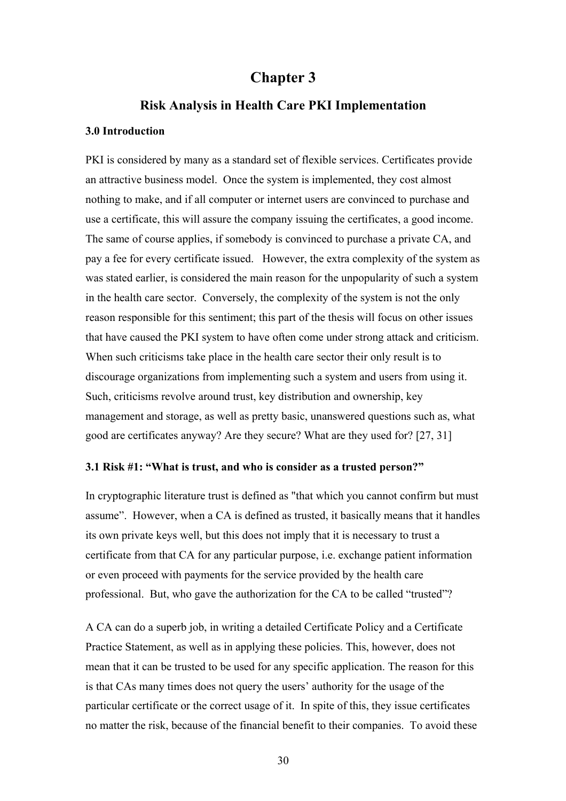# **Chapter 3**

# **Risk Analysis in Health Care PKI Implementation**

## **3.0 Introduction**

PKI is considered by many as a standard set of flexible services. Certificates provide an attractive business model. Once the system is implemented, they cost almost nothing to make, and if all computer or internet users are convinced to purchase and use a certificate, this will assure the company issuing the certificates, a good income. The same of course applies, if somebody is convinced to purchase a private CA, and pay a fee for every certificate issued. However, the extra complexity of the system as was stated earlier, is considered the main reason for the unpopularity of such a system in the health care sector. Conversely, the complexity of the system is not the only reason responsible for this sentiment; this part of the thesis will focus on other issues that have caused the PKI system to have often come under strong attack and criticism. When such criticisms take place in the health care sector their only result is to discourage organizations from implementing such a system and users from using it. Such, criticisms revolve around trust, key distribution and ownership, key management and storage, as well as pretty basic, unanswered questions such as, what good are certificates anyway? Are they secure? What are they used for? [27, 31]

#### **3.1 Risk #1: "What is trust, and who is consider as a trusted person?"**

In cryptographic literature trust is defined as "that which you cannot confirm but must assume". However, when a CA is defined as trusted, it basically means that it handles its own private keys well, but this does not imply that it is necessary to trust a certificate from that CA for any particular purpose, i.e. exchange patient information or even proceed with payments for the service provided by the health care professional. But, who gave the authorization for the CA to be called "trusted"?

A CA can do a superb job, in writing a detailed Certificate Policy and a Certificate Practice Statement, as well as in applying these policies. This, however, does not mean that it can be trusted to be used for any specific application. The reason for this is that CAs many times does not query the users' authority for the usage of the particular certificate or the correct usage of it. In spite of this, they issue certificates no matter the risk, because of the financial benefit to their companies. To avoid these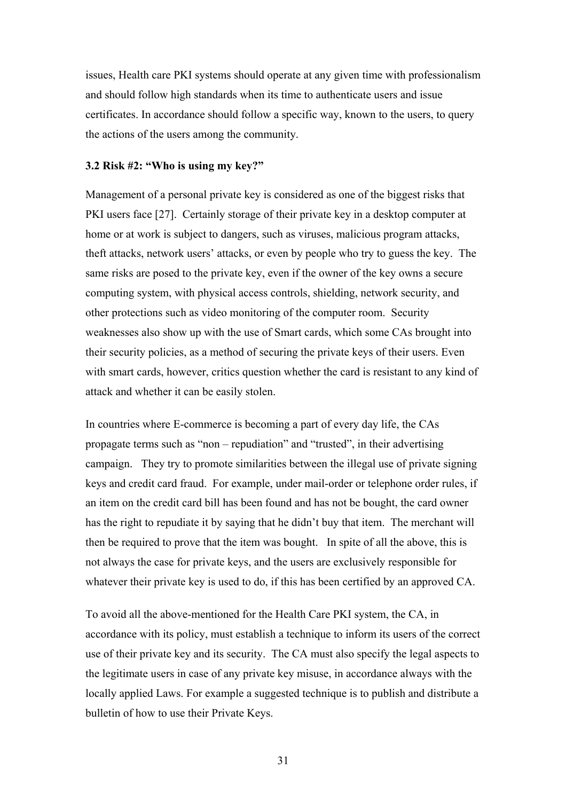issues, Health care PKI systems should operate at any given time with professionalism and should follow high standards when its time to authenticate users and issue certificates. In accordance should follow a specific way, known to the users, to query the actions of the users among the community.

#### **3.2 Risk #2: "Who is using my key?"**

Management of a personal private key is considered as one of the biggest risks that PKI users face [27]. Certainly storage of their private key in a desktop computer at home or at work is subject to dangers, such as viruses, malicious program attacks, theft attacks, network users' attacks, or even by people who try to guess the key. The same risks are posed to the private key, even if the owner of the key owns a secure computing system, with physical access controls, shielding, network security, and other protections such as video monitoring of the computer room. Security weaknesses also show up with the use of Smart cards, which some CAs brought into their security policies, as a method of securing the private keys of their users. Even with smart cards, however, critics question whether the card is resistant to any kind of attack and whether it can be easily stolen.

In countries where E-commerce is becoming a part of every day life, the CAs propagate terms such as "non – repudiation" and "trusted", in their advertising campaign. They try to promote similarities between the illegal use of private signing keys and credit card fraud. For example, under mail-order or telephone order rules, if an item on the credit card bill has been found and has not be bought, the card owner has the right to repudiate it by saying that he didn't buy that item. The merchant will then be required to prove that the item was bought. In spite of all the above, this is not always the case for private keys, and the users are exclusively responsible for whatever their private key is used to do, if this has been certified by an approved CA.

To avoid all the above-mentioned for the Health Care PKI system, the CA, in accordance with its policy, must establish a technique to inform its users of the correct use of their private key and its security. The CA must also specify the legal aspects to the legitimate users in case of any private key misuse, in accordance always with the locally applied Laws. For example a suggested technique is to publish and distribute a bulletin of how to use their Private Keys.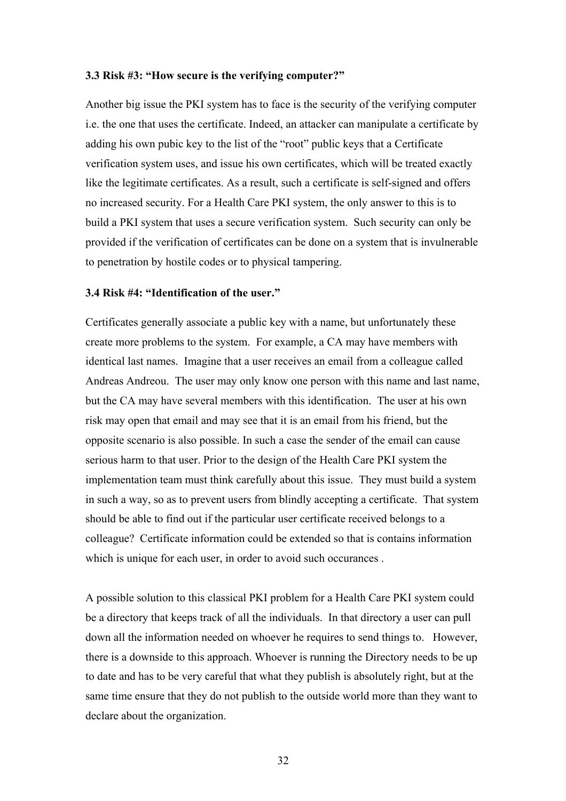#### **3.3 Risk #3: "How secure is the verifying computer?"**

Another big issue the PKI system has to face is the security of the verifying computer i.e. the one that uses the certificate. Indeed, an attacker can manipulate a certificate by adding his own pubic key to the list of the "root" public keys that a Certificate verification system uses, and issue his own certificates, which will be treated exactly like the legitimate certificates. As a result, such a certificate is self-signed and offers no increased security. For a Health Care PKI system, the only answer to this is to build a PKI system that uses a secure verification system. Such security can only be provided if the verification of certificates can be done on a system that is invulnerable to penetration by hostile codes or to physical tampering.

# **3.4 Risk #4: "Identification of the user."**

Certificates generally associate a public key with a name, but unfortunately these create more problems to the system. For example, a CA may have members with identical last names. Imagine that a user receives an email from a colleague called Andreas Andreou. The user may only know one person with this name and last name, but the CA may have several members with this identification. The user at his own risk may open that email and may see that it is an email from his friend, but the opposite scenario is also possible. In such a case the sender of the email can cause serious harm to that user. Prior to the design of the Health Care PKI system the implementation team must think carefully about this issue. They must build a system in such a way, so as to prevent users from blindly accepting a certificate. That system should be able to find out if the particular user certificate received belongs to a colleague? Certificate information could be extended so that is contains information which is unique for each user, in order to avoid such occurances.

A possible solution to this classical PKI problem for a Health Care PKI system could be a directory that keeps track of all the individuals. In that directory a user can pull down all the information needed on whoever he requires to send things to. However, there is a downside to this approach. Whoever is running the Directory needs to be up to date and has to be very careful that what they publish is absolutely right, but at the same time ensure that they do not publish to the outside world more than they want to declare about the organization.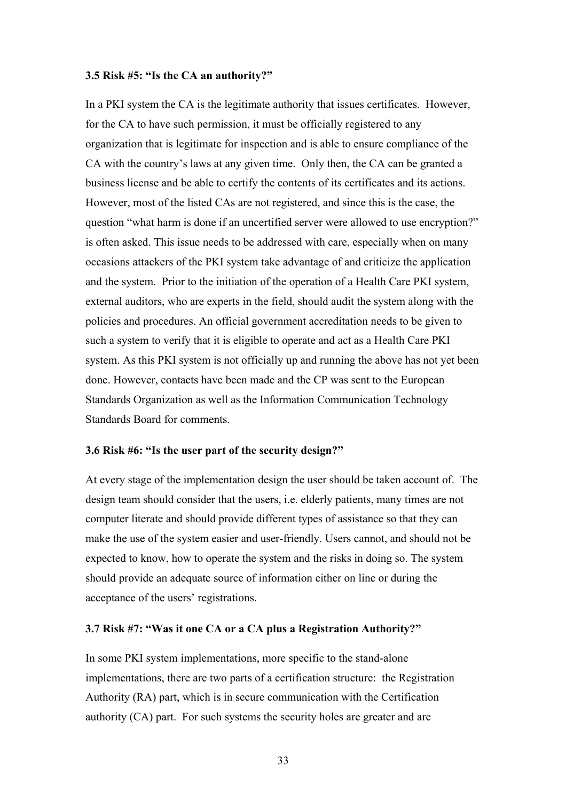#### **3.5 Risk #5: "Is the CA an authority?"**

In a PKI system the CA is the legitimate authority that issues certificates. However, for the CA to have such permission, it must be officially registered to any organization that is legitimate for inspection and is able to ensure compliance of the CA with the country's laws at any given time. Only then, the CA can be granted a business license and be able to certify the contents of its certificates and its actions. However, most of the listed CAs are not registered, and since this is the case, the question "what harm is done if an uncertified server were allowed to use encryption?" is often asked. This issue needs to be addressed with care, especially when on many occasions attackers of the PKI system take advantage of and criticize the application and the system. Prior to the initiation of the operation of a Health Care PKI system, external auditors, who are experts in the field, should audit the system along with the policies and procedures. An official government accreditation needs to be given to such a system to verify that it is eligible to operate and act as a Health Care PKI system. As this PKI system is not officially up and running the above has not yet been done. However, contacts have been made and the CP was sent to the European Standards Organization as well as the Information Communication Technology Standards Board for comments.

#### **3.6 Risk #6: "Is the user part of the security design?"**

At every stage of the implementation design the user should be taken account of. The design team should consider that the users, i.e. elderly patients, many times are not computer literate and should provide different types of assistance so that they can make the use of the system easier and user-friendly. Users cannot, and should not be expected to know, how to operate the system and the risks in doing so. The system should provide an adequate source of information either on line or during the acceptance of the users' registrations.

#### **3.7 Risk #7: "Was it one CA or a CA plus a Registration Authority?"**

In some PKI system implementations, more specific to the stand-alone implementations, there are two parts of a certification structure: the Registration Authority (RA) part, which is in secure communication with the Certification authority (CA) part. For such systems the security holes are greater and are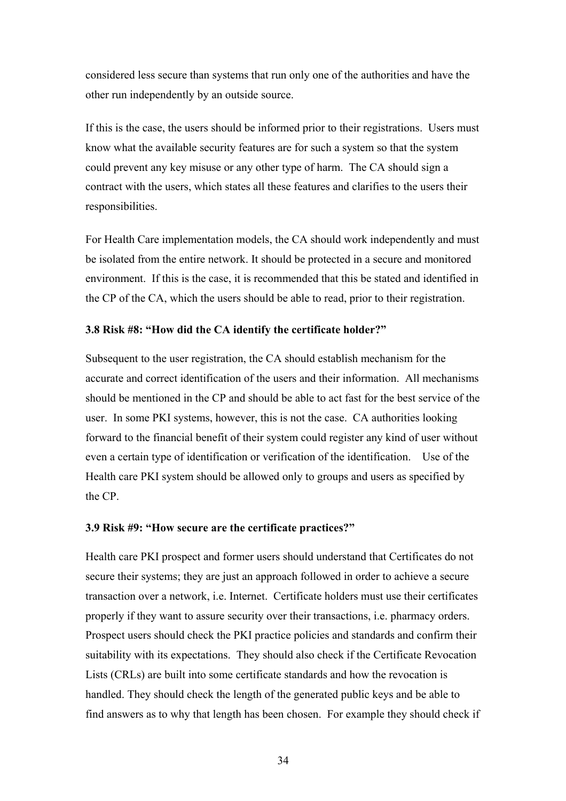considered less secure than systems that run only one of the authorities and have the other run independently by an outside source.

If this is the case, the users should be informed prior to their registrations. Users must know what the available security features are for such a system so that the system could prevent any key misuse or any other type of harm. The CA should sign a contract with the users, which states all these features and clarifies to the users their responsibilities.

For Health Care implementation models, the CA should work independently and must be isolated from the entire network. It should be protected in a secure and monitored environment. If this is the case, it is recommended that this be stated and identified in the CP of the CA, which the users should be able to read, prior to their registration.

## **3.8 Risk #8: "How did the CA identify the certificate holder?"**

Subsequent to the user registration, the CA should establish mechanism for the accurate and correct identification of the users and their information. All mechanisms should be mentioned in the CP and should be able to act fast for the best service of the user. In some PKI systems, however, this is not the case. CA authorities looking forward to the financial benefit of their system could register any kind of user without even a certain type of identification or verification of the identification. Use of the Health care PKI system should be allowed only to groups and users as specified by the CP.

#### **3.9 Risk #9: "How secure are the certificate practices?"**

Health care PKI prospect and former users should understand that Certificates do not secure their systems; they are just an approach followed in order to achieve a secure transaction over a network, i.e. Internet. Certificate holders must use their certificates properly if they want to assure security over their transactions, i.e. pharmacy orders. Prospect users should check the PKI practice policies and standards and confirm their suitability with its expectations. They should also check if the Certificate Revocation Lists (CRLs) are built into some certificate standards and how the revocation is handled. They should check the length of the generated public keys and be able to find answers as to why that length has been chosen. For example they should check if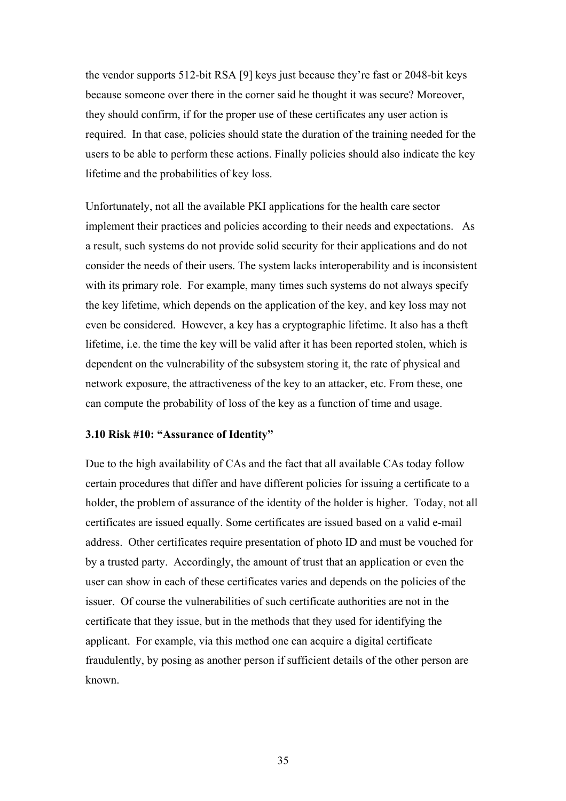the vendor supports 512-bit RSA [9] keys just because they're fast or 2048-bit keys because someone over there in the corner said he thought it was secure? Moreover, they should confirm, if for the proper use of these certificates any user action is required. In that case, policies should state the duration of the training needed for the users to be able to perform these actions. Finally policies should also indicate the key lifetime and the probabilities of key loss.

Unfortunately, not all the available PKI applications for the health care sector implement their practices and policies according to their needs and expectations. As a result, such systems do not provide solid security for their applications and do not consider the needs of their users. The system lacks interoperability and is inconsistent with its primary role. For example, many times such systems do not always specify the key lifetime, which depends on the application of the key, and key loss may not even be considered. However, a key has a cryptographic lifetime. It also has a theft lifetime, i.e. the time the key will be valid after it has been reported stolen, which is dependent on the vulnerability of the subsystem storing it, the rate of physical and network exposure, the attractiveness of the key to an attacker, etc. From these, one can compute the probability of loss of the key as a function of time and usage.

# **3.10 Risk #10: "Assurance of Identity"**

Due to the high availability of CAs and the fact that all available CAs today follow certain procedures that differ and have different policies for issuing a certificate to a holder, the problem of assurance of the identity of the holder is higher. Today, not all certificates are issued equally. Some certificates are issued based on a valid e-mail address. Other certificates require presentation of photo ID and must be vouched for by a trusted party. Accordingly, the amount of trust that an application or even the user can show in each of these certificates varies and depends on the policies of the issuer. Of course the vulnerabilities of such certificate authorities are not in the certificate that they issue, but in the methods that they used for identifying the applicant. For example, via this method one can acquire a digital certificate fraudulently, by posing as another person if sufficient details of the other person are known.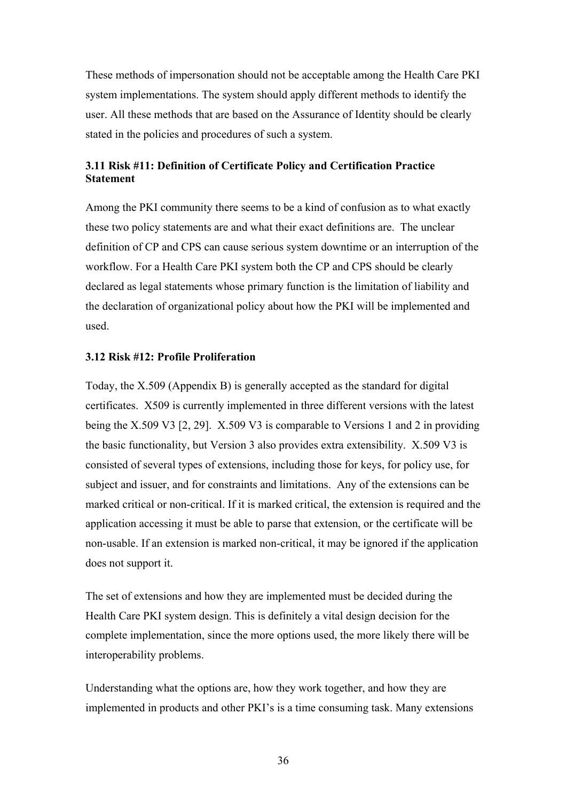These methods of impersonation should not be acceptable among the Health Care PKI system implementations. The system should apply different methods to identify the user. All these methods that are based on the Assurance of Identity should be clearly stated in the policies and procedures of such a system.

# **3.11 Risk #11: Definition of Certificate Policy and Certification Practice Statement**

Among the PKI community there seems to be a kind of confusion as to what exactly these two policy statements are and what their exact definitions are. The unclear definition of CP and CPS can cause serious system downtime or an interruption of the workflow. For a Health Care PKI system both the CP and CPS should be clearly declared as legal statements whose primary function is the limitation of liability and the declaration of organizational policy about how the PKI will be implemented and used.

#### **3.12 Risk #12: Profile Proliferation**

Today, the X.509 (Appendix B) is generally accepted as the standard for digital certificates. X509 is currently implemented in three different versions with the latest being the X.509 V3 [2, 29]. X.509 V3 is comparable to Versions 1 and 2 in providing the basic functionality, but Version 3 also provides extra extensibility. X.509 V3 is consisted of several types of extensions, including those for keys, for policy use, for subject and issuer, and for constraints and limitations. Any of the extensions can be marked critical or non-critical. If it is marked critical, the extension is required and the application accessing it must be able to parse that extension, or the certificate will be non-usable. If an extension is marked non-critical, it may be ignored if the application does not support it.

The set of extensions and how they are implemented must be decided during the Health Care PKI system design. This is definitely a vital design decision for the complete implementation, since the more options used, the more likely there will be interoperability problems.

Understanding what the options are, how they work together, and how they are implemented in products and other PKI's is a time consuming task. Many extensions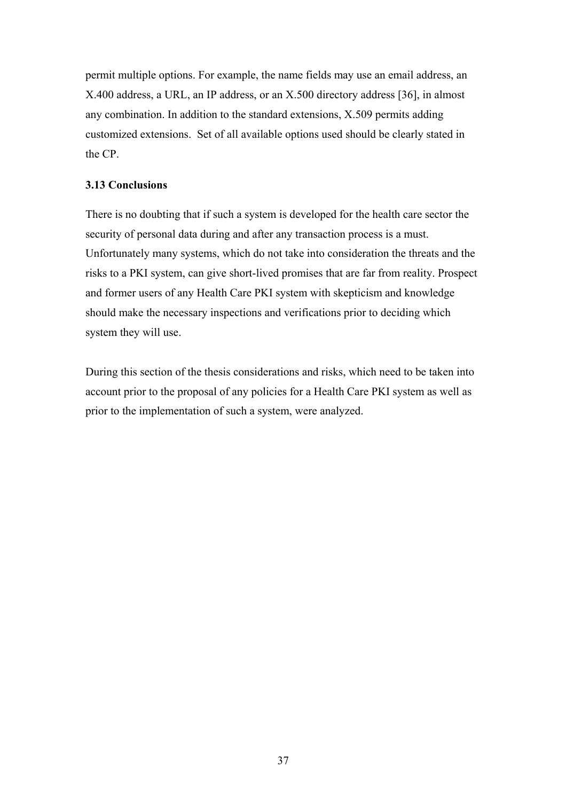permit multiple options. For example, the name fields may use an email address, an X.400 address, a URL, an IP address, or an X.500 directory address [36], in almost any combination. In addition to the standard extensions, X.509 permits adding customized extensions. Set of all available options used should be clearly stated in the CP.

## **3.13 Conclusions**

There is no doubting that if such a system is developed for the health care sector the security of personal data during and after any transaction process is a must. Unfortunately many systems, which do not take into consideration the threats and the risks to a PKI system, can give short-lived promises that are far from reality. Prospect and former users of any Health Care PKI system with skepticism and knowledge should make the necessary inspections and verifications prior to deciding which system they will use.

During this section of the thesis considerations and risks, which need to be taken into account prior to the proposal of any policies for a Health Care PKI system as well as prior to the implementation of such a system, were analyzed.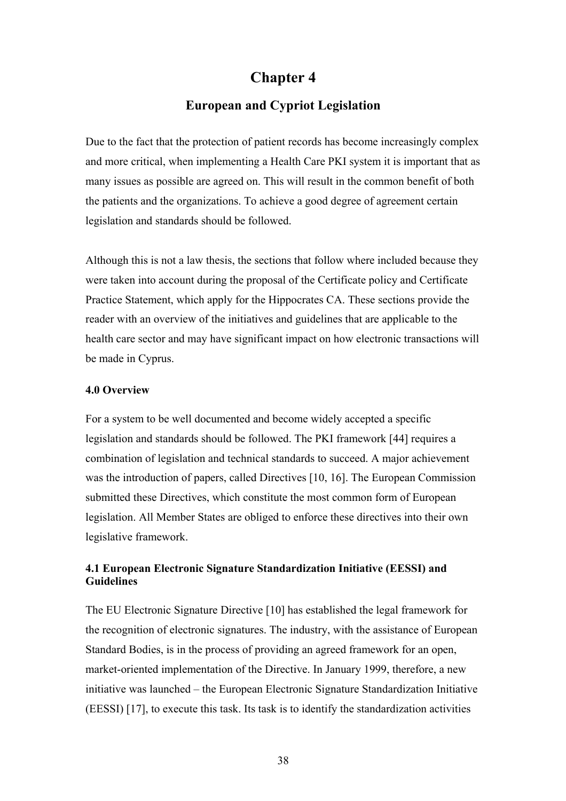# **Chapter 4**

# **European and Cypriot Legislation**

Due to the fact that the protection of patient records has become increasingly complex and more critical, when implementing a Health Care PKI system it is important that as many issues as possible are agreed on. This will result in the common benefit of both the patients and the organizations. To achieve a good degree of agreement certain legislation and standards should be followed.

Although this is not a law thesis, the sections that follow where included because they were taken into account during the proposal of the Certificate policy and Certificate Practice Statement, which apply for the Hippocrates CA. These sections provide the reader with an overview of the initiatives and guidelines that are applicable to the health care sector and may have significant impact on how electronic transactions will be made in Cyprus.

#### **4.0 Overview**

For a system to be well documented and become widely accepted a specific legislation and standards should be followed. The PKI framework [44] requires a combination of legislation and technical standards to succeed. A major achievement was the introduction of papers, called Directives [10, 16]. The European Commission submitted these Directives, which constitute the most common form of European legislation. All Member States are obliged to enforce these directives into their own legislative framework.

## **4.1 European Electronic Signature Standardization Initiative (EESSI) and Guidelines**

The EU Electronic Signature Directive [10] has established the legal framework for the recognition of electronic signatures. The industry, with the assistance of European Standard Bodies, is in the process of providing an agreed framework for an open, market-oriented implementation of the Directive. In January 1999, therefore, a new initiative was launched – the European Electronic Signature Standardization Initiative (EESSI) [17], to execute this task. Its task is to identify the standardization activities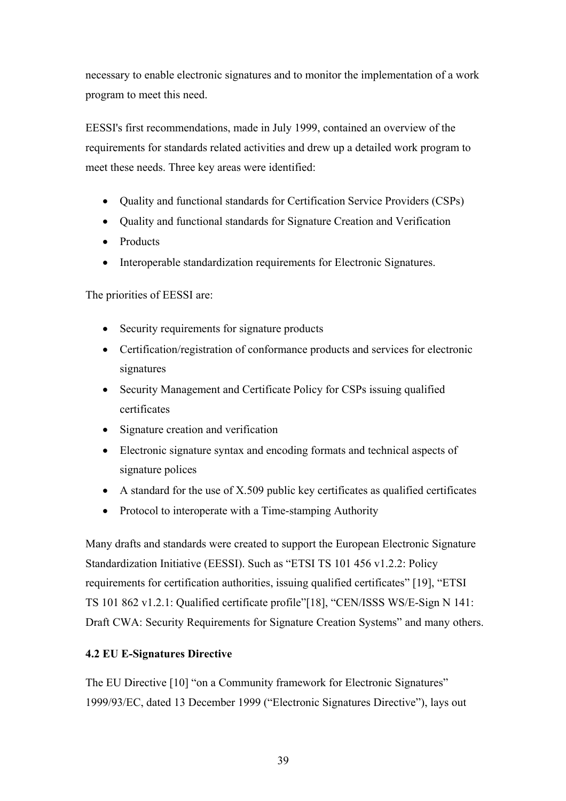necessary to enable electronic signatures and to monitor the implementation of a work program to meet this need.

EESSI's first recommendations, made in July 1999, contained an overview of the requirements for standards related activities and drew up a detailed work program to meet these needs. Three key areas were identified:

- Quality and functional standards for Certification Service Providers (CSPs)
- Quality and functional standards for Signature Creation and Verification
- Products
- Interoperable standardization requirements for Electronic Signatures.

The priorities of EESSI are:

- Security requirements for signature products
- Certification/registration of conformance products and services for electronic signatures
- Security Management and Certificate Policy for CSPs issuing qualified certificates
- Signature creation and verification
- Electronic signature syntax and encoding formats and technical aspects of signature polices
- A standard for the use of  $X.509$  public key certificates as qualified certificates
- Protocol to interoperate with a Time-stamping Authority

Many drafts and standards were created to support the European Electronic Signature Standardization Initiative (EESSI). Such as "ETSI TS 101 456 v1.2.2: Policy requirements for certification authorities, issuing qualified certificates" [19], "ETSI TS 101 862 v1.2.1: Qualified certificate profile"[18], "CEN/ISSS WS/E-Sign N 141: Draft CWA: Security Requirements for Signature Creation Systems" and many others.

## **4.2 EU E-Signatures Directive**

The EU Directive [10] "on a Community framework for Electronic Signatures" 1999/93/EC, dated 13 December 1999 ("Electronic Signatures Directive"), lays out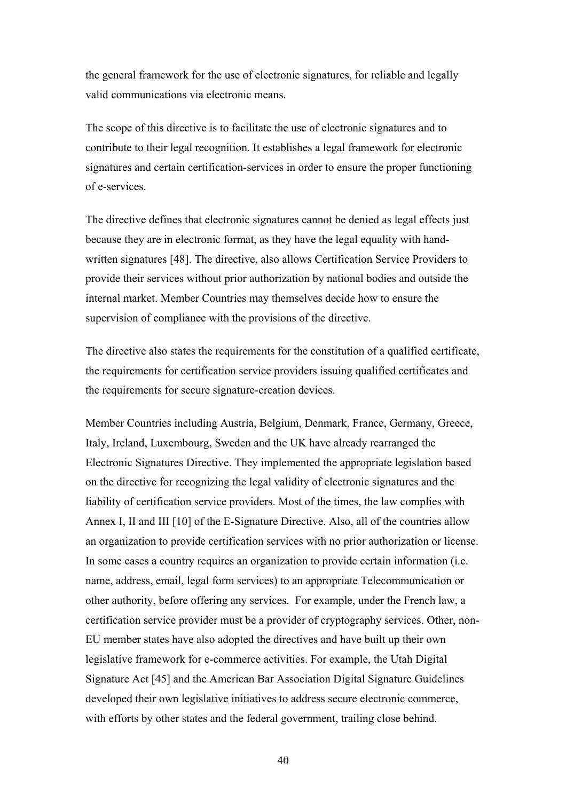the general framework for the use of electronic signatures, for reliable and legally valid communications via electronic means.

The scope of this directive is to facilitate the use of electronic signatures and to contribute to their legal recognition. It establishes a legal framework for electronic signatures and certain certification-services in order to ensure the proper functioning of e-services.

The directive defines that electronic signatures cannot be denied as legal effects just because they are in electronic format, as they have the legal equality with handwritten signatures [48]. The directive, also allows Certification Service Providers to provide their services without prior authorization by national bodies and outside the internal market. Member Countries may themselves decide how to ensure the supervision of compliance with the provisions of the directive.

The directive also states the requirements for the constitution of a qualified certificate, the requirements for certification service providers issuing qualified certificates and the requirements for secure signature-creation devices.

Member Countries including Austria, Belgium, Denmark, France, Germany, Greece, Italy, Ireland, Luxembourg, Sweden and the UK have already rearranged the Electronic Signatures Directive. They implemented the appropriate legislation based on the directive for recognizing the legal validity of electronic signatures and the liability of certification service providers. Most of the times, the law complies with Annex I, II and III [10] of the E-Signature Directive. Also, all of the countries allow an organization to provide certification services with no prior authorization or license. In some cases a country requires an organization to provide certain information (i.e. name, address, email, legal form services) to an appropriate Telecommunication or other authority, before offering any services. For example, under the French law, a certification service provider must be a provider of cryptography services. Other, non-EU member states have also adopted the directives and have built up their own legislative framework for e-commerce activities. For example, the Utah Digital Signature Act [45] and the American Bar Association Digital Signature Guidelines developed their own legislative initiatives to address secure electronic commerce, with efforts by other states and the federal government, trailing close behind.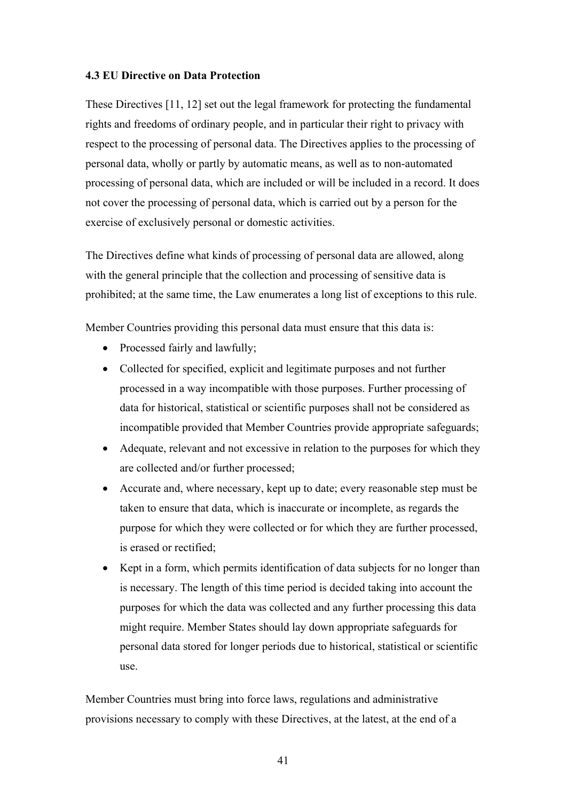#### **4.3 EU Directive on Data Protection**

These Directives [11, 12] set out the legal framework for protecting the fundamental rights and freedoms of ordinary people, and in particular their right to privacy with respect to the processing of personal data. The Directives applies to the processing of personal data, wholly or partly by automatic means, as well as to non-automated processing of personal data, which are included or will be included in a record. It does not cover the processing of personal data, which is carried out by a person for the exercise of exclusively personal or domestic activities.

The Directives define what kinds of processing of personal data are allowed, along with the general principle that the collection and processing of sensitive data is prohibited; at the same time, the Law enumerates a long list of exceptions to this rule.

Member Countries providing this personal data must ensure that this data is:

- Processed fairly and lawfully;
- Collected for specified, explicit and legitimate purposes and not further processed in a way incompatible with those purposes. Further processing of data for historical, statistical or scientific purposes shall not be considered as incompatible provided that Member Countries provide appropriate safeguards;
- Adequate, relevant and not excessive in relation to the purposes for which they are collected and/or further processed;
- Accurate and, where necessary, kept up to date; every reasonable step must be taken to ensure that data, which is inaccurate or incomplete, as regards the purpose for which they were collected or for which they are further processed, is erased or rectified;
- Kept in a form, which permits identification of data subjects for no longer than is necessary. The length of this time period is decided taking into account the purposes for which the data was collected and any further processing this data might require. Member States should lay down appropriate safeguards for personal data stored for longer periods due to historical, statistical or scientific use.

Member Countries must bring into force laws, regulations and administrative provisions necessary to comply with these Directives, at the latest, at the end of a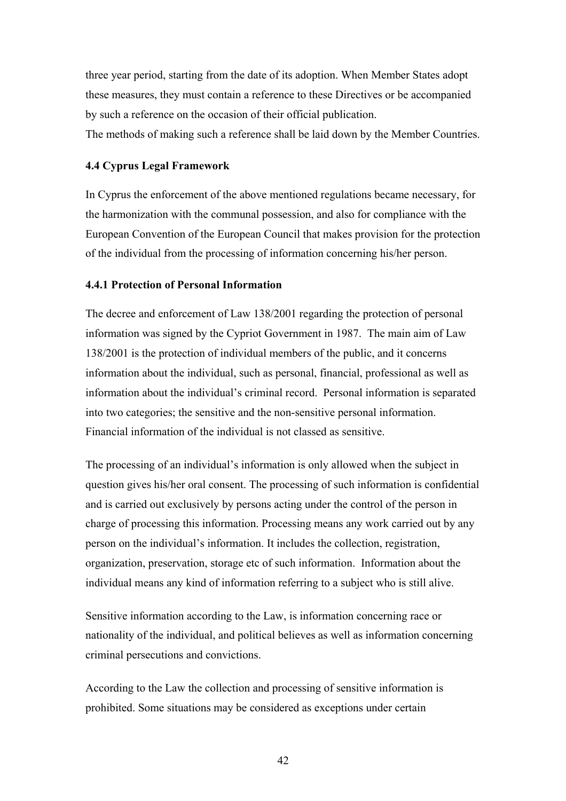three year period, starting from the date of its adoption. When Member States adopt these measures, they must contain a reference to these Directives or be accompanied by such a reference on the occasion of their official publication. The methods of making such a reference shall be laid down by the Member Countries.

#### **4.4 Cyprus Legal Framework**

In Cyprus the enforcement of the above mentioned regulations became necessary, for the harmonization with the communal possession, and also for compliance with the European Convention of the European Council that makes provision for the protection of the individual from the processing of information concerning his/her person.

#### **4.4.1 Protection of Personal Information**

The decree and enforcement of Law 138/2001 regarding the protection of personal information was signed by the Cypriot Government in 1987. The main aim of Law 138/2001 is the protection of individual members of the public, and it concerns information about the individual, such as personal, financial, professional as well as information about the individual's criminal record. Personal information is separated into two categories; the sensitive and the non-sensitive personal information. Financial information of the individual is not classed as sensitive.

The processing of an individual's information is only allowed when the subject in question gives his/her oral consent. The processing of such information is confidential and is carried out exclusively by persons acting under the control of the person in charge of processing this information. Processing means any work carried out by any person on the individual's information. It includes the collection, registration, organization, preservation, storage etc of such information. Information about the individual means any kind of information referring to a subject who is still alive.

Sensitive information according to the Law, is information concerning race or nationality of the individual, and political believes as well as information concerning criminal persecutions and convictions.

According to the Law the collection and processing of sensitive information is prohibited. Some situations may be considered as exceptions under certain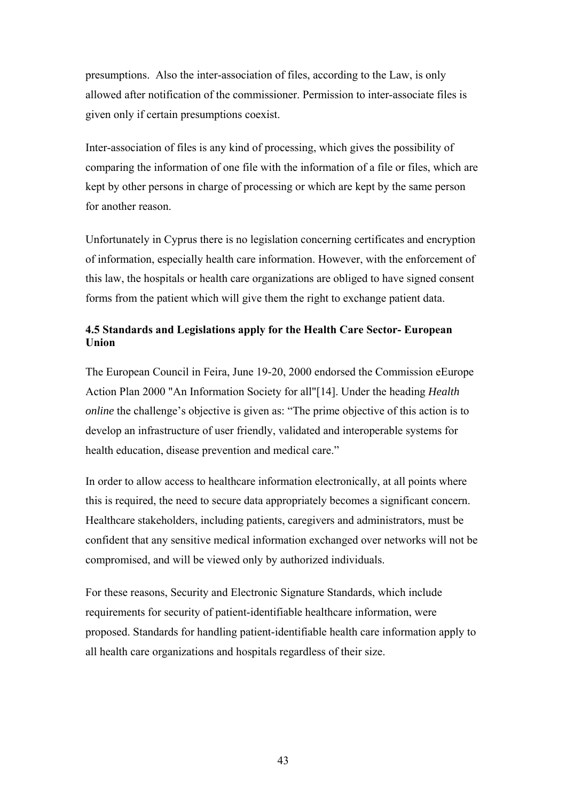presumptions. Also the inter-association of files, according to the Law, is only allowed after notification of the commissioner. Permission to inter-associate files is given only if certain presumptions coexist.

Inter-association of files is any kind of processing, which gives the possibility of comparing the information of one file with the information of a file or files, which are kept by other persons in charge of processing or which are kept by the same person for another reason.

Unfortunately in Cyprus there is no legislation concerning certificates and encryption of information, especially health care information. However, with the enforcement of this law, the hospitals or health care organizations are obliged to have signed consent forms from the patient which will give them the right to exchange patient data.

# **4.5 Standards and Legislations apply for the Health Care Sector- European Union**

The European Council in Feira, June 19-20, 2000 endorsed the Commission eEurope Action Plan 2000 "An Information Society for all"[14]. Under the heading *Health online* the challenge's objective is given as: "The prime objective of this action is to develop an infrastructure of user friendly, validated and interoperable systems for health education, disease prevention and medical care."

In order to allow access to healthcare information electronically, at all points where this is required, the need to secure data appropriately becomes a significant concern. Healthcare stakeholders, including patients, caregivers and administrators, must be confident that any sensitive medical information exchanged over networks will not be compromised, and will be viewed only by authorized individuals.

For these reasons, Security and Electronic Signature Standards, which include requirements for security of patient-identifiable healthcare information, were proposed. Standards for handling patient-identifiable health care information apply to all health care organizations and hospitals regardless of their size.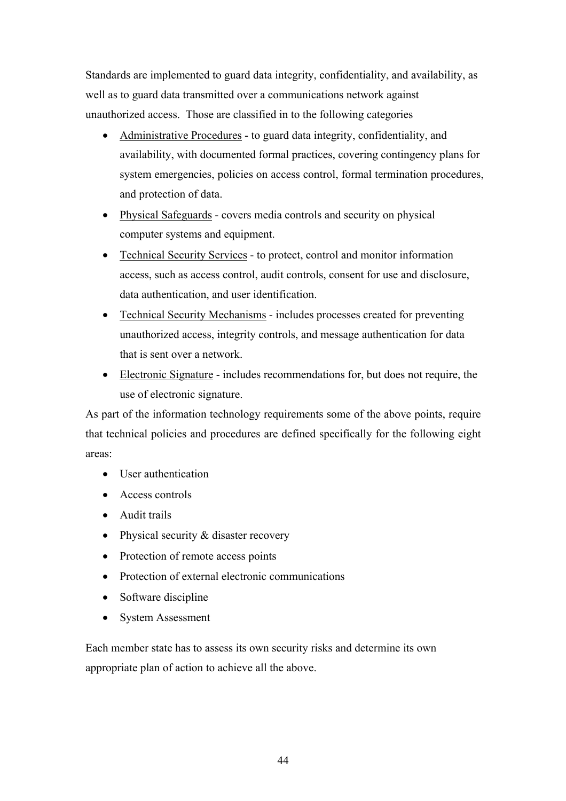Standards are implemented to guard data integrity, confidentiality, and availability, as well as to guard data transmitted over a communications network against unauthorized access. Those are classified in to the following categories

- Administrative Procedures to guard data integrity, confidentiality, and availability, with documented formal practices, covering contingency plans for system emergencies, policies on access control, formal termination procedures, and protection of data.
- Physical Safeguards covers media controls and security on physical computer systems and equipment.
- Technical Security Services to protect, control and monitor information access, such as access control, audit controls, consent for use and disclosure, data authentication, and user identification.
- Technical Security Mechanisms includes processes created for preventing unauthorized access, integrity controls, and message authentication for data that is sent over a network.
- Electronic Signature includes recommendations for, but does not require, the use of electronic signature.

As part of the information technology requirements some of the above points, require that technical policies and procedures are defined specifically for the following eight areas:

- User authentication
- Access controls
- Audit trails
- Physical security & disaster recovery
- Protection of remote access points
- Protection of external electronic communications
- Software discipline
- System Assessment

Each member state has to assess its own security risks and determine its own appropriate plan of action to achieve all the above.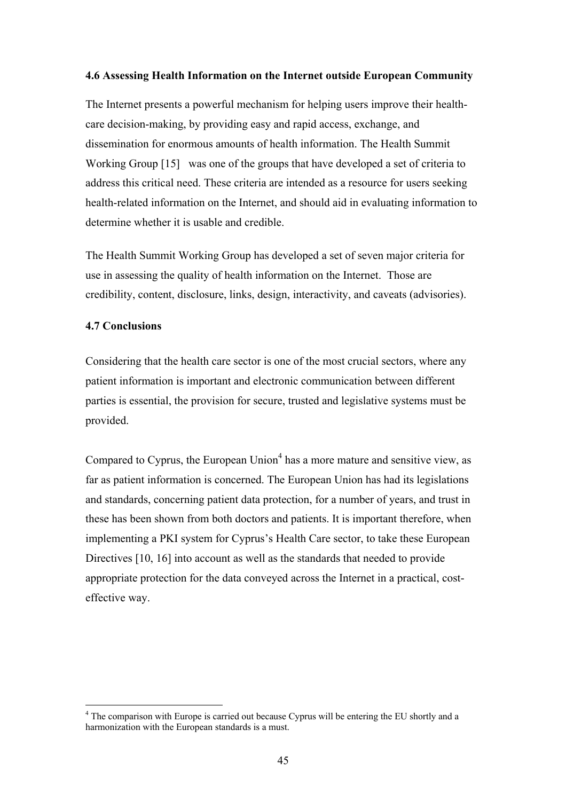#### **4.6 Assessing Health Information on the Internet outside European Community**

The Internet presents a powerful mechanism for helping users improve their healthcare decision-making, by providing easy and rapid access, exchange, and dissemination for enormous amounts of health information. The Health Summit Working Group [15] was one of the groups that have developed a set of criteria to address this critical need. These criteria are intended as a resource for users seeking health-related information on the Internet, and should aid in evaluating information to determine whether it is usable and credible.

The Health Summit Working Group has developed a set of seven major criteria for use in assessing the quality of health information on the Internet. Those are credibility, content, disclosure, links, design, interactivity, and caveats (advisories).

#### **4.7 Conclusions**

 $\overline{a}$ 

Considering that the health care sector is one of the most crucial sectors, where any patient information is important and electronic communication between different parties is essential, the provision for secure, trusted and legislative systems must be provided.

Compared to Cyprus, the European Union $4$  has a more mature and sensitive view, as far as patient information is concerned. The European Union has had its legislations and standards, concerning patient data protection, for a number of years, and trust in these has been shown from both doctors and patients. It is important therefore, when implementing a PKI system for Cyprus's Health Care sector, to take these European Directives [10, 16] into account as well as the standards that needed to provide appropriate protection for the data conveyed across the Internet in a practical, costeffective way.

<sup>&</sup>lt;sup>4</sup> The comparison with Europe is carried out because Cyprus will be entering the EU shortly and a harmonization with the European standards is a must.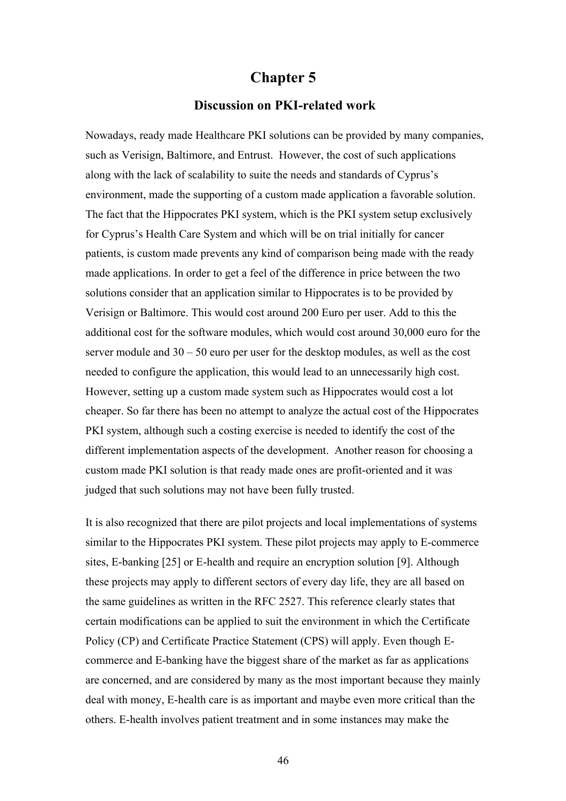# **Chapter 5**

#### **Discussion on PKI-related work**

Nowadays, ready made Healthcare PKI solutions can be provided by many companies, such as Verisign, Baltimore, and Entrust. However, the cost of such applications along with the lack of scalability to suite the needs and standards of Cyprus's environment, made the supporting of a custom made application a favorable solution. The fact that the Hippocrates PKI system, which is the PKI system setup exclusively for Cyprus's Health Care System and which will be on trial initially for cancer patients, is custom made prevents any kind of comparison being made with the ready made applications. In order to get a feel of the difference in price between the two solutions consider that an application similar to Hippocrates is to be provided by Verisign or Baltimore. This would cost around 200 Euro per user. Add to this the additional cost for the software modules, which would cost around 30,000 euro for the server module and 30 – 50 euro per user for the desktop modules, as well as the cost needed to configure the application, this would lead to an unnecessarily high cost. However, setting up a custom made system such as Hippocrates would cost a lot cheaper. So far there has been no attempt to analyze the actual cost of the Hippocrates PKI system, although such a costing exercise is needed to identify the cost of the different implementation aspects of the development. Another reason for choosing a custom made PKI solution is that ready made ones are profit-oriented and it was judged that such solutions may not have been fully trusted.

It is also recognized that there are pilot projects and local implementations of systems similar to the Hippocrates PKI system. These pilot projects may apply to E-commerce sites, E-banking [25] or E-health and require an encryption solution [9]. Although these projects may apply to different sectors of every day life, they are all based on the same guidelines as written in the RFC 2527. This reference clearly states that certain modifications can be applied to suit the environment in which the Certificate Policy (CP) and Certificate Practice Statement (CPS) will apply. Even though Ecommerce and E-banking have the biggest share of the market as far as applications are concerned, and are considered by many as the most important because they mainly deal with money, E-health care is as important and maybe even more critical than the others. E-health involves patient treatment and in some instances may make the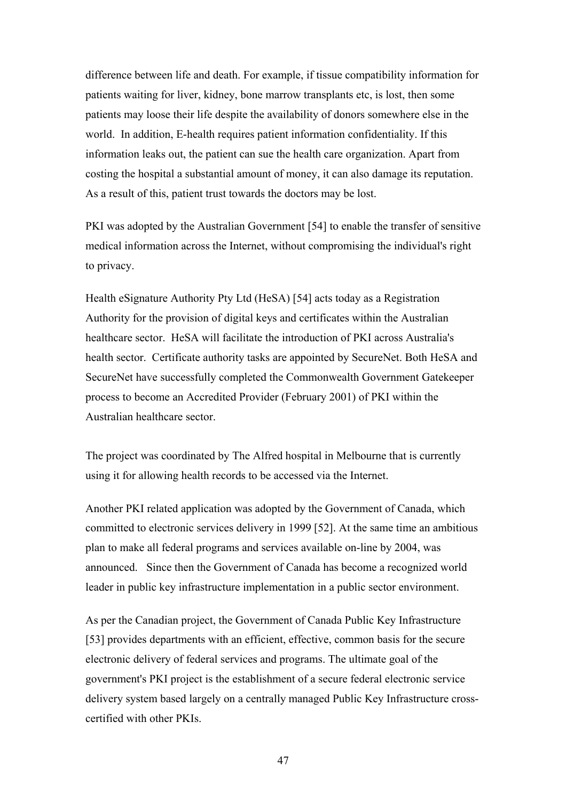difference between life and death. For example, if tissue compatibility information for patients waiting for liver, kidney, bone marrow transplants etc, is lost, then some patients may loose their life despite the availability of donors somewhere else in the world. In addition, E-health requires patient information confidentiality. If this information leaks out, the patient can sue the health care organization. Apart from costing the hospital a substantial amount of money, it can also damage its reputation. As a result of this, patient trust towards the doctors may be lost.

PKI was adopted by the Australian Government [54] to enable the transfer of sensitive medical information across the Internet, without compromising the individual's right to privacy.

Health eSignature Authority Pty Ltd (HeSA) [54] acts today as a Registration Authority for the provision of digital keys and certificates within the Australian healthcare sector. HeSA will facilitate the introduction of PKI across Australia's health sector. Certificate authority tasks are appointed by SecureNet. Both HeSA and SecureNet have successfully completed the Commonwealth Government Gatekeeper process to become an Accredited Provider (February 2001) of PKI within the Australian healthcare sector.

The project was coordinated by The Alfred hospital in Melbourne that is currently using it for allowing health records to be accessed via the Internet.

Another PKI related application was adopted by the Government of Canada, which committed to electronic services delivery in 1999 [52]. At the same time an ambitious plan to make all federal programs and services available on-line by 2004, was announced. Since then the Government of Canada has become a recognized world leader in public key infrastructure implementation in a public sector environment.

As per the Canadian project, the Government of Canada Public Key Infrastructure [53] provides departments with an efficient, effective, common basis for the secure electronic delivery of federal services and programs. The ultimate goal of the government's PKI project is the establishment of a secure federal electronic service delivery system based largely on a centrally managed Public Key Infrastructure crosscertified with other PKIs.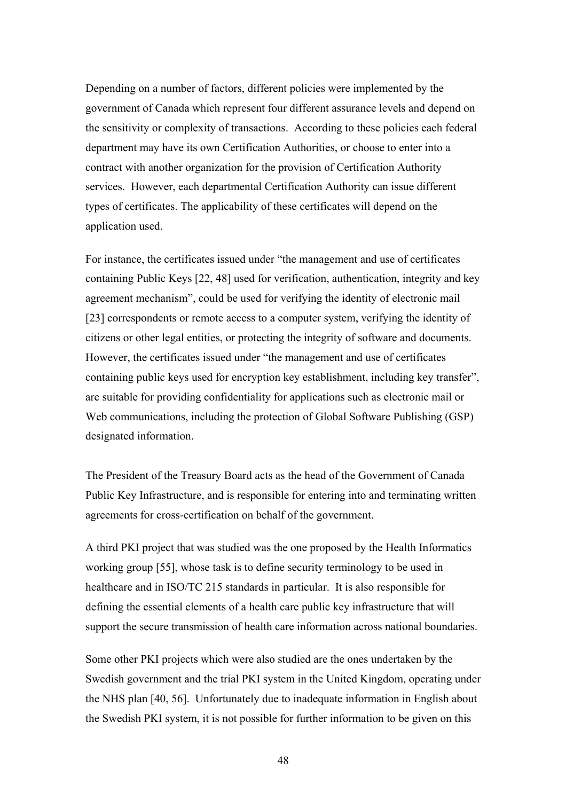Depending on a number of factors, different policies were implemented by the government of Canada which represent four different assurance levels and depend on the sensitivity or complexity of transactions. According to these policies each federal department may have its own Certification Authorities, or choose to enter into a contract with another organization for the provision of Certification Authority services. However, each departmental Certification Authority can issue different types of certificates. The applicability of these certificates will depend on the application used.

For instance, the certificates issued under "the management and use of certificates containing Public Keys [22, 48] used for verification, authentication, integrity and key agreement mechanism", could be used for verifying the identity of electronic mail [23] correspondents or remote access to a computer system, verifying the identity of citizens or other legal entities, or protecting the integrity of software and documents. However, the certificates issued under "the management and use of certificates containing public keys used for encryption key establishment, including key transfer", are suitable for providing confidentiality for applications such as electronic mail or Web communications, including the protection of Global Software Publishing (GSP) designated information.

The President of the Treasury Board acts as the head of the Government of Canada Public Key Infrastructure, and is responsible for entering into and terminating written agreements for cross-certification on behalf of the government.

A third PKI project that was studied was the one proposed by the Health Informatics working group [55], whose task is to define security terminology to be used in healthcare and in ISO/TC 215 standards in particular. It is also responsible for defining the essential elements of a health care public key infrastructure that will support the secure transmission of health care information across national boundaries.

Some other PKI projects which were also studied are the ones undertaken by the Swedish government and the trial PKI system in the United Kingdom, operating under the NHS plan [40, 56]. Unfortunately due to inadequate information in English about the Swedish PKI system, it is not possible for further information to be given on this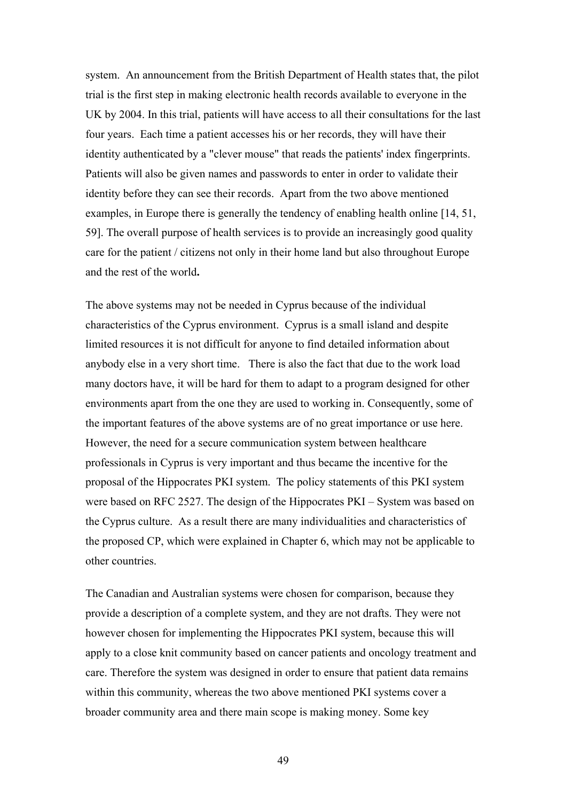system. An announcement from the British Department of Health states that, the pilot trial is the first step in making electronic health records available to everyone in the UK by 2004. In this trial, patients will have access to all their consultations for the last four years. Each time a patient accesses his or her records, they will have their identity authenticated by a "clever mouse" that reads the patients' index fingerprints. Patients will also be given names and passwords to enter in order to validate their identity before they can see their records. Apart from the two above mentioned examples, in Europe there is generally the tendency of enabling health online [14, 51, 59]. The overall purpose of health services is to provide an increasingly good quality care for the patient / citizens not only in their home land but also throughout Europe and the rest of the world**.** 

The above systems may not be needed in Cyprus because of the individual characteristics of the Cyprus environment. Cyprus is a small island and despite limited resources it is not difficult for anyone to find detailed information about anybody else in a very short time. There is also the fact that due to the work load many doctors have, it will be hard for them to adapt to a program designed for other environments apart from the one they are used to working in. Consequently, some of the important features of the above systems are of no great importance or use here. However, the need for a secure communication system between healthcare professionals in Cyprus is very important and thus became the incentive for the proposal of the Hippocrates PKI system. The policy statements of this PKI system were based on RFC 2527. The design of the Hippocrates PKI – System was based on the Cyprus culture. As a result there are many individualities and characteristics of the proposed CP, which were explained in Chapter 6, which may not be applicable to other countries.

The Canadian and Australian systems were chosen for comparison, because they provide a description of a complete system, and they are not drafts. They were not however chosen for implementing the Hippocrates PKI system, because this will apply to a close knit community based on cancer patients and oncology treatment and care. Therefore the system was designed in order to ensure that patient data remains within this community, whereas the two above mentioned PKI systems cover a broader community area and there main scope is making money. Some key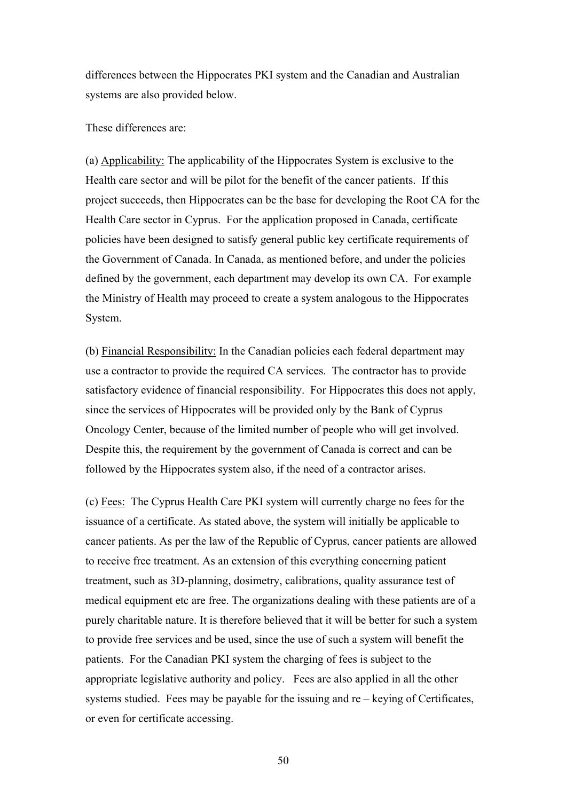differences between the Hippocrates PKI system and the Canadian and Australian systems are also provided below.

These differences are:

(a) Applicability: The applicability of the Hippocrates System is exclusive to the Health care sector and will be pilot for the benefit of the cancer patients. If this project succeeds, then Hippocrates can be the base for developing the Root CA for the Health Care sector in Cyprus. For the application proposed in Canada, certificate policies have been designed to satisfy general public key certificate requirements of the Government of Canada. In Canada, as mentioned before, and under the policies defined by the government, each department may develop its own CA. For example the Ministry of Health may proceed to create a system analogous to the Hippocrates System.

(b) Financial Responsibility: In the Canadian policies each federal department may use a contractor to provide the required CA services. The contractor has to provide satisfactory evidence of financial responsibility. For Hippocrates this does not apply, since the services of Hippocrates will be provided only by the Bank of Cyprus Oncology Center, because of the limited number of people who will get involved. Despite this, the requirement by the government of Canada is correct and can be followed by the Hippocrates system also, if the need of a contractor arises.

(c) Fees: The Cyprus Health Care PKI system will currently charge no fees for the issuance of a certificate. As stated above, the system will initially be applicable to cancer patients. As per the law of the Republic of Cyprus, cancer patients are allowed to receive free treatment. As an extension of this everything concerning patient treatment, such as 3D-planning, dosimetry, calibrations, quality assurance test of medical equipment etc are free. The organizations dealing with these patients are of a purely charitable nature. It is therefore believed that it will be better for such a system to provide free services and be used, since the use of such a system will benefit the patients. For the Canadian PKI system the charging of fees is subject to the appropriate legislative authority and policy. Fees are also applied in all the other systems studied. Fees may be payable for the issuing and re – keying of Certificates, or even for certificate accessing.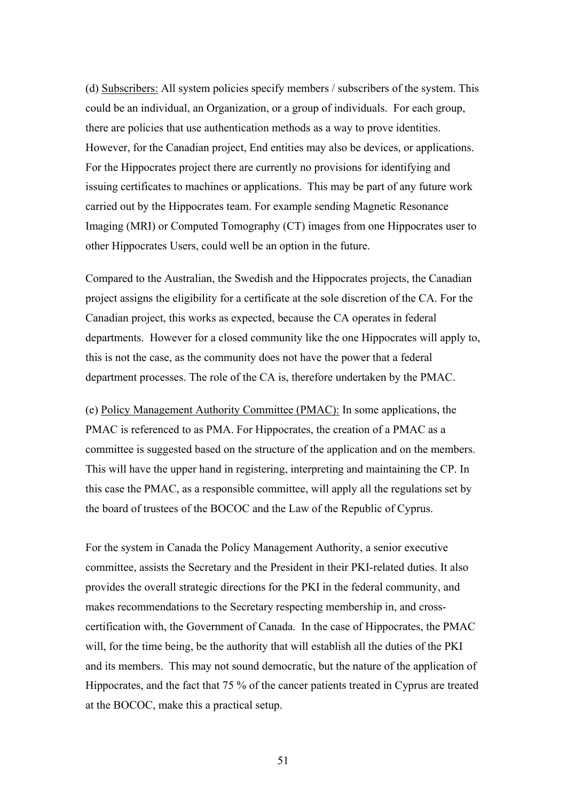(d) Subscribers: All system policies specify members / subscribers of the system. This could be an individual, an Organization, or a group of individuals. For each group, there are policies that use authentication methods as a way to prove identities. However, for the Canadian project, End entities may also be devices, or applications. For the Hippocrates project there are currently no provisions for identifying and issuing certificates to machines or applications. This may be part of any future work carried out by the Hippocrates team. For example sending Magnetic Resonance Imaging (MRI) or Computed Tomography (CT) images from one Hippocrates user to other Hippocrates Users, could well be an option in the future.

Compared to the Australian, the Swedish and the Hippocrates projects, the Canadian project assigns the eligibility for a certificate at the sole discretion of the CA. For the Canadian project, this works as expected, because the CA operates in federal departments. However for a closed community like the one Hippocrates will apply to, this is not the case, as the community does not have the power that a federal department processes. The role of the CA is, therefore undertaken by the PMAC.

(e) Policy Management Authority Committee (PMAC): In some applications, the PMAC is referenced to as PMA. For Hippocrates, the creation of a PMAC as a committee is suggested based on the structure of the application and on the members. This will have the upper hand in registering, interpreting and maintaining the CP. In this case the PMAC, as a responsible committee, will apply all the regulations set by the board of trustees of the BOCOC and the Law of the Republic of Cyprus.

For the system in Canada the Policy Management Authority, a senior executive committee, assists the Secretary and the President in their PKI-related duties. It also provides the overall strategic directions for the PKI in the federal community, and makes recommendations to the Secretary respecting membership in, and crosscertification with, the Government of Canada. In the case of Hippocrates, the PMAC will, for the time being, be the authority that will establish all the duties of the PKI and its members. This may not sound democratic, but the nature of the application of Hippocrates, and the fact that 75 % of the cancer patients treated in Cyprus are treated at the BOCOC, make this a practical setup.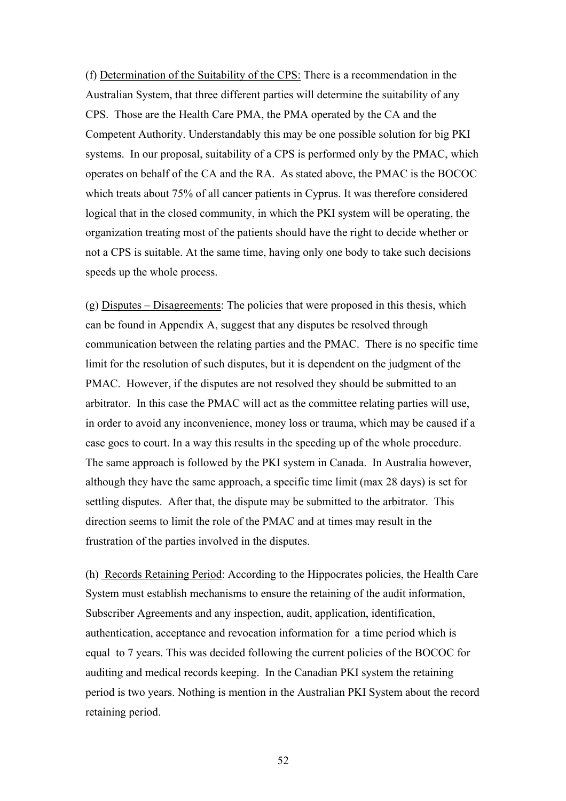(f) Determination of the Suitability of the CPS: There is a recommendation in the Australian System, that three different parties will determine the suitability of any CPS. Those are the Health Care PMA, the PMA operated by the CA and the Competent Authority. Understandably this may be one possible solution for big PKI systems. In our proposal, suitability of a CPS is performed only by the PMAC, which operates on behalf of the CA and the RA. As stated above, the PMAC is the BOCOC which treats about 75% of all cancer patients in Cyprus. It was therefore considered logical that in the closed community, in which the PKI system will be operating, the organization treating most of the patients should have the right to decide whether or not a CPS is suitable. At the same time, having only one body to take such decisions speeds up the whole process.

(g) Disputes – Disagreements: The policies that were proposed in this thesis, which can be found in Appendix A, suggest that any disputes be resolved through communication between the relating parties and the PMAC. There is no specific time limit for the resolution of such disputes, but it is dependent on the judgment of the PMAC. However, if the disputes are not resolved they should be submitted to an arbitrator. In this case the PMAC will act as the committee relating parties will use, in order to avoid any inconvenience, money loss or trauma, which may be caused if a case goes to court. In a way this results in the speeding up of the whole procedure. The same approach is followed by the PKI system in Canada. In Australia however, although they have the same approach, a specific time limit (max 28 days) is set for settling disputes. After that, the dispute may be submitted to the arbitrator. This direction seems to limit the role of the PMAC and at times may result in the frustration of the parties involved in the disputes.

(h) Records Retaining Period: According to the Hippocrates policies, the Health Care System must establish mechanisms to ensure the retaining of the audit information, Subscriber Agreements and any inspection, audit, application, identification, authentication, acceptance and revocation information for a time period which is equal to 7 years. This was decided following the current policies of the BOCOC for auditing and medical records keeping. In the Canadian PKI system the retaining period is two years. Nothing is mention in the Australian PKI System about the record retaining period.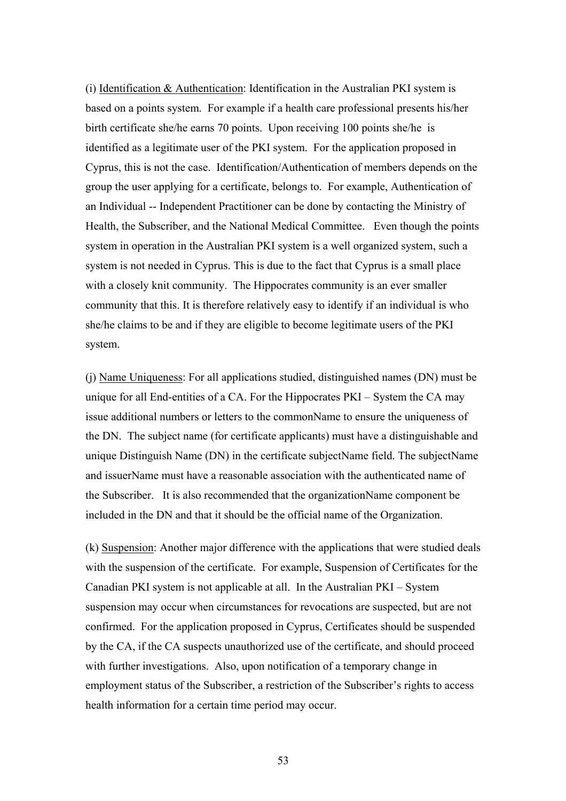(i) Identification & Authentication: Identification in the Australian PKI system is based on a points system. For example if a health care professional presents his/her birth certificate she/he earns 70 points. Upon receiving 100 points she/he is identified as a legitimate user of the PKI system. For the application proposed in Cyprus, this is not the case. Identification/Authentication of members depends on the group the user applying for a certificate, belongs to. For example, Authentication of an Individual -- Independent Practitioner can be done by contacting the Ministry of Health, the Subscriber, and the National Medical Committee. Even though the points system in operation in the Australian PKI system is a well organized system, such a system is not needed in Cyprus. This is due to the fact that Cyprus is a small place with a closely knit community. The Hippocrates community is an ever smaller community that this. It is therefore relatively easy to identify if an individual is who she/he claims to be and if they are eligible to become legitimate users of the PKI system.

(j) Name Uniqueness: For all applications studied, distinguished names (DN) must be unique for all End-entities of a CA. For the Hippocrates PKI – System the CA may issue additional numbers or letters to the commonName to ensure the uniqueness of the DN. The subject name (for certificate applicants) must have a distinguishable and unique Distinguish Name (DN) in the certificate subjectName field. The subjectName and issuerName must have a reasonable association with the authenticated name of the Subscriber. It is also recommended that the organizationName component be included in the DN and that it should be the official name of the Organization.

(k) Suspension: Another major difference with the applications that were studied deals with the suspension of the certificate. For example, Suspension of Certificates for the Canadian PKI system is not applicable at all. In the Australian PKI – System suspension may occur when circumstances for revocations are suspected, but are not confirmed. For the application proposed in Cyprus, Certificates should be suspended by the CA, if the CA suspects unauthorized use of the certificate, and should proceed with further investigations. Also, upon notification of a temporary change in employment status of the Subscriber, a restriction of the Subscriber's rights to access health information for a certain time period may occur.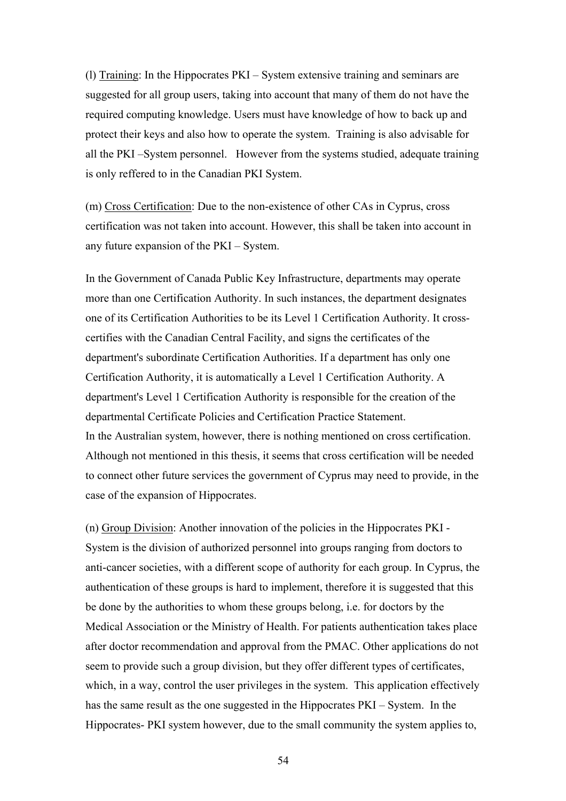(l) Training: In the Hippocrates PKI – System extensive training and seminars are suggested for all group users, taking into account that many of them do not have the required computing knowledge. Users must have knowledge of how to back up and protect their keys and also how to operate the system. Training is also advisable for all the PKI –System personnel. However from the systems studied, adequate training is only reffered to in the Canadian PKI System.

(m) Cross Certification: Due to the non-existence of other CAs in Cyprus, cross certification was not taken into account. However, this shall be taken into account in any future expansion of the PKI – System.

In the Government of Canada Public Key Infrastructure, departments may operate more than one Certification Authority. In such instances, the department designates one of its Certification Authorities to be its Level 1 Certification Authority. It crosscertifies with the Canadian Central Facility, and signs the certificates of the department's subordinate Certification Authorities. If a department has only one Certification Authority, it is automatically a Level 1 Certification Authority. A department's Level 1 Certification Authority is responsible for the creation of the departmental Certificate Policies and Certification Practice Statement. In the Australian system, however, there is nothing mentioned on cross certification. Although not mentioned in this thesis, it seems that cross certification will be needed to connect other future services the government of Cyprus may need to provide, in the case of the expansion of Hippocrates.

(n) Group Division: Another innovation of the policies in the Hippocrates PKI - System is the division of authorized personnel into groups ranging from doctors to anti-cancer societies, with a different scope of authority for each group. In Cyprus, the authentication of these groups is hard to implement, therefore it is suggested that this be done by the authorities to whom these groups belong, i.e. for doctors by the Medical Association or the Ministry of Health. For patients authentication takes place after doctor recommendation and approval from the PMAC. Other applications do not seem to provide such a group division, but they offer different types of certificates, which, in a way, control the user privileges in the system. This application effectively has the same result as the one suggested in the Hippocrates PKI – System. In the Hippocrates- PKI system however, due to the small community the system applies to,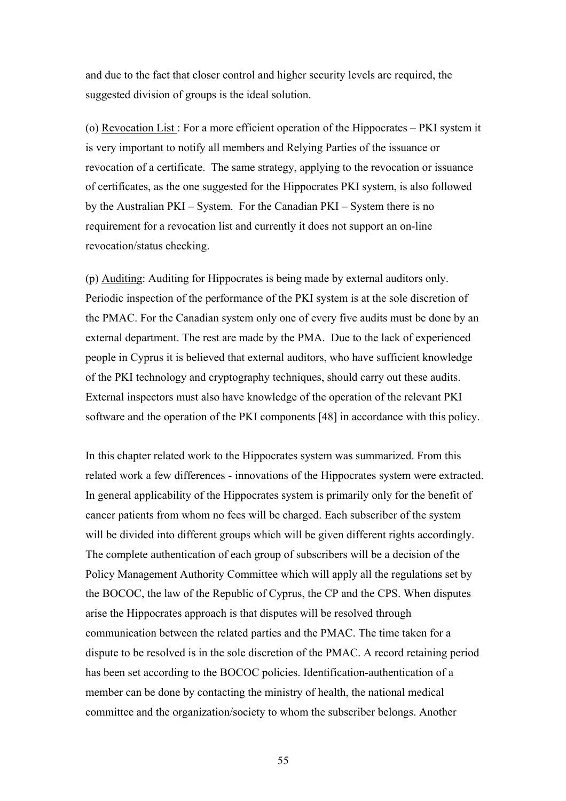and due to the fact that closer control and higher security levels are required, the suggested division of groups is the ideal solution.

(o) Revocation List : For a more efficient operation of the Hippocrates – PKI system it is very important to notify all members and Relying Parties of the issuance or revocation of a certificate. The same strategy, applying to the revocation or issuance of certificates, as the one suggested for the Hippocrates PKI system, is also followed by the Australian PKI – System. For the Canadian PKI – System there is no requirement for a revocation list and currently it does not support an on-line revocation/status checking.

(p) Auditing: Auditing for Hippocrates is being made by external auditors only. Periodic inspection of the performance of the PKI system is at the sole discretion of the PMAC. For the Canadian system only one of every five audits must be done by an external department. The rest are made by the PMA. Due to the lack of experienced people in Cyprus it is believed that external auditors, who have sufficient knowledge of the PKI technology and cryptography techniques, should carry out these audits. External inspectors must also have knowledge of the operation of the relevant PKI software and the operation of the PKI components [48] in accordance with this policy.

In this chapter related work to the Hippocrates system was summarized. From this related work a few differences - innovations of the Hippocrates system were extracted. In general applicability of the Hippocrates system is primarily only for the benefit of cancer patients from whom no fees will be charged. Each subscriber of the system will be divided into different groups which will be given different rights accordingly. The complete authentication of each group of subscribers will be a decision of the Policy Management Authority Committee which will apply all the regulations set by the BOCOC, the law of the Republic of Cyprus, the CP and the CPS. When disputes arise the Hippocrates approach is that disputes will be resolved through communication between the related parties and the PMAC. The time taken for a dispute to be resolved is in the sole discretion of the PMAC. A record retaining period has been set according to the BOCOC policies. Identification-authentication of a member can be done by contacting the ministry of health, the national medical committee and the organization/society to whom the subscriber belongs. Another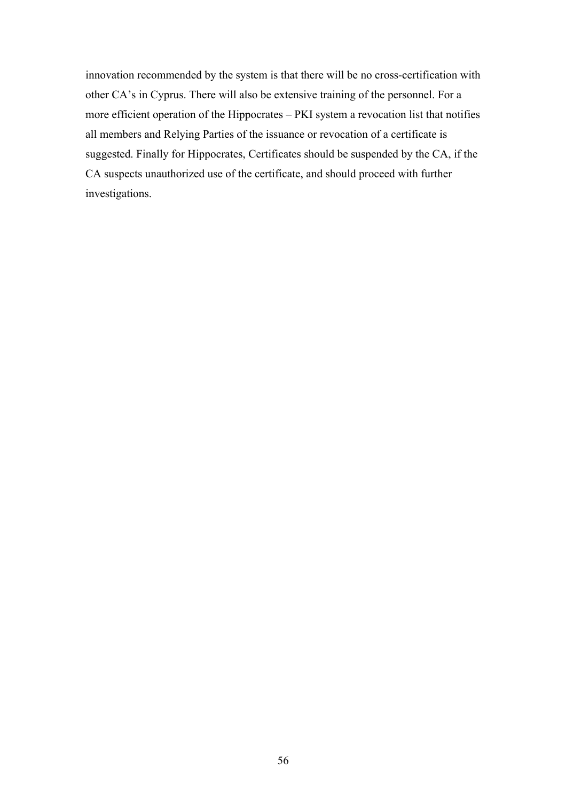innovation recommended by the system is that there will be no cross-certification with other CA's in Cyprus. There will also be extensive training of the personnel. For a more efficient operation of the Hippocrates – PKI system a revocation list that notifies all members and Relying Parties of the issuance or revocation of a certificate is suggested. Finally for Hippocrates, Certificates should be suspended by the CA, if the CA suspects unauthorized use of the certificate, and should proceed with further investigations.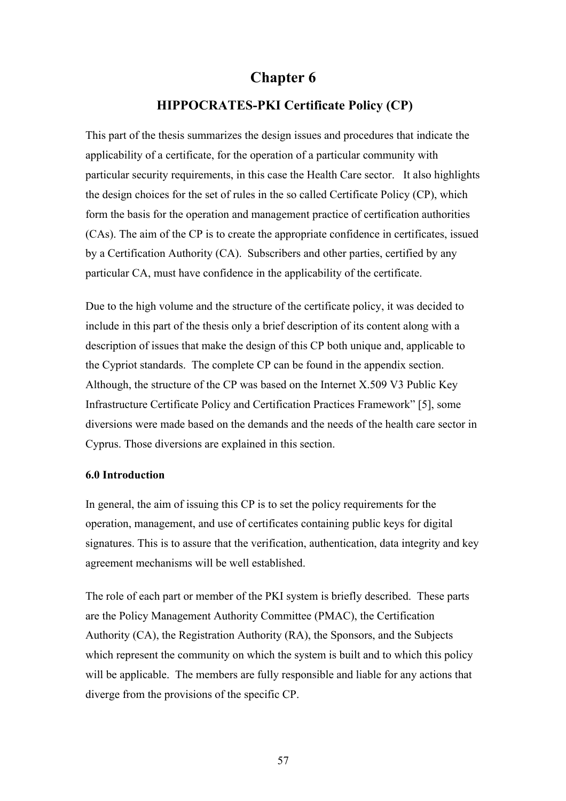# **Chapter 6**

## **HIPPOCRATES-PKI Certificate Policy (CP)**

This part of the thesis summarizes the design issues and procedures that indicate the applicability of a certificate, for the operation of a particular community with particular security requirements, in this case the Health Care sector. It also highlights the design choices for the set of rules in the so called Certificate Policy (CP), which form the basis for the operation and management practice of certification authorities (CAs). The aim of the CP is to create the appropriate confidence in certificates, issued by a Certification Authority (CA). Subscribers and other parties, certified by any particular CA, must have confidence in the applicability of the certificate.

Due to the high volume and the structure of the certificate policy, it was decided to include in this part of the thesis only a brief description of its content along with a description of issues that make the design of this CP both unique and, applicable to the Cypriot standards. The complete CP can be found in the appendix section. Although, the structure of the CP was based on the Internet X.509 V3 Public Key Infrastructure Certificate Policy and Certification Practices Framework" [5], some diversions were made based on the demands and the needs of the health care sector in Cyprus. Those diversions are explained in this section.

#### **6.0 Introduction**

In general, the aim of issuing this CP is to set the policy requirements for the operation, management, and use of certificates containing public keys for digital signatures. This is to assure that the verification, authentication, data integrity and key agreement mechanisms will be well established.

The role of each part or member of the PKI system is briefly described. These parts are the Policy Management Authority Committee (PMAC), the Certification Authority (CA), the Registration Authority (RA), the Sponsors, and the Subjects which represent the community on which the system is built and to which this policy will be applicable. The members are fully responsible and liable for any actions that diverge from the provisions of the specific CP.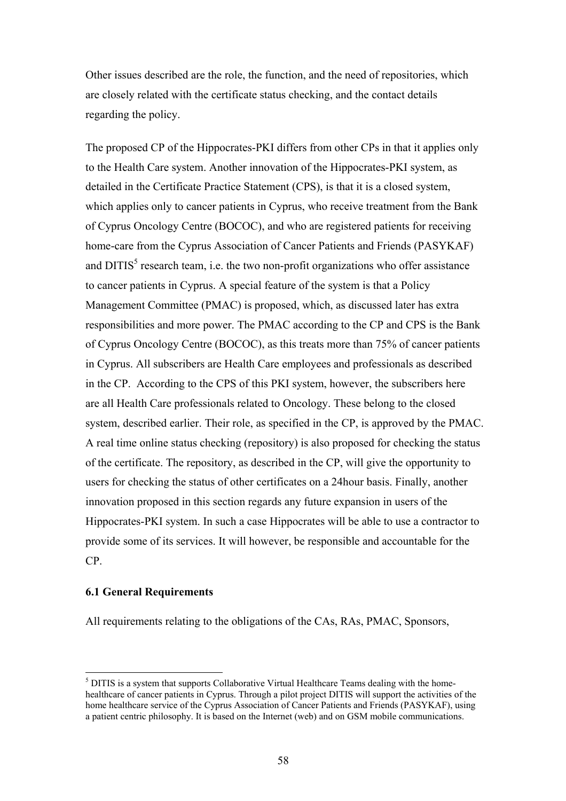Other issues described are the role, the function, and the need of repositories, which are closely related with the certificate status checking, and the contact details regarding the policy.

The proposed CP of the Hippocrates-PKI differs from other CPs in that it applies only to the Health Care system. Another innovation of the Hippocrates-PKI system, as detailed in the Certificate Practice Statement (CPS), is that it is a closed system, which applies only to cancer patients in Cyprus, who receive treatment from the Bank of Cyprus Oncology Centre (BOCOC), and who are registered patients for receiving home-care from the Cyprus Association of Cancer Patients and Friends (PASYKAF) and  $\text{DITIS}^5$  research team, i.e. the two non-profit organizations who offer assistance to cancer patients in Cyprus. A special feature of the system is that a Policy Management Committee (PMAC) is proposed, which, as discussed later has extra responsibilities and more power. The PMAC according to the CP and CPS is the Bank of Cyprus Oncology Centre (BOCOC), as this treats more than 75% of cancer patients in Cyprus. All subscribers are Health Care employees and professionals as described in the CP. According to the CPS of this PKI system, however, the subscribers here are all Health Care professionals related to Oncology. These belong to the closed system, described earlier. Their role, as specified in the CP, is approved by the PMAC. A real time online status checking (repository) is also proposed for checking the status of the certificate. The repository, as described in the CP, will give the opportunity to users for checking the status of other certificates on a 24hour basis. Finally, another innovation proposed in this section regards any future expansion in users of the Hippocrates-PKI system. In such a case Hippocrates will be able to use a contractor to provide some of its services. It will however, be responsible and accountable for the CP.

#### **6.1 General Requirements**

 $\overline{a}$ 

All requirements relating to the obligations of the CAs, RAs, PMAC, Sponsors,

<sup>&</sup>lt;sup>5</sup> DITIS is a system that supports Collaborative Virtual Healthcare Teams dealing with the homehealthcare of cancer patients in Cyprus. Through a pilot project DITIS will support the activities of the home healthcare service of the Cyprus Association of Cancer Patients and Friends (PASYKAF), using a patient centric philosophy. It is based on the Internet (web) and on GSM mobile communications.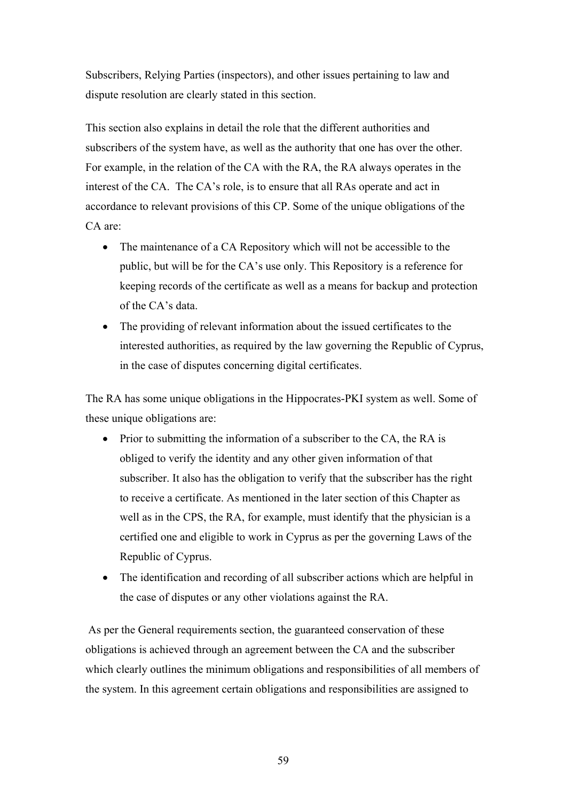Subscribers, Relying Parties (inspectors), and other issues pertaining to law and dispute resolution are clearly stated in this section.

This section also explains in detail the role that the different authorities and subscribers of the system have, as well as the authority that one has over the other. For example, in the relation of the CA with the RA, the RA always operates in the interest of the CA. The CA's role, is to ensure that all RAs operate and act in accordance to relevant provisions of this CP. Some of the unique obligations of the CA are:

- The maintenance of a CA Repository which will not be accessible to the public, but will be for the CA's use only. This Repository is a reference for keeping records of the certificate as well as a means for backup and protection of the CA's data.
- The providing of relevant information about the issued certificates to the interested authorities, as required by the law governing the Republic of Cyprus, in the case of disputes concerning digital certificates.

The RA has some unique obligations in the Hippocrates-PKI system as well. Some of these unique obligations are:

- Prior to submitting the information of a subscriber to the CA, the RA is obliged to verify the identity and any other given information of that subscriber. It also has the obligation to verify that the subscriber has the right to receive a certificate. As mentioned in the later section of this Chapter as well as in the CPS, the RA, for example, must identify that the physician is a certified one and eligible to work in Cyprus as per the governing Laws of the Republic of Cyprus.
- The identification and recording of all subscriber actions which are helpful in the case of disputes or any other violations against the RA.

 As per the General requirements section, the guaranteed conservation of these obligations is achieved through an agreement between the CA and the subscriber which clearly outlines the minimum obligations and responsibilities of all members of the system. In this agreement certain obligations and responsibilities are assigned to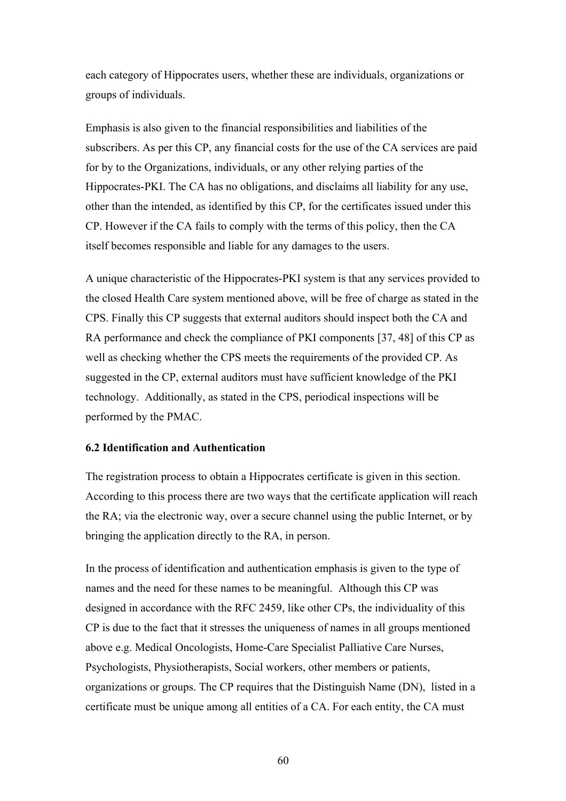each category of Hippocrates users, whether these are individuals, organizations or groups of individuals.

Emphasis is also given to the financial responsibilities and liabilities of the subscribers. As per this CP, any financial costs for the use of the CA services are paid for by to the Organizations, individuals, or any other relying parties of the Hippocrates-PKI. The CA has no obligations, and disclaims all liability for any use, other than the intended, as identified by this CP, for the certificates issued under this CP. However if the CA fails to comply with the terms of this policy, then the CA itself becomes responsible and liable for any damages to the users.

A unique characteristic of the Hippocrates-PKI system is that any services provided to the closed Health Care system mentioned above, will be free of charge as stated in the CPS. Finally this CP suggests that external auditors should inspect both the CA and RA performance and check the compliance of PKI components [37, 48] of this CP as well as checking whether the CPS meets the requirements of the provided CP. As suggested in the CP, external auditors must have sufficient knowledge of the PKI technology. Additionally, as stated in the CPS, periodical inspections will be performed by the PMAC.

#### **6.2 Identification and Authentication**

The registration process to obtain a Hippocrates certificate is given in this section. According to this process there are two ways that the certificate application will reach the RA; via the electronic way, over a secure channel using the public Internet, or by bringing the application directly to the RA, in person.

In the process of identification and authentication emphasis is given to the type of names and the need for these names to be meaningful. Although this CP was designed in accordance with the RFC 2459, like other CPs, the individuality of this CP is due to the fact that it stresses the uniqueness of names in all groups mentioned above e.g. Medical Oncologists, Home-Care Specialist Palliative Care Nurses, Psychologists, Physiotherapists, Social workers, other members or patients, organizations or groups. The CP requires that the Distinguish Name (DN), listed in a certificate must be unique among all entities of a CA. For each entity, the CA must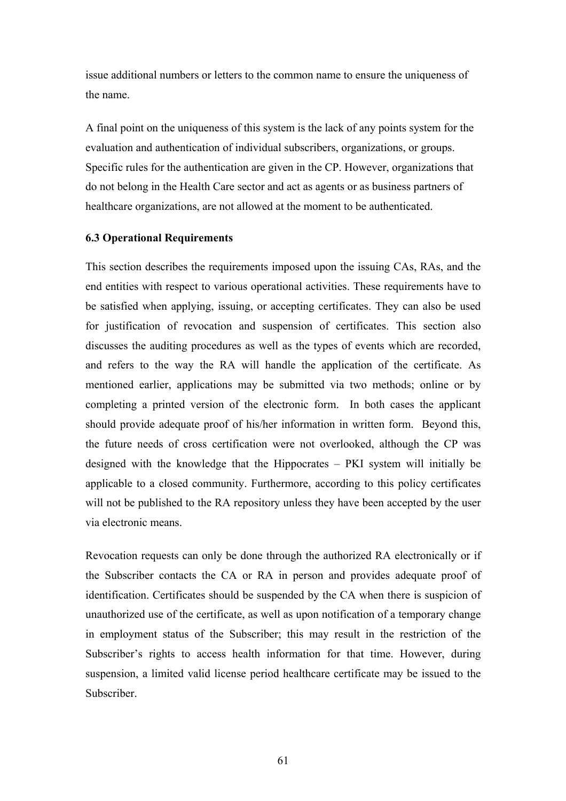issue additional numbers or letters to the common name to ensure the uniqueness of the name.

A final point on the uniqueness of this system is the lack of any points system for the evaluation and authentication of individual subscribers, organizations, or groups. Specific rules for the authentication are given in the CP. However, organizations that do not belong in the Health Care sector and act as agents or as business partners of healthcare organizations, are not allowed at the moment to be authenticated.

#### **6.3 Operational Requirements**

This section describes the requirements imposed upon the issuing CAs, RAs, and the end entities with respect to various operational activities. These requirements have to be satisfied when applying, issuing, or accepting certificates. They can also be used for justification of revocation and suspension of certificates. This section also discusses the auditing procedures as well as the types of events which are recorded, and refers to the way the RA will handle the application of the certificate. As mentioned earlier, applications may be submitted via two methods; online or by completing a printed version of the electronic form. In both cases the applicant should provide adequate proof of his/her information in written form. Beyond this, the future needs of cross certification were not overlooked, although the CP was designed with the knowledge that the Hippocrates – PKI system will initially be applicable to a closed community. Furthermore, according to this policy certificates will not be published to the RA repository unless they have been accepted by the user via electronic means.

Revocation requests can only be done through the authorized RA electronically or if the Subscriber contacts the CA or RA in person and provides adequate proof of identification. Certificates should be suspended by the CA when there is suspicion of unauthorized use of the certificate, as well as upon notification of a temporary change in employment status of the Subscriber; this may result in the restriction of the Subscriber's rights to access health information for that time. However, during suspension, a limited valid license period healthcare certificate may be issued to the Subscriber.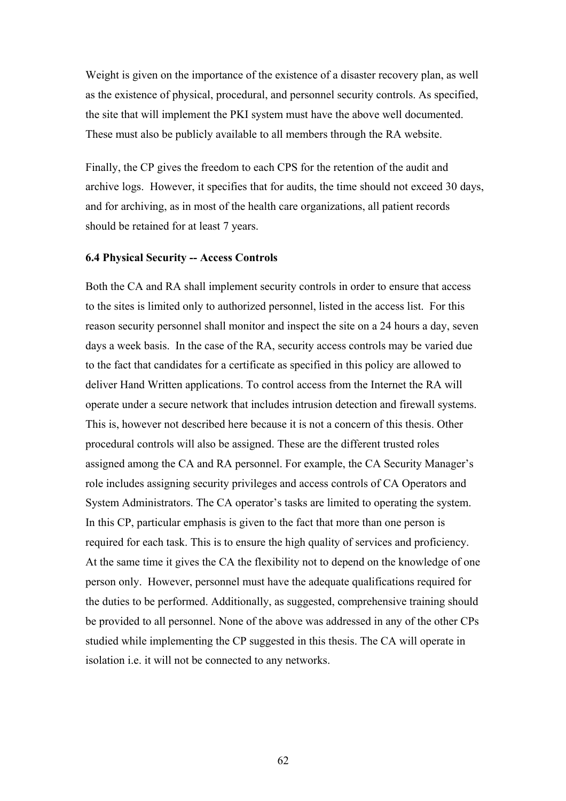Weight is given on the importance of the existence of a disaster recovery plan, as well as the existence of physical, procedural, and personnel security controls. As specified, the site that will implement the PKI system must have the above well documented. These must also be publicly available to all members through the RA website.

Finally, the CP gives the freedom to each CPS for the retention of the audit and archive logs. However, it specifies that for audits, the time should not exceed 30 days, and for archiving, as in most of the health care organizations, all patient records should be retained for at least 7 years.

#### **6.4 Physical Security -- Access Controls**

Both the CA and RA shall implement security controls in order to ensure that access to the sites is limited only to authorized personnel, listed in the access list. For this reason security personnel shall monitor and inspect the site on a 24 hours a day, seven days a week basis. In the case of the RA, security access controls may be varied due to the fact that candidates for a certificate as specified in this policy are allowed to deliver Hand Written applications. To control access from the Internet the RA will operate under a secure network that includes intrusion detection and firewall systems. This is, however not described here because it is not a concern of this thesis. Other procedural controls will also be assigned. These are the different trusted roles assigned among the CA and RA personnel. For example, the CA Security Manager's role includes assigning security privileges and access controls of CA Operators and System Administrators. The CA operator's tasks are limited to operating the system. In this CP, particular emphasis is given to the fact that more than one person is required for each task. This is to ensure the high quality of services and proficiency. At the same time it gives the CA the flexibility not to depend on the knowledge of one person only. However, personnel must have the adequate qualifications required for the duties to be performed. Additionally, as suggested, comprehensive training should be provided to all personnel. None of the above was addressed in any of the other CPs studied while implementing the CP suggested in this thesis. The CA will operate in isolation i.e. it will not be connected to any networks.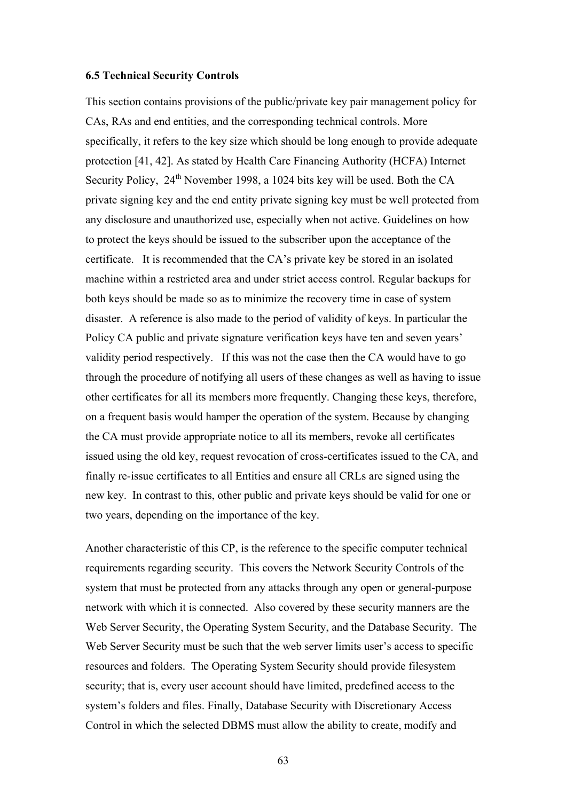#### **6.5 Technical Security Controls**

This section contains provisions of the public/private key pair management policy for CAs, RAs and end entities, and the corresponding technical controls. More specifically, it refers to the key size which should be long enough to provide adequate protection [41, 42]. As stated by Health Care Financing Authority (HCFA) Internet Security Policy,  $24<sup>th</sup>$  November 1998, a 1024 bits key will be used. Both the CA private signing key and the end entity private signing key must be well protected from any disclosure and unauthorized use, especially when not active. Guidelines on how to protect the keys should be issued to the subscriber upon the acceptance of the certificate. It is recommended that the CA's private key be stored in an isolated machine within a restricted area and under strict access control. Regular backups for both keys should be made so as to minimize the recovery time in case of system disaster. A reference is also made to the period of validity of keys. In particular the Policy CA public and private signature verification keys have ten and seven years' validity period respectively. If this was not the case then the CA would have to go through the procedure of notifying all users of these changes as well as having to issue other certificates for all its members more frequently. Changing these keys, therefore, on a frequent basis would hamper the operation of the system. Because by changing the CA must provide appropriate notice to all its members, revoke all certificates issued using the old key, request revocation of cross-certificates issued to the CA, and finally re-issue certificates to all Entities and ensure all CRLs are signed using the new key. In contrast to this, other public and private keys should be valid for one or two years, depending on the importance of the key.

Another characteristic of this CP, is the reference to the specific computer technical requirements regarding security. This covers the Network Security Controls of the system that must be protected from any attacks through any open or general-purpose network with which it is connected. Also covered by these security manners are the Web Server Security, the Operating System Security, and the Database Security. The Web Server Security must be such that the web server limits user's access to specific resources and folders. The Operating System Security should provide filesystem security; that is, every user account should have limited, predefined access to the system's folders and files. Finally, Database Security with Discretionary Access Control in which the selected DBMS must allow the ability to create, modify and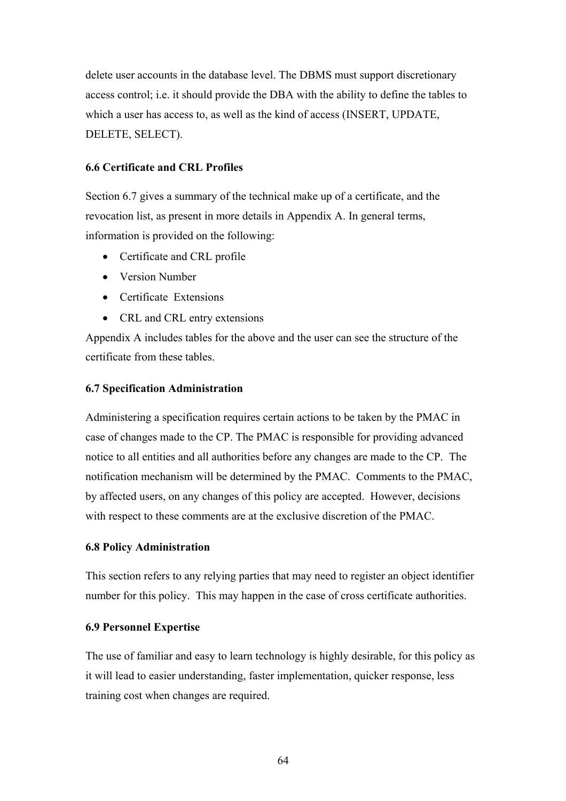delete user accounts in the database level. The DBMS must support discretionary access control; i.e. it should provide the DBA with the ability to define the tables to which a user has access to, as well as the kind of access (INSERT, UPDATE, DELETE, SELECT).

## **6.6 Certificate and CRL Profiles**

Section 6.7 gives a summary of the technical make up of a certificate, and the revocation list, as present in more details in Appendix A. In general terms, information is provided on the following:

- Certificate and CRL profile
- Version Number
- Certificate Extensions
- CRL and CRL entry extensions

Appendix A includes tables for the above and the user can see the structure of the certificate from these tables.

## **6.7 Specification Administration**

Administering a specification requires certain actions to be taken by the PMAC in case of changes made to the CP. The PMAC is responsible for providing advanced notice to all entities and all authorities before any changes are made to the CP. The notification mechanism will be determined by the PMAC. Comments to the PMAC, by affected users, on any changes of this policy are accepted. However, decisions with respect to these comments are at the exclusive discretion of the PMAC.

## **6.8 Policy Administration**

This section refers to any relying parties that may need to register an object identifier number for this policy. This may happen in the case of cross certificate authorities.

## **6.9 Personnel Expertise**

The use of familiar and easy to learn technology is highly desirable, for this policy as it will lead to easier understanding, faster implementation, quicker response, less training cost when changes are required.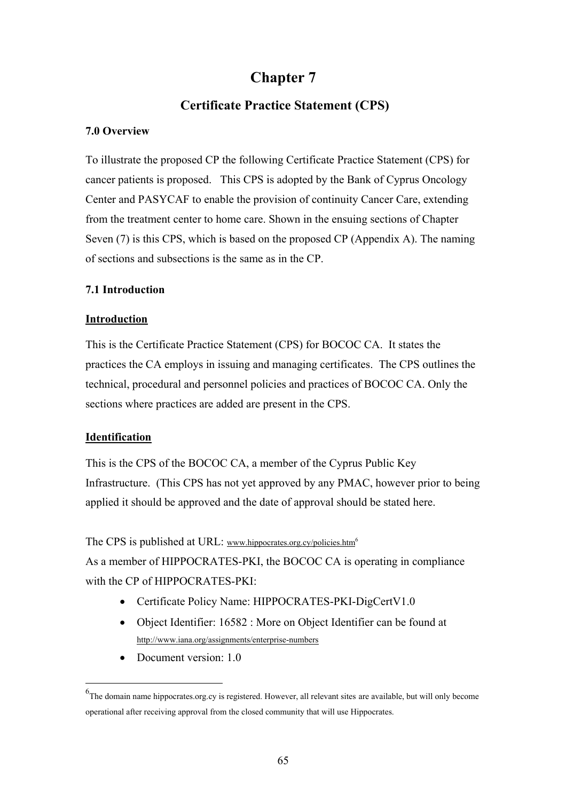# **Chapter 7**

# **Certificate Practice Statement (CPS)**

#### **7.0 Overview**

To illustrate the proposed CP the following Certificate Practice Statement (CPS) for cancer patients is proposed. This CPS is adopted by the Bank of Cyprus Oncology Center and PASYCAF to enable the provision of continuity Cancer Care, extending from the treatment center to home care. Shown in the ensuing sections of Chapter Seven (7) is this CPS, which is based on the proposed CP (Appendix A). The naming of sections and subsections is the same as in the CP.

#### **7.1 Introduction**

#### **Introduction**

This is the Certificate Practice Statement (CPS) for BOCOC CA. It states the practices the CA employs in issuing and managing certificates. The CPS outlines the technical, procedural and personnel policies and practices of BOCOC CA. Only the sections where practices are added are present in the CPS.

## **Identification**

 $\overline{a}$ 

This is the CPS of the BOCOC CA, a member of the Cyprus Public Key Infrastructure. (This CPS has not yet approved by any PMAC, however prior to being applied it should be approved and the date of approval should be stated here.

The CPS is published at URL: www.hippocrates.org.cy/policies.htm<sup>6</sup>

As a member of HIPPOCRATES-PKI, the BOCOC CA is operating in compliance with the CP of HIPPOCRATES-PKI:

- Certificate Policy Name: HIPPOCRATES-PKI-DigCertV1.0
- Object Identifier: 16582 : More on Object Identifier can be found at http://www.iana.org/assignments/enterprise-numbers
- Document version: 1.0

<sup>&</sup>lt;sup>6</sup>The domain name hippocrates.org.cy is registered. However, all relevant sites are available, but will only become operational after receiving approval from the closed community that will use Hippocrates.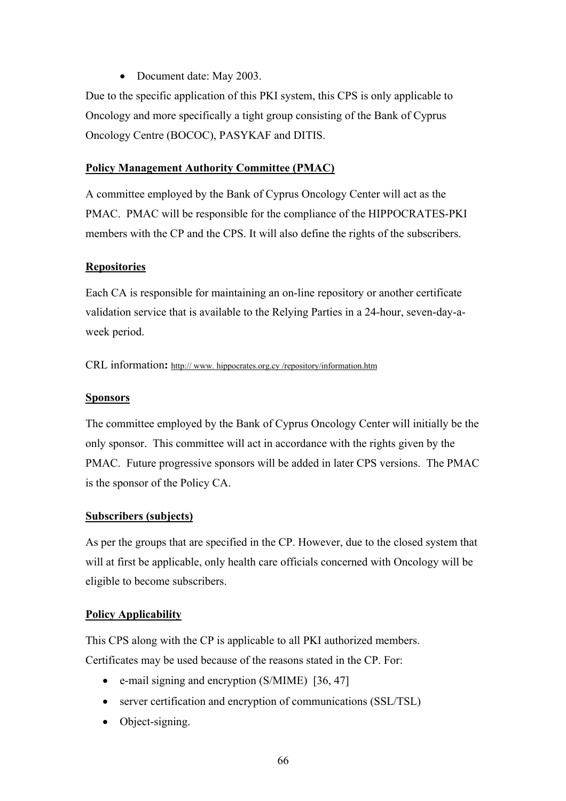• Document date: May 2003.

Due to the specific application of this PKI system, this CPS is only applicable to Oncology and more specifically a tight group consisting of the Bank of Cyprus Oncology Centre (BOCOC), PASYKAF and DITIS.

#### **Policy Management Authority Committee (PMAC)**

A committee employed by the Bank of Cyprus Oncology Center will act as the PMAC. PMAC will be responsible for the compliance of the HIPPOCRATES-PKI members with the CP and the CPS. It will also define the rights of the subscribers.

#### **Repositories**

Each CA is responsible for maintaining an on-line repository or another certificate validation service that is available to the Relying Parties in a 24-hour, seven-day-aweek period.

CRL information**:** http:// www. hippocrates.org.cy /repository/information.htm

#### **Sponsors**

The committee employed by the Bank of Cyprus Oncology Center will initially be the only sponsor. This committee will act in accordance with the rights given by the PMAC. Future progressive sponsors will be added in later CPS versions. The PMAC is the sponsor of the Policy CA.

#### **Subscribers (subjects)**

As per the groups that are specified in the CP. However, due to the closed system that will at first be applicable, only health care officials concerned with Oncology will be eligible to become subscribers.

#### **Policy Applicability**

This CPS along with the CP is applicable to all PKI authorized members. Certificates may be used because of the reasons stated in the CP. For:

- e-mail signing and encryption (S/MIME) [36, 47]
- server certification and encryption of communications (SSL/TSL)
- Object-signing.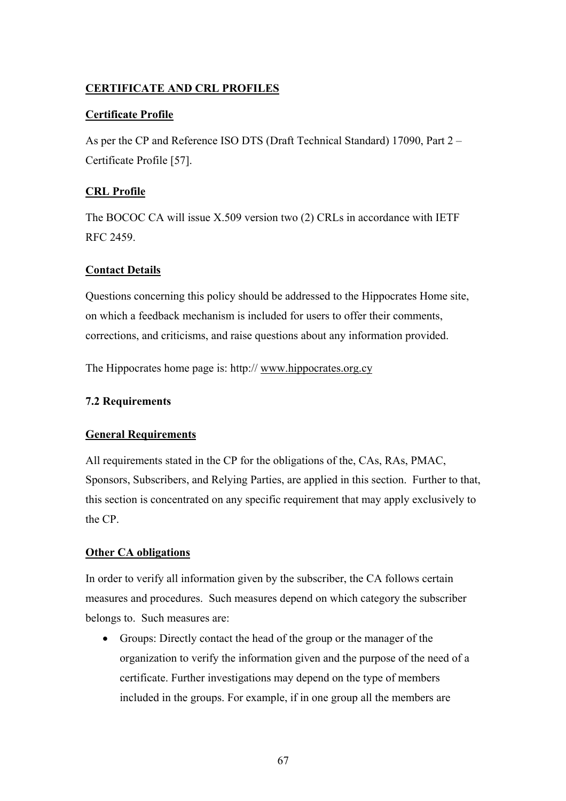# **CERTIFICATE AND CRL PROFILES**

## **Certificate Profile**

As per the CP and Reference ISO DTS (Draft Technical Standard) 17090, Part 2 – Certificate Profile [57].

# **CRL Profile**

The BOCOC CA will issue X.509 version two (2) CRLs in accordance with IETF RFC 2459.

## **Contact Details**

Questions concerning this policy should be addressed to the Hippocrates Home site, on which a feedback mechanism is included for users to offer their comments, corrections, and criticisms, and raise questions about any information provided.

The Hippocrates home page is: http:// www.hippocrates.org.cy

## **7.2 Requirements**

## **General Requirements**

All requirements stated in the CP for the obligations of the, CAs, RAs, PMAC, Sponsors, Subscribers, and Relying Parties, are applied in this section. Further to that, this section is concentrated on any specific requirement that may apply exclusively to the CP.

## **Other CA obligations**

In order to verify all information given by the subscriber, the CA follows certain measures and procedures. Such measures depend on which category the subscriber belongs to. Such measures are:

• Groups: Directly contact the head of the group or the manager of the organization to verify the information given and the purpose of the need of a certificate. Further investigations may depend on the type of members included in the groups. For example, if in one group all the members are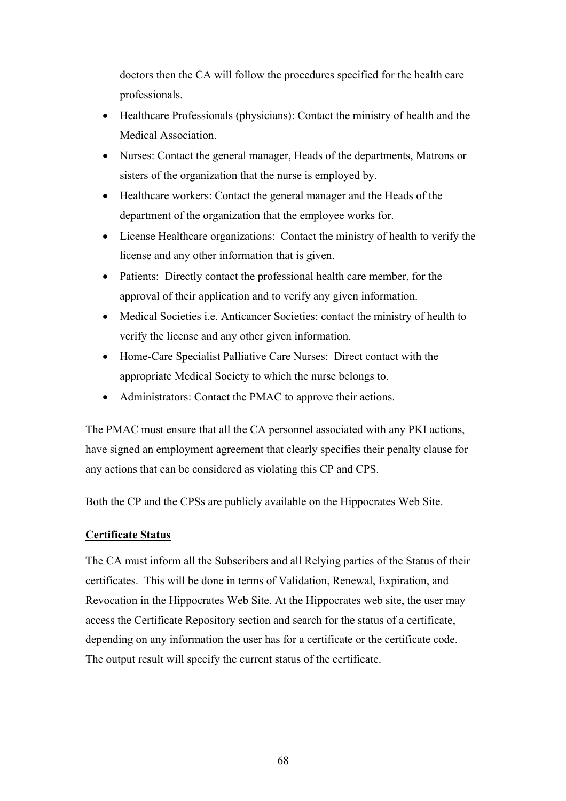doctors then the CA will follow the procedures specified for the health care professionals.

- Healthcare Professionals (physicians): Contact the ministry of health and the Medical Association.
- Nurses: Contact the general manager, Heads of the departments, Matrons or sisters of the organization that the nurse is employed by.
- Healthcare workers: Contact the general manager and the Heads of the department of the organization that the employee works for.
- License Healthcare organizations: Contact the ministry of health to verify the license and any other information that is given.
- Patients: Directly contact the professional health care member, for the approval of their application and to verify any given information.
- Medical Societies i.e. Anticancer Societies: contact the ministry of health to verify the license and any other given information.
- Home-Care Specialist Palliative Care Nurses: Direct contact with the appropriate Medical Society to which the nurse belongs to.
- Administrators: Contact the PMAC to approve their actions.

The PMAC must ensure that all the CA personnel associated with any PKI actions, have signed an employment agreement that clearly specifies their penalty clause for any actions that can be considered as violating this CP and CPS.

Both the CP and the CPSs are publicly available on the Hippocrates Web Site.

# **Certificate Status**

The CA must inform all the Subscribers and all Relying parties of the Status of their certificates. This will be done in terms of Validation, Renewal, Expiration, and Revocation in the Hippocrates Web Site. At the Hippocrates web site, the user may access the Certificate Repository section and search for the status of a certificate, depending on any information the user has for a certificate or the certificate code. The output result will specify the current status of the certificate.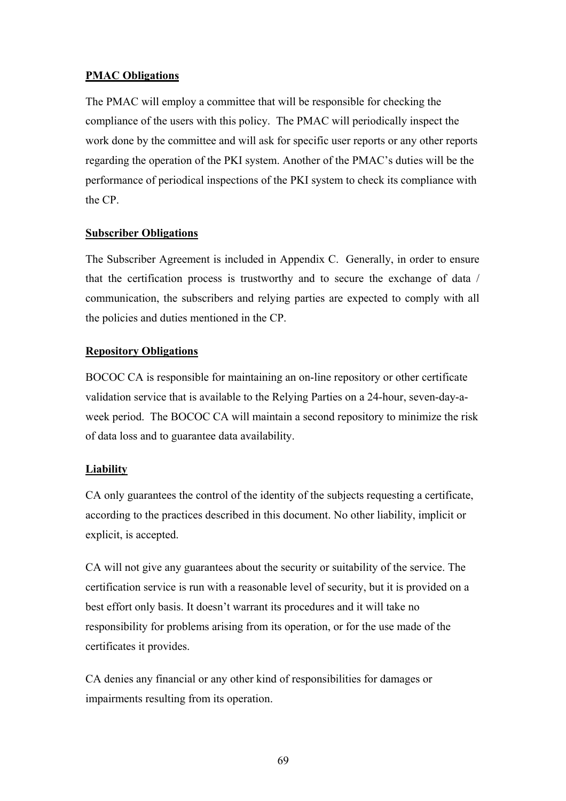## **PMAC Obligations**

The PMAC will employ a committee that will be responsible for checking the compliance of the users with this policy. The PMAC will periodically inspect the work done by the committee and will ask for specific user reports or any other reports regarding the operation of the PKI system. Another of the PMAC's duties will be the performance of periodical inspections of the PKI system to check its compliance with the CP.

#### **Subscriber Obligations**

The Subscriber Agreement is included in Appendix C. Generally, in order to ensure that the certification process is trustworthy and to secure the exchange of data / communication, the subscribers and relying parties are expected to comply with all the policies and duties mentioned in the CP.

#### **Repository Obligations**

BOCOC CA is responsible for maintaining an on-line repository or other certificate validation service that is available to the Relying Parties on a 24-hour, seven-day-aweek period. The BOCOC CA will maintain a second repository to minimize the risk of data loss and to guarantee data availability.

## **Liability**

CA only guarantees the control of the identity of the subjects requesting a certificate, according to the practices described in this document. No other liability, implicit or explicit, is accepted.

CA will not give any guarantees about the security or suitability of the service. The certification service is run with a reasonable level of security, but it is provided on a best effort only basis. It doesn't warrant its procedures and it will take no responsibility for problems arising from its operation, or for the use made of the certificates it provides.

CA denies any financial or any other kind of responsibilities for damages or impairments resulting from its operation.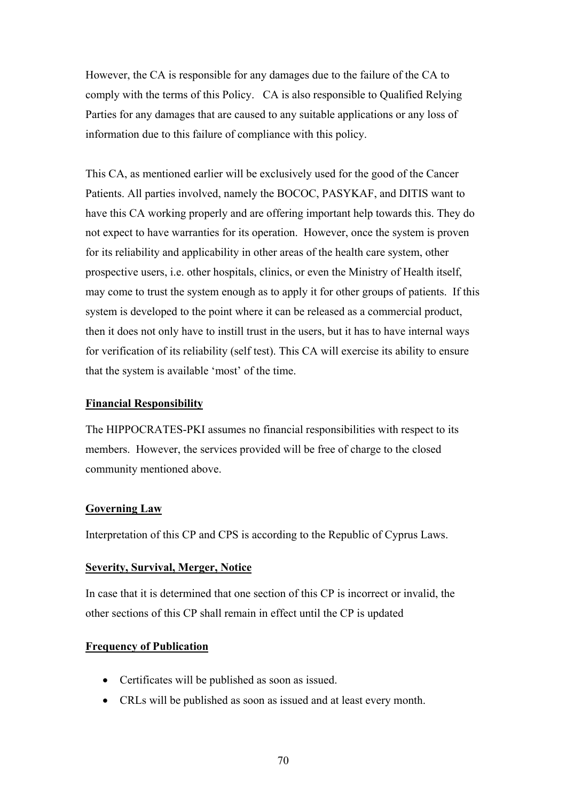However, the CA is responsible for any damages due to the failure of the CA to comply with the terms of this Policy. CA is also responsible to Qualified Relying Parties for any damages that are caused to any suitable applications or any loss of information due to this failure of compliance with this policy.

This CA, as mentioned earlier will be exclusively used for the good of the Cancer Patients. All parties involved, namely the BOCOC, PASYKAF, and DITIS want to have this CA working properly and are offering important help towards this. They do not expect to have warranties for its operation. However, once the system is proven for its reliability and applicability in other areas of the health care system, other prospective users, i.e. other hospitals, clinics, or even the Ministry of Health itself, may come to trust the system enough as to apply it for other groups of patients. If this system is developed to the point where it can be released as a commercial product, then it does not only have to instill trust in the users, but it has to have internal ways for verification of its reliability (self test). This CA will exercise its ability to ensure that the system is available 'most' of the time.

#### **Financial Responsibility**

The HIPPOCRATES-PKI assumes no financial responsibilities with respect to its members. However, the services provided will be free of charge to the closed community mentioned above.

#### **Governing Law**

Interpretation of this CP and CPS is according to the Republic of Cyprus Laws.

#### **Severity, Survival, Merger, Notice**

In case that it is determined that one section of this CP is incorrect or invalid, the other sections of this CP shall remain in effect until the CP is updated

#### **Frequency of Publication**

- Certificates will be published as soon as issued.
- CRLs will be published as soon as issued and at least every month.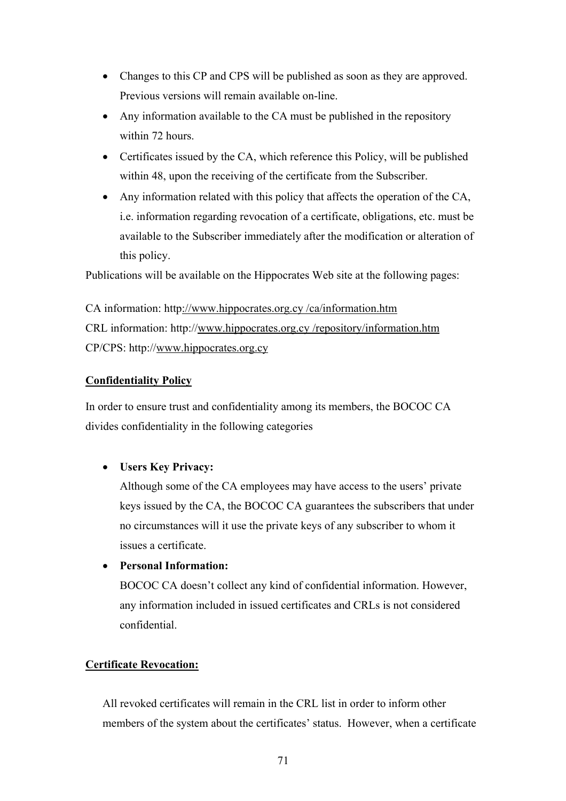- Changes to this CP and CPS will be published as soon as they are approved. Previous versions will remain available on-line.
- Any information available to the CA must be published in the repository within 72 hours.
- Certificates issued by the CA, which reference this Policy, will be published within 48, upon the receiving of the certificate from the Subscriber.
- Any information related with this policy that affects the operation of the CA, i.e. information regarding revocation of a certificate, obligations, etc. must be available to the Subscriber immediately after the modification or alteration of this policy.

Publications will be available on the Hippocrates Web site at the following pages:

CA information: http://www.hippocrates.org.cy /ca/information.htm CRL information: http://www.hippocrates.org.cy /repository/information.htm CP/CPS: http://www.hippocrates.org.cy

## **Confidentiality Policy**

In order to ensure trust and confidentiality among its members, the BOCOC CA divides confidentiality in the following categories

# • **Users Key Privacy:**

Although some of the CA employees may have access to the users' private keys issued by the CA, the BOCOC CA guarantees the subscribers that under no circumstances will it use the private keys of any subscriber to whom it issues a certificate.

• **Personal Information:** 

BOCOC CA doesn't collect any kind of confidential information. However, any information included in issued certificates and CRLs is not considered confidential.

# **Certificate Revocation:**

All revoked certificates will remain in the CRL list in order to inform other members of the system about the certificates' status. However, when a certificate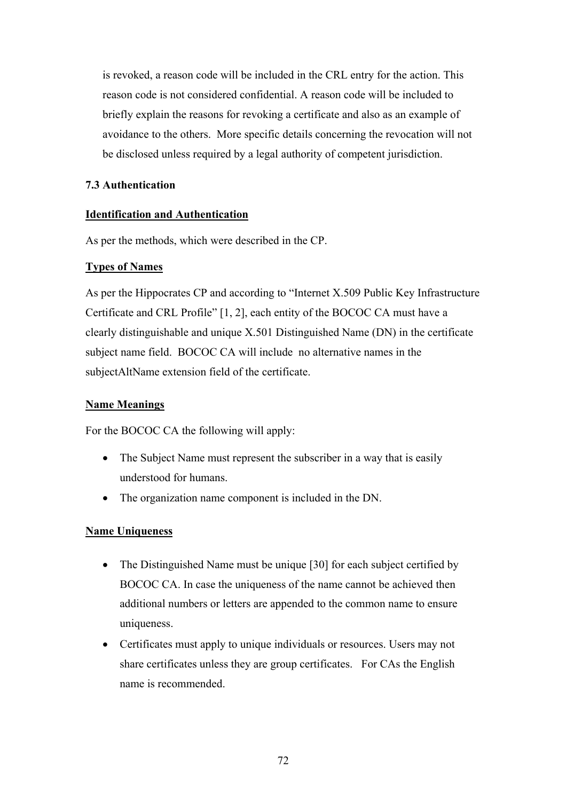is revoked, a reason code will be included in the CRL entry for the action. This reason code is not considered confidential. A reason code will be included to briefly explain the reasons for revoking a certificate and also as an example of avoidance to the others. More specific details concerning the revocation will not be disclosed unless required by a legal authority of competent jurisdiction.

# **7.3 Authentication**

# **Identification and Authentication**

As per the methods, which were described in the CP.

# **Types of Names**

As per the Hippocrates CP and according to "Internet X.509 Public Key Infrastructure Certificate and CRL Profile" [1, 2], each entity of the BOCOC CA must have a clearly distinguishable and unique X.501 Distinguished Name (DN) in the certificate subject name field. BOCOC CA will include no alternative names in the subjectAltName extension field of the certificate.

# **Name Meanings**

For the BOCOC CA the following will apply:

- The Subject Name must represent the subscriber in a way that is easily understood for humans.
- The organization name component is included in the DN.

# **Name Uniqueness**

- The Distinguished Name must be unique [30] for each subject certified by BOCOC CA. In case the uniqueness of the name cannot be achieved then additional numbers or letters are appended to the common name to ensure uniqueness.
- Certificates must apply to unique individuals or resources. Users may not share certificates unless they are group certificates. For CAs the English name is recommended.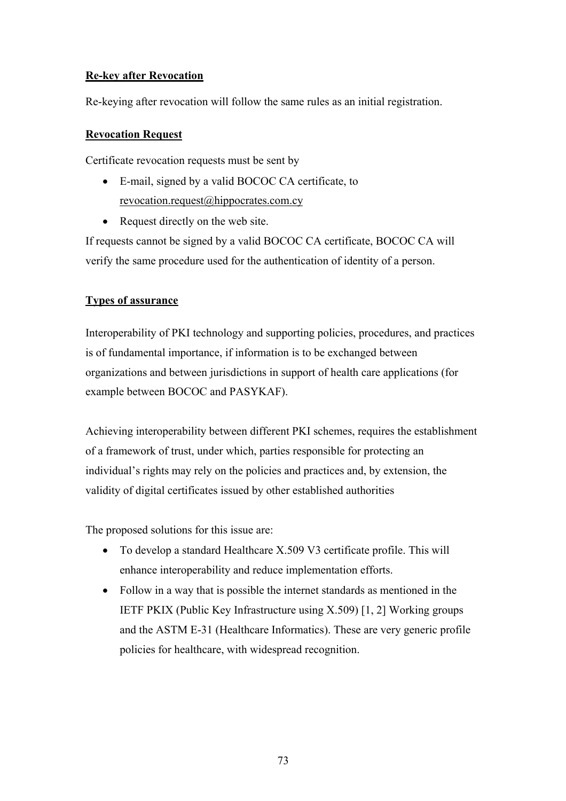# **Re-key after Revocation**

Re-keying after revocation will follow the same rules as an initial registration.

# **Revocation Request**

Certificate revocation requests must be sent by

- E-mail, signed by a valid BOCOC CA certificate, to revocation.request@hippocrates.com.cy
- Request directly on the web site.

If requests cannot be signed by a valid BOCOC CA certificate, BOCOC CA will verify the same procedure used for the authentication of identity of a person.

# **Types of assurance**

Interoperability of PKI technology and supporting policies, procedures, and practices is of fundamental importance, if information is to be exchanged between organizations and between jurisdictions in support of health care applications (for example between BOCOC and PASYKAF).

Achieving interoperability between different PKI schemes, requires the establishment of a framework of trust, under which, parties responsible for protecting an individual's rights may rely on the policies and practices and, by extension, the validity of digital certificates issued by other established authorities

The proposed solutions for this issue are:

- To develop a standard Healthcare X.509 V3 certificate profile. This will enhance interoperability and reduce implementation efforts.
- Follow in a way that is possible the internet standards as mentioned in the IETF PKIX (Public Key Infrastructure using X.509) [1, 2] Working groups and the ASTM E-31 (Healthcare Informatics). These are very generic profile policies for healthcare, with widespread recognition.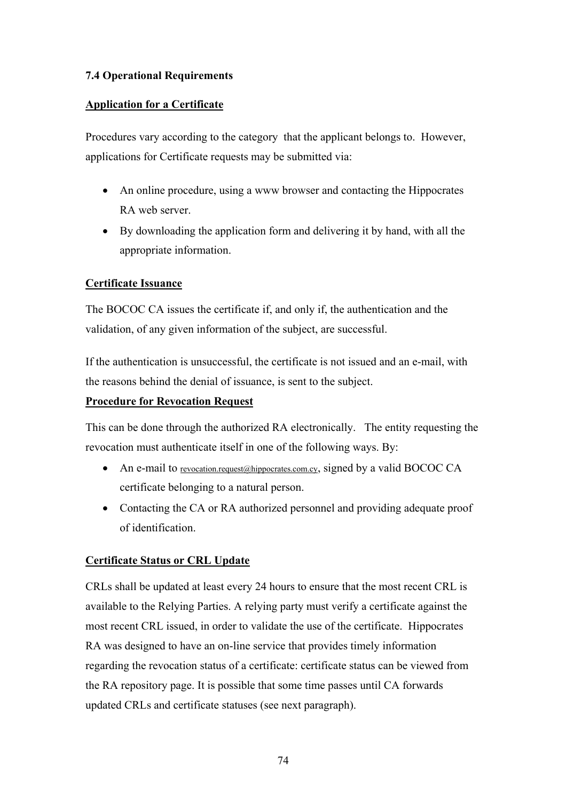# **7.4 Operational Requirements**

## **Application for a Certificate**

Procedures vary according to the category that the applicant belongs to. However, applications for Certificate requests may be submitted via:

- An online procedure, using a www browser and contacting the Hippocrates RA web server.
- By downloading the application form and delivering it by hand, with all the appropriate information.

# **Certificate Issuance**

The BOCOC CA issues the certificate if, and only if, the authentication and the validation, of any given information of the subject, are successful.

If the authentication is unsuccessful, the certificate is not issued and an e-mail, with the reasons behind the denial of issuance, is sent to the subject.

## **Procedure for Revocation Request**

This can be done through the authorized RA electronically. The entity requesting the revocation must authenticate itself in one of the following ways. By:

- An e-mail to revocation.request@hippocrates.com.cy, signed by a valid BOCOC CA certificate belonging to a natural person.
- Contacting the CA or RA authorized personnel and providing adequate proof of identification.

### **Certificate Status or CRL Update**

CRLs shall be updated at least every 24 hours to ensure that the most recent CRL is available to the Relying Parties. A relying party must verify a certificate against the most recent CRL issued, in order to validate the use of the certificate. Hippocrates RA was designed to have an on-line service that provides timely information regarding the revocation status of a certificate: certificate status can be viewed from the RA repository page. It is possible that some time passes until CA forwards updated CRLs and certificate statuses (see next paragraph).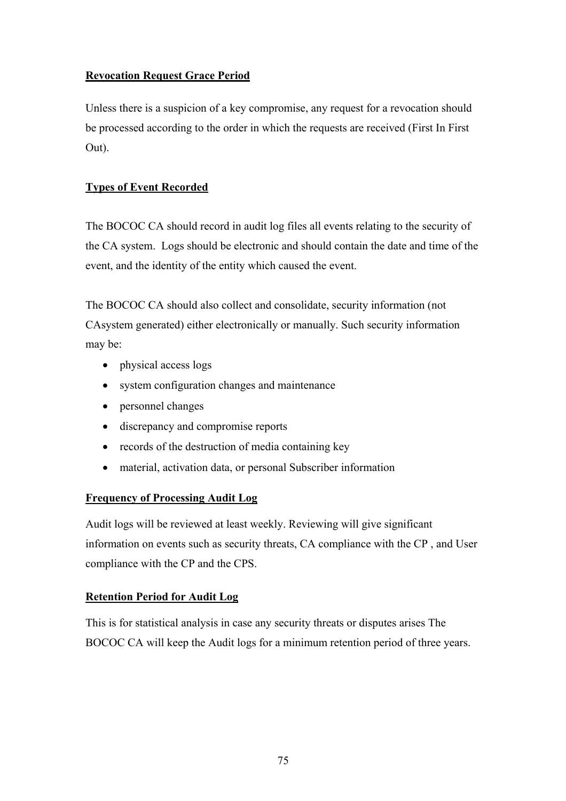# **Revocation Request Grace Period**

Unless there is a suspicion of a key compromise, any request for a revocation should be processed according to the order in which the requests are received (First In First Out).

# **Types of Event Recorded**

The BOCOC CA should record in audit log files all events relating to the security of the CA system. Logs should be electronic and should contain the date and time of the event, and the identity of the entity which caused the event.

The BOCOC CA should also collect and consolidate, security information (not CAsystem generated) either electronically or manually. Such security information may be:

- physical access logs
- system configuration changes and maintenance
- personnel changes
- discrepancy and compromise reports
- records of the destruction of media containing key
- material, activation data, or personal Subscriber information

# **Frequency of Processing Audit Log**

Audit logs will be reviewed at least weekly. Reviewing will give significant information on events such as security threats, CA compliance with the CP , and User compliance with the CP and the CPS.

# **Retention Period for Audit Log**

This is for statistical analysis in case any security threats or disputes arises The BOCOC CA will keep the Audit logs for a minimum retention period of three years.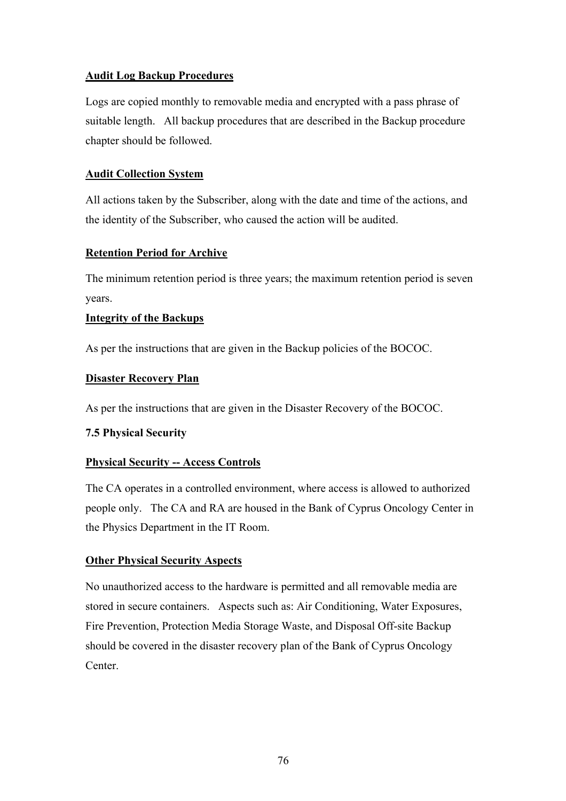# **Audit Log Backup Procedures**

Logs are copied monthly to removable media and encrypted with a pass phrase of suitable length. All backup procedures that are described in the Backup procedure chapter should be followed.

## **Audit Collection System**

All actions taken by the Subscriber, along with the date and time of the actions, and the identity of the Subscriber, who caused the action will be audited.

## **Retention Period for Archive**

The minimum retention period is three years; the maximum retention period is seven years.

## **Integrity of the Backups**

As per the instructions that are given in the Backup policies of the BOCOC.

## **Disaster Recovery Plan**

As per the instructions that are given in the Disaster Recovery of the BOCOC.

### **7.5 Physical Security**

# **Physical Security -- Access Controls**

The CA operates in a controlled environment, where access is allowed to authorized people only. The CA and RA are housed in the Bank of Cyprus Oncology Center in the Physics Department in the IT Room.

# **Other Physical Security Aspects**

No unauthorized access to the hardware is permitted and all removable media are stored in secure containers. Aspects such as: Air Conditioning, Water Exposures, Fire Prevention, Protection Media Storage Waste, and Disposal Off-site Backup should be covered in the disaster recovery plan of the Bank of Cyprus Oncology Center.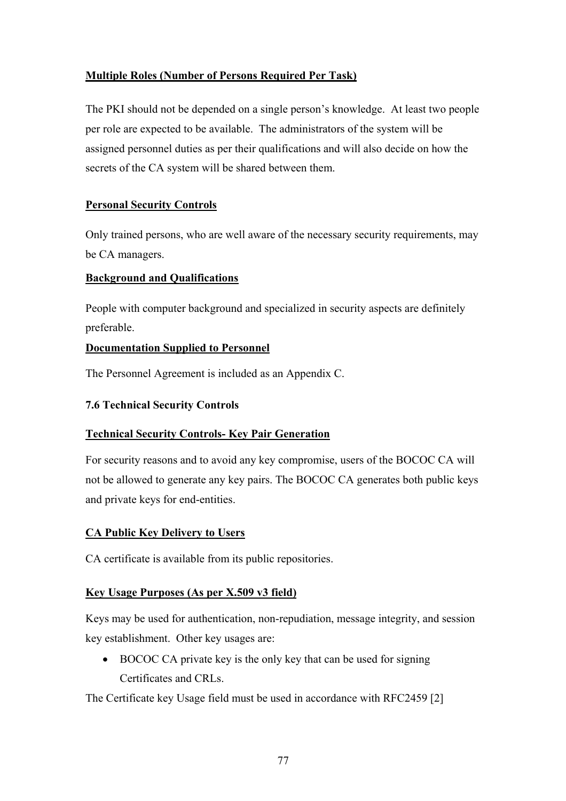# **Multiple Roles (Number of Persons Required Per Task)**

The PKI should not be depended on a single person's knowledge. At least two people per role are expected to be available. The administrators of the system will be assigned personnel duties as per their qualifications and will also decide on how the secrets of the CA system will be shared between them.

# **Personal Security Controls**

Only trained persons, who are well aware of the necessary security requirements, may be CA managers.

# **Background and Qualifications**

People with computer background and specialized in security aspects are definitely preferable.

# **Documentation Supplied to Personnel**

The Personnel Agreement is included as an Appendix C.

# **7.6 Technical Security Controls**

# **Technical Security Controls- Key Pair Generation**

For security reasons and to avoid any key compromise, users of the BOCOC CA will not be allowed to generate any key pairs. The BOCOC CA generates both public keys and private keys for end-entities.

# **CA Public Key Delivery to Users**

CA certificate is available from its public repositories.

# **Key Usage Purposes (As per X.509 v3 field)**

Keys may be used for authentication, non-repudiation, message integrity, and session key establishment. Other key usages are:

• BOCOC CA private key is the only key that can be used for signing Certificates and CRLs.

The Certificate key Usage field must be used in accordance with RFC2459 [2]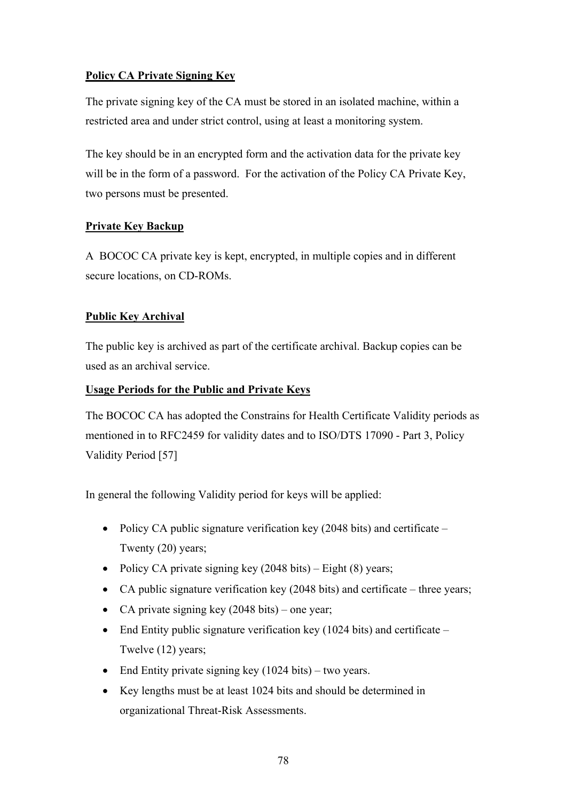# **Policy CA Private Signing Key**

The private signing key of the CA must be stored in an isolated machine, within a restricted area and under strict control, using at least a monitoring system.

The key should be in an encrypted form and the activation data for the private key will be in the form of a password. For the activation of the Policy CA Private Key, two persons must be presented.

# **Private Key Backup**

A BOCOC CA private key is kept, encrypted, in multiple copies and in different secure locations, on CD-ROMs.

# **Public Key Archival**

The public key is archived as part of the certificate archival. Backup copies can be used as an archival service.

# **Usage Periods for the Public and Private Keys**

The BOCOC CA has adopted the Constrains for Health Certificate Validity periods as mentioned in to RFC2459 for validity dates and to ISO/DTS 17090 - Part 3, Policy Validity Period [57]

In general the following Validity period for keys will be applied:

- Policy CA public signature verification key (2048 bits) and certificate Twenty (20) years;
- Policy CA private signing key  $(2048 \text{ bits}) -$  Eight  $(8)$  years;
- CA public signature verification key (2048 bits) and certificate three years;
- CA private signing key (2048 bits) one year;
- End Entity public signature verification key  $(1024 \text{ bits})$  and certificate Twelve (12) years;
- End Entity private signing key (1024 bits) two years.
- Key lengths must be at least 1024 bits and should be determined in organizational Threat-Risk Assessments.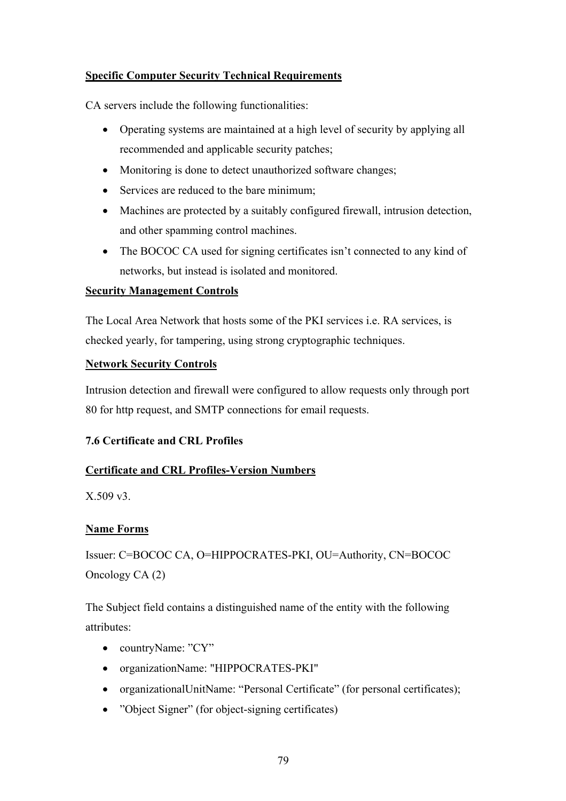# **Specific Computer Security Technical Requirements**

CA servers include the following functionalities:

- Operating systems are maintained at a high level of security by applying all recommended and applicable security patches;
- Monitoring is done to detect unauthorized software changes;
- Services are reduced to the bare minimum:
- Machines are protected by a suitably configured firewall, intrusion detection, and other spamming control machines.
- The BOCOC CA used for signing certificates isn't connected to any kind of networks, but instead is isolated and monitored.

## **Security Management Controls**

The Local Area Network that hosts some of the PKI services i.e. RA services, is checked yearly, for tampering, using strong cryptographic techniques.

## **Network Security Controls**

Intrusion detection and firewall were configured to allow requests only through port 80 for http request, and SMTP connections for email requests.

# **7.6 Certificate and CRL Profiles**

# **Certificate and CRL Profiles-Version Numbers**

X.509 v3.

# **Name Forms**

Issuer: C=BOCOC CA, O=HIPPOCRATES-PKI, OU=Authority, CN=BOCOC Oncology CA (2)

The Subject field contains a distinguished name of the entity with the following attributes:

- countryName: "CY"
- organizationName: "HIPPOCRATES-PKI"
- organizationalUnitName: "Personal Certificate" (for personal certificates);
- "Object Signer" (for object-signing certificates)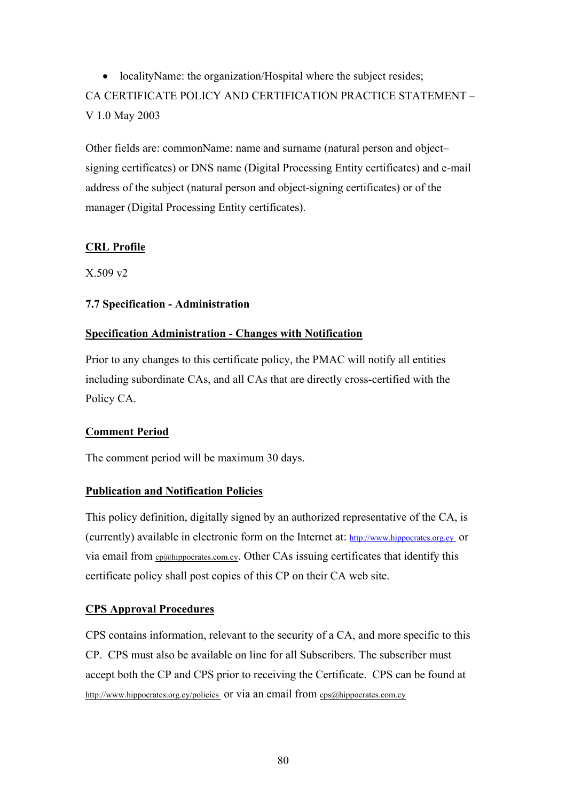• localityName: the organization/Hospital where the subject resides; CA CERTIFICATE POLICY AND CERTIFICATION PRACTICE STATEMENT – V 1.0 May 2003

Other fields are: commonName: name and surname (natural person and object– signing certificates) or DNS name (Digital Processing Entity certificates) and e-mail address of the subject (natural person and object-signing certificates) or of the manager (Digital Processing Entity certificates).

# **CRL Profile**

X.509 v2

# **7.7 Specification - Administration**

## **Specification Administration - Changes with Notification**

Prior to any changes to this certificate policy, the PMAC will notify all entities including subordinate CAs, and all CAs that are directly cross-certified with the Policy CA.

# **Comment Period**

The comment period will be maximum 30 days.

### **Publication and Notification Policies**

This policy definition, digitally signed by an authorized representative of the CA, is (currently) available in electronic form on the Internet at: http://www.hippocrates.org.cy or via email from cp@hippocrates.com.cy. Other CAs issuing certificates that identify this certificate policy shall post copies of this CP on their CA web site.

### **CPS Approval Procedures**

CPS contains information, relevant to the security of a CA, and more specific to this CP. CPS must also be available on line for all Subscribers. The subscriber must accept both the CP and CPS prior to receiving the Certificate. CPS can be found at http://www.hippocrates.org.cy/policies or via an email from cps@hippocrates.com.cy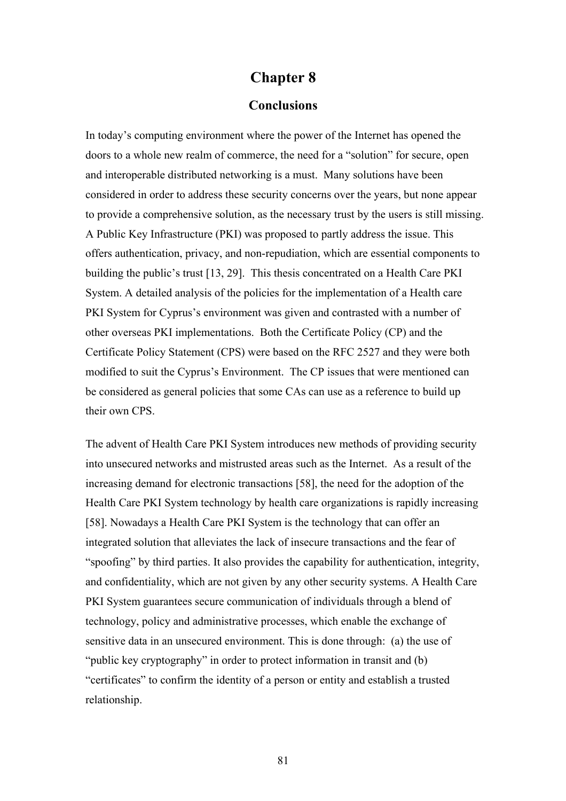# **Chapter 8**

## **Conclusions**

In today's computing environment where the power of the Internet has opened the doors to a whole new realm of commerce, the need for a "solution" for secure, open and interoperable distributed networking is a must. Many solutions have been considered in order to address these security concerns over the years, but none appear to provide a comprehensive solution, as the necessary trust by the users is still missing. A Public Key Infrastructure (PKI) was proposed to partly address the issue. This offers authentication, privacy, and non-repudiation, which are essential components to building the public's trust [13, 29]. This thesis concentrated on a Health Care PKI System. A detailed analysis of the policies for the implementation of a Health care PKI System for Cyprus's environment was given and contrasted with a number of other overseas PKI implementations. Both the Certificate Policy (CP) and the Certificate Policy Statement (CPS) were based on the RFC 2527 and they were both modified to suit the Cyprus's Environment. The CP issues that were mentioned can be considered as general policies that some CAs can use as a reference to build up their own CPS.

The advent of Health Care PKI System introduces new methods of providing security into unsecured networks and mistrusted areas such as the Internet. As a result of the increasing demand for electronic transactions [58], the need for the adoption of the Health Care PKI System technology by health care organizations is rapidly increasing [58]. Nowadays a Health Care PKI System is the technology that can offer an integrated solution that alleviates the lack of insecure transactions and the fear of "spoofing" by third parties. It also provides the capability for authentication, integrity, and confidentiality, which are not given by any other security systems. A Health Care PKI System guarantees secure communication of individuals through a blend of technology, policy and administrative processes, which enable the exchange of sensitive data in an unsecured environment. This is done through: (a) the use of "public key cryptography" in order to protect information in transit and (b) "certificates" to confirm the identity of a person or entity and establish a trusted relationship.

81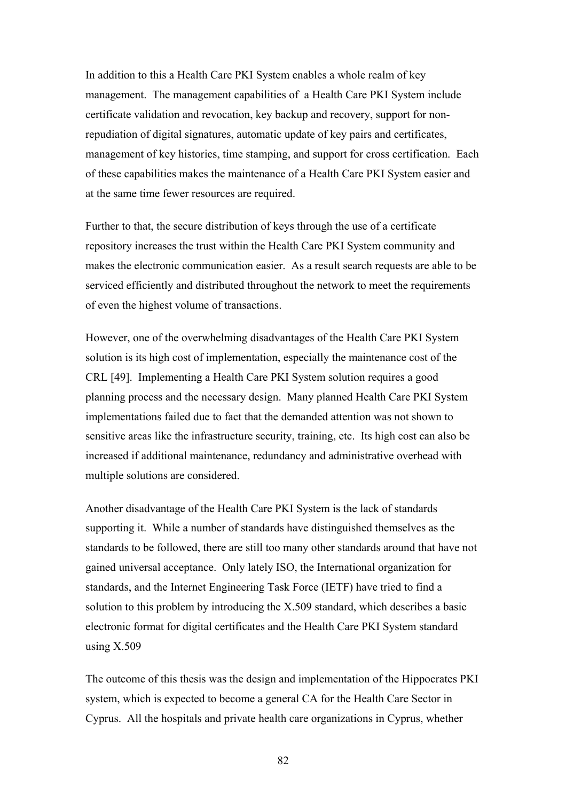In addition to this a Health Care PKI System enables a whole realm of key management. The management capabilities of a Health Care PKI System include certificate validation and revocation, key backup and recovery, support for nonrepudiation of digital signatures, automatic update of key pairs and certificates, management of key histories, time stamping, and support for cross certification. Each of these capabilities makes the maintenance of a Health Care PKI System easier and at the same time fewer resources are required.

Further to that, the secure distribution of keys through the use of a certificate repository increases the trust within the Health Care PKI System community and makes the electronic communication easier. As a result search requests are able to be serviced efficiently and distributed throughout the network to meet the requirements of even the highest volume of transactions.

However, one of the overwhelming disadvantages of the Health Care PKI System solution is its high cost of implementation, especially the maintenance cost of the CRL [49]. Implementing a Health Care PKI System solution requires a good planning process and the necessary design. Many planned Health Care PKI System implementations failed due to fact that the demanded attention was not shown to sensitive areas like the infrastructure security, training, etc. Its high cost can also be increased if additional maintenance, redundancy and administrative overhead with multiple solutions are considered.

Another disadvantage of the Health Care PKI System is the lack of standards supporting it. While a number of standards have distinguished themselves as the standards to be followed, there are still too many other standards around that have not gained universal acceptance. Only lately ISO, the International organization for standards, and the Internet Engineering Task Force (IETF) have tried to find a solution to this problem by introducing the X.509 standard, which describes a basic electronic format for digital certificates and the Health Care PKI System standard using  $X.509$ 

The outcome of this thesis was the design and implementation of the Hippocrates PKI system, which is expected to become a general CA for the Health Care Sector in Cyprus. All the hospitals and private health care organizations in Cyprus, whether

82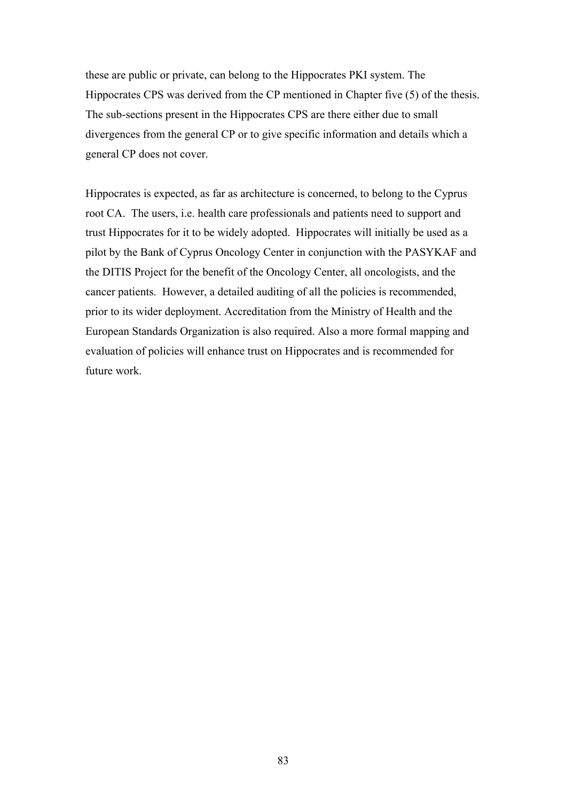these are public or private, can belong to the Hippocrates PKI system. The Hippocrates CPS was derived from the CP mentioned in Chapter five (5) of the thesis. The sub-sections present in the Hippocrates CPS are there either due to small divergences from the general CP or to give specific information and details which a general CP does not cover.

Hippocrates is expected, as far as architecture is concerned, to belong to the Cyprus root CA. The users, i.e. health care professionals and patients need to support and trust Hippocrates for it to be widely adopted. Hippocrates will initially be used as a pilot by the Bank of Cyprus Oncology Center in conjunction with the PASYKAF and the DITIS Project for the benefit of the Oncology Center, all oncologists, and the cancer patients. However, a detailed auditing of all the policies is recommended, prior to its wider deployment. Accreditation from the Ministry of Health and the European Standards Organization is also required. Also a more formal mapping and evaluation of policies will enhance trust on Hippocrates and is recommended for future work.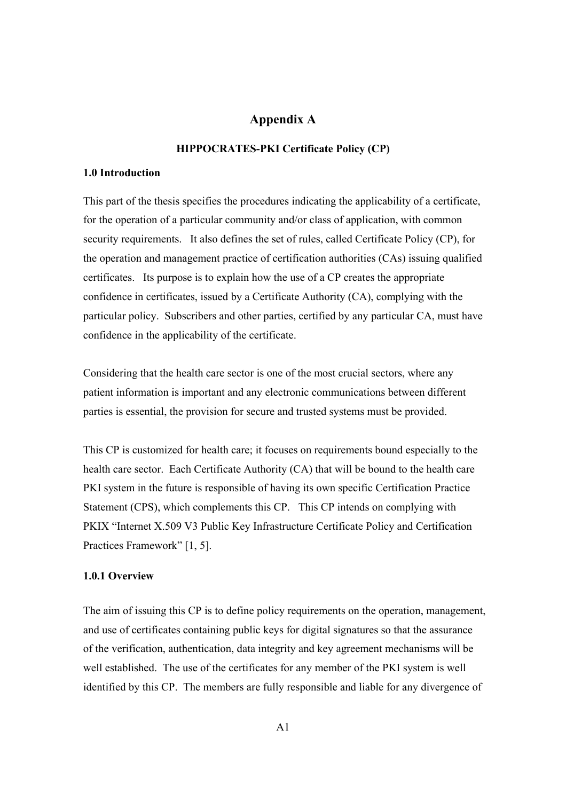# **Appendix A**

#### **HIPPOCRATES-PKI Certificate Policy (CP)**

### **1.0 Introduction**

This part of the thesis specifies the procedures indicating the applicability of a certificate, for the operation of a particular community and/or class of application, with common security requirements. It also defines the set of rules, called Certificate Policy (CP), for the operation and management practice of certification authorities (CAs) issuing qualified certificates. Its purpose is to explain how the use of a CP creates the appropriate confidence in certificates, issued by a Certificate Authority (CA), complying with the particular policy. Subscribers and other parties, certified by any particular CA, must have confidence in the applicability of the certificate.

Considering that the health care sector is one of the most crucial sectors, where any patient information is important and any electronic communications between different parties is essential, the provision for secure and trusted systems must be provided.

This CP is customized for health care; it focuses on requirements bound especially to the health care sector. Each Certificate Authority (CA) that will be bound to the health care PKI system in the future is responsible of having its own specific Certification Practice Statement (CPS), which complements this CP. This CP intends on complying with PKIX "Internet X.509 V3 Public Key Infrastructure Certificate Policy and Certification Practices Framework" [1, 5].

#### **1.0.1 Overview**

The aim of issuing this CP is to define policy requirements on the operation, management, and use of certificates containing public keys for digital signatures so that the assurance of the verification, authentication, data integrity and key agreement mechanisms will be well established. The use of the certificates for any member of the PKI system is well identified by this CP. The members are fully responsible and liable for any divergence of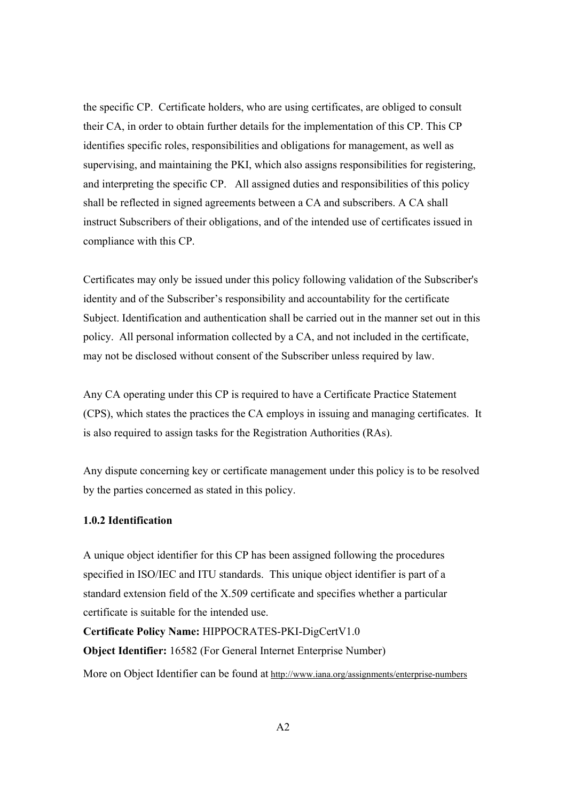the specific CP. Certificate holders, who are using certificates, are obliged to consult their CA, in order to obtain further details for the implementation of this CP. This CP identifies specific roles, responsibilities and obligations for management, as well as supervising, and maintaining the PKI, which also assigns responsibilities for registering, and interpreting the specific CP. All assigned duties and responsibilities of this policy shall be reflected in signed agreements between a CA and subscribers. A CA shall instruct Subscribers of their obligations, and of the intended use of certificates issued in compliance with this CP.

Certificates may only be issued under this policy following validation of the Subscriber's identity and of the Subscriber's responsibility and accountability for the certificate Subject. Identification and authentication shall be carried out in the manner set out in this policy. All personal information collected by a CA, and not included in the certificate, may not be disclosed without consent of the Subscriber unless required by law.

Any CA operating under this CP is required to have a Certificate Practice Statement (CPS), which states the practices the CA employs in issuing and managing certificates. It is also required to assign tasks for the Registration Authorities (RAs).

Any dispute concerning key or certificate management under this policy is to be resolved by the parties concerned as stated in this policy.

### **1.0.2 Identification**

A unique object identifier for this CP has been assigned following the procedures specified in ISO/IEC and ITU standards. This unique object identifier is part of a standard extension field of the X.509 certificate and specifies whether a particular certificate is suitable for the intended use.

**Certificate Policy Name:** HIPPOCRATES-PKI-DigCertV1.0 **Object Identifier:** 16582 (For General Internet Enterprise Number) More on Object Identifier can be found at http://www.iana.org/assignments/enterprise-numbers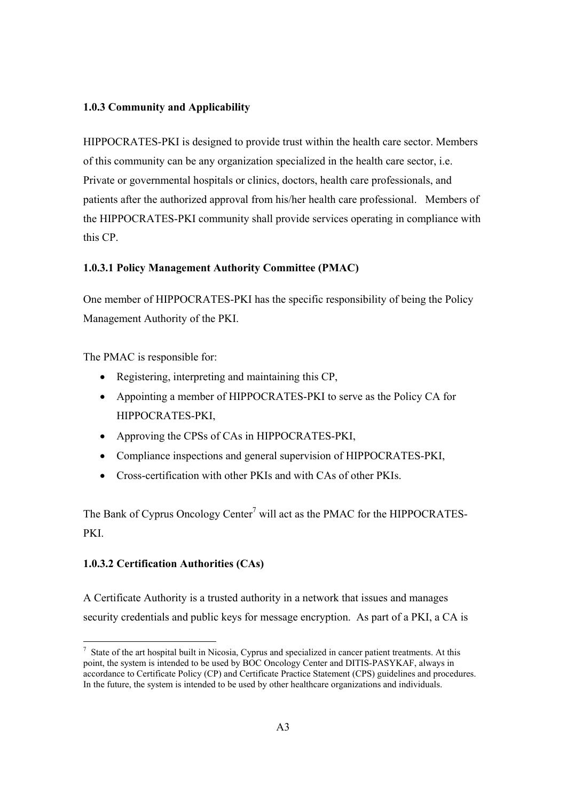## **1.0.3 Community and Applicability**

HIPPOCRATES-PKI is designed to provide trust within the health care sector. Members of this community can be any organization specialized in the health care sector, i.e. Private or governmental hospitals or clinics, doctors, health care professionals, and patients after the authorized approval from his/her health care professional. Members of the HIPPOCRATES-PKI community shall provide services operating in compliance with this CP.

## **1.0.3.1 Policy Management Authority Committee (PMAC)**

One member of HIPPOCRATES-PKI has the specific responsibility of being the Policy Management Authority of the PKI.

The PMAC is responsible for:

- Registering, interpreting and maintaining this CP,
- Appointing a member of HIPPOCRATES-PKI to serve as the Policy CA for HIPPOCRATES-PKI,
- Approving the CPSs of CAs in HIPPOCRATES-PKI,
- Compliance inspections and general supervision of HIPPOCRATES-PKI,
- Cross-certification with other PKIs and with CAs of other PKIs.

The Bank of Cyprus Oncology Center<sup>7</sup> will act as the PMAC for the HIPPOCRATES-PKI.

# **1.0.3.2 Certification Authorities (CAs)**

A Certificate Authority is a trusted authority in a network that issues and manages security credentials and public keys for message encryption. As part of a PKI, a CA is

 $\overline{a}$  $<sup>7</sup>$  State of the art hospital built in Nicosia, Cyprus and specialized in cancer patient treatments. At this</sup> point, the system is intended to be used by BOC Oncology Center and DITIS-PASYKAF, always in accordance to Certificate Policy (CP) and Certificate Practice Statement (CPS) guidelines and procedures. In the future, the system is intended to be used by other healthcare organizations and individuals.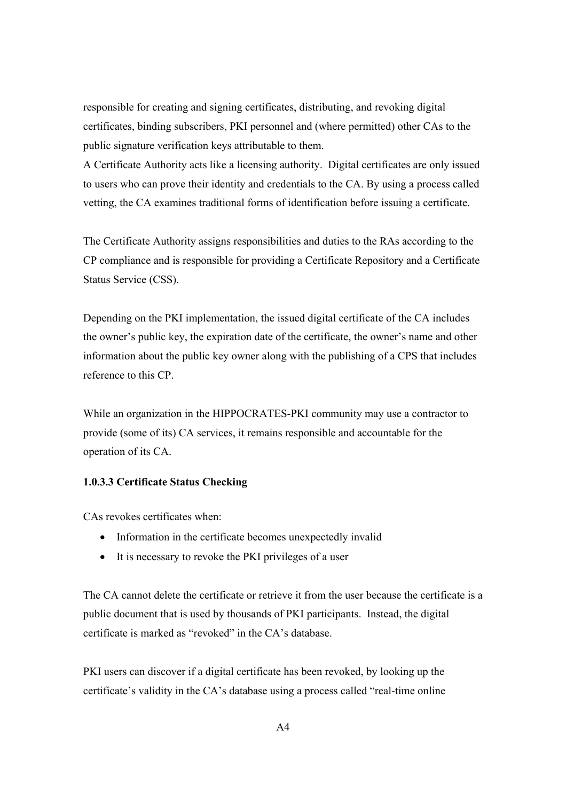responsible for creating and signing certificates, distributing, and revoking digital certificates, binding subscribers, PKI personnel and (where permitted) other CAs to the public signature verification keys attributable to them.

A Certificate Authority acts like a licensing authority. Digital certificates are only issued to users who can prove their identity and credentials to the CA. By using a process called vetting, the CA examines traditional forms of identification before issuing a certificate.

The Certificate Authority assigns responsibilities and duties to the RAs according to the CP compliance and is responsible for providing a Certificate Repository and a Certificate Status Service (CSS).

Depending on the PKI implementation, the issued digital certificate of the CA includes the owner's public key, the expiration date of the certificate, the owner's name and other information about the public key owner along with the publishing of a CPS that includes reference to this CP.

While an organization in the HIPPOCRATES-PKI community may use a contractor to provide (some of its) CA services, it remains responsible and accountable for the operation of its CA.

### **1.0.3.3 Certificate Status Checking**

CAs revokes certificates when:

- Information in the certificate becomes unexpectedly invalid
- It is necessary to revoke the PKI privileges of a user

The CA cannot delete the certificate or retrieve it from the user because the certificate is a public document that is used by thousands of PKI participants. Instead, the digital certificate is marked as "revoked" in the CA's database.

PKI users can discover if a digital certificate has been revoked, by looking up the certificate's validity in the CA's database using a process called "real-time online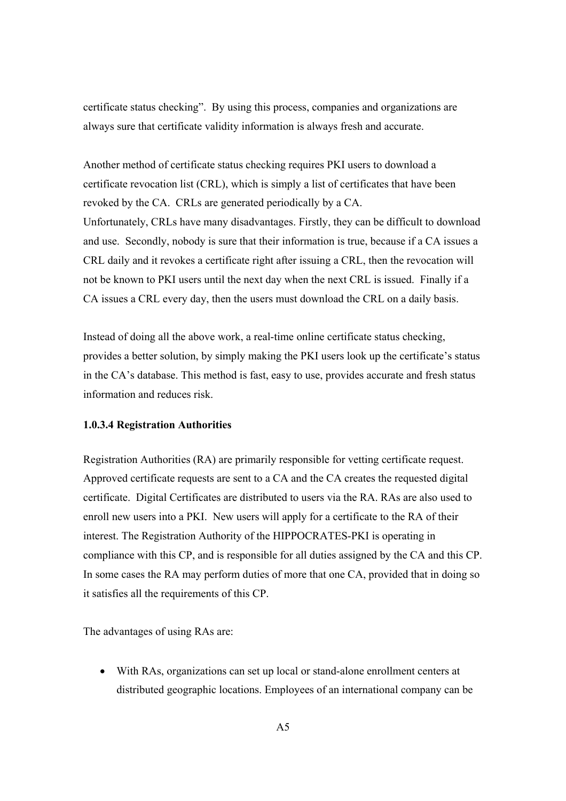certificate status checking". By using this process, companies and organizations are always sure that certificate validity information is always fresh and accurate.

Another method of certificate status checking requires PKI users to download a certificate revocation list (CRL), which is simply a list of certificates that have been revoked by the CA. CRLs are generated periodically by a CA. Unfortunately, CRLs have many disadvantages. Firstly, they can be difficult to download and use. Secondly, nobody is sure that their information is true, because if a CA issues a CRL daily and it revokes a certificate right after issuing a CRL, then the revocation will not be known to PKI users until the next day when the next CRL is issued. Finally if a CA issues a CRL every day, then the users must download the CRL on a daily basis.

Instead of doing all the above work, a real-time online certificate status checking, provides a better solution, by simply making the PKI users look up the certificate's status in the CA's database. This method is fast, easy to use, provides accurate and fresh status information and reduces risk.

### **1.0.3.4 Registration Authorities**

Registration Authorities (RA) are primarily responsible for vetting certificate request. Approved certificate requests are sent to a CA and the CA creates the requested digital certificate. Digital Certificates are distributed to users via the RA. RAs are also used to enroll new users into a PKI. New users will apply for a certificate to the RA of their interest. The Registration Authority of the HIPPOCRATES-PKI is operating in compliance with this CP, and is responsible for all duties assigned by the CA and this CP. In some cases the RA may perform duties of more that one CA, provided that in doing so it satisfies all the requirements of this CP.

The advantages of using RAs are:

• With RAs, organizations can set up local or stand-alone enrollment centers at distributed geographic locations. Employees of an international company can be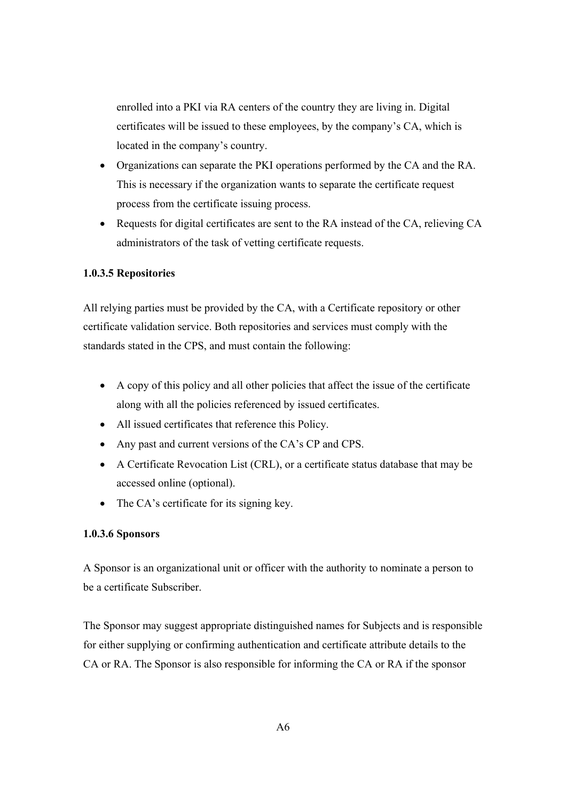enrolled into a PKI via RA centers of the country they are living in. Digital certificates will be issued to these employees, by the company's CA, which is located in the company's country.

- Organizations can separate the PKI operations performed by the CA and the RA. This is necessary if the organization wants to separate the certificate request process from the certificate issuing process.
- Requests for digital certificates are sent to the RA instead of the CA, relieving CA administrators of the task of vetting certificate requests.

### **1.0.3.5 Repositories**

All relying parties must be provided by the CA, with a Certificate repository or other certificate validation service. Both repositories and services must comply with the standards stated in the CPS, and must contain the following:

- A copy of this policy and all other policies that affect the issue of the certificate along with all the policies referenced by issued certificates.
- All issued certificates that reference this Policy.
- Any past and current versions of the CA's CP and CPS.
- A Certificate Revocation List (CRL), or a certificate status database that may be accessed online (optional).
- The CA's certificate for its signing key.

### **1.0.3.6 Sponsors**

A Sponsor is an organizational unit or officer with the authority to nominate a person to be a certificate Subscriber.

The Sponsor may suggest appropriate distinguished names for Subjects and is responsible for either supplying or confirming authentication and certificate attribute details to the CA or RA. The Sponsor is also responsible for informing the CA or RA if the sponsor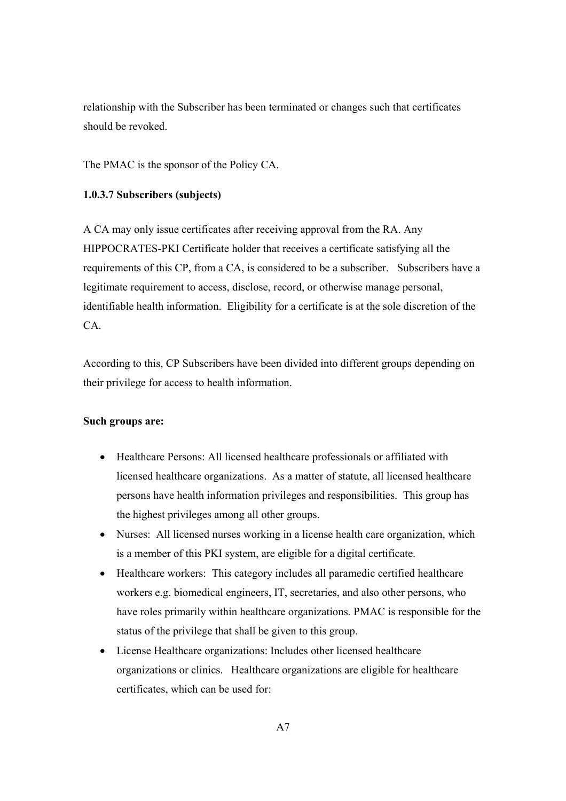relationship with the Subscriber has been terminated or changes such that certificates should be revoked.

The PMAC is the sponsor of the Policy CA.

### **1.0.3.7 Subscribers (subjects)**

A CA may only issue certificates after receiving approval from the RA. Any HIPPOCRATES-PKI Certificate holder that receives a certificate satisfying all the requirements of this CP, from a CA, is considered to be a subscriber. Subscribers have a legitimate requirement to access, disclose, record, or otherwise manage personal, identifiable health information. Eligibility for a certificate is at the sole discretion of the CA.

According to this, CP Subscribers have been divided into different groups depending on their privilege for access to health information.

### **Such groups are:**

- Healthcare Persons: All licensed healthcare professionals or affiliated with licensed healthcare organizations. As a matter of statute, all licensed healthcare persons have health information privileges and responsibilities. This group has the highest privileges among all other groups.
- Nurses: All licensed nurses working in a license health care organization, which is a member of this PKI system, are eligible for a digital certificate.
- Healthcare workers: This category includes all paramedic certified healthcare workers e.g. biomedical engineers, IT, secretaries, and also other persons, who have roles primarily within healthcare organizations. PMAC is responsible for the status of the privilege that shall be given to this group.
- License Healthcare organizations: Includes other licensed healthcare organizations or clinics. Healthcare organizations are eligible for healthcare certificates, which can be used for: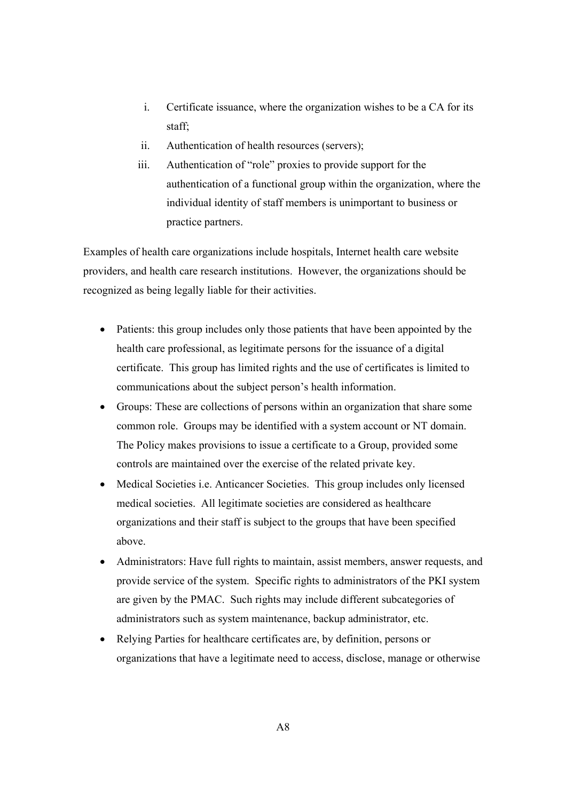- i. Certificate issuance, where the organization wishes to be a CA for its staff;
- ii. Authentication of health resources (servers);
- iii. Authentication of "role" proxies to provide support for the authentication of a functional group within the organization, where the individual identity of staff members is unimportant to business or practice partners.

Examples of health care organizations include hospitals, Internet health care website providers, and health care research institutions. However, the organizations should be recognized as being legally liable for their activities.

- Patients: this group includes only those patients that have been appointed by the health care professional, as legitimate persons for the issuance of a digital certificate. This group has limited rights and the use of certificates is limited to communications about the subject person's health information.
- Groups: These are collections of persons within an organization that share some common role. Groups may be identified with a system account or NT domain. The Policy makes provisions to issue a certificate to a Group, provided some controls are maintained over the exercise of the related private key.
- Medical Societies *i.e.* Anticancer Societies. This group includes only licensed medical societies. All legitimate societies are considered as healthcare organizations and their staff is subject to the groups that have been specified above.
- Administrators: Have full rights to maintain, assist members, answer requests, and provide service of the system. Specific rights to administrators of the PKI system are given by the PMAC. Such rights may include different subcategories of administrators such as system maintenance, backup administrator, etc.
- Relying Parties for healthcare certificates are, by definition, persons or organizations that have a legitimate need to access, disclose, manage or otherwise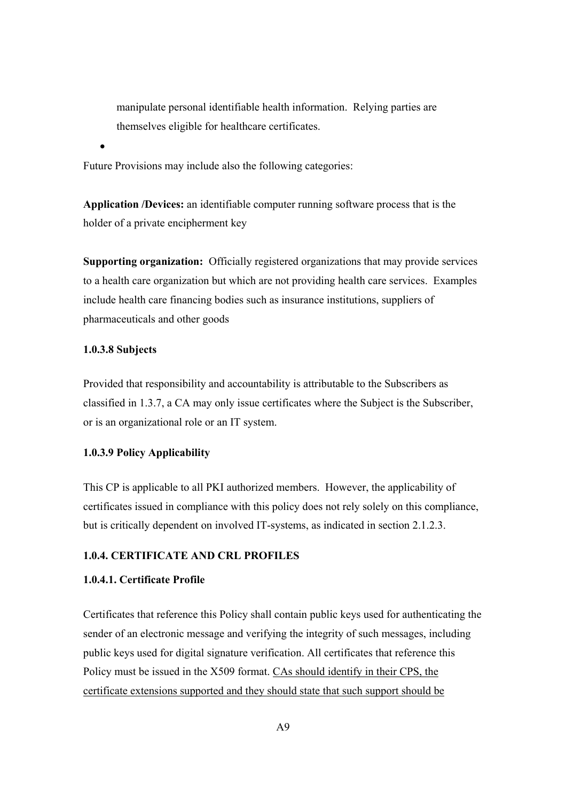manipulate personal identifiable health information. Relying parties are themselves eligible for healthcare certificates.

Future Provisions may include also the following categories:

**Application /Devices:** an identifiable computer running software process that is the holder of a private encipherment key

**Supporting organization:** Officially registered organizations that may provide services to a health care organization but which are not providing health care services. Examples include health care financing bodies such as insurance institutions, suppliers of pharmaceuticals and other goods

### **1.0.3.8 Subjects**

•

Provided that responsibility and accountability is attributable to the Subscribers as classified in 1.3.7, a CA may only issue certificates where the Subject is the Subscriber, or is an organizational role or an IT system.

## **1.0.3.9 Policy Applicability**

This CP is applicable to all PKI authorized members. However, the applicability of certificates issued in compliance with this policy does not rely solely on this compliance, but is critically dependent on involved IT-systems, as indicated in section 2.1.2.3.

### **1.0.4. CERTIFICATE AND CRL PROFILES**

# **1.0.4.1. Certificate Profile**

Certificates that reference this Policy shall contain public keys used for authenticating the sender of an electronic message and verifying the integrity of such messages, including public keys used for digital signature verification. All certificates that reference this Policy must be issued in the X509 format. CAs should identify in their CPS, the certificate extensions supported and they should state that such support should be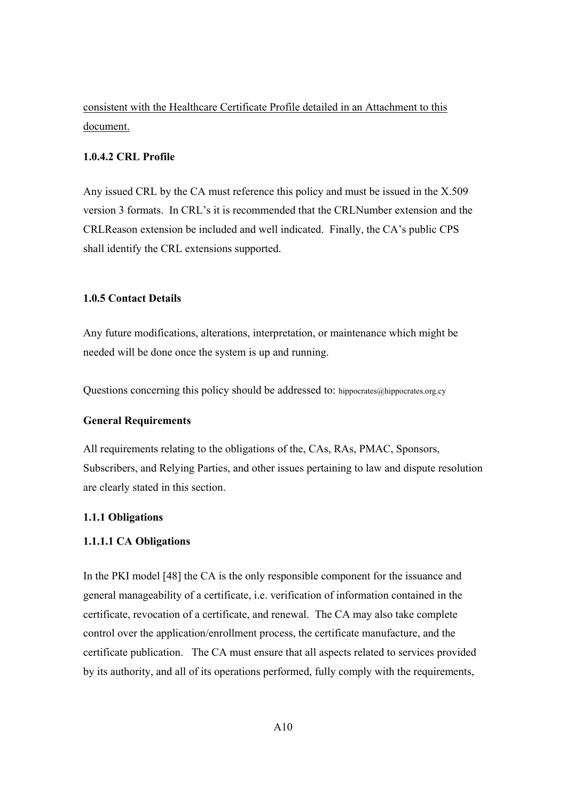consistent with the Healthcare Certificate Profile detailed in an Attachment to this document.

### **1.0.4.2 CRL Profile**

Any issued CRL by the CA must reference this policy and must be issued in the X.509 version 3 formats. In CRL's it is recommended that the CRLNumber extension and the CRLReason extension be included and well indicated. Finally, the CA's public CPS shall identify the CRL extensions supported.

### **1.0.5 Contact Details**

Any future modifications, alterations, interpretation, or maintenance which might be needed will be done once the system is up and running.

Questions concerning this policy should be addressed to: hippocrates@hippocrates.org.cy

### **General Requirements**

All requirements relating to the obligations of the, CAs, RAs, PMAC, Sponsors, Subscribers, and Relying Parties, and other issues pertaining to law and dispute resolution are clearly stated in this section.

#### **1.1.1 Obligations**

#### **1.1.1.1 CA Obligations**

In the PKI model [48] the CA is the only responsible component for the issuance and general manageability of a certificate, i.e. verification of information contained in the certificate, revocation of a certificate, and renewal. The CA may also take complete control over the application/enrollment process, the certificate manufacture, and the certificate publication. The CA must ensure that all aspects related to services provided by its authority, and all of its operations performed, fully comply with the requirements,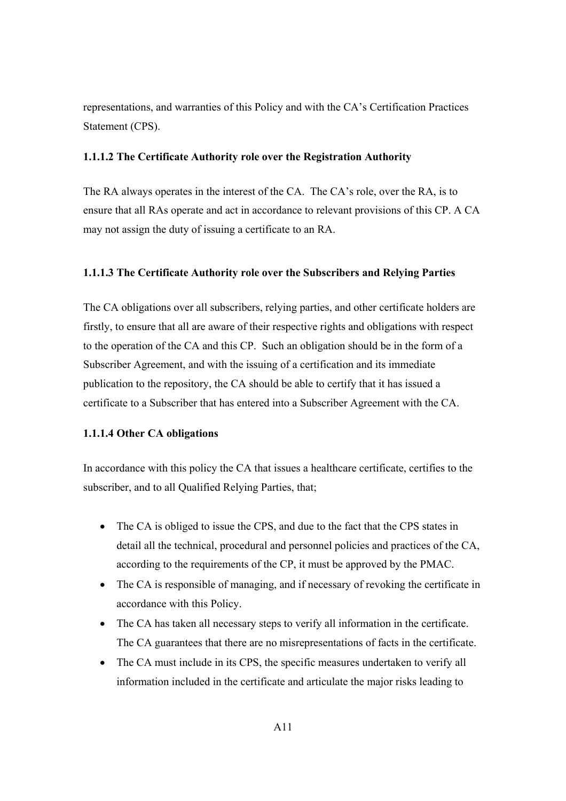representations, and warranties of this Policy and with the CA's Certification Practices Statement (CPS).

### **1.1.1.2 The Certificate Authority role over the Registration Authority**

The RA always operates in the interest of the CA. The CA's role, over the RA, is to ensure that all RAs operate and act in accordance to relevant provisions of this CP. A CA may not assign the duty of issuing a certificate to an RA.

### **1.1.1.3 The Certificate Authority role over the Subscribers and Relying Parties**

The CA obligations over all subscribers, relying parties, and other certificate holders are firstly, to ensure that all are aware of their respective rights and obligations with respect to the operation of the CA and this CP. Such an obligation should be in the form of a Subscriber Agreement, and with the issuing of a certification and its immediate publication to the repository, the CA should be able to certify that it has issued a certificate to a Subscriber that has entered into a Subscriber Agreement with the CA.

### **1.1.1.4 Other CA obligations**

In accordance with this policy the CA that issues a healthcare certificate, certifies to the subscriber, and to all Qualified Relying Parties, that;

- The CA is obliged to issue the CPS, and due to the fact that the CPS states in detail all the technical, procedural and personnel policies and practices of the CA, according to the requirements of the CP, it must be approved by the PMAC.
- The CA is responsible of managing, and if necessary of revoking the certificate in accordance with this Policy.
- The CA has taken all necessary steps to verify all information in the certificate. The CA guarantees that there are no misrepresentations of facts in the certificate.
- The CA must include in its CPS, the specific measures undertaken to verify all information included in the certificate and articulate the major risks leading to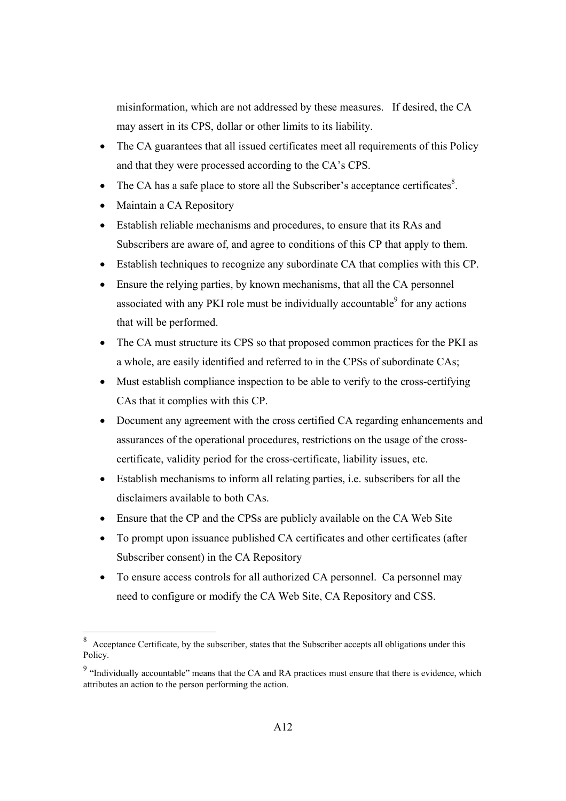misinformation, which are not addressed by these measures. If desired, the CA may assert in its CPS, dollar or other limits to its liability.

- The CA guarantees that all issued certificates meet all requirements of this Policy and that they were processed according to the CA's CPS.
- The CA has a safe place to store all the Subscriber's acceptance certificates $8$ .
- Maintain a CA Repository
- Establish reliable mechanisms and procedures, to ensure that its RAs and Subscribers are aware of, and agree to conditions of this CP that apply to them.
- Establish techniques to recognize any subordinate CA that complies with this CP.
- Ensure the relying parties, by known mechanisms, that all the CA personnel associated with any PKI role must be individually accountable $\degree$  for any actions that will be performed.
- The CA must structure its CPS so that proposed common practices for the PKI as a whole, are easily identified and referred to in the CPSs of subordinate CAs;
- Must establish compliance inspection to be able to verify to the cross-certifying CAs that it complies with this CP.
- Document any agreement with the cross certified CA regarding enhancements and assurances of the operational procedures, restrictions on the usage of the crosscertificate, validity period for the cross-certificate, liability issues, etc.
- Establish mechanisms to inform all relating parties, i.e. subscribers for all the disclaimers available to both CAs.
- Ensure that the CP and the CPSs are publicly available on the CA Web Site
- To prompt upon issuance published CA certificates and other certificates (after Subscriber consent) in the CA Repository
- To ensure access controls for all authorized CA personnel. Ca personnel may need to configure or modify the CA Web Site, CA Repository and CSS.

 8 Acceptance Certificate, by the subscriber, states that the Subscriber accepts all obligations under this Policy.

<sup>&</sup>lt;sup>9</sup> "Individually accountable" means that the CA and RA practices must ensure that there is evidence, which attributes an action to the person performing the action.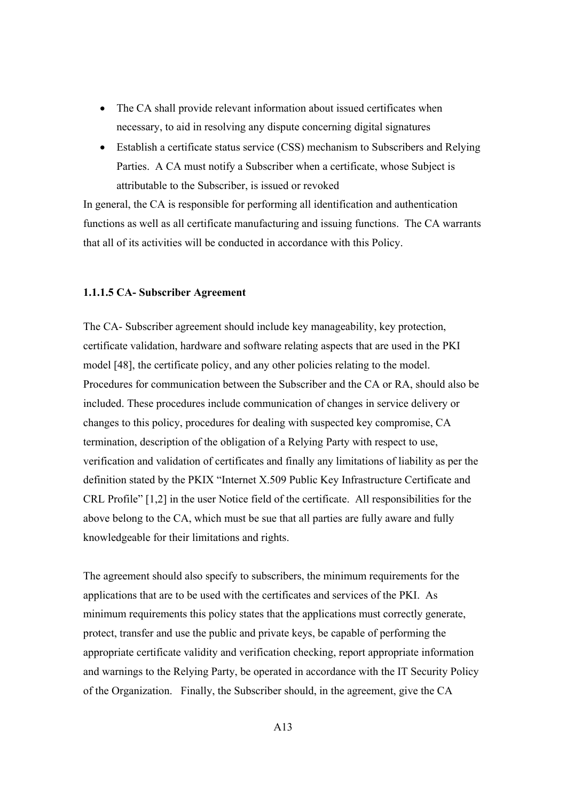- The CA shall provide relevant information about issued certificates when necessary, to aid in resolving any dispute concerning digital signatures
- Establish a certificate status service (CSS) mechanism to Subscribers and Relying Parties. A CA must notify a Subscriber when a certificate, whose Subject is attributable to the Subscriber, is issued or revoked

In general, the CA is responsible for performing all identification and authentication functions as well as all certificate manufacturing and issuing functions. The CA warrants that all of its activities will be conducted in accordance with this Policy.

### **1.1.1.5 CA- Subscriber Agreement**

The CA- Subscriber agreement should include key manageability, key protection, certificate validation, hardware and software relating aspects that are used in the PKI model [48], the certificate policy, and any other policies relating to the model. Procedures for communication between the Subscriber and the CA or RA, should also be included. These procedures include communication of changes in service delivery or changes to this policy, procedures for dealing with suspected key compromise, CA termination, description of the obligation of a Relying Party with respect to use, verification and validation of certificates and finally any limitations of liability as per the definition stated by the PKIX "Internet X.509 Public Key Infrastructure Certificate and CRL Profile" [1,2] in the user Notice field of the certificate. All responsibilities for the above belong to the CA, which must be sue that all parties are fully aware and fully knowledgeable for their limitations and rights.

The agreement should also specify to subscribers, the minimum requirements for the applications that are to be used with the certificates and services of the PKI. As minimum requirements this policy states that the applications must correctly generate, protect, transfer and use the public and private keys, be capable of performing the appropriate certificate validity and verification checking, report appropriate information and warnings to the Relying Party, be operated in accordance with the IT Security Policy of the Organization. Finally, the Subscriber should, in the agreement, give the CA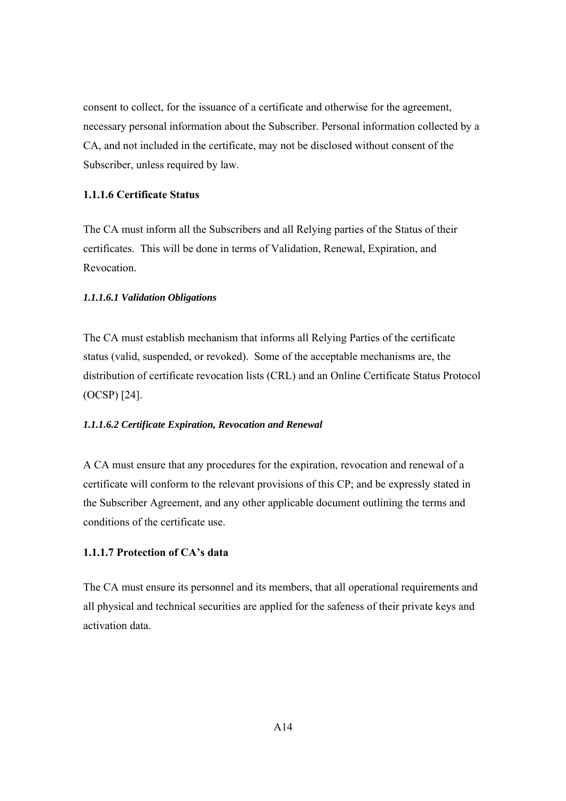consent to collect, for the issuance of a certificate and otherwise for the agreement, necessary personal information about the Subscriber. Personal information collected by a CA, and not included in the certificate, may not be disclosed without consent of the Subscriber, unless required by law.

## **1.1.1.6 Certificate Status**

The CA must inform all the Subscribers and all Relying parties of the Status of their certificates. This will be done in terms of Validation, Renewal, Expiration, and Revocation.

### *1.1.1.6.1 Validation Obligations*

The CA must establish mechanism that informs all Relying Parties of the certificate status (valid, suspended, or revoked). Some of the acceptable mechanisms are, the distribution of certificate revocation lists (CRL) and an Online Certificate Status Protocol (OCSP) [24].

#### *1.1.1.6.2 Certificate Expiration, Revocation and Renewal*

A CA must ensure that any procedures for the expiration, revocation and renewal of a certificate will conform to the relevant provisions of this CP; and be expressly stated in the Subscriber Agreement, and any other applicable document outlining the terms and conditions of the certificate use.

### **1.1.1.7 Protection of CA's data**

The CA must ensure its personnel and its members, that all operational requirements and all physical and technical securities are applied for the safeness of their private keys and activation data.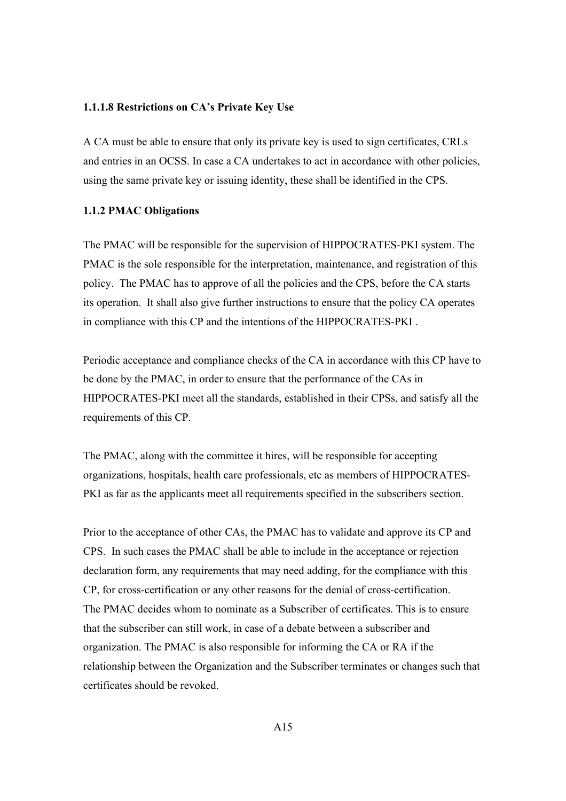#### **1.1.1.8 Restrictions on CA's Private Key Use**

A CA must be able to ensure that only its private key is used to sign certificates, CRLs and entries in an OCSS. In case a CA undertakes to act in accordance with other policies, using the same private key or issuing identity, these shall be identified in the CPS.

#### **1.1.2 PMAC Obligations**

The PMAC will be responsible for the supervision of HIPPOCRATES-PKI system. The PMAC is the sole responsible for the interpretation, maintenance, and registration of this policy. The PMAC has to approve of all the policies and the CPS, before the CA starts its operation. It shall also give further instructions to ensure that the policy CA operates in compliance with this CP and the intentions of the HIPPOCRATES-PKI .

Periodic acceptance and compliance checks of the CA in accordance with this CP have to be done by the PMAC, in order to ensure that the performance of the CAs in HIPPOCRATES-PKI meet all the standards, established in their CPSs, and satisfy all the requirements of this CP.

The PMAC, along with the committee it hires, will be responsible for accepting organizations, hospitals, health care professionals, etc as members of HIPPOCRATES-PKI as far as the applicants meet all requirements specified in the subscribers section.

Prior to the acceptance of other CAs, the PMAC has to validate and approve its CP and CPS. In such cases the PMAC shall be able to include in the acceptance or rejection declaration form, any requirements that may need adding, for the compliance with this CP, for cross-certification or any other reasons for the denial of cross-certification. The PMAC decides whom to nominate as a Subscriber of certificates. This is to ensure that the subscriber can still work, in case of a debate between a subscriber and organization. The PMAC is also responsible for informing the CA or RA if the relationship between the Organization and the Subscriber terminates or changes such that certificates should be revoked.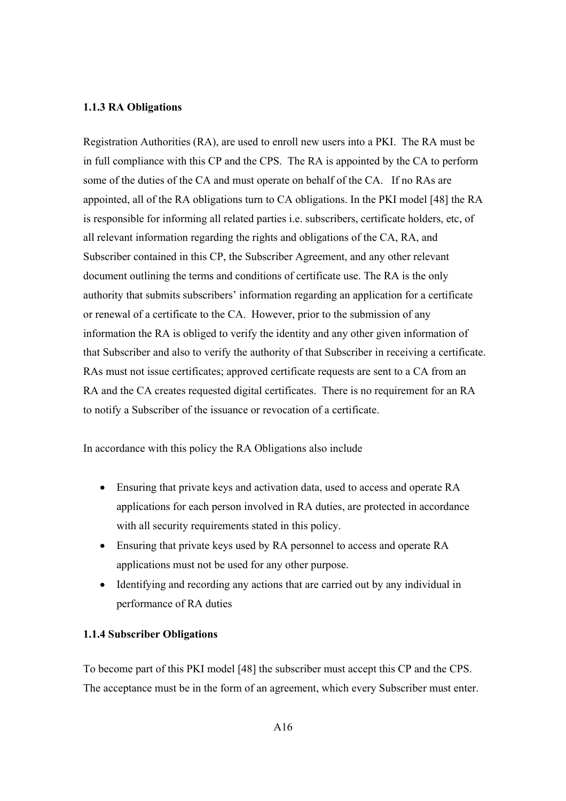#### **1.1.3 RA Obligations**

Registration Authorities (RA), are used to enroll new users into a PKI. The RA must be in full compliance with this CP and the CPS. The RA is appointed by the CA to perform some of the duties of the CA and must operate on behalf of the CA. If no RAs are appointed, all of the RA obligations turn to CA obligations. In the PKI model [48] the RA is responsible for informing all related parties i.e. subscribers, certificate holders, etc, of all relevant information regarding the rights and obligations of the CA, RA, and Subscriber contained in this CP, the Subscriber Agreement, and any other relevant document outlining the terms and conditions of certificate use. The RA is the only authority that submits subscribers' information regarding an application for a certificate or renewal of a certificate to the CA. However, prior to the submission of any information the RA is obliged to verify the identity and any other given information of that Subscriber and also to verify the authority of that Subscriber in receiving a certificate. RAs must not issue certificates; approved certificate requests are sent to a CA from an RA and the CA creates requested digital certificates. There is no requirement for an RA to notify a Subscriber of the issuance or revocation of a certificate.

In accordance with this policy the RA Obligations also include

- Ensuring that private keys and activation data, used to access and operate RA applications for each person involved in RA duties, are protected in accordance with all security requirements stated in this policy.
- Ensuring that private keys used by RA personnel to access and operate RA applications must not be used for any other purpose.
- Identifying and recording any actions that are carried out by any individual in performance of RA duties

### **1.1.4 Subscriber Obligations**

To become part of this PKI model [48] the subscriber must accept this CP and the CPS. The acceptance must be in the form of an agreement, which every Subscriber must enter.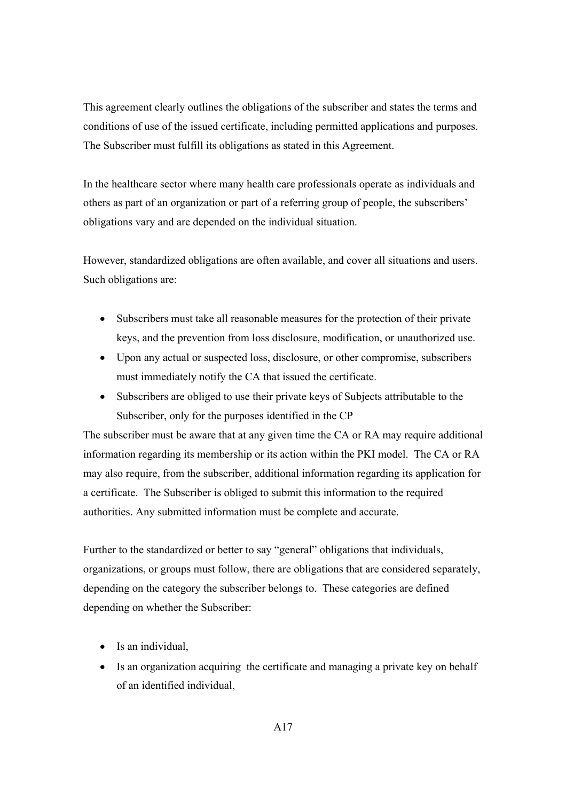This agreement clearly outlines the obligations of the subscriber and states the terms and conditions of use of the issued certificate, including permitted applications and purposes. The Subscriber must fulfill its obligations as stated in this Agreement.

In the healthcare sector where many health care professionals operate as individuals and others as part of an organization or part of a referring group of people, the subscribers' obligations vary and are depended on the individual situation.

However, standardized obligations are often available, and cover all situations and users. Such obligations are:

- Subscribers must take all reasonable measures for the protection of their private keys, and the prevention from loss disclosure, modification, or unauthorized use.
- Upon any actual or suspected loss, disclosure, or other compromise, subscribers must immediately notify the CA that issued the certificate.
- Subscribers are obliged to use their private keys of Subjects attributable to the Subscriber, only for the purposes identified in the CP

The subscriber must be aware that at any given time the CA or RA may require additional information regarding its membership or its action within the PKI model. The CA or RA may also require, from the subscriber, additional information regarding its application for a certificate. The Subscriber is obliged to submit this information to the required authorities. Any submitted information must be complete and accurate.

Further to the standardized or better to say "general" obligations that individuals, organizations, or groups must follow, there are obligations that are considered separately, depending on the category the subscriber belongs to. These categories are defined depending on whether the Subscriber:

- Is an individual,
- Is an organization acquiring the certificate and managing a private key on behalf of an identified individual,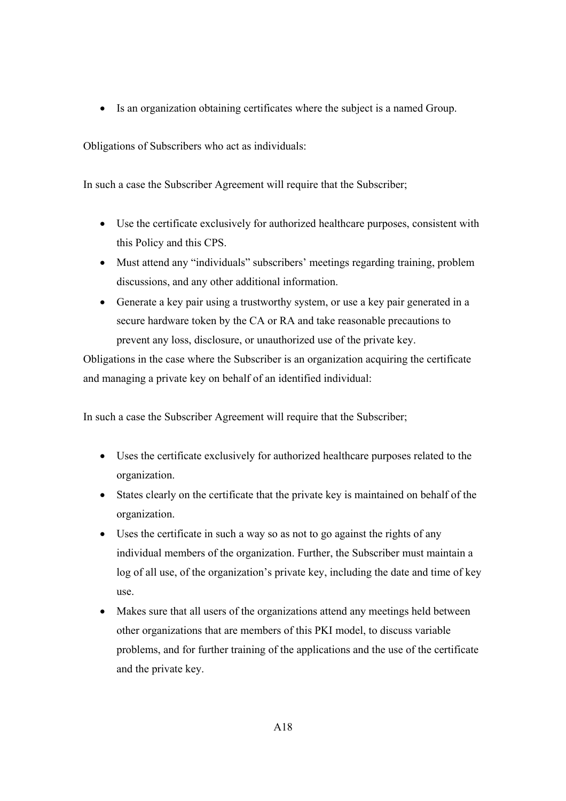• Is an organization obtaining certificates where the subject is a named Group.

Obligations of Subscribers who act as individuals:

In such a case the Subscriber Agreement will require that the Subscriber;

- Use the certificate exclusively for authorized healthcare purposes, consistent with this Policy and this CPS.
- Must attend any "individuals" subscribers' meetings regarding training, problem discussions, and any other additional information.
- Generate a key pair using a trustworthy system, or use a key pair generated in a secure hardware token by the CA or RA and take reasonable precautions to prevent any loss, disclosure, or unauthorized use of the private key.

Obligations in the case where the Subscriber is an organization acquiring the certificate and managing a private key on behalf of an identified individual:

In such a case the Subscriber Agreement will require that the Subscriber;

- Uses the certificate exclusively for authorized healthcare purposes related to the organization.
- States clearly on the certificate that the private key is maintained on behalf of the organization.
- Uses the certificate in such a way so as not to go against the rights of any individual members of the organization. Further, the Subscriber must maintain a log of all use, of the organization's private key, including the date and time of key use.
- Makes sure that all users of the organizations attend any meetings held between other organizations that are members of this PKI model, to discuss variable problems, and for further training of the applications and the use of the certificate and the private key.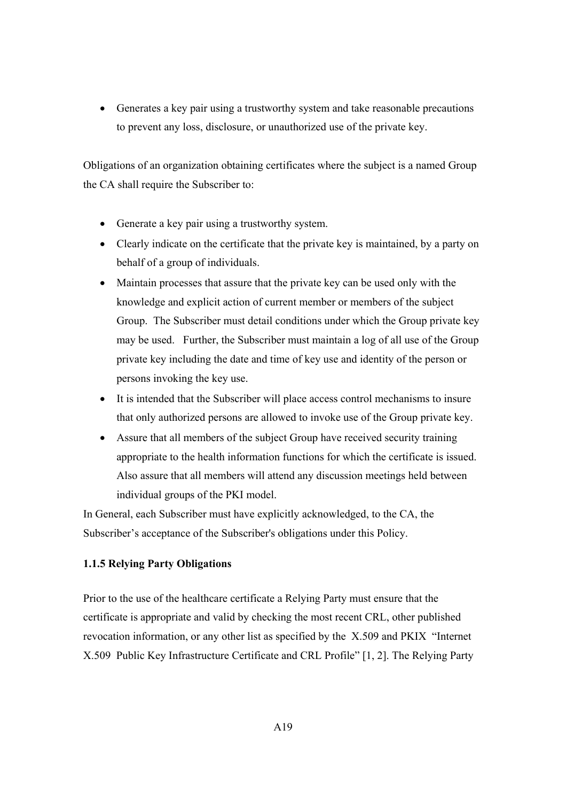• Generates a key pair using a trustworthy system and take reasonable precautions to prevent any loss, disclosure, or unauthorized use of the private key.

Obligations of an organization obtaining certificates where the subject is a named Group the CA shall require the Subscriber to:

- Generate a key pair using a trustworthy system.
- Clearly indicate on the certificate that the private key is maintained, by a party on behalf of a group of individuals.
- Maintain processes that assure that the private key can be used only with the knowledge and explicit action of current member or members of the subject Group. The Subscriber must detail conditions under which the Group private key may be used. Further, the Subscriber must maintain a log of all use of the Group private key including the date and time of key use and identity of the person or persons invoking the key use.
- It is intended that the Subscriber will place access control mechanisms to insure that only authorized persons are allowed to invoke use of the Group private key.
- Assure that all members of the subject Group have received security training appropriate to the health information functions for which the certificate is issued. Also assure that all members will attend any discussion meetings held between individual groups of the PKI model.

In General, each Subscriber must have explicitly acknowledged, to the CA, the Subscriber's acceptance of the Subscriber's obligations under this Policy.

# **1.1.5 Relying Party Obligations**

Prior to the use of the healthcare certificate a Relying Party must ensure that the certificate is appropriate and valid by checking the most recent CRL, other published revocation information, or any other list as specified by the X.509 and PKIX "Internet X.509 Public Key Infrastructure Certificate and CRL Profile" [1, 2]. The Relying Party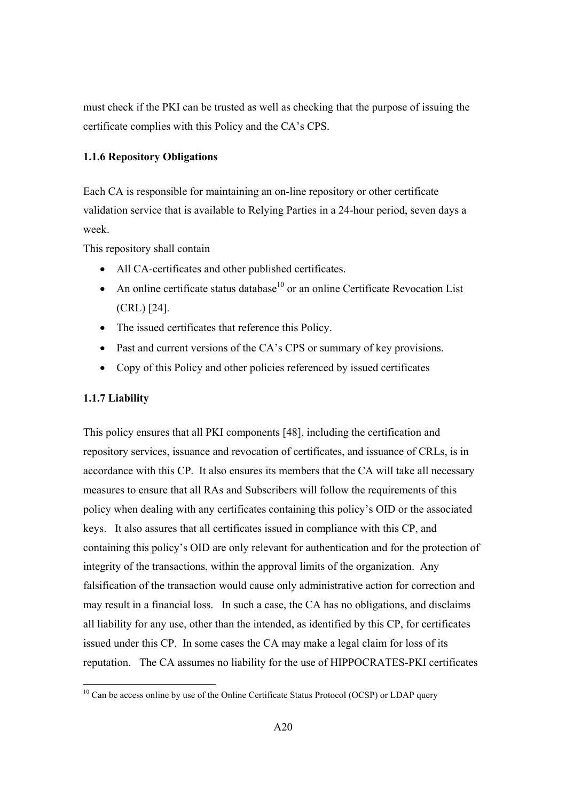must check if the PKI can be trusted as well as checking that the purpose of issuing the certificate complies with this Policy and the CA's CPS.

### **1.1.6 Repository Obligations**

Each CA is responsible for maintaining an on-line repository or other certificate validation service that is available to Relying Parties in a 24-hour period, seven days a week.

This repository shall contain

- All CA-certificates and other published certificates.
- An online certificate status database $10$  or an online Certificate Revocation List (CRL) [24].
- The issued certificates that reference this Policy.
- Past and current versions of the CA's CPS or summary of key provisions.
- Copy of this Policy and other policies referenced by issued certificates

#### **1.1.7 Liability**

This policy ensures that all PKI components [48], including the certification and repository services, issuance and revocation of certificates, and issuance of CRLs, is in accordance with this CP. It also ensures its members that the CA will take all necessary measures to ensure that all RAs and Subscribers will follow the requirements of this policy when dealing with any certificates containing this policy's OID or the associated keys. It also assures that all certificates issued in compliance with this CP, and containing this policy's OID are only relevant for authentication and for the protection of integrity of the transactions, within the approval limits of the organization. Any falsification of the transaction would cause only administrative action for correction and may result in a financial loss. In such a case, the CA has no obligations, and disclaims all liability for any use, other than the intended, as identified by this CP, for certificates issued under this CP. In some cases the CA may make a legal claim for loss of its reputation. The CA assumes no liability for the use of HIPPOCRATES-PKI certificates

 $10$  Can be access online by use of the Online Certificate Status Protocol (OCSP) or LDAP query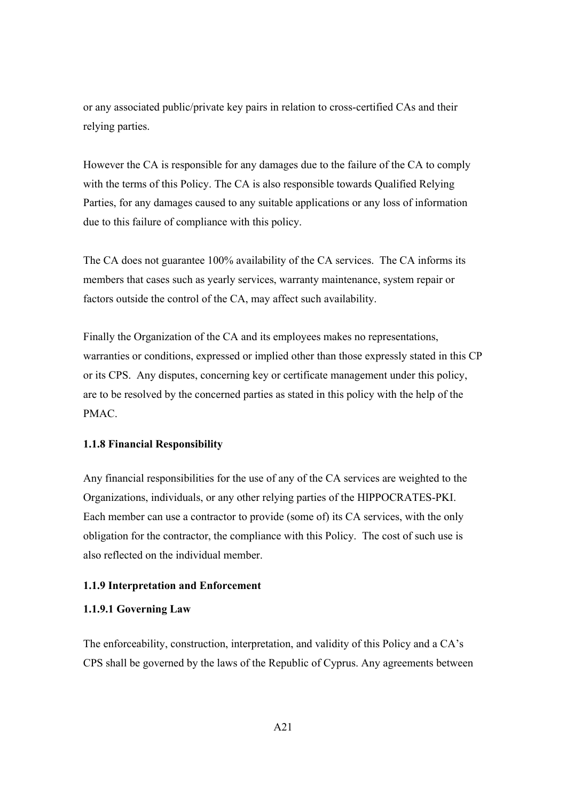or any associated public/private key pairs in relation to cross-certified CAs and their relying parties.

However the CA is responsible for any damages due to the failure of the CA to comply with the terms of this Policy. The CA is also responsible towards Qualified Relying Parties, for any damages caused to any suitable applications or any loss of information due to this failure of compliance with this policy.

The CA does not guarantee 100% availability of the CA services. The CA informs its members that cases such as yearly services, warranty maintenance, system repair or factors outside the control of the CA, may affect such availability.

Finally the Organization of the CA and its employees makes no representations, warranties or conditions, expressed or implied other than those expressly stated in this CP or its CPS. Any disputes, concerning key or certificate management under this policy, are to be resolved by the concerned parties as stated in this policy with the help of the PMAC.

### **1.1.8 Financial Responsibility**

Any financial responsibilities for the use of any of the CA services are weighted to the Organizations, individuals, or any other relying parties of the HIPPOCRATES-PKI. Each member can use a contractor to provide (some of) its CA services, with the only obligation for the contractor, the compliance with this Policy. The cost of such use is also reflected on the individual member.

#### **1.1.9 Interpretation and Enforcement**

### **1.1.9.1 Governing Law**

The enforceability, construction, interpretation, and validity of this Policy and a CA's CPS shall be governed by the laws of the Republic of Cyprus. Any agreements between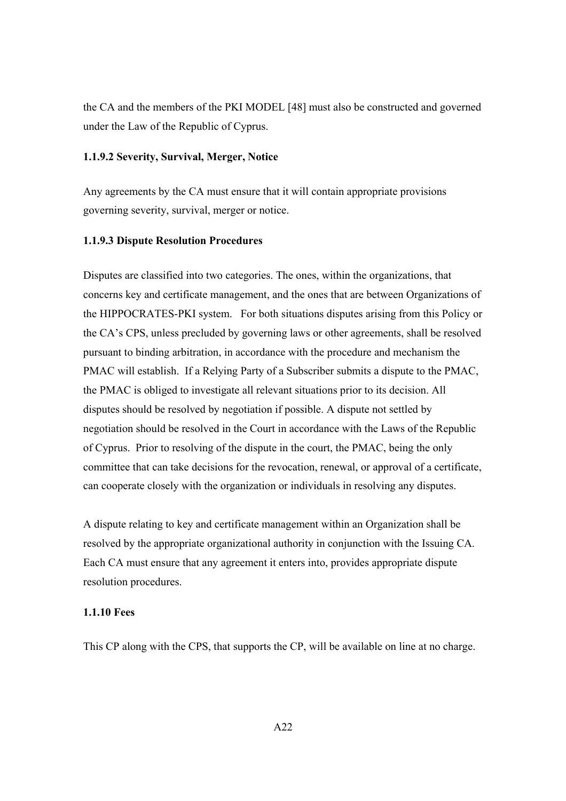the CA and the members of the PKI MODEL [48] must also be constructed and governed under the Law of the Republic of Cyprus.

### **1.1.9.2 Severity, Survival, Merger, Notice**

Any agreements by the CA must ensure that it will contain appropriate provisions governing severity, survival, merger or notice.

### **1.1.9.3 Dispute Resolution Procedures**

Disputes are classified into two categories. The ones, within the organizations, that concerns key and certificate management, and the ones that are between Organizations of the HIPPOCRATES-PKI system. For both situations disputes arising from this Policy or the CA's CPS, unless precluded by governing laws or other agreements, shall be resolved pursuant to binding arbitration, in accordance with the procedure and mechanism the PMAC will establish. If a Relying Party of a Subscriber submits a dispute to the PMAC, the PMAC is obliged to investigate all relevant situations prior to its decision. All disputes should be resolved by negotiation if possible. A dispute not settled by negotiation should be resolved in the Court in accordance with the Laws of the Republic of Cyprus. Prior to resolving of the dispute in the court, the PMAC, being the only committee that can take decisions for the revocation, renewal, or approval of a certificate, can cooperate closely with the organization or individuals in resolving any disputes.

A dispute relating to key and certificate management within an Organization shall be resolved by the appropriate organizational authority in conjunction with the Issuing CA. Each CA must ensure that any agreement it enters into, provides appropriate dispute resolution procedures.

#### **1.1.10 Fees**

This CP along with the CPS, that supports the CP, will be available on line at no charge.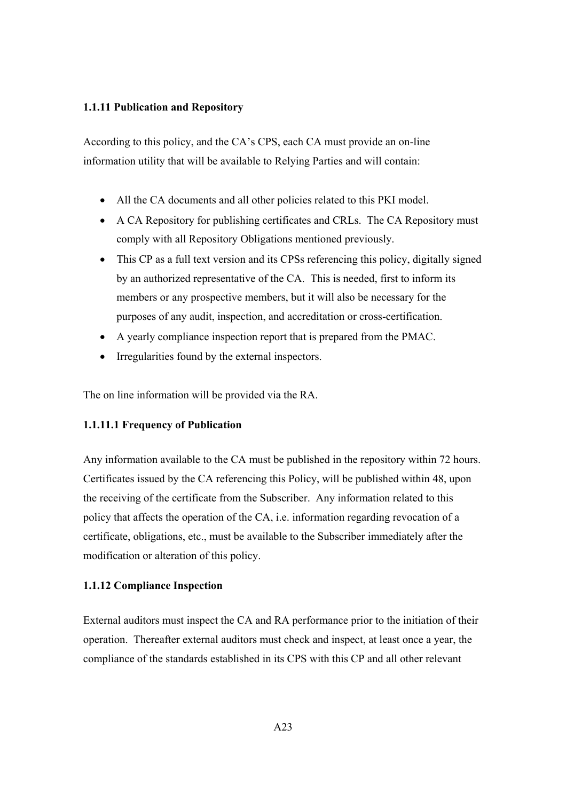### **1.1.11 Publication and Repository**

According to this policy, and the CA's CPS, each CA must provide an on-line information utility that will be available to Relying Parties and will contain:

- All the CA documents and all other policies related to this PKI model.
- A CA Repository for publishing certificates and CRLs. The CA Repository must comply with all Repository Obligations mentioned previously.
- This CP as a full text version and its CPSs referencing this policy, digitally signed by an authorized representative of the CA. This is needed, first to inform its members or any prospective members, but it will also be necessary for the purposes of any audit, inspection, and accreditation or cross-certification.
- A yearly compliance inspection report that is prepared from the PMAC.
- Irregularities found by the external inspectors.

The on line information will be provided via the RA.

### **1.1.11.1 Frequency of Publication**

Any information available to the CA must be published in the repository within 72 hours. Certificates issued by the CA referencing this Policy, will be published within 48, upon the receiving of the certificate from the Subscriber. Any information related to this policy that affects the operation of the CA, i.e. information regarding revocation of a certificate, obligations, etc., must be available to the Subscriber immediately after the modification or alteration of this policy.

### **1.1.12 Compliance Inspection**

External auditors must inspect the CA and RA performance prior to the initiation of their operation. Thereafter external auditors must check and inspect, at least once a year, the compliance of the standards established in its CPS with this CP and all other relevant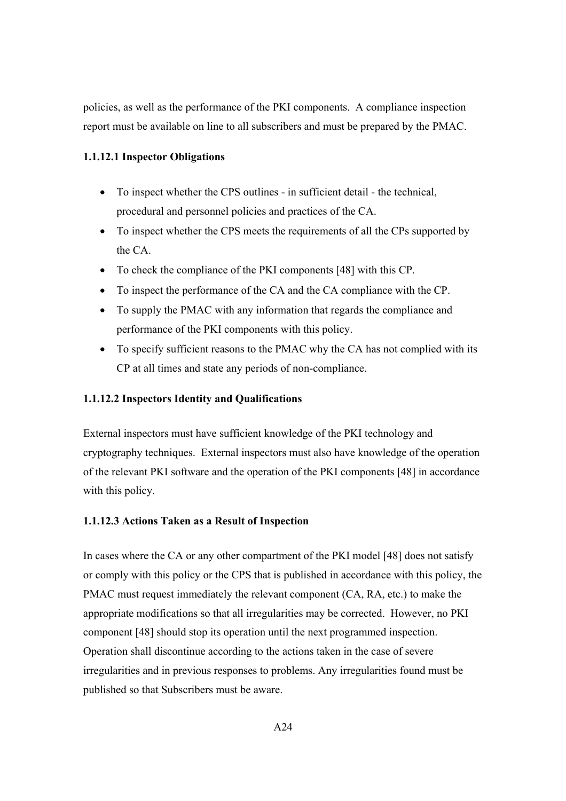policies, as well as the performance of the PKI components. A compliance inspection report must be available on line to all subscribers and must be prepared by the PMAC.

## **1.1.12.1 Inspector Obligations**

- To inspect whether the CPS outlines in sufficient detail the technical, procedural and personnel policies and practices of the CA.
- To inspect whether the CPS meets the requirements of all the CPs supported by the CA.
- To check the compliance of the PKI components [48] with this CP.
- To inspect the performance of the CA and the CA compliance with the CP.
- To supply the PMAC with any information that regards the compliance and performance of the PKI components with this policy.
- To specify sufficient reasons to the PMAC why the CA has not complied with its CP at all times and state any periods of non-compliance.

## **1.1.12.2 Inspectors Identity and Qualifications**

External inspectors must have sufficient knowledge of the PKI technology and cryptography techniques. External inspectors must also have knowledge of the operation of the relevant PKI software and the operation of the PKI components [48] in accordance with this policy.

### **1.1.12.3 Actions Taken as a Result of Inspection**

In cases where the CA or any other compartment of the PKI model [48] does not satisfy or comply with this policy or the CPS that is published in accordance with this policy, the PMAC must request immediately the relevant component (CA, RA, etc.) to make the appropriate modifications so that all irregularities may be corrected. However, no PKI component [48] should stop its operation until the next programmed inspection. Operation shall discontinue according to the actions taken in the case of severe irregularities and in previous responses to problems. Any irregularities found must be published so that Subscribers must be aware.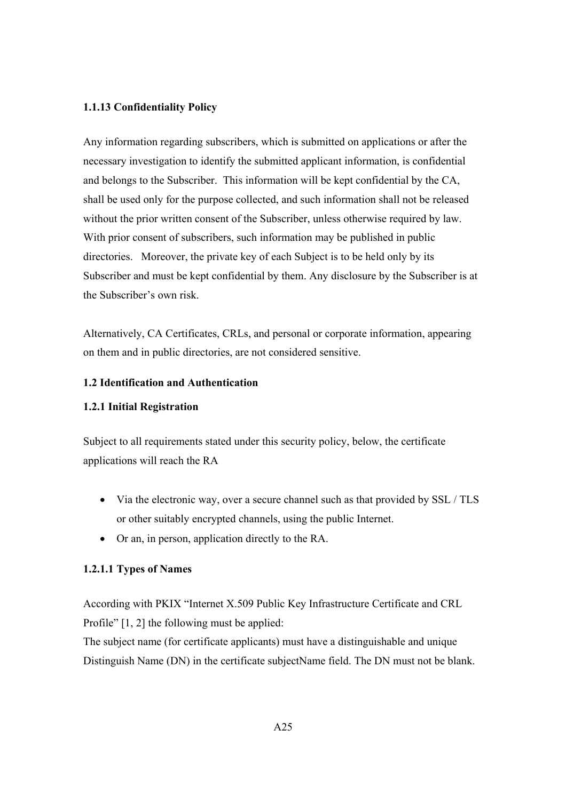### **1.1.13 Confidentiality Policy**

Any information regarding subscribers, which is submitted on applications or after the necessary investigation to identify the submitted applicant information, is confidential and belongs to the Subscriber. This information will be kept confidential by the CA, shall be used only for the purpose collected, and such information shall not be released without the prior written consent of the Subscriber, unless otherwise required by law. With prior consent of subscribers, such information may be published in public directories. Moreover, the private key of each Subject is to be held only by its Subscriber and must be kept confidential by them. Any disclosure by the Subscriber is at the Subscriber's own risk.

Alternatively, CA Certificates, CRLs, and personal or corporate information, appearing on them and in public directories, are not considered sensitive.

### **1.2 Identification and Authentication**

### **1.2.1 Initial Registration**

Subject to all requirements stated under this security policy, below, the certificate applications will reach the RA

- Via the electronic way, over a secure channel such as that provided by SSL / TLS or other suitably encrypted channels, using the public Internet.
- Or an, in person, application directly to the RA.

### **1.2.1.1 Types of Names**

According with PKIX "Internet X.509 Public Key Infrastructure Certificate and CRL Profile" [1, 2] the following must be applied:

The subject name (for certificate applicants) must have a distinguishable and unique Distinguish Name (DN) in the certificate subjectName field. The DN must not be blank.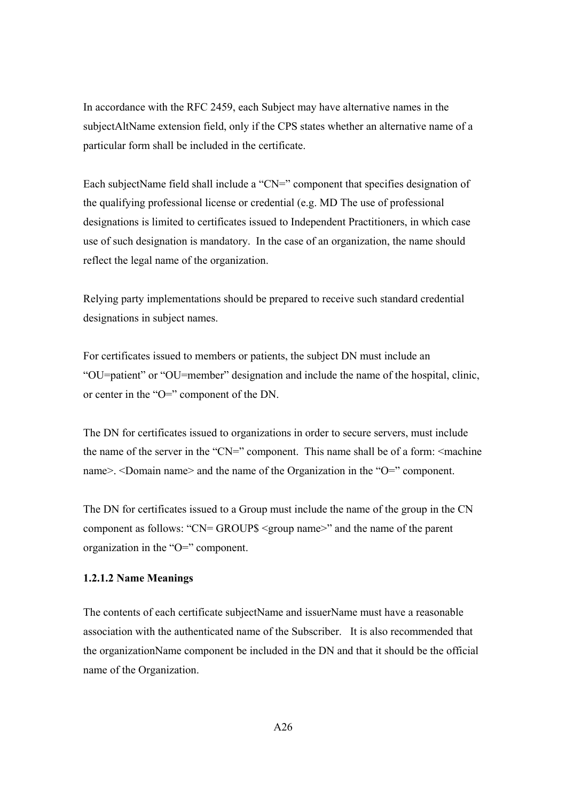In accordance with the RFC 2459, each Subject may have alternative names in the subjectAltName extension field, only if the CPS states whether an alternative name of a particular form shall be included in the certificate.

Each subjectName field shall include a "CN=" component that specifies designation of the qualifying professional license or credential (e.g. MD The use of professional designations is limited to certificates issued to Independent Practitioners, in which case use of such designation is mandatory. In the case of an organization, the name should reflect the legal name of the organization.

Relying party implementations should be prepared to receive such standard credential designations in subject names.

For certificates issued to members or patients, the subject DN must include an "OU=patient" or "OU=member" designation and include the name of the hospital, clinic, or center in the "O=" component of the DN.

The DN for certificates issued to organizations in order to secure servers, must include the name of the server in the "CN=" component. This name shall be of a form:  $\leq$  machine name>. <Domain name> and the name of the Organization in the "O=" component.

The DN for certificates issued to a Group must include the name of the group in the CN component as follows: "CN= GROUP\$ <group name>" and the name of the parent organization in the "O=" component.

### **1.2.1.2 Name Meanings**

The contents of each certificate subjectName and issuerName must have a reasonable association with the authenticated name of the Subscriber. It is also recommended that the organizationName component be included in the DN and that it should be the official name of the Organization.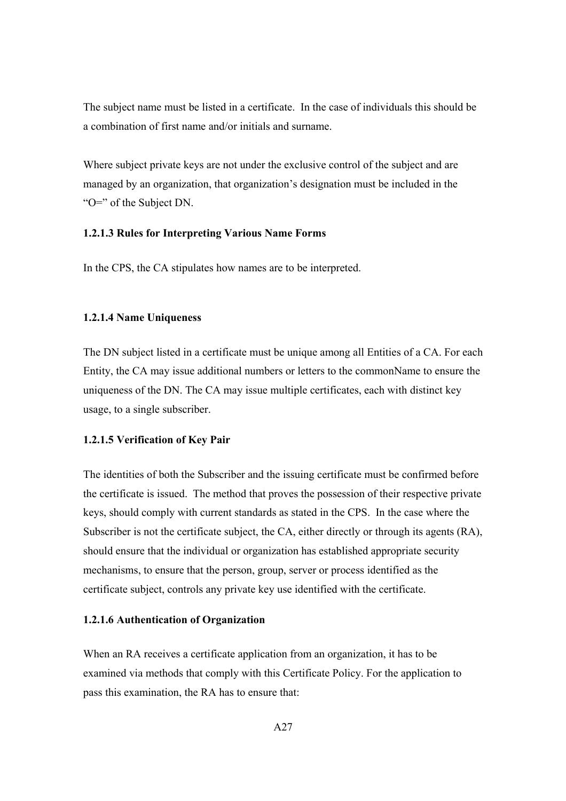The subject name must be listed in a certificate. In the case of individuals this should be a combination of first name and/or initials and surname.

Where subject private keys are not under the exclusive control of the subject and are managed by an organization, that organization's designation must be included in the "O=" of the Subject DN.

#### **1.2.1.3 Rules for Interpreting Various Name Forms**

In the CPS, the CA stipulates how names are to be interpreted.

### **1.2.1.4 Name Uniqueness**

The DN subject listed in a certificate must be unique among all Entities of a CA. For each Entity, the CA may issue additional numbers or letters to the commonName to ensure the uniqueness of the DN. The CA may issue multiple certificates, each with distinct key usage, to a single subscriber.

#### **1.2.1.5 Verification of Key Pair**

The identities of both the Subscriber and the issuing certificate must be confirmed before the certificate is issued. The method that proves the possession of their respective private keys, should comply with current standards as stated in the CPS. In the case where the Subscriber is not the certificate subject, the CA, either directly or through its agents (RA), should ensure that the individual or organization has established appropriate security mechanisms, to ensure that the person, group, server or process identified as the certificate subject, controls any private key use identified with the certificate.

### **1.2.1.6 Authentication of Organization**

When an RA receives a certificate application from an organization, it has to be examined via methods that comply with this Certificate Policy. For the application to pass this examination, the RA has to ensure that: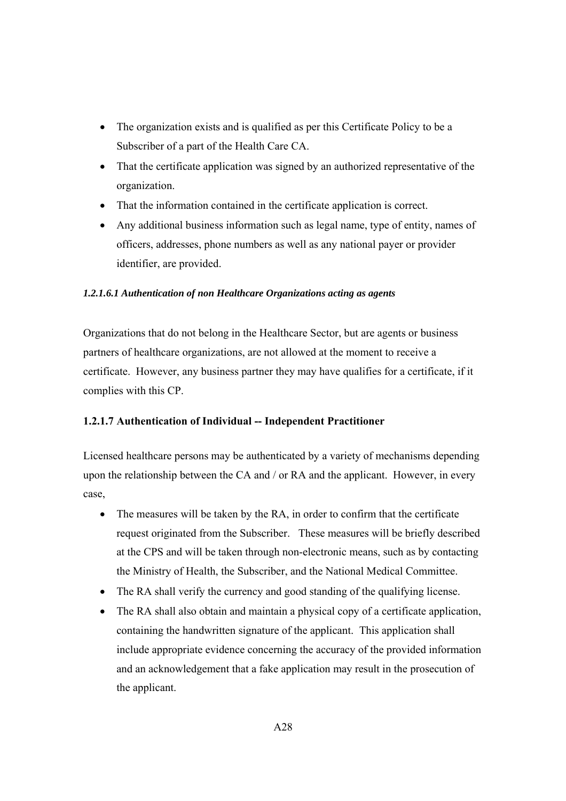- The organization exists and is qualified as per this Certificate Policy to be a Subscriber of a part of the Health Care CA.
- That the certificate application was signed by an authorized representative of the organization.
- That the information contained in the certificate application is correct.
- Any additional business information such as legal name, type of entity, names of officers, addresses, phone numbers as well as any national payer or provider identifier, are provided.

## *1.2.1.6.1 Authentication of non Healthcare Organizations acting as agents*

Organizations that do not belong in the Healthcare Sector, but are agents or business partners of healthcare organizations, are not allowed at the moment to receive a certificate. However, any business partner they may have qualifies for a certificate, if it complies with this CP.

# **1.2.1.7 Authentication of Individual -- Independent Practitioner**

Licensed healthcare persons may be authenticated by a variety of mechanisms depending upon the relationship between the CA and / or RA and the applicant. However, in every case,

- The measures will be taken by the RA, in order to confirm that the certificate request originated from the Subscriber. These measures will be briefly described at the CPS and will be taken through non-electronic means, such as by contacting the Ministry of Health, the Subscriber, and the National Medical Committee.
- The RA shall verify the currency and good standing of the qualifying license.
- The RA shall also obtain and maintain a physical copy of a certificate application, containing the handwritten signature of the applicant. This application shall include appropriate evidence concerning the accuracy of the provided information and an acknowledgement that a fake application may result in the prosecution of the applicant.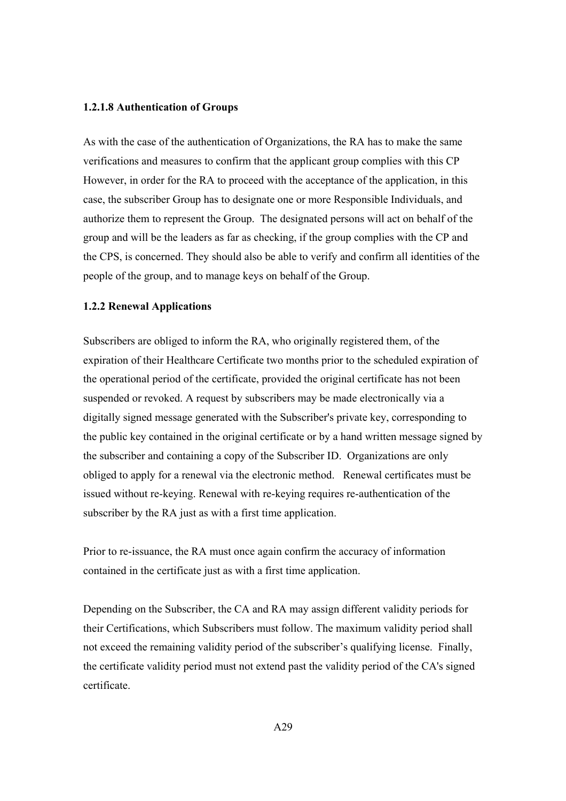#### **1.2.1.8 Authentication of Groups**

As with the case of the authentication of Organizations, the RA has to make the same verifications and measures to confirm that the applicant group complies with this CP However, in order for the RA to proceed with the acceptance of the application, in this case, the subscriber Group has to designate one or more Responsible Individuals, and authorize them to represent the Group. The designated persons will act on behalf of the group and will be the leaders as far as checking, if the group complies with the CP and the CPS, is concerned. They should also be able to verify and confirm all identities of the people of the group, and to manage keys on behalf of the Group.

### **1.2.2 Renewal Applications**

Subscribers are obliged to inform the RA, who originally registered them, of the expiration of their Healthcare Certificate two months prior to the scheduled expiration of the operational period of the certificate, provided the original certificate has not been suspended or revoked. A request by subscribers may be made electronically via a digitally signed message generated with the Subscriber's private key, corresponding to the public key contained in the original certificate or by a hand written message signed by the subscriber and containing a copy of the Subscriber ID. Organizations are only obliged to apply for a renewal via the electronic method. Renewal certificates must be issued without re-keying. Renewal with re-keying requires re-authentication of the subscriber by the RA just as with a first time application.

Prior to re-issuance, the RA must once again confirm the accuracy of information contained in the certificate just as with a first time application.

Depending on the Subscriber, the CA and RA may assign different validity periods for their Certifications, which Subscribers must follow. The maximum validity period shall not exceed the remaining validity period of the subscriber's qualifying license. Finally, the certificate validity period must not extend past the validity period of the CA's signed certificate.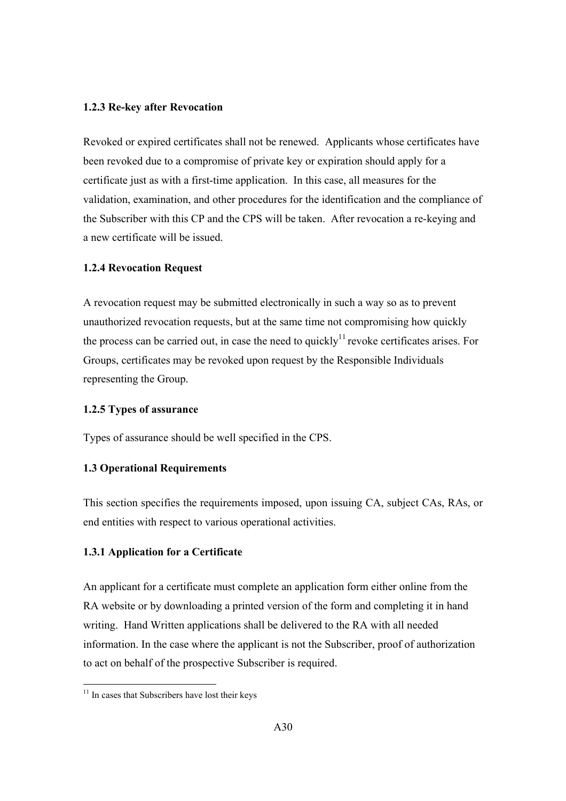#### **1.2.3 Re-key after Revocation**

Revoked or expired certificates shall not be renewed. Applicants whose certificates have been revoked due to a compromise of private key or expiration should apply for a certificate just as with a first-time application. In this case, all measures for the validation, examination, and other procedures for the identification and the compliance of the Subscriber with this CP and the CPS will be taken. After revocation a re-keying and a new certificate will be issued.

## **1.2.4 Revocation Request**

A revocation request may be submitted electronically in such a way so as to prevent unauthorized revocation requests, but at the same time not compromising how quickly the process can be carried out, in case the need to quickly<sup>11</sup> revoke certificates arises. For Groups, certificates may be revoked upon request by the Responsible Individuals representing the Group.

## **1.2.5 Types of assurance**

Types of assurance should be well specified in the CPS.

## **1.3 Operational Requirements**

This section specifies the requirements imposed, upon issuing CA, subject CAs, RAs, or end entities with respect to various operational activities.

## **1.3.1 Application for a Certificate**

An applicant for a certificate must complete an application form either online from the RA website or by downloading a printed version of the form and completing it in hand writing. Hand Written applications shall be delivered to the RA with all needed information. In the case where the applicant is not the Subscriber, proof of authorization to act on behalf of the prospective Subscriber is required.

 $11$  In cases that Subscribers have lost their keys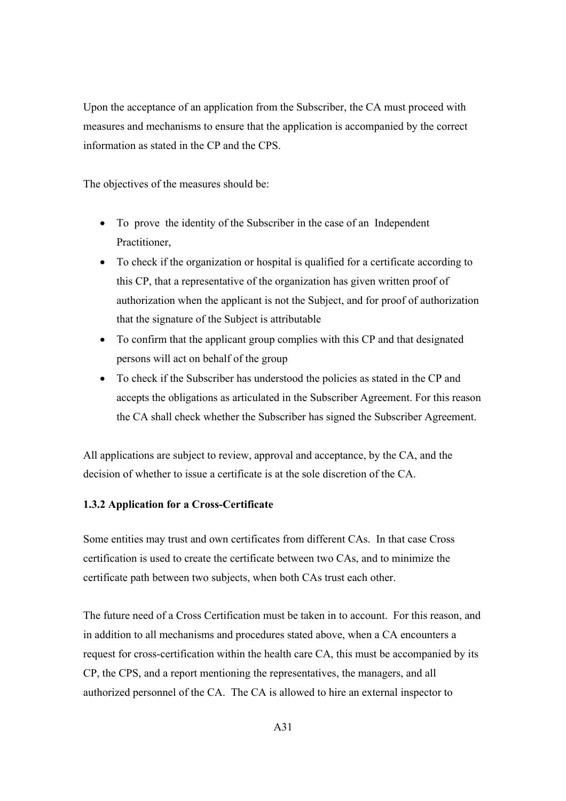Upon the acceptance of an application from the Subscriber, the CA must proceed with measures and mechanisms to ensure that the application is accompanied by the correct information as stated in the CP and the CPS.

The objectives of the measures should be:

- To prove the identity of the Subscriber in the case of an Independent Practitioner,
- To check if the organization or hospital is qualified for a certificate according to this CP, that a representative of the organization has given written proof of authorization when the applicant is not the Subject, and for proof of authorization that the signature of the Subject is attributable
- To confirm that the applicant group complies with this CP and that designated persons will act on behalf of the group
- To check if the Subscriber has understood the policies as stated in the CP and accepts the obligations as articulated in the Subscriber Agreement. For this reason the CA shall check whether the Subscriber has signed the Subscriber Agreement.

All applications are subject to review, approval and acceptance, by the CA, and the decision of whether to issue a certificate is at the sole discretion of the CA.

### **1.3.2 Application for a Cross-Certificate**

Some entities may trust and own certificates from different CAs. In that case Cross certification is used to create the certificate between two CAs, and to minimize the certificate path between two subjects, when both CAs trust each other.

The future need of a Cross Certification must be taken in to account. For this reason, and in addition to all mechanisms and procedures stated above, when a CA encounters a request for cross-certification within the health care CA, this must be accompanied by its CP, the CPS, and a report mentioning the representatives, the managers, and all authorized personnel of the CA. The CA is allowed to hire an external inspector to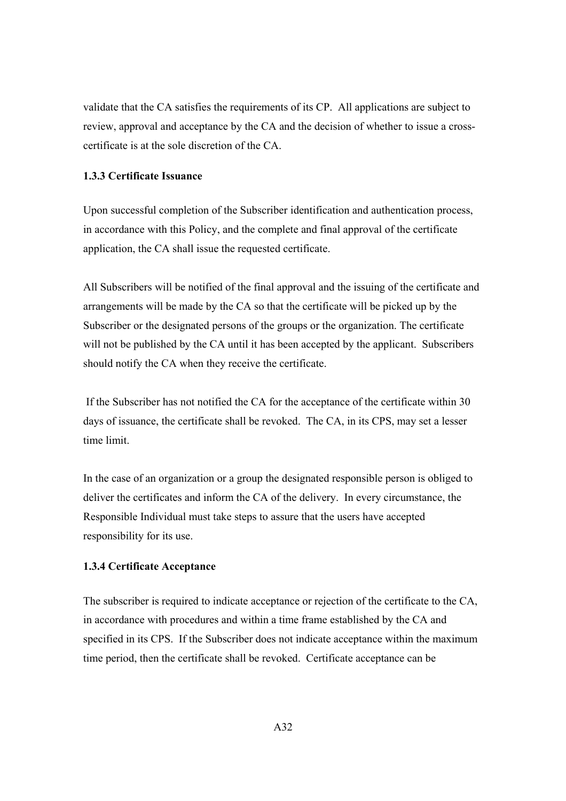validate that the CA satisfies the requirements of its CP. All applications are subject to review, approval and acceptance by the CA and the decision of whether to issue a crosscertificate is at the sole discretion of the CA.

## **1.3.3 Certificate Issuance**

Upon successful completion of the Subscriber identification and authentication process, in accordance with this Policy, and the complete and final approval of the certificate application, the CA shall issue the requested certificate.

All Subscribers will be notified of the final approval and the issuing of the certificate and arrangements will be made by the CA so that the certificate will be picked up by the Subscriber or the designated persons of the groups or the organization. The certificate will not be published by the CA until it has been accepted by the applicant. Subscribers should notify the CA when they receive the certificate.

 If the Subscriber has not notified the CA for the acceptance of the certificate within 30 days of issuance, the certificate shall be revoked. The CA, in its CPS, may set a lesser time limit.

In the case of an organization or a group the designated responsible person is obliged to deliver the certificates and inform the CA of the delivery. In every circumstance, the Responsible Individual must take steps to assure that the users have accepted responsibility for its use.

### **1.3.4 Certificate Acceptance**

The subscriber is required to indicate acceptance or rejection of the certificate to the CA, in accordance with procedures and within a time frame established by the CA and specified in its CPS. If the Subscriber does not indicate acceptance within the maximum time period, then the certificate shall be revoked. Certificate acceptance can be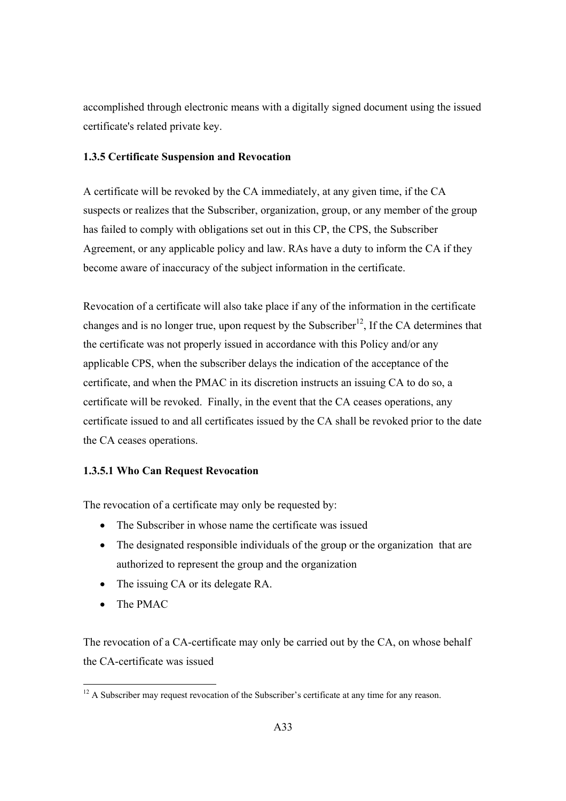accomplished through electronic means with a digitally signed document using the issued certificate's related private key.

## **1.3.5 Certificate Suspension and Revocation**

A certificate will be revoked by the CA immediately, at any given time, if the CA suspects or realizes that the Subscriber, organization, group, or any member of the group has failed to comply with obligations set out in this CP, the CPS, the Subscriber Agreement, or any applicable policy and law. RAs have a duty to inform the CA if they become aware of inaccuracy of the subject information in the certificate.

Revocation of a certificate will also take place if any of the information in the certificate changes and is no longer true, upon request by the Subscriber<sup>12</sup>, If the CA determines that the certificate was not properly issued in accordance with this Policy and/or any applicable CPS, when the subscriber delays the indication of the acceptance of the certificate, and when the PMAC in its discretion instructs an issuing CA to do so, a certificate will be revoked. Finally, in the event that the CA ceases operations, any certificate issued to and all certificates issued by the CA shall be revoked prior to the date the CA ceases operations.

# **1.3.5.1 Who Can Request Revocation**

The revocation of a certificate may only be requested by:

- The Subscriber in whose name the certificate was issued
- The designated responsible individuals of the group or the organization that are authorized to represent the group and the organization
- The issuing CA or its delegate RA.
- The PMAC

The revocation of a CA-certificate may only be carried out by the CA, on whose behalf the CA-certificate was issued

 $12$  A Subscriber may request revocation of the Subscriber's certificate at any time for any reason.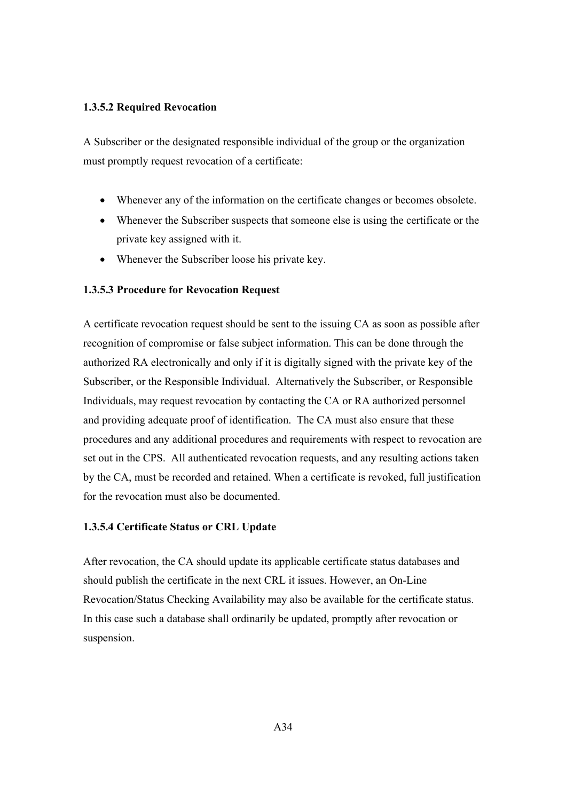### **1.3.5.2 Required Revocation**

A Subscriber or the designated responsible individual of the group or the organization must promptly request revocation of a certificate:

- Whenever any of the information on the certificate changes or becomes obsolete.
- Whenever the Subscriber suspects that someone else is using the certificate or the private key assigned with it.
- Whenever the Subscriber loose his private key.

#### **1.3.5.3 Procedure for Revocation Request**

A certificate revocation request should be sent to the issuing CA as soon as possible after recognition of compromise or false subject information. This can be done through the authorized RA electronically and only if it is digitally signed with the private key of the Subscriber, or the Responsible Individual. Alternatively the Subscriber, or Responsible Individuals, may request revocation by contacting the CA or RA authorized personnel and providing adequate proof of identification. The CA must also ensure that these procedures and any additional procedures and requirements with respect to revocation are set out in the CPS. All authenticated revocation requests, and any resulting actions taken by the CA, must be recorded and retained. When a certificate is revoked, full justification for the revocation must also be documented.

### **1.3.5.4 Certificate Status or CRL Update**

After revocation, the CA should update its applicable certificate status databases and should publish the certificate in the next CRL it issues. However, an On-Line Revocation/Status Checking Availability may also be available for the certificate status. In this case such a database shall ordinarily be updated, promptly after revocation or suspension.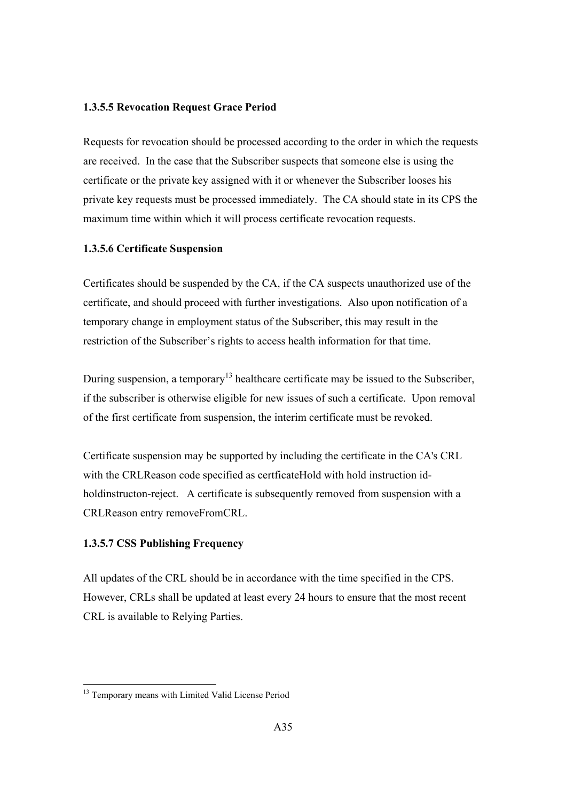### **1.3.5.5 Revocation Request Grace Period**

Requests for revocation should be processed according to the order in which the requests are received. In the case that the Subscriber suspects that someone else is using the certificate or the private key assigned with it or whenever the Subscriber looses his private key requests must be processed immediately. The CA should state in its CPS the maximum time within which it will process certificate revocation requests.

### **1.3.5.6 Certificate Suspension**

Certificates should be suspended by the CA, if the CA suspects unauthorized use of the certificate, and should proceed with further investigations. Also upon notification of a temporary change in employment status of the Subscriber, this may result in the restriction of the Subscriber's rights to access health information for that time.

During suspension, a temporary<sup>13</sup> healthcare certificate may be issued to the Subscriber, if the subscriber is otherwise eligible for new issues of such a certificate. Upon removal of the first certificate from suspension, the interim certificate must be revoked.

Certificate suspension may be supported by including the certificate in the CA's CRL with the CRLReason code specified as certficateHold with hold instruction idholdinstructon-reject. A certificate is subsequently removed from suspension with a CRLReason entry removeFromCRL.

## **1.3.5.7 CSS Publishing Frequency**

All updates of the CRL should be in accordance with the time specified in the CPS. However, CRLs shall be updated at least every 24 hours to ensure that the most recent CRL is available to Relying Parties.

<sup>&</sup>lt;sup>13</sup> Temporary means with Limited Valid License Period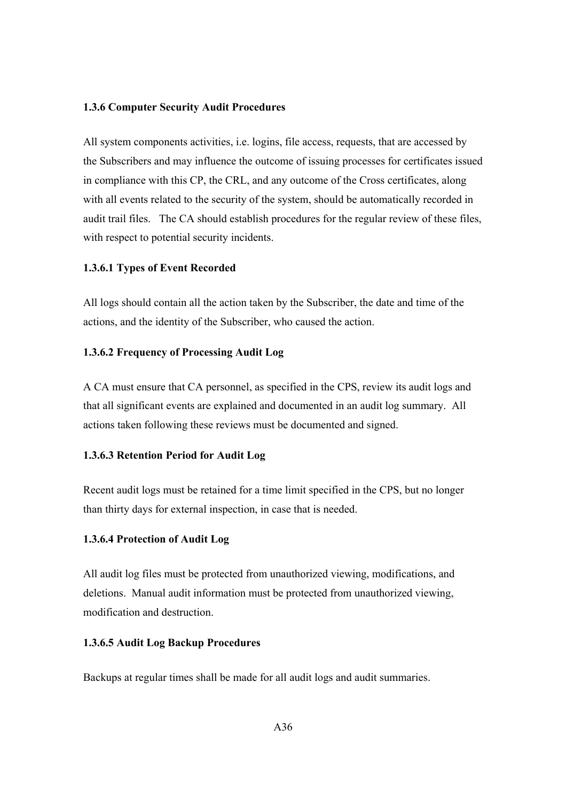#### **1.3.6 Computer Security Audit Procedures**

All system components activities, i.e. logins, file access, requests, that are accessed by the Subscribers and may influence the outcome of issuing processes for certificates issued in compliance with this CP, the CRL, and any outcome of the Cross certificates, along with all events related to the security of the system, should be automatically recorded in audit trail files. The CA should establish procedures for the regular review of these files, with respect to potential security incidents.

### **1.3.6.1 Types of Event Recorded**

All logs should contain all the action taken by the Subscriber, the date and time of the actions, and the identity of the Subscriber, who caused the action.

### **1.3.6.2 Frequency of Processing Audit Log**

A CA must ensure that CA personnel, as specified in the CPS, review its audit logs and that all significant events are explained and documented in an audit log summary. All actions taken following these reviews must be documented and signed.

### **1.3.6.3 Retention Period for Audit Log**

Recent audit logs must be retained for a time limit specified in the CPS, but no longer than thirty days for external inspection, in case that is needed.

### **1.3.6.4 Protection of Audit Log**

All audit log files must be protected from unauthorized viewing, modifications, and deletions. Manual audit information must be protected from unauthorized viewing, modification and destruction.

### **1.3.6.5 Audit Log Backup Procedures**

Backups at regular times shall be made for all audit logs and audit summaries.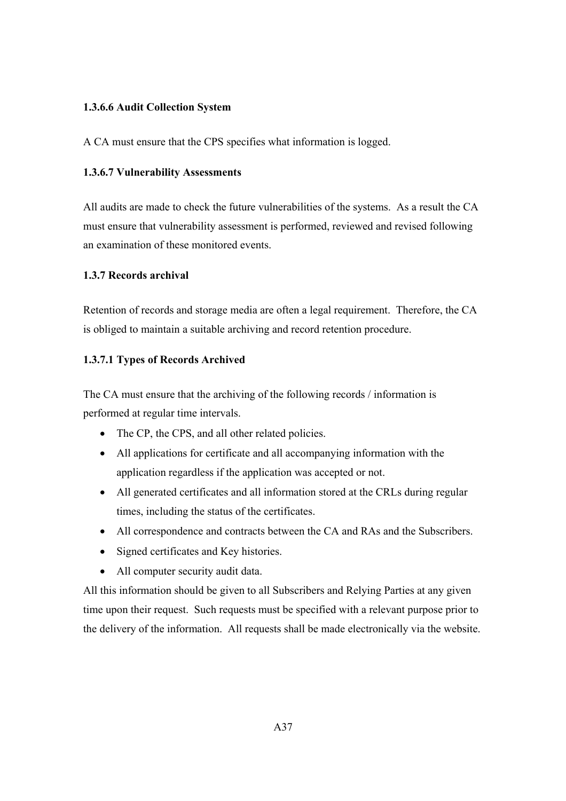## **1.3.6.6 Audit Collection System**

A CA must ensure that the CPS specifies what information is logged.

## **1.3.6.7 Vulnerability Assessments**

All audits are made to check the future vulnerabilities of the systems. As a result the CA must ensure that vulnerability assessment is performed, reviewed and revised following an examination of these monitored events.

## **1.3.7 Records archival**

Retention of records and storage media are often a legal requirement. Therefore, the CA is obliged to maintain a suitable archiving and record retention procedure.

## **1.3.7.1 Types of Records Archived**

The CA must ensure that the archiving of the following records / information is performed at regular time intervals.

- The CP, the CPS, and all other related policies.
- All applications for certificate and all accompanying information with the application regardless if the application was accepted or not.
- All generated certificates and all information stored at the CRLs during regular times, including the status of the certificates.
- All correspondence and contracts between the CA and RAs and the Subscribers.
- Signed certificates and Key histories.
- All computer security audit data.

All this information should be given to all Subscribers and Relying Parties at any given time upon their request. Such requests must be specified with a relevant purpose prior to the delivery of the information. All requests shall be made electronically via the website.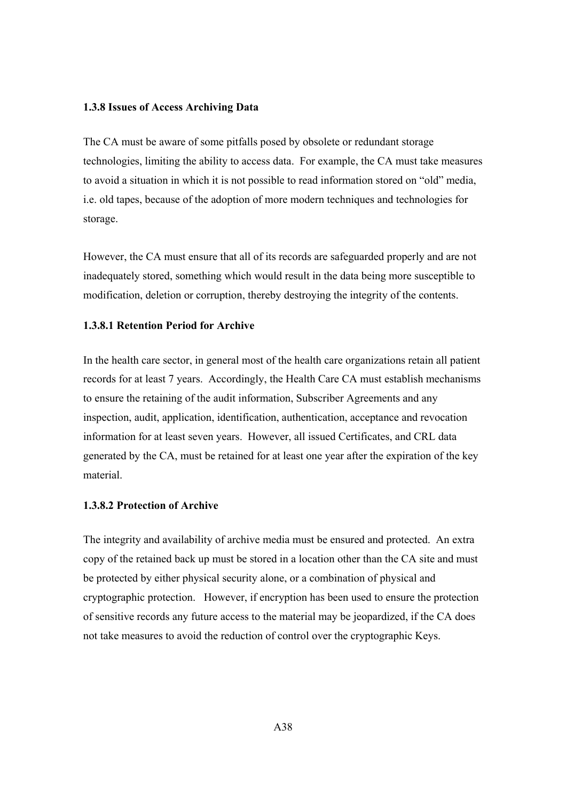#### **1.3.8 Issues of Access Archiving Data**

The CA must be aware of some pitfalls posed by obsolete or redundant storage technologies, limiting the ability to access data. For example, the CA must take measures to avoid a situation in which it is not possible to read information stored on "old" media, i.e. old tapes, because of the adoption of more modern techniques and technologies for storage.

However, the CA must ensure that all of its records are safeguarded properly and are not inadequately stored, something which would result in the data being more susceptible to modification, deletion or corruption, thereby destroying the integrity of the contents.

#### **1.3.8.1 Retention Period for Archive**

In the health care sector, in general most of the health care organizations retain all patient records for at least 7 years. Accordingly, the Health Care CA must establish mechanisms to ensure the retaining of the audit information, Subscriber Agreements and any inspection, audit, application, identification, authentication, acceptance and revocation information for at least seven years. However, all issued Certificates, and CRL data generated by the CA, must be retained for at least one year after the expiration of the key material.

### **1.3.8.2 Protection of Archive**

The integrity and availability of archive media must be ensured and protected. An extra copy of the retained back up must be stored in a location other than the CA site and must be protected by either physical security alone, or a combination of physical and cryptographic protection. However, if encryption has been used to ensure the protection of sensitive records any future access to the material may be jeopardized, if the CA does not take measures to avoid the reduction of control over the cryptographic Keys.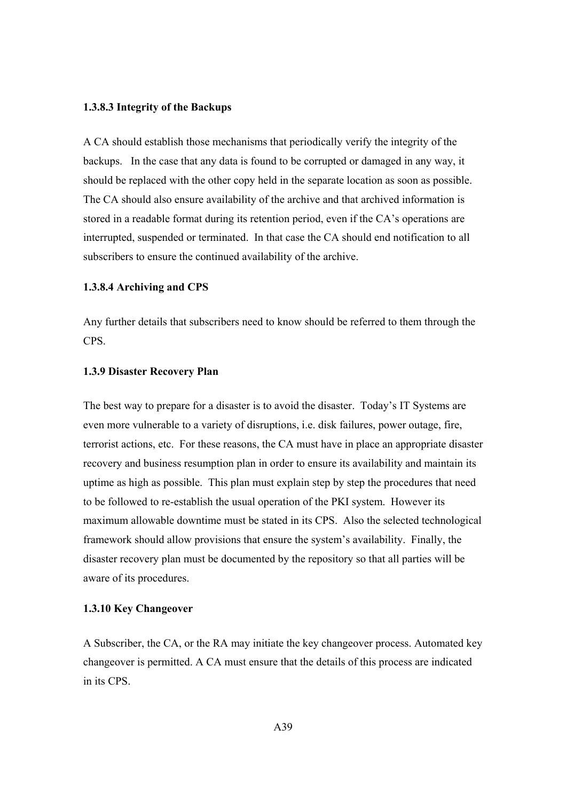#### **1.3.8.3 Integrity of the Backups**

A CA should establish those mechanisms that periodically verify the integrity of the backups. In the case that any data is found to be corrupted or damaged in any way, it should be replaced with the other copy held in the separate location as soon as possible. The CA should also ensure availability of the archive and that archived information is stored in a readable format during its retention period, even if the CA's operations are interrupted, suspended or terminated. In that case the CA should end notification to all subscribers to ensure the continued availability of the archive.

#### **1.3.8.4 Archiving and CPS**

Any further details that subscribers need to know should be referred to them through the CPS.

#### **1.3.9 Disaster Recovery Plan**

The best way to prepare for a disaster is to avoid the disaster. Today's IT Systems are even more vulnerable to a variety of disruptions, i.e. disk failures, power outage, fire, terrorist actions, etc. For these reasons, the CA must have in place an appropriate disaster recovery and business resumption plan in order to ensure its availability and maintain its uptime as high as possible. This plan must explain step by step the procedures that need to be followed to re-establish the usual operation of the PKI system. However its maximum allowable downtime must be stated in its CPS. Also the selected technological framework should allow provisions that ensure the system's availability. Finally, the disaster recovery plan must be documented by the repository so that all parties will be aware of its procedures.

#### **1.3.10 Key Changeover**

A Subscriber, the CA, or the RA may initiate the key changeover process. Automated key changeover is permitted. A CA must ensure that the details of this process are indicated in its CPS.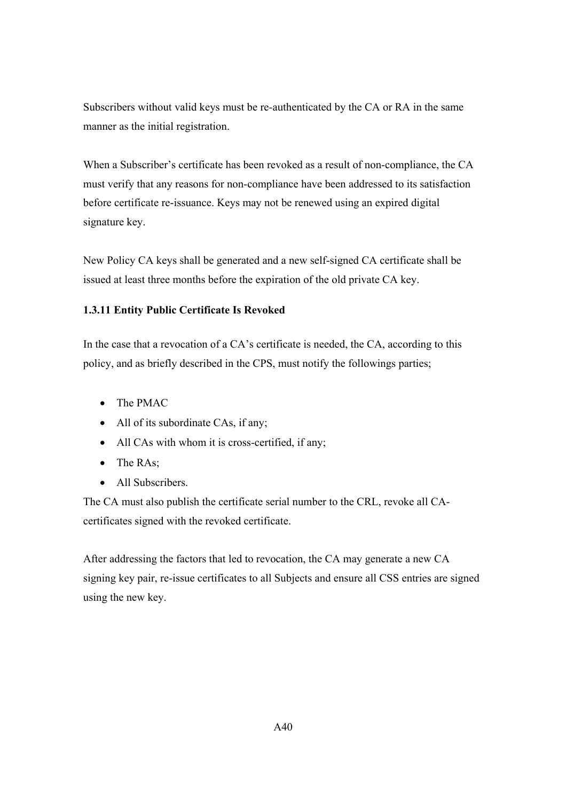Subscribers without valid keys must be re-authenticated by the CA or RA in the same manner as the initial registration.

When a Subscriber's certificate has been revoked as a result of non-compliance, the CA must verify that any reasons for non-compliance have been addressed to its satisfaction before certificate re-issuance. Keys may not be renewed using an expired digital signature key.

New Policy CA keys shall be generated and a new self-signed CA certificate shall be issued at least three months before the expiration of the old private CA key.

# **1.3.11 Entity Public Certificate Is Revoked**

In the case that a revocation of a CA's certificate is needed, the CA, according to this policy, and as briefly described in the CPS, must notify the followings parties;

- The PMAC
- All of its subordinate CAs, if any;
- All CAs with whom it is cross-certified, if any;
- The RAs;
- All Subscribers.

The CA must also publish the certificate serial number to the CRL, revoke all CAcertificates signed with the revoked certificate.

After addressing the factors that led to revocation, the CA may generate a new CA signing key pair, re-issue certificates to all Subjects and ensure all CSS entries are signed using the new key.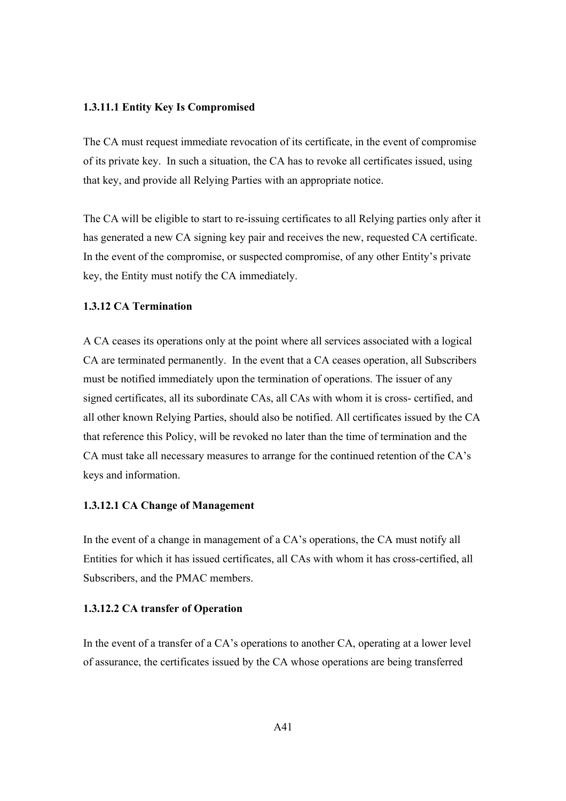### **1.3.11.1 Entity Key Is Compromised**

The CA must request immediate revocation of its certificate, in the event of compromise of its private key. In such a situation, the CA has to revoke all certificates issued, using that key, and provide all Relying Parties with an appropriate notice.

The CA will be eligible to start to re-issuing certificates to all Relying parties only after it has generated a new CA signing key pair and receives the new, requested CA certificate. In the event of the compromise, or suspected compromise, of any other Entity's private key, the Entity must notify the CA immediately.

# **1.3.12 CA Termination**

A CA ceases its operations only at the point where all services associated with a logical CA are terminated permanently. In the event that a CA ceases operation, all Subscribers must be notified immediately upon the termination of operations. The issuer of any signed certificates, all its subordinate CAs, all CAs with whom it is cross- certified, and all other known Relying Parties, should also be notified. All certificates issued by the CA that reference this Policy, will be revoked no later than the time of termination and the CA must take all necessary measures to arrange for the continued retention of the CA's keys and information.

### **1.3.12.1 CA Change of Management**

In the event of a change in management of a CA's operations, the CA must notify all Entities for which it has issued certificates, all CAs with whom it has cross-certified, all Subscribers, and the PMAC members.

### **1.3.12.2 CA transfer of Operation**

In the event of a transfer of a CA's operations to another CA, operating at a lower level of assurance, the certificates issued by the CA whose operations are being transferred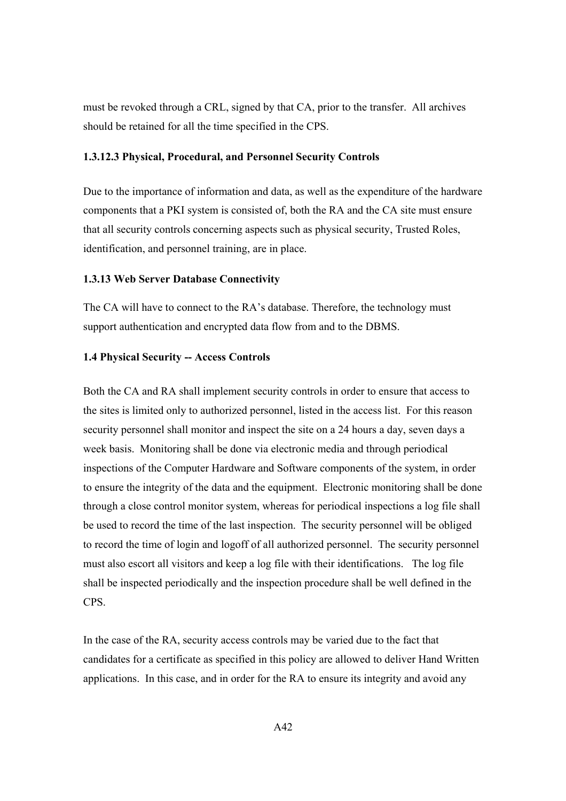must be revoked through a CRL, signed by that CA, prior to the transfer. All archives should be retained for all the time specified in the CPS.

### **1.3.12.3 Physical, Procedural, and Personnel Security Controls**

Due to the importance of information and data, as well as the expenditure of the hardware components that a PKI system is consisted of, both the RA and the CA site must ensure that all security controls concerning aspects such as physical security, Trusted Roles, identification, and personnel training, are in place.

#### **1.3.13 Web Server Database Connectivity**

The CA will have to connect to the RA's database. Therefore, the technology must support authentication and encrypted data flow from and to the DBMS.

#### **1.4 Physical Security -- Access Controls**

Both the CA and RA shall implement security controls in order to ensure that access to the sites is limited only to authorized personnel, listed in the access list. For this reason security personnel shall monitor and inspect the site on a 24 hours a day, seven days a week basis. Monitoring shall be done via electronic media and through periodical inspections of the Computer Hardware and Software components of the system, in order to ensure the integrity of the data and the equipment. Electronic monitoring shall be done through a close control monitor system, whereas for periodical inspections a log file shall be used to record the time of the last inspection. The security personnel will be obliged to record the time of login and logoff of all authorized personnel. The security personnel must also escort all visitors and keep a log file with their identifications. The log file shall be inspected periodically and the inspection procedure shall be well defined in the CPS.

In the case of the RA, security access controls may be varied due to the fact that candidates for a certificate as specified in this policy are allowed to deliver Hand Written applications. In this case, and in order for the RA to ensure its integrity and avoid any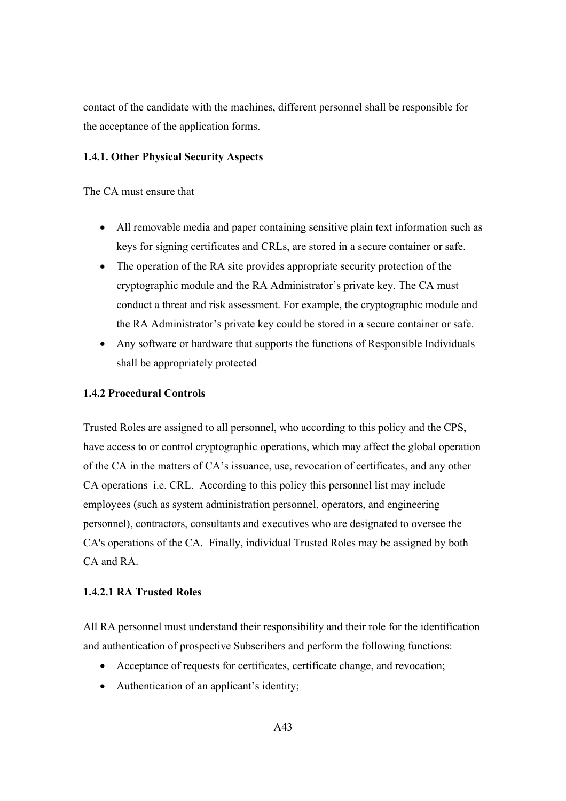contact of the candidate with the machines, different personnel shall be responsible for the acceptance of the application forms.

### **1.4.1. Other Physical Security Aspects**

The CA must ensure that

- All removable media and paper containing sensitive plain text information such as keys for signing certificates and CRLs, are stored in a secure container or safe.
- The operation of the RA site provides appropriate security protection of the cryptographic module and the RA Administrator's private key. The CA must conduct a threat and risk assessment. For example, the cryptographic module and the RA Administrator's private key could be stored in a secure container or safe.
- Any software or hardware that supports the functions of Responsible Individuals shall be appropriately protected

### **1.4.2 Procedural Controls**

Trusted Roles are assigned to all personnel, who according to this policy and the CPS, have access to or control cryptographic operations, which may affect the global operation of the CA in the matters of CA's issuance, use, revocation of certificates, and any other CA operations i.e. CRL. According to this policy this personnel list may include employees (such as system administration personnel, operators, and engineering personnel), contractors, consultants and executives who are designated to oversee the CA's operations of the CA. Finally, individual Trusted Roles may be assigned by both CA and RA.

## **1.4.2.1 RA Trusted Roles**

All RA personnel must understand their responsibility and their role for the identification and authentication of prospective Subscribers and perform the following functions:

- Acceptance of requests for certificates, certificate change, and revocation;
- Authentication of an applicant's identity;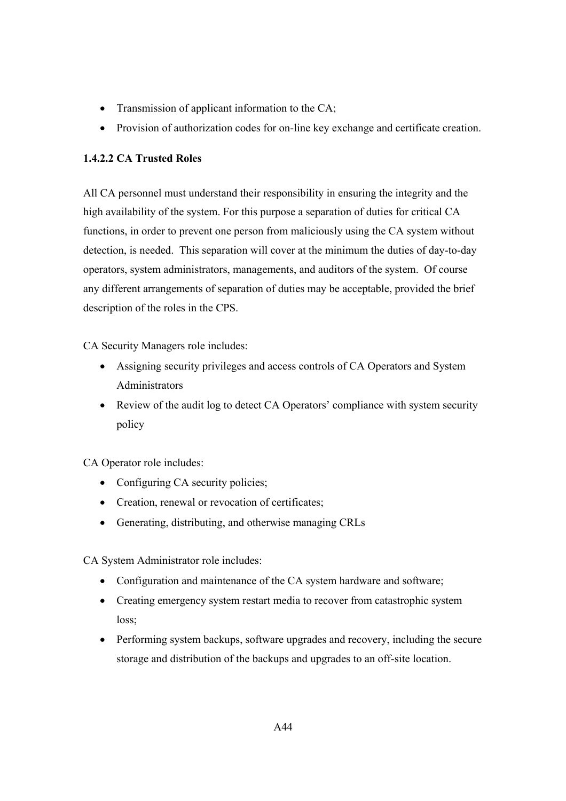- Transmission of applicant information to the CA;
- Provision of authorization codes for on-line key exchange and certificate creation.

# **1.4.2.2 CA Trusted Roles**

All CA personnel must understand their responsibility in ensuring the integrity and the high availability of the system. For this purpose a separation of duties for critical CA functions, in order to prevent one person from maliciously using the CA system without detection, is needed. This separation will cover at the minimum the duties of day-to-day operators, system administrators, managements, and auditors of the system. Of course any different arrangements of separation of duties may be acceptable, provided the brief description of the roles in the CPS.

CA Security Managers role includes:

- Assigning security privileges and access controls of CA Operators and System **Administrators**
- Review of the audit log to detect CA Operators' compliance with system security policy

CA Operator role includes:

- Configuring CA security policies;
- Creation, renewal or revocation of certificates;
- Generating, distributing, and otherwise managing CRLs

CA System Administrator role includes:

- Configuration and maintenance of the CA system hardware and software;
- Creating emergency system restart media to recover from catastrophic system loss;
- Performing system backups, software upgrades and recovery, including the secure storage and distribution of the backups and upgrades to an off-site location.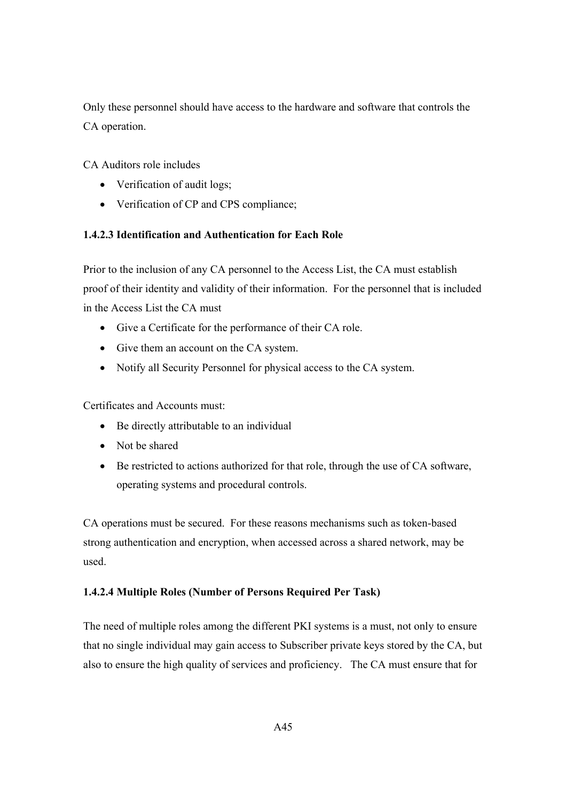Only these personnel should have access to the hardware and software that controls the CA operation.

CA Auditors role includes

- Verification of audit logs;
- Verification of CP and CPS compliance;

# **1.4.2.3 Identification and Authentication for Each Role**

Prior to the inclusion of any CA personnel to the Access List, the CA must establish proof of their identity and validity of their information. For the personnel that is included in the Access List the CA must

- Give a Certificate for the performance of their CA role.
- Give them an account on the CA system.
- Notify all Security Personnel for physical access to the CA system.

Certificates and Accounts must:

- Be directly attributable to an individual
- Not be shared
- Be restricted to actions authorized for that role, through the use of CA software, operating systems and procedural controls.

CA operations must be secured. For these reasons mechanisms such as token-based strong authentication and encryption, when accessed across a shared network, may be used.

# **1.4.2.4 Multiple Roles (Number of Persons Required Per Task)**

The need of multiple roles among the different PKI systems is a must, not only to ensure that no single individual may gain access to Subscriber private keys stored by the CA, but also to ensure the high quality of services and proficiency. The CA must ensure that for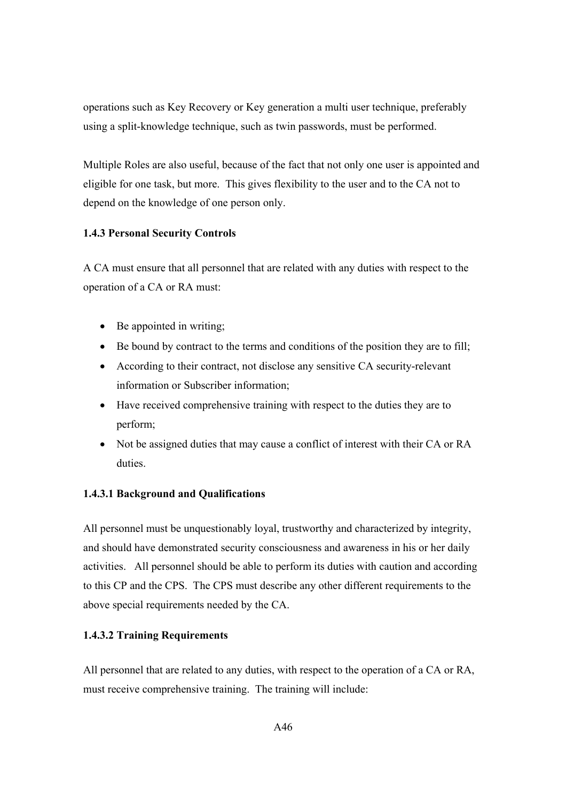operations such as Key Recovery or Key generation a multi user technique, preferably using a split-knowledge technique, such as twin passwords, must be performed.

Multiple Roles are also useful, because of the fact that not only one user is appointed and eligible for one task, but more. This gives flexibility to the user and to the CA not to depend on the knowledge of one person only.

## **1.4.3 Personal Security Controls**

A CA must ensure that all personnel that are related with any duties with respect to the operation of a CA or RA must:

- Be appointed in writing;
- Be bound by contract to the terms and conditions of the position they are to fill;
- According to their contract, not disclose any sensitive CA security-relevant information or Subscriber information;
- Have received comprehensive training with respect to the duties they are to perform;
- Not be assigned duties that may cause a conflict of interest with their CA or RA duties.

## **1.4.3.1 Background and Qualifications**

All personnel must be unquestionably loyal, trustworthy and characterized by integrity, and should have demonstrated security consciousness and awareness in his or her daily activities. All personnel should be able to perform its duties with caution and according to this CP and the CPS. The CPS must describe any other different requirements to the above special requirements needed by the CA.

# **1.4.3.2 Training Requirements**

All personnel that are related to any duties, with respect to the operation of a CA or RA, must receive comprehensive training. The training will include: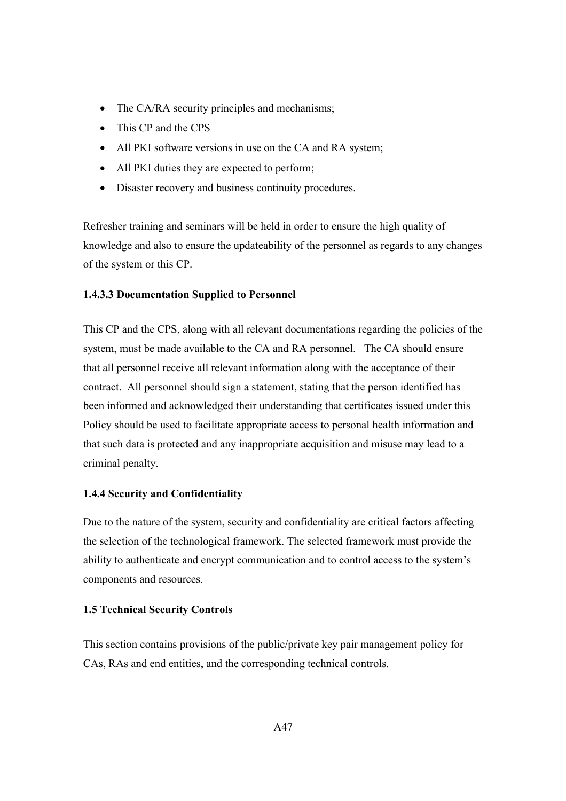- The CA/RA security principles and mechanisms;
- This CP and the CPS
- All PKI software versions in use on the CA and RA system;
- All PKI duties they are expected to perform;
- Disaster recovery and business continuity procedures.

Refresher training and seminars will be held in order to ensure the high quality of knowledge and also to ensure the updateability of the personnel as regards to any changes of the system or this CP.

## **1.4.3.3 Documentation Supplied to Personnel**

This CP and the CPS, along with all relevant documentations regarding the policies of the system, must be made available to the CA and RA personnel. The CA should ensure that all personnel receive all relevant information along with the acceptance of their contract. All personnel should sign a statement, stating that the person identified has been informed and acknowledged their understanding that certificates issued under this Policy should be used to facilitate appropriate access to personal health information and that such data is protected and any inappropriate acquisition and misuse may lead to a criminal penalty.

## **1.4.4 Security and Confidentiality**

Due to the nature of the system, security and confidentiality are critical factors affecting the selection of the technological framework. The selected framework must provide the ability to authenticate and encrypt communication and to control access to the system's components and resources.

## **1.5 Technical Security Controls**

This section contains provisions of the public/private key pair management policy for CAs, RAs and end entities, and the corresponding technical controls.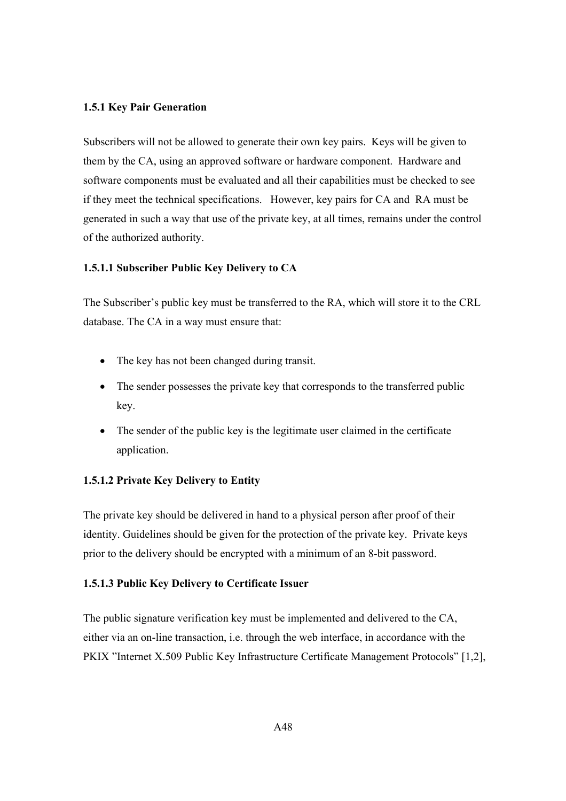### **1.5.1 Key Pair Generation**

Subscribers will not be allowed to generate their own key pairs. Keys will be given to them by the CA, using an approved software or hardware component. Hardware and software components must be evaluated and all their capabilities must be checked to see if they meet the technical specifications. However, key pairs for CA and RA must be generated in such a way that use of the private key, at all times, remains under the control of the authorized authority.

### **1.5.1.1 Subscriber Public Key Delivery to CA**

The Subscriber's public key must be transferred to the RA, which will store it to the CRL database. The CA in a way must ensure that:

- The key has not been changed during transit.
- The sender possesses the private key that corresponds to the transferred public key.
- The sender of the public key is the legitimate user claimed in the certificate application.

### **1.5.1.2 Private Key Delivery to Entity**

The private key should be delivered in hand to a physical person after proof of their identity. Guidelines should be given for the protection of the private key. Private keys prior to the delivery should be encrypted with a minimum of an 8-bit password.

#### **1.5.1.3 Public Key Delivery to Certificate Issuer**

The public signature verification key must be implemented and delivered to the CA, either via an on-line transaction, i.e. through the web interface, in accordance with the PKIX "Internet X.509 Public Key Infrastructure Certificate Management Protocols" [1,2],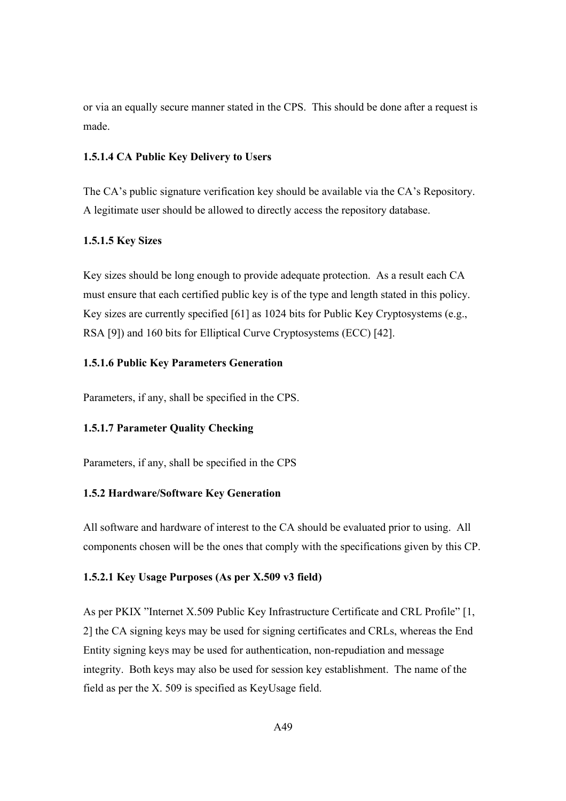or via an equally secure manner stated in the CPS. This should be done after a request is made.

## **1.5.1.4 CA Public Key Delivery to Users**

The CA's public signature verification key should be available via the CA's Repository. A legitimate user should be allowed to directly access the repository database.

## **1.5.1.5 Key Sizes**

Key sizes should be long enough to provide adequate protection. As a result each CA must ensure that each certified public key is of the type and length stated in this policy. Key sizes are currently specified [61] as 1024 bits for Public Key Cryptosystems (e.g., RSA [9]) and 160 bits for Elliptical Curve Cryptosystems (ECC) [42].

## **1.5.1.6 Public Key Parameters Generation**

Parameters, if any, shall be specified in the CPS.

# **1.5.1.7 Parameter Quality Checking**

Parameters, if any, shall be specified in the CPS

## **1.5.2 Hardware/Software Key Generation**

All software and hardware of interest to the CA should be evaluated prior to using. All components chosen will be the ones that comply with the specifications given by this CP.

## **1.5.2.1 Key Usage Purposes (As per X.509 v3 field)**

As per PKIX "Internet X.509 Public Key Infrastructure Certificate and CRL Profile" [1, 2] the CA signing keys may be used for signing certificates and CRLs, whereas the End Entity signing keys may be used for authentication, non-repudiation and message integrity. Both keys may also be used for session key establishment. The name of the field as per the X. 509 is specified as KeyUsage field.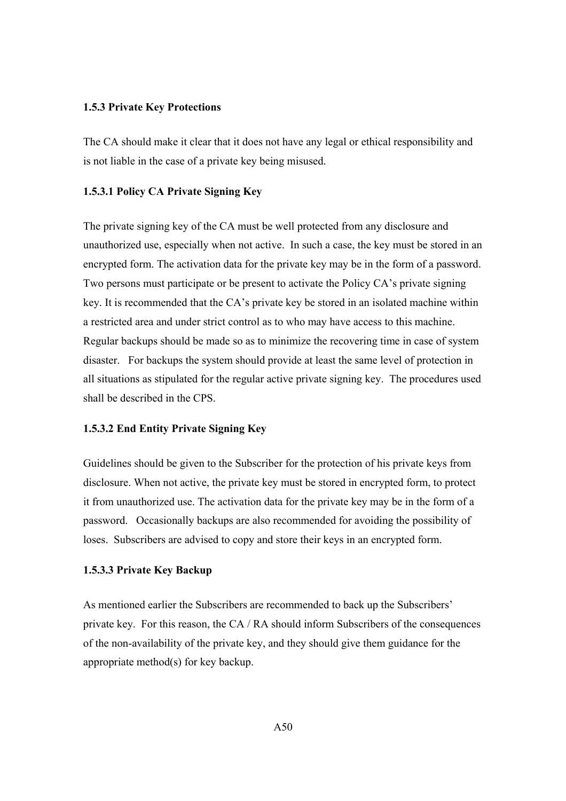#### **1.5.3 Private Key Protections**

The CA should make it clear that it does not have any legal or ethical responsibility and is not liable in the case of a private key being misused.

#### **1.5.3.1 Policy CA Private Signing Key**

The private signing key of the CA must be well protected from any disclosure and unauthorized use, especially when not active. In such a case, the key must be stored in an encrypted form. The activation data for the private key may be in the form of a password. Two persons must participate or be present to activate the Policy CA's private signing key. It is recommended that the CA's private key be stored in an isolated machine within a restricted area and under strict control as to who may have access to this machine. Regular backups should be made so as to minimize the recovering time in case of system disaster. For backups the system should provide at least the same level of protection in all situations as stipulated for the regular active private signing key. The procedures used shall be described in the CPS.

### **1.5.3.2 End Entity Private Signing Key**

Guidelines should be given to the Subscriber for the protection of his private keys from disclosure. When not active, the private key must be stored in encrypted form, to protect it from unauthorized use. The activation data for the private key may be in the form of a password. Occasionally backups are also recommended for avoiding the possibility of loses. Subscribers are advised to copy and store their keys in an encrypted form.

### **1.5.3.3 Private Key Backup**

As mentioned earlier the Subscribers are recommended to back up the Subscribers' private key. For this reason, the CA / RA should inform Subscribers of the consequences of the non-availability of the private key, and they should give them guidance for the appropriate method(s) for key backup.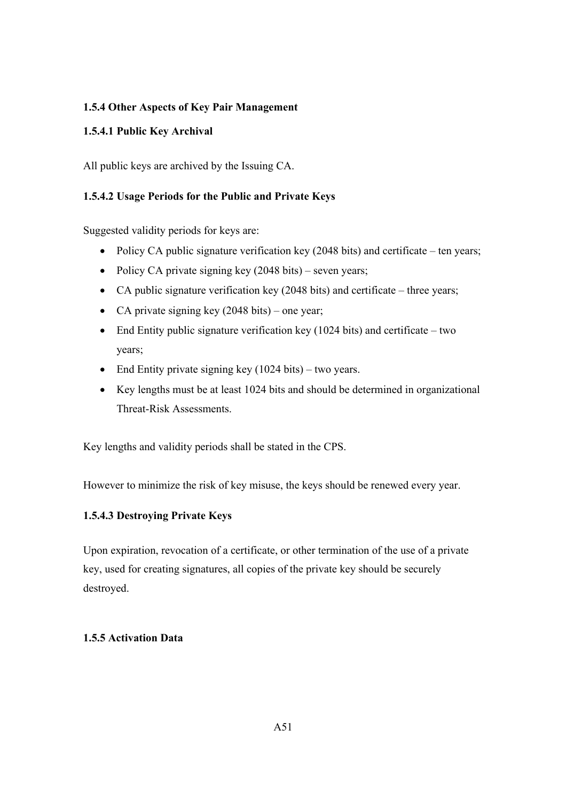# **1.5.4 Other Aspects of Key Pair Management**

# **1.5.4.1 Public Key Archival**

All public keys are archived by the Issuing CA.

# **1.5.4.2 Usage Periods for the Public and Private Keys**

Suggested validity periods for keys are:

- Policy CA public signature verification key (2048 bits) and certificate ten years;
- Policy CA private signing key (2048 bits) seven years;
- CA public signature verification key (2048 bits) and certificate three years;
- CA private signing key (2048 bits) one year;
- End Entity public signature verification key  $(1024 \text{ bits})$  and certificate two years;
- End Entity private signing key (1024 bits) two years.
- Key lengths must be at least 1024 bits and should be determined in organizational Threat-Risk Assessments.

Key lengths and validity periods shall be stated in the CPS.

However to minimize the risk of key misuse, the keys should be renewed every year.

# **1.5.4.3 Destroying Private Keys**

Upon expiration, revocation of a certificate, or other termination of the use of a private key, used for creating signatures, all copies of the private key should be securely destroyed.

# **1.5.5 Activation Data**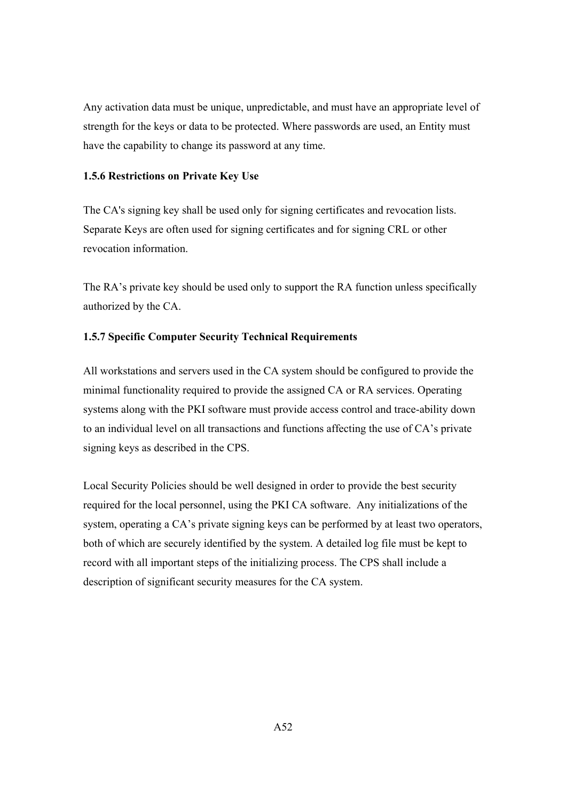Any activation data must be unique, unpredictable, and must have an appropriate level of strength for the keys or data to be protected. Where passwords are used, an Entity must have the capability to change its password at any time.

### **1.5.6 Restrictions on Private Key Use**

The CA's signing key shall be used only for signing certificates and revocation lists. Separate Keys are often used for signing certificates and for signing CRL or other revocation information.

The RA's private key should be used only to support the RA function unless specifically authorized by the CA.

### **1.5.7 Specific Computer Security Technical Requirements**

All workstations and servers used in the CA system should be configured to provide the minimal functionality required to provide the assigned CA or RA services. Operating systems along with the PKI software must provide access control and trace-ability down to an individual level on all transactions and functions affecting the use of CA's private signing keys as described in the CPS.

Local Security Policies should be well designed in order to provide the best security required for the local personnel, using the PKI CA software. Any initializations of the system, operating a CA's private signing keys can be performed by at least two operators, both of which are securely identified by the system. A detailed log file must be kept to record with all important steps of the initializing process. The CPS shall include a description of significant security measures for the CA system.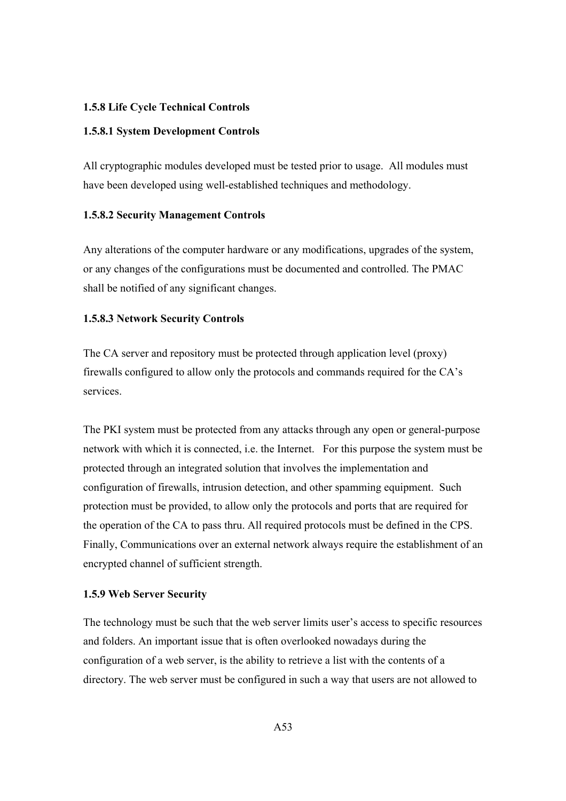### **1.5.8 Life Cycle Technical Controls**

#### **1.5.8.1 System Development Controls**

All cryptographic modules developed must be tested prior to usage. All modules must have been developed using well-established techniques and methodology.

#### **1.5.8.2 Security Management Controls**

Any alterations of the computer hardware or any modifications, upgrades of the system, or any changes of the configurations must be documented and controlled. The PMAC shall be notified of any significant changes.

### **1.5.8.3 Network Security Controls**

The CA server and repository must be protected through application level (proxy) firewalls configured to allow only the protocols and commands required for the CA's services.

The PKI system must be protected from any attacks through any open or general-purpose network with which it is connected, i.e. the Internet. For this purpose the system must be protected through an integrated solution that involves the implementation and configuration of firewalls, intrusion detection, and other spamming equipment. Such protection must be provided, to allow only the protocols and ports that are required for the operation of the CA to pass thru. All required protocols must be defined in the CPS. Finally, Communications over an external network always require the establishment of an encrypted channel of sufficient strength.

### **1.5.9 Web Server Security**

The technology must be such that the web server limits user's access to specific resources and folders. An important issue that is often overlooked nowadays during the configuration of a web server, is the ability to retrieve a list with the contents of a directory. The web server must be configured in such a way that users are not allowed to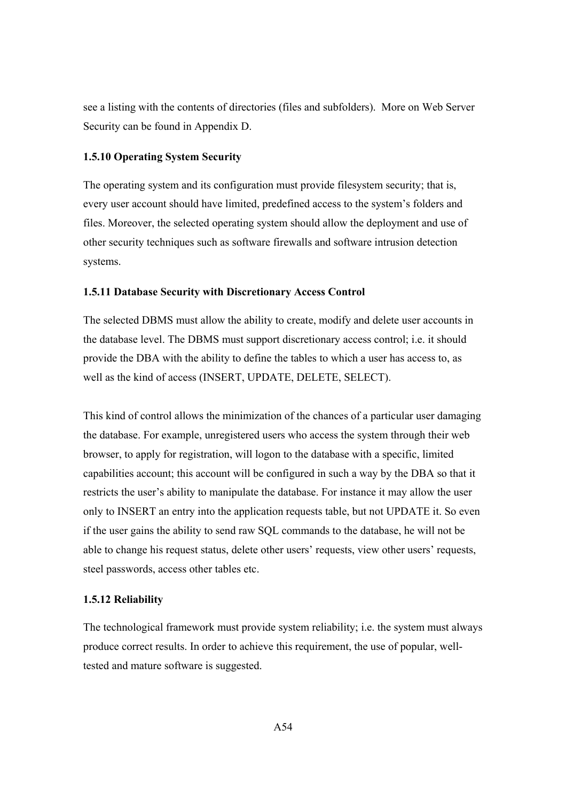see a listing with the contents of directories (files and subfolders). More on Web Server Security can be found in Appendix D.

### **1.5.10 Operating System Security**

The operating system and its configuration must provide filesystem security; that is, every user account should have limited, predefined access to the system's folders and files. Moreover, the selected operating system should allow the deployment and use of other security techniques such as software firewalls and software intrusion detection systems.

#### **1.5.11 Database Security with Discretionary Access Control**

The selected DBMS must allow the ability to create, modify and delete user accounts in the database level. The DBMS must support discretionary access control; i.e. it should provide the DBA with the ability to define the tables to which a user has access to, as well as the kind of access (INSERT, UPDATE, DELETE, SELECT).

This kind of control allows the minimization of the chances of a particular user damaging the database. For example, unregistered users who access the system through their web browser, to apply for registration, will logon to the database with a specific, limited capabilities account; this account will be configured in such a way by the DBA so that it restricts the user's ability to manipulate the database. For instance it may allow the user only to INSERT an entry into the application requests table, but not UPDATE it. So even if the user gains the ability to send raw SQL commands to the database, he will not be able to change his request status, delete other users' requests, view other users' requests, steel passwords, access other tables etc.

#### **1.5.12 Reliability**

The technological framework must provide system reliability; i.e. the system must always produce correct results. In order to achieve this requirement, the use of popular, welltested and mature software is suggested.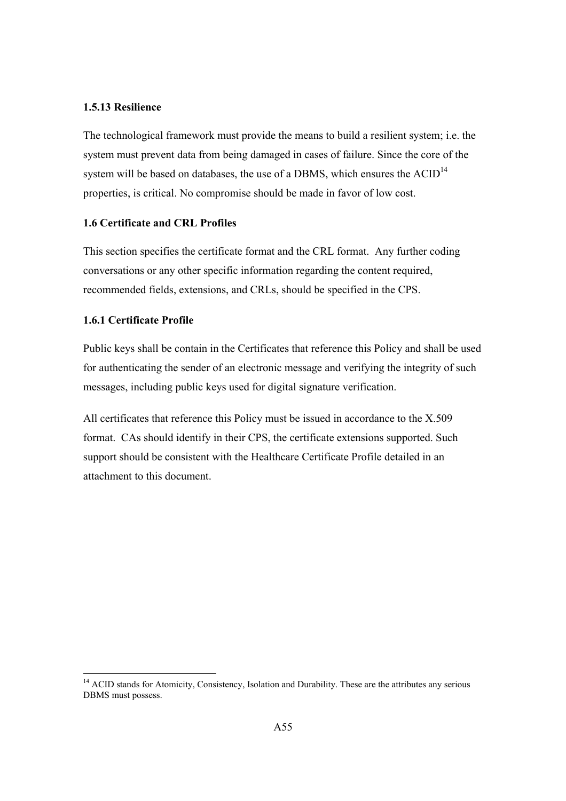### **1.5.13 Resilience**

The technological framework must provide the means to build a resilient system; i.e. the system must prevent data from being damaged in cases of failure. Since the core of the system will be based on databases, the use of a DBMS, which ensures the  $ACID<sup>14</sup>$ properties, is critical. No compromise should be made in favor of low cost.

### **1.6 Certificate and CRL Profiles**

This section specifies the certificate format and the CRL format. Any further coding conversations or any other specific information regarding the content required, recommended fields, extensions, and CRLs, should be specified in the CPS.

### **1.6.1 Certificate Profile**

Public keys shall be contain in the Certificates that reference this Policy and shall be used for authenticating the sender of an electronic message and verifying the integrity of such messages, including public keys used for digital signature verification.

All certificates that reference this Policy must be issued in accordance to the X.509 format. CAs should identify in their CPS, the certificate extensions supported. Such support should be consistent with the Healthcare Certificate Profile detailed in an attachment to this document.

<sup>&</sup>lt;sup>14</sup> ACID stands for Atomicity, Consistency, Isolation and Durability. These are the attributes any serious DBMS must possess.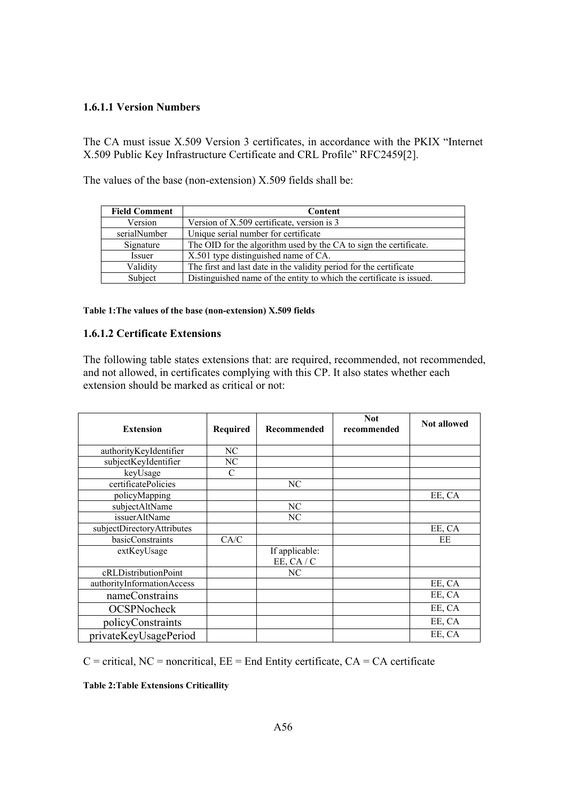## **1.6.1.1 Version Numbers**

The CA must issue X.509 Version 3 certificates, in accordance with the PKIX "Internet X.509 Public Key Infrastructure Certificate and CRL Profile" RFC2459[2].

| <b>Field Comment</b> | Content                                                              |
|----------------------|----------------------------------------------------------------------|
| Version              | Version of X.509 certificate, version is 3                           |
| serialNumber         | Unique serial number for certificate                                 |
| Signature            | The OID for the algorithm used by the CA to sign the certificate.    |
| Issuer               | X.501 type distinguished name of CA.                                 |
| Validity             | The first and last date in the validity period for the certificate   |
| Subject              | Distinguished name of the entity to which the certificate is issued. |

The values of the base (non-extension) X.509 fields shall be:

#### **Table 1:The values of the base (non-extension) X.509 fields**

#### **1.6.1.2 Certificate Extensions**

The following table states extensions that: are required, recommended, not recommended, and not allowed, in certificates complying with this CP. It also states whether each extension should be marked as critical or not:

| <b>Extension</b>           | <b>Required</b> | Recommended                  | <b>Not</b><br>recommended | <b>Not allowed</b> |
|----------------------------|-----------------|------------------------------|---------------------------|--------------------|
| authorityKeyIdentifier     | NC              |                              |                           |                    |
| subjectKeyIdentifier       | NC              |                              |                           |                    |
| keyUsage                   | $\mathcal{C}$   |                              |                           |                    |
| certificatePolicies        |                 | NC                           |                           |                    |
| policyMapping              |                 |                              |                           | EE, CA             |
| subjectAltName             |                 | NC                           |                           |                    |
| issuerAltName              |                 | NC                           |                           |                    |
| subjectDirectoryAttributes |                 |                              |                           | EE, CA             |
| basicConstraints           | CA/C            |                              |                           | EE                 |
| extKeyUsage                |                 | If applicable:<br>EE, CA / C |                           |                    |
| cRLDistributionPoint       |                 | NC                           |                           |                    |
| authorityInformationAccess |                 |                              |                           | EE, CA             |
| nameConstrains             |                 |                              |                           | EE, CA             |
| <b>OCSPNocheck</b>         |                 |                              |                           | EE, CA             |
| policyConstraints          |                 |                              |                           | EE, CA             |
| privateKeyUsagePeriod      |                 |                              |                           | EE, CA             |

 $C =$  critical,  $NC =$  noncritical,  $EE =$  End Entity certificate,  $CA = CA$  certificate

**Table 2:Table Extensions Criticallity**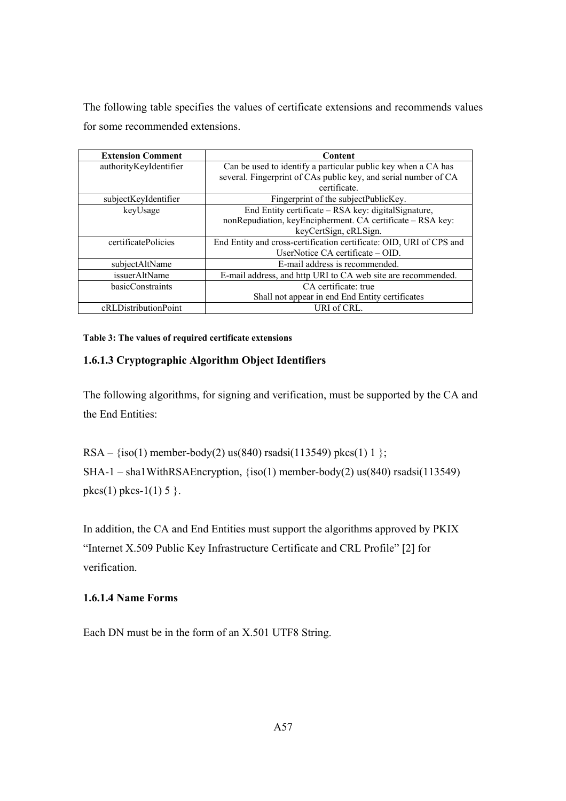The following table specifies the values of certificate extensions and recommends values for some recommended extensions.

| <b>Extension Comment</b> | Content                                                             |
|--------------------------|---------------------------------------------------------------------|
| authorityKeyIdentifier   | Can be used to identify a particular public key when a CA has       |
|                          | several. Fingerprint of CAs public key, and serial number of CA     |
|                          | certificate.                                                        |
| subjectKeyIdentifier     | Fingerprint of the subjectPublicKey.                                |
| keyUsage                 | End Entity certificate – RSA key: digitalSignature,                 |
|                          | nonRepudiation, keyEncipherment. CA certificate - RSA key:          |
|                          | keyCertSign, cRLSign.                                               |
| certificatePolicies      | End Entity and cross-certification certificate: OID, URI of CPS and |
|                          | UserNotice $CA$ certificate $- OID$ .                               |
| subjectAltName           | E-mail address is recommended.                                      |
| issuerAltName            | E-mail address, and http URI to CA web site are recommended.        |
| basicConstraints         | CA certificate: true                                                |
|                          | Shall not appear in end End Entity certificates                     |
| cRLDistributionPoint     | URI of CRL.                                                         |

**Table 3: The values of required certificate extensions** 

# **1.6.1.3 Cryptographic Algorithm Object Identifiers**

The following algorithms, for signing and verification, must be supported by the CA and the End Entities:

```
RSA – {iso(1) member-body(2) us(840) rsadsi(113549) pkcs(1) 1 };
SHA-1 – sha1WithRSAEncryption, \{iso(1) member-body(2) us(840) rsadsi(113549)
pkcs(1) pkcs-1(1) 5 }.
```
In addition, the CA and End Entities must support the algorithms approved by PKIX "Internet X.509 Public Key Infrastructure Certificate and CRL Profile" [2] for verification.

# **1.6.1.4 Name Forms**

Each DN must be in the form of an X.501 UTF8 String.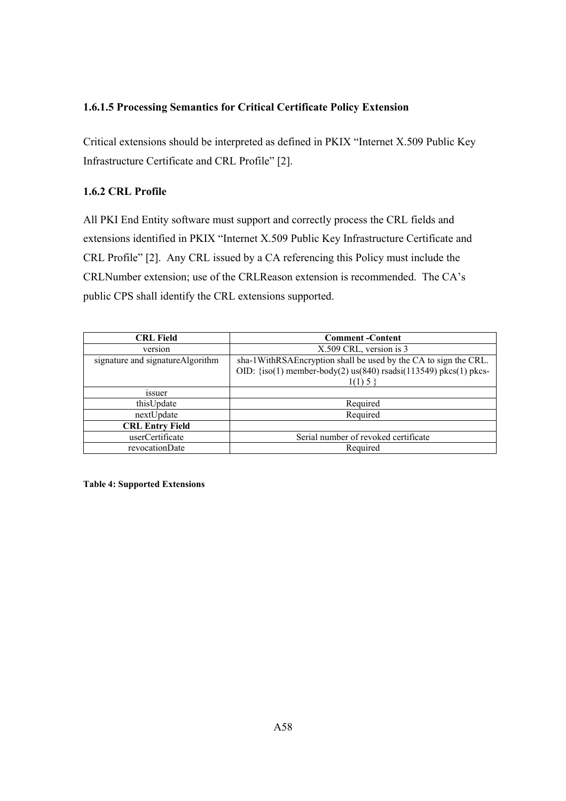# **1.6.1.5 Processing Semantics for Critical Certificate Policy Extension**

Critical extensions should be interpreted as defined in PKIX "Internet X.509 Public Key Infrastructure Certificate and CRL Profile" [2].

# **1.6.2 CRL Profile**

All PKI End Entity software must support and correctly process the CRL fields and extensions identified in PKIX "Internet X.509 Public Key Infrastructure Certificate and CRL Profile" [2]. Any CRL issued by a CA referencing this Policy must include the CRLNumber extension; use of the CRLReason extension is recommended. The CA's public CPS shall identify the CRL extensions supported.

| <b>CRL Field</b>                  | <b>Comment</b> - Content                                                                                                                          |  |  |  |
|-----------------------------------|---------------------------------------------------------------------------------------------------------------------------------------------------|--|--|--|
| version                           | X.509 CRL, version is 3                                                                                                                           |  |  |  |
| signature and signature Algorithm | sha-1WithRSAEncryption shall be used by the CA to sign the CRL.<br>OID: {iso(1) member-body(2) us(840) rsadsi(113549) pkcs(1) pkcs-<br>$1(1)$ 5 } |  |  |  |
| <i>ssuer</i>                      |                                                                                                                                                   |  |  |  |
| thisUpdate                        | Required                                                                                                                                          |  |  |  |
| nextUpdate                        | Required                                                                                                                                          |  |  |  |
| <b>CRL Entry Field</b>            |                                                                                                                                                   |  |  |  |
| userCertificate                   | Serial number of revoked certificate                                                                                                              |  |  |  |
| revocationDate                    | Required                                                                                                                                          |  |  |  |

**Table 4: Supported Extensions**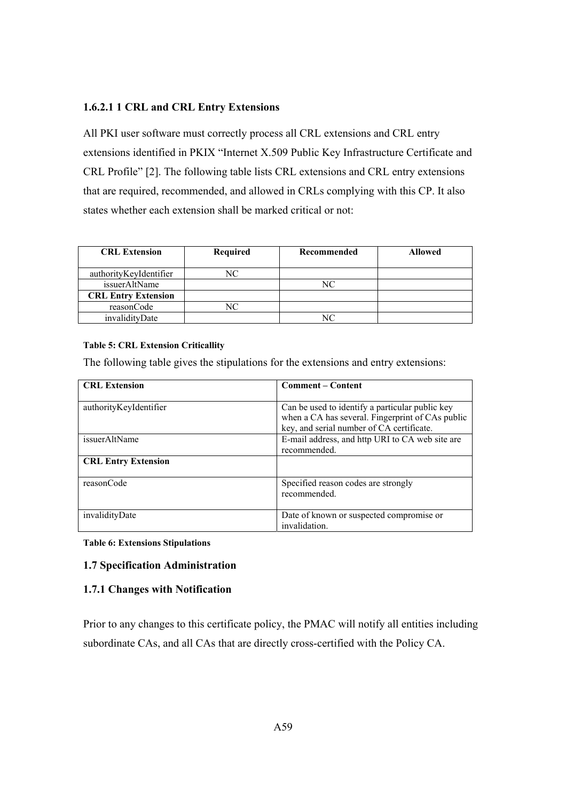## **1.6.2.1 1 CRL and CRL Entry Extensions**

All PKI user software must correctly process all CRL extensions and CRL entry extensions identified in PKIX "Internet X.509 Public Key Infrastructure Certificate and CRL Profile" [2]. The following table lists CRL extensions and CRL entry extensions that are required, recommended, and allowed in CRLs complying with this CP. It also states whether each extension shall be marked critical or not:

| <b>CRL Extension</b>       | Required | Recommended | <b>Allowed</b> |
|----------------------------|----------|-------------|----------------|
| authorityKeyIdentifier     | NC.      |             |                |
| issuerAltName              |          | NC          |                |
| <b>CRL Entry Extension</b> |          |             |                |
| reasonCode                 |          |             |                |
| invalidityDate             |          |             |                |

### **Table 5: CRL Extension Criticallity**

The following table gives the stipulations for the extensions and entry extensions:

| <b>CRL Extension</b>       | <b>Comment – Content</b>                         |
|----------------------------|--------------------------------------------------|
|                            |                                                  |
| authorityKeyIdentifier     | Can be used to identify a particular public key  |
|                            | when a CA has several. Fingerprint of CAs public |
|                            | key, and serial number of CA certificate.        |
| issuerAltName              | E-mail address, and http URI to CA web site are  |
|                            | recommended.                                     |
| <b>CRL Entry Extension</b> |                                                  |
|                            |                                                  |
| reasonCode                 | Specified reason codes are strongly              |
|                            | recommended.                                     |
|                            |                                                  |
| invalidityDate             | Date of known or suspected compromise or         |
|                            | invalidation.                                    |

**Table 6: Extensions Stipulations**

## **1.7 Specification Administration**

## **1.7.1 Changes with Notification**

Prior to any changes to this certificate policy, the PMAC will notify all entities including subordinate CAs, and all CAs that are directly cross-certified with the Policy CA.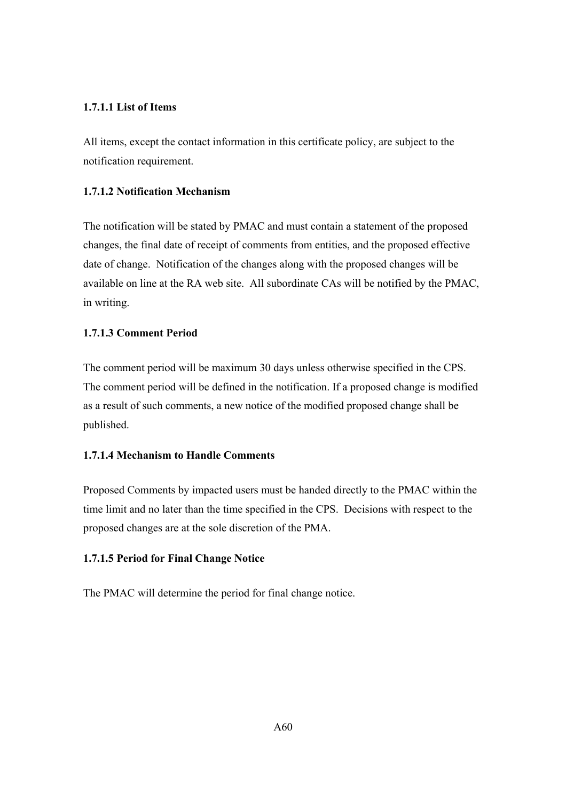## **1.7.1.1 List of Items**

All items, except the contact information in this certificate policy, are subject to the notification requirement.

## **1.7.1.2 Notification Mechanism**

The notification will be stated by PMAC and must contain a statement of the proposed changes, the final date of receipt of comments from entities, and the proposed effective date of change. Notification of the changes along with the proposed changes will be available on line at the RA web site. All subordinate CAs will be notified by the PMAC, in writing.

## **1.7.1.3 Comment Period**

The comment period will be maximum 30 days unless otherwise specified in the CPS. The comment period will be defined in the notification. If a proposed change is modified as a result of such comments, a new notice of the modified proposed change shall be published.

## **1.7.1.4 Mechanism to Handle Comments**

Proposed Comments by impacted users must be handed directly to the PMAC within the time limit and no later than the time specified in the CPS. Decisions with respect to the proposed changes are at the sole discretion of the PMA.

# **1.7.1.5 Period for Final Change Notice**

The PMAC will determine the period for final change notice.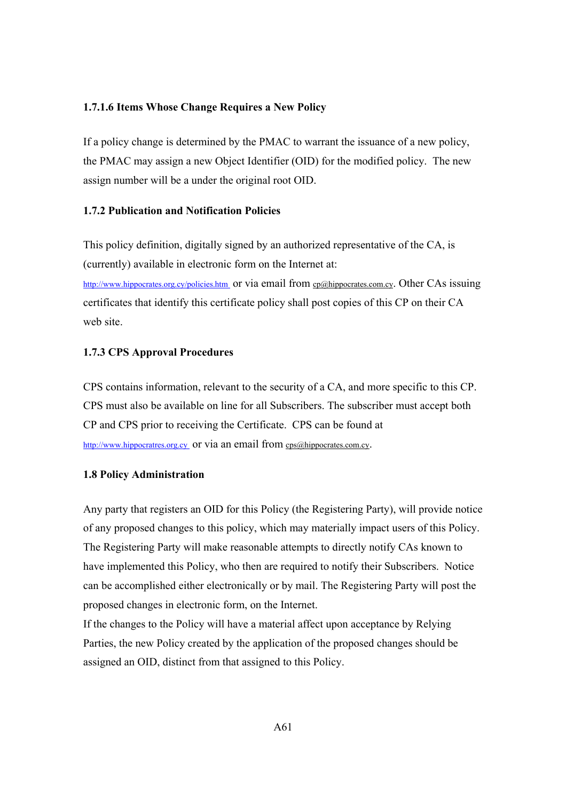#### **1.7.1.6 Items Whose Change Requires a New Policy**

If a policy change is determined by the PMAC to warrant the issuance of a new policy, the PMAC may assign a new Object Identifier (OID) for the modified policy. The new assign number will be a under the original root OID.

#### **1.7.2 Publication and Notification Policies**

This policy definition, digitally signed by an authorized representative of the CA, is (currently) available in electronic form on the Internet at:

http://www.hippocrates.org.cy/policies.htm or via email from cp@hippocrates.com.cy. Other CAs issuing certificates that identify this certificate policy shall post copies of this CP on their CA web site.

## **1.7.3 CPS Approval Procedures**

CPS contains information, relevant to the security of a CA, and more specific to this CP. CPS must also be available on line for all Subscribers. The subscriber must accept both CP and CPS prior to receiving the Certificate. CPS can be found at http://www.hippocratres.org.cy or via an email from cps@hippocrates.com.cy.

## **1.8 Policy Administration**

Any party that registers an OID for this Policy (the Registering Party), will provide notice of any proposed changes to this policy, which may materially impact users of this Policy. The Registering Party will make reasonable attempts to directly notify CAs known to have implemented this Policy, who then are required to notify their Subscribers. Notice can be accomplished either electronically or by mail. The Registering Party will post the proposed changes in electronic form, on the Internet.

If the changes to the Policy will have a material affect upon acceptance by Relying Parties, the new Policy created by the application of the proposed changes should be assigned an OID, distinct from that assigned to this Policy.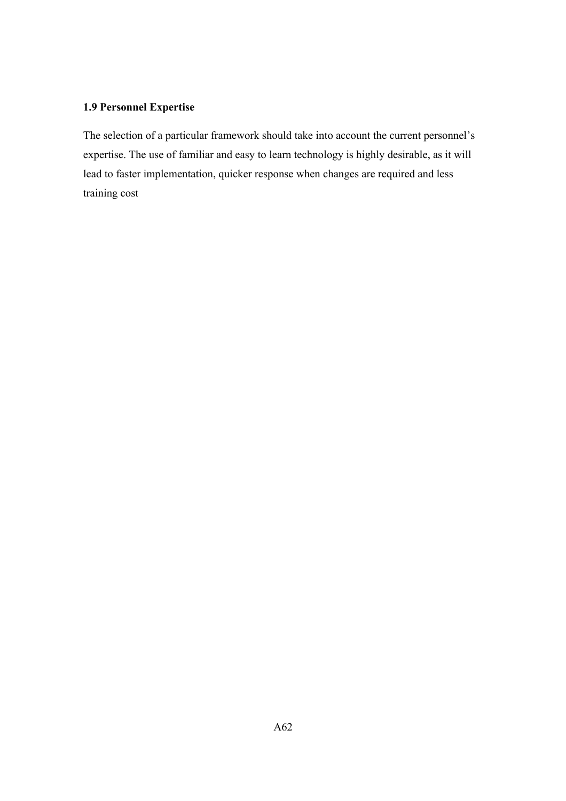## **1.9 Personnel Expertise**

The selection of a particular framework should take into account the current personnel's expertise. The use of familiar and easy to learn technology is highly desirable, as it will lead to faster implementation, quicker response when changes are required and less training cost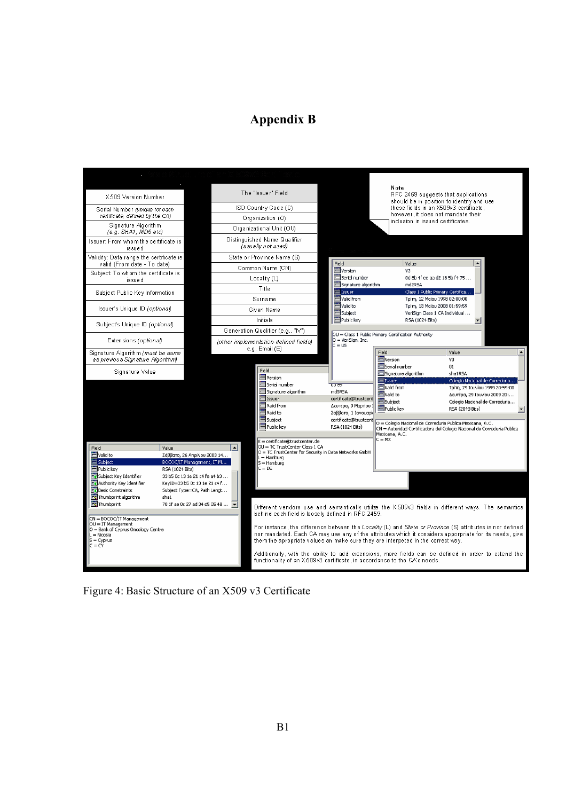# **Appendix B**



Figure 4: Basic Structure of an X509 v3 Certificate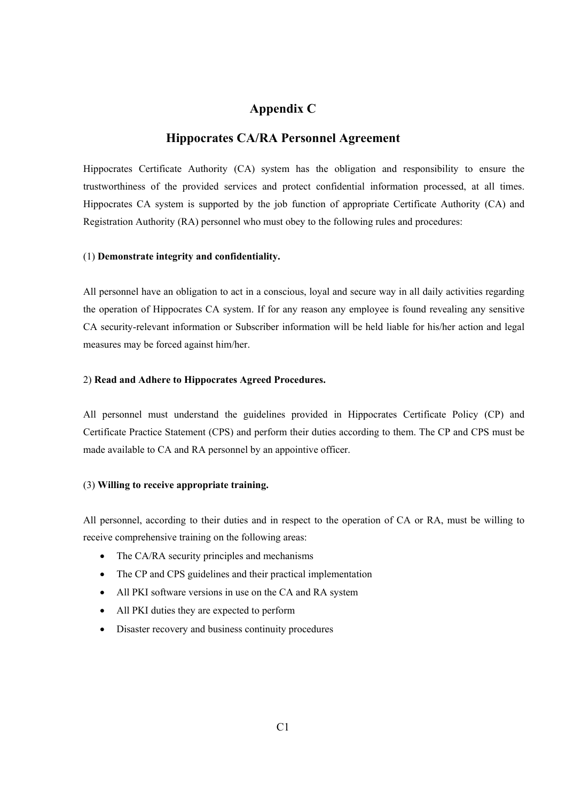## **Appendix C**

## **Hippocrates CA/RA Personnel Agreement**

Hippocrates Certificate Authority (CA) system has the obligation and responsibility to ensure the trustworthiness of the provided services and protect confidential information processed, at all times. Hippocrates CA system is supported by the job function of appropriate Certificate Authority (CA) and Registration Authority (RA) personnel who must obey to the following rules and procedures:

#### (1) **Demonstrate integrity and confidentiality.**

All personnel have an obligation to act in a conscious, loyal and secure way in all daily activities regarding the operation of Hippocrates CA system. If for any reason any employee is found revealing any sensitive CA security-relevant information or Subscriber information will be held liable for his/her action and legal measures may be forced against him/her.

#### 2) **Read and Adhere to Hippocrates Agreed Procedures.**

All personnel must understand the guidelines provided in Hippocrates Certificate Policy (CP) and Certificate Practice Statement (CPS) and perform their duties according to them. The CP and CPS must be made available to CA and RA personnel by an appointive officer.

### (3) **Willing to receive appropriate training.**

All personnel, according to their duties and in respect to the operation of CA or RA, must be willing to receive comprehensive training on the following areas:

- The CA/RA security principles and mechanisms
- The CP and CPS guidelines and their practical implementation
- All PKI software versions in use on the CA and RA system
- All PKI duties they are expected to perform
- Disaster recovery and business continuity procedures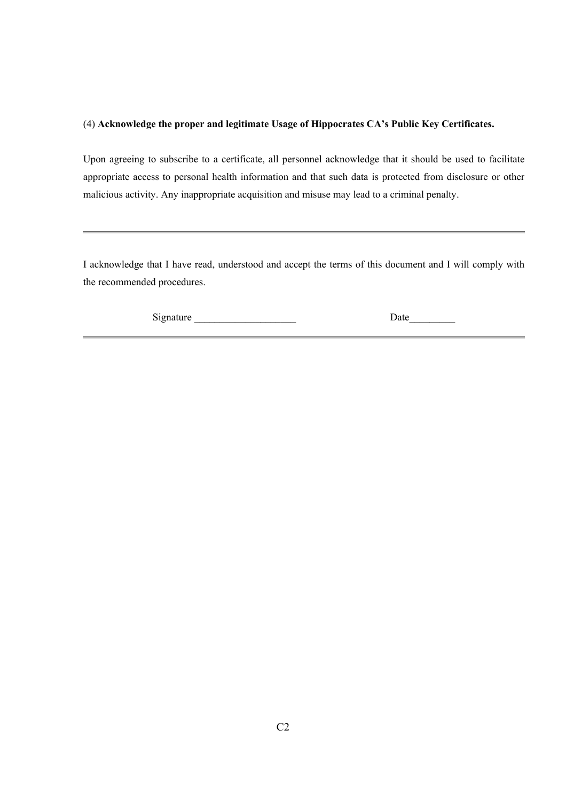## (4) **Acknowledge the proper and legitimate Usage of Hippocrates CA's Public Key Certificates.**

Upon agreeing to subscribe to a certificate, all personnel acknowledge that it should be used to facilitate appropriate access to personal health information and that such data is protected from disclosure or other malicious activity. Any inappropriate acquisition and misuse may lead to a criminal penalty.

I acknowledge that I have read, understood and accept the terms of this document and I will comply with the recommended procedures.

Signature \_\_\_\_\_\_\_\_\_\_\_\_\_\_\_\_\_\_\_\_ Date\_\_\_\_\_\_\_\_\_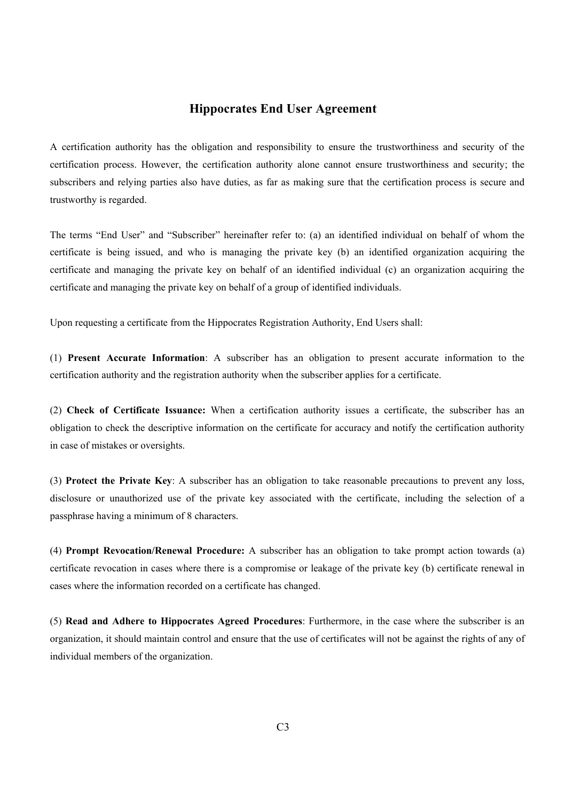## **Hippocrates End User Agreement**

A certification authority has the obligation and responsibility to ensure the trustworthiness and security of the certification process. However, the certification authority alone cannot ensure trustworthiness and security; the subscribers and relying parties also have duties, as far as making sure that the certification process is secure and trustworthy is regarded.

The terms "End User" and "Subscriber" hereinafter refer to: (a) an identified individual on behalf of whom the certificate is being issued, and who is managing the private key (b) an identified organization acquiring the certificate and managing the private key on behalf of an identified individual (c) an organization acquiring the certificate and managing the private key on behalf of a group of identified individuals.

Upon requesting a certificate from the Hippocrates Registration Authority, End Users shall:

(1) **Present Accurate Information**: A subscriber has an obligation to present accurate information to the certification authority and the registration authority when the subscriber applies for a certificate.

(2) **Check of Certificate Issuance:** When a certification authority issues a certificate, the subscriber has an obligation to check the descriptive information on the certificate for accuracy and notify the certification authority in case of mistakes or oversights.

(3) **Protect the Private Key**: A subscriber has an obligation to take reasonable precautions to prevent any loss, disclosure or unauthorized use of the private key associated with the certificate, including the selection of a passphrase having a minimum of 8 characters.

(4) **Prompt Revocation/Renewal Procedure:** A subscriber has an obligation to take prompt action towards (a) certificate revocation in cases where there is a compromise or leakage of the private key (b) certificate renewal in cases where the information recorded on a certificate has changed.

(5) **Read and Adhere to Hippocrates Agreed Procedures**: Furthermore, in the case where the subscriber is an organization, it should maintain control and ensure that the use of certificates will not be against the rights of any of individual members of the organization.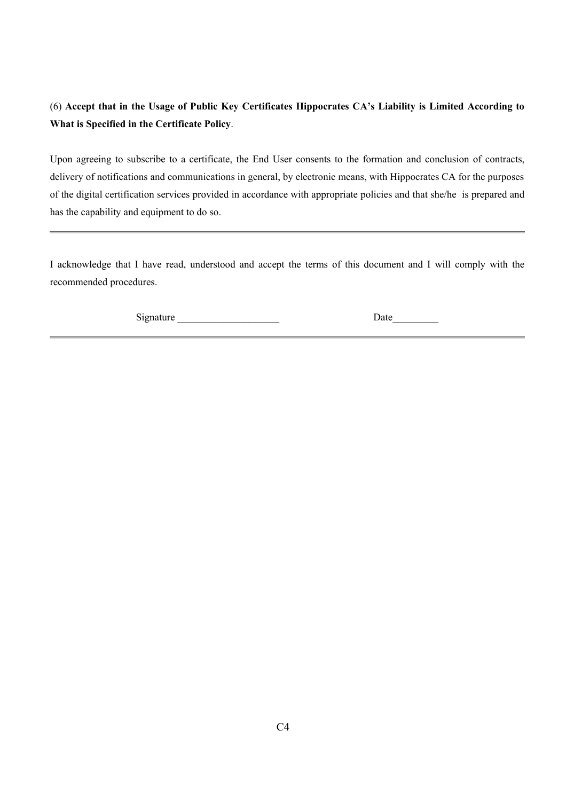## (6) **Accept that in the Usage of Public Key Certificates Hippocrates CA's Liability is Limited According to What is Specified in the Certificate Policy**.

Upon agreeing to subscribe to a certificate, the End User consents to the formation and conclusion of contracts, delivery of notifications and communications in general, by electronic means, with Hippocrates CA for the purposes of the digital certification services provided in accordance with appropriate policies and that she/he is prepared and has the capability and equipment to do so.

I acknowledge that I have read, understood and accept the terms of this document and I will comply with the recommended procedures.

Signature \_\_\_\_\_\_\_\_\_\_\_\_\_\_\_\_\_\_\_\_ Date\_\_\_\_\_\_\_\_\_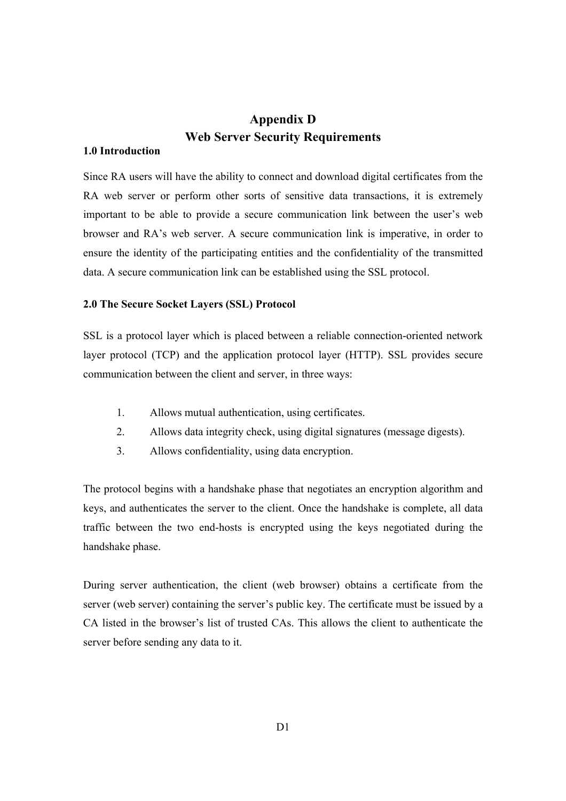## **Appendix D Web Server Security Requirements**

## **1.0 Introduction**

Since RA users will have the ability to connect and download digital certificates from the RA web server or perform other sorts of sensitive data transactions, it is extremely important to be able to provide a secure communication link between the user's web browser and RA's web server. A secure communication link is imperative, in order to ensure the identity of the participating entities and the confidentiality of the transmitted data. A secure communication link can be established using the SSL protocol.

## **2.0 The Secure Socket Layers (SSL) Protocol**

SSL is a protocol layer which is placed between a reliable connection-oriented network layer protocol (TCP) and the application protocol layer (HTTP). SSL provides secure communication between the client and server, in three ways:

- 1. Allows mutual authentication, using certificates.
- 2. Allows data integrity check, using digital signatures (message digests).
- 3. Allows confidentiality, using data encryption.

The protocol begins with a handshake phase that negotiates an encryption algorithm and keys, and authenticates the server to the client. Once the handshake is complete, all data traffic between the two end-hosts is encrypted using the keys negotiated during the handshake phase.

During server authentication, the client (web browser) obtains a certificate from the server (web server) containing the server's public key. The certificate must be issued by a CA listed in the browser's list of trusted CAs. This allows the client to authenticate the server before sending any data to it.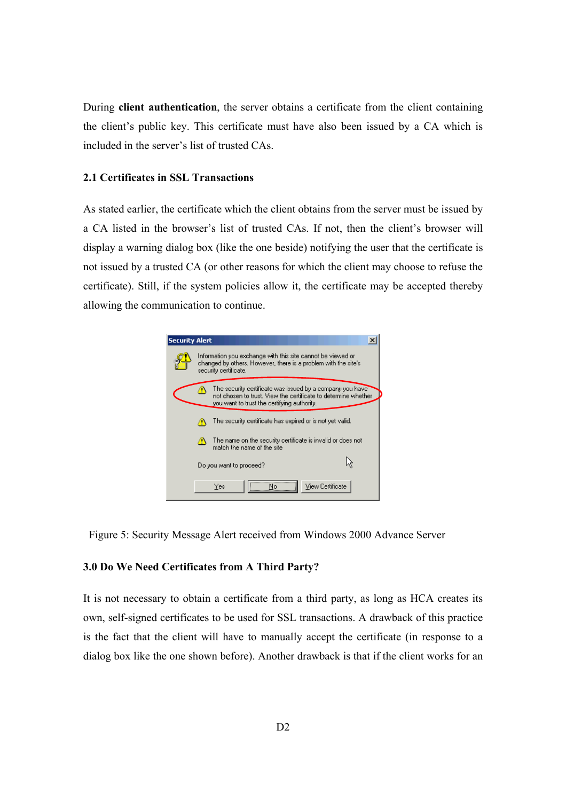During **client authentication**, the server obtains a certificate from the client containing the client's public key. This certificate must have also been issued by a CA which is included in the server's list of trusted CAs.

#### **2.1 Certificates in SSL Transactions**

As stated earlier, the certificate which the client obtains from the server must be issued by a CA listed in the browser's list of trusted CAs. If not, then the client's browser will display a warning dialog box (like the one beside) notifying the user that the certificate is not issued by a trusted CA (or other reasons for which the client may choose to refuse the certificate). Still, if the system policies allow it, the certificate may be accepted thereby allowing the communication to continue.



Figure 5: Security Message Alert received from Windows 2000 Advance Server

### **3.0 Do We Need Certificates from A Third Party?**

It is not necessary to obtain a certificate from a third party, as long as HCA creates its own, self-signed certificates to be used for SSL transactions. A drawback of this practice is the fact that the client will have to manually accept the certificate (in response to a dialog box like the one shown before). Another drawback is that if the client works for an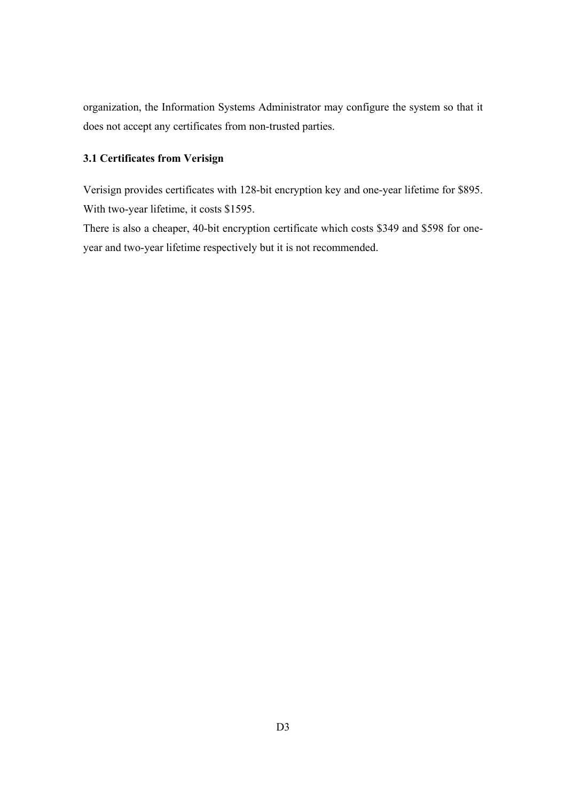organization, the Information Systems Administrator may configure the system so that it does not accept any certificates from non-trusted parties.

## **3.1 Certificates from Verisign**

Verisign provides certificates with 128-bit encryption key and one-year lifetime for \$895. With two-year lifetime, it costs \$1595.

There is also a cheaper, 40-bit encryption certificate which costs \$349 and \$598 for oneyear and two-year lifetime respectively but it is not recommended.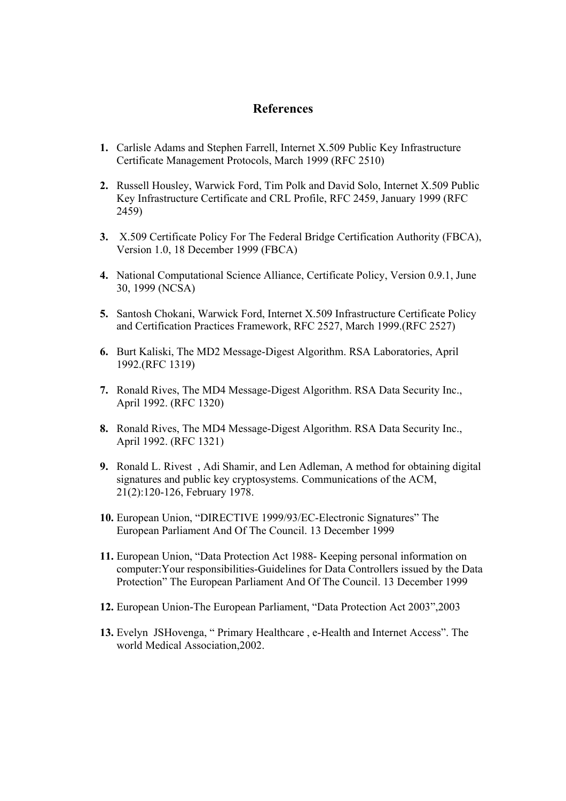## **References**

- **1.** Carlisle Adams and Stephen Farrell, Internet X.509 Public Key Infrastructure Certificate Management Protocols, March 1999 (RFC 2510)
- **2.** Russell Housley, Warwick Ford, Tim Polk and David Solo, Internet X.509 Public Key Infrastructure Certificate and CRL Profile, RFC 2459, January 1999 (RFC 2459)
- **3.** X.509 Certificate Policy For The Federal Bridge Certification Authority (FBCA), Version 1.0, 18 December 1999 (FBCA)
- **4.** National Computational Science Alliance, Certificate Policy, Version 0.9.1, June 30, 1999 (NCSA)
- **5.** Santosh Chokani, Warwick Ford, Internet X.509 Infrastructure Certificate Policy and Certification Practices Framework, RFC 2527, March 1999.(RFC 2527)
- **6.** Burt Kaliski, The MD2 Message-Digest Algorithm. RSA Laboratories, April 1992.(RFC 1319)
- **7.** Ronald Rives, The MD4 Message-Digest Algorithm. RSA Data Security Inc., April 1992. (RFC 1320)
- **8.** Ronald Rives, The MD4 Message-Digest Algorithm. RSA Data Security Inc., April 1992. (RFC 1321)
- **9.** Ronald L. Rivest , Adi Shamir, and Len Adleman, A method for obtaining digital signatures and public key cryptosystems. Communications of the ACM, 21(2):120-126, February 1978.
- **10.** European Union, "DIRECTIVE 1999/93/EC-Electronic Signatures" The European Parliament And Of The Council. 13 December 1999
- **11.** European Union, "Data Protection Act 1988- Keeping personal information on computer:Your responsibilities-Guidelines for Data Controllers issued by the Data Protection" The European Parliament And Of The Council. 13 December 1999
- **12.** European Union-The European Parliament, "Data Protection Act 2003",2003
- **13.** Evelyn JSHovenga, " Primary Healthcare , e-Health and Internet Access". The world Medical Association,2002.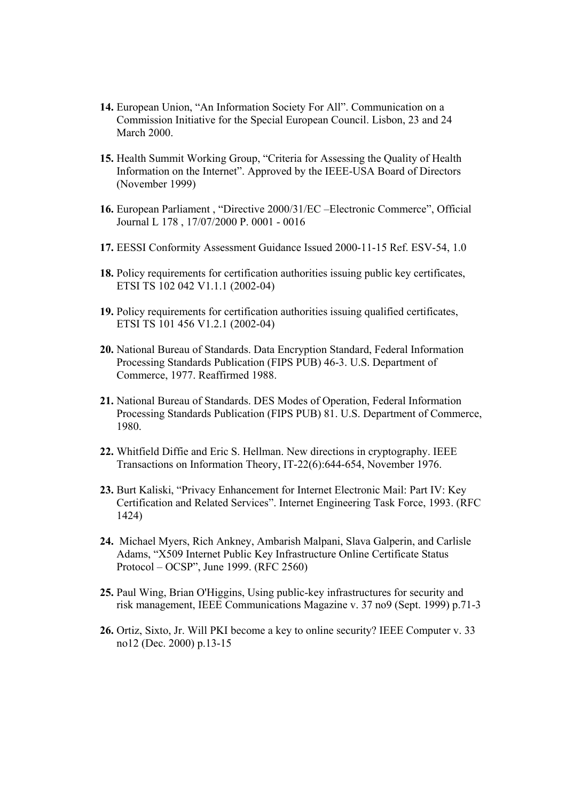- **14.** European Union, "An Information Society For All". Communication on a Commission Initiative for the Special European Council. Lisbon, 23 and 24 March 2000.
- **15.** Health Summit Working Group, "Criteria for Assessing the Quality of Health Information on the Internet". Approved by the IEEE-USA Board of Directors (November 1999)
- **16.** European Parliament , "Directive 2000/31/EC –Electronic Commerce", Official Journal L 178 , 17/07/2000 P. 0001 - 0016
- **17.** EESSI Conformity Assessment Guidance Issued 2000-11-15 Ref. ESV-54, 1.0
- **18.** Policy requirements for certification authorities issuing public key certificates, ETSI TS 102 042 V1.1.1 (2002-04)
- **19.** Policy requirements for certification authorities issuing qualified certificates, ETSI TS 101 456 V1.2.1 (2002-04)
- **20.** National Bureau of Standards. Data Encryption Standard, Federal Information Processing Standards Publication (FIPS PUB) 46-3. U.S. Department of Commerce, 1977. Reaffirmed 1988.
- **21.** National Bureau of Standards. DES Modes of Operation, Federal Information Processing Standards Publication (FIPS PUB) 81. U.S. Department of Commerce, 1980.
- **22.** Whitfield Diffie and Eric S. Hellman. New directions in cryptography. IEEE Transactions on Information Theory, IT-22(6):644-654, November 1976.
- **23.** Burt Kaliski, "Privacy Enhancement for Internet Electronic Mail: Part IV: Key Certification and Related Services". Internet Engineering Task Force, 1993. (RFC 1424)
- **24.** Michael Myers, Rich Ankney, Ambarish Malpani, Slava Galperin, and Carlisle Adams, "X509 Internet Public Key Infrastructure Online Certificate Status Protocol – OCSP", June 1999. (RFC 2560)
- **25.** Paul Wing, Brian O'Higgins, Using public-key infrastructures for security and risk management, IEEE Communications Magazine v. 37 no9 (Sept. 1999) p.71-3
- **26.** Ortiz, Sixto, Jr. Will PKI become a key to online security? IEEE Computer v. 33 no12 (Dec. 2000) p.13-15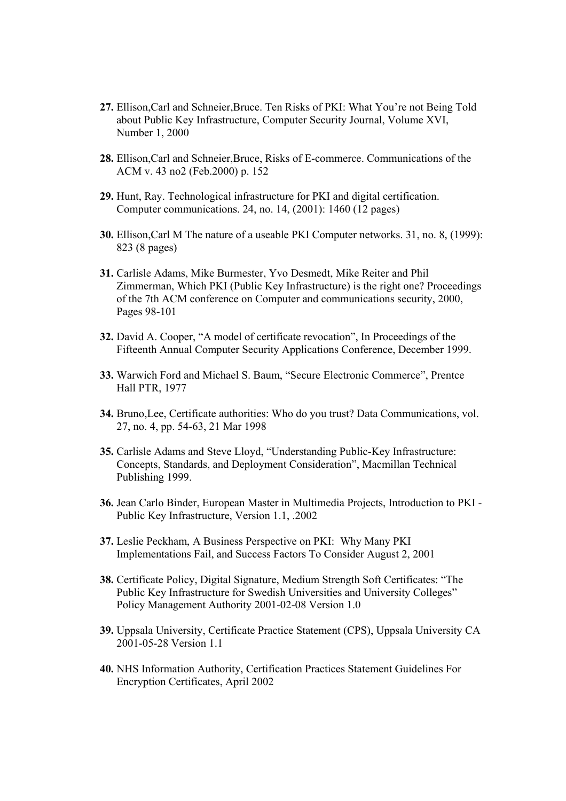- **27.** Ellison,Carl and Schneier,Bruce. Ten Risks of PKI: What You're not Being Told about Public Key Infrastructure, Computer Security Journal, Volume XVI, Number 1, 2000
- **28.** Ellison,Carl and Schneier,Bruce, Risks of E-commerce. Communications of the ACM v. 43 no2 (Feb.2000) p. 152
- **29.** Hunt, Ray. Technological infrastructure for PKI and digital certification. Computer communications. 24, no. 14, (2001): 1460 (12 pages)
- **30.** Ellison,Carl M The nature of a useable PKI Computer networks. 31, no. 8, (1999): 823 (8 pages)
- **31.** Carlisle Adams, Mike Burmester, Yvo Desmedt, Mike Reiter and Phil Zimmerman, Which PKI (Public Key Infrastructure) is the right one? Proceedings of the 7th ACM conference on Computer and communications security, 2000, Pages 98-101
- **32.** David A. Cooper, "A model of certificate revocation", In Proceedings of the Fifteenth Annual Computer Security Applications Conference, December 1999.
- **33.** Warwich Ford and Michael S. Baum, "Secure Electronic Commerce", Prentce Hall PTR, 1977
- **34.** Bruno,Lee, Certificate authorities: Who do you trust? Data Communications, vol. 27, no. 4, pp. 54-63, 21 Mar 1998
- **35.** Carlisle Adams and Steve Lloyd, "Understanding Public-Key Infrastructure: Concepts, Standards, and Deployment Consideration", Macmillan Technical Publishing 1999.
- **36.** Jean Carlo Binder, European Master in Multimedia Projects, Introduction to PKI Public Key Infrastructure, Version 1.1, .2002
- **37.** Leslie Peckham, A Business Perspective on PKI: Why Many PKI Implementations Fail, and Success Factors To Consider August 2, 2001
- **38.** Certificate Policy, Digital Signature, Medium Strength Soft Certificates: "The Public Key Infrastructure for Swedish Universities and University Colleges" Policy Management Authority 2001-02-08 Version 1.0
- **39.** Uppsala University, Certificate Practice Statement (CPS), Uppsala University CA 2001-05-28 Version 1.1
- **40.** NHS Information Authority, Certification Practices Statement Guidelines For Encryption Certificates, April 2002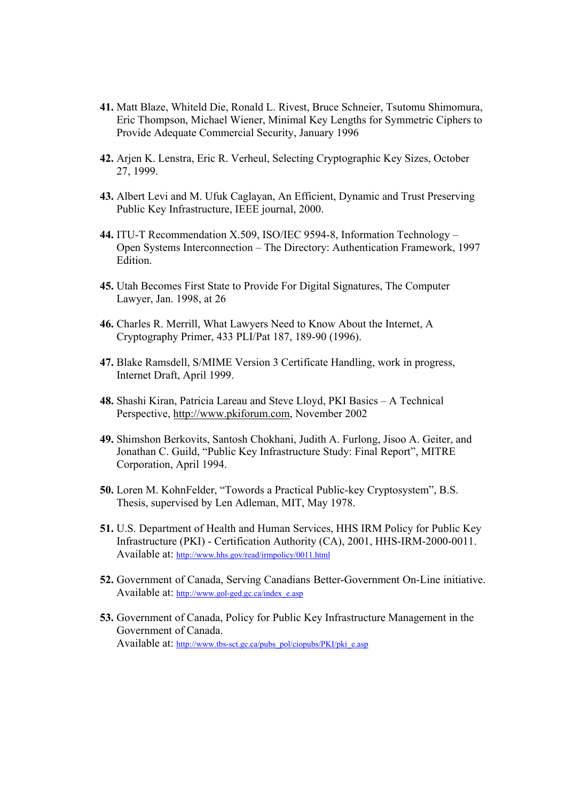- **41.** Matt Blaze, Whiteld Die, Ronald L. Rivest, Bruce Schneier, Tsutomu Shimomura, Eric Thompson, Michael Wiener, Minimal Key Lengths for Symmetric Ciphers to Provide Adequate Commercial Security, January 1996
- **42.** Arjen K. Lenstra, Eric R. Verheul, Selecting Cryptographic Key Sizes, October 27, 1999.
- **43.** Albert Levi and M. Ufuk Caglayan, An Efficient, Dynamic and Trust Preserving Public Key Infrastructure, IEEE journal, 2000.
- **44.** ITU-T Recommendation X.509, ISO/IEC 9594-8, Information Technology Open Systems Interconnection – The Directory: Authentication Framework, 1997 Edition.
- **45.** Utah Becomes First State to Provide For Digital Signatures, The Computer Lawyer, Jan. 1998, at 26
- **46.** Charles R. Merrill, What Lawyers Need to Know About the Internet, A Cryptography Primer, 433 PLI/Pat 187, 189-90 (1996).
- **47.** Blake Ramsdell, S/MIME Version 3 Certificate Handling, work in progress, Internet Draft, April 1999.
- **48.** Shashi Kiran, Patricia Lareau and Steve Lloyd, PKI Basics A Technical Perspective, http://www.pkiforum.com, November 2002
- **49.** Shimshon Berkovits, Santosh Chokhani, Judith A. Furlong, Jisoo A. Geiter, and Jonathan C. Guild, "Public Key Infrastructure Study: Final Report", MITRE Corporation, April 1994.
- **50.** Loren M. KohnFelder, "Towords a Practical Public-key Cryptosystem", B.S. Thesis, supervised by Len Adleman, MIT, May 1978.
- **51.** U.S. Department of Health and Human Services, HHS IRM Policy for Public Key Infrastructure (PKI) - Certification Authority (CA), 2001, HHS-IRM-2000-0011. Available at: http://www.hhs.gov/read/irmpolicy/0011.html
- **52.** Government of Canada, Serving Canadians Better-Government On-Line initiative. Available at: http://www.gol-ged.gc.ca/index\_e.asp
- **53.** Government of Canada, Policy for Public Key Infrastructure Management in the Government of Canada. Available at: http://www.tbs-sct.gc.ca/pubs\_pol/ciopubs/PKI/pki\_e.asp